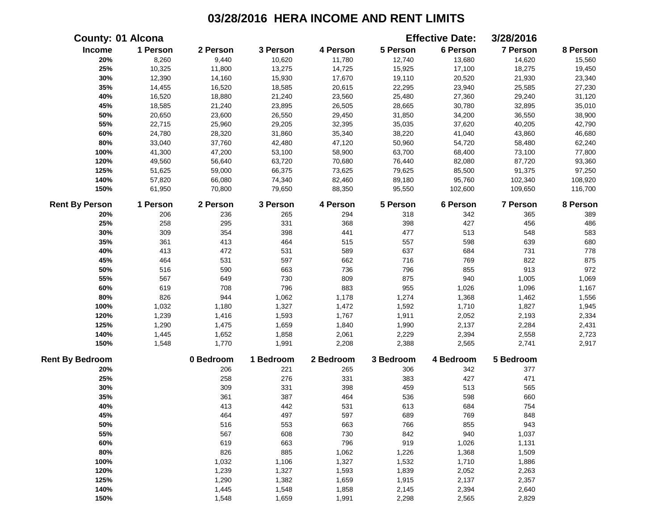|                        | <b>County: 01 Alcona</b> |           |           |           |           | <b>Effective Date:</b> | 3/28/2016       |          |
|------------------------|--------------------------|-----------|-----------|-----------|-----------|------------------------|-----------------|----------|
| Income                 | 1 Person                 | 2 Person  | 3 Person  | 4 Person  | 5 Person  | 6 Person               | 7 Person        | 8 Person |
| 20%                    | 8,260                    | 9,440     | 10,620    | 11,780    | 12,740    | 13,680                 | 14,620          | 15,560   |
| 25%                    | 10,325                   | 11,800    | 13,275    | 14,725    | 15,925    | 17,100                 | 18,275          | 19,450   |
| 30%                    | 12,390                   | 14,160    | 15,930    | 17,670    | 19,110    | 20,520                 | 21,930          | 23,340   |
| 35%                    | 14,455                   | 16,520    | 18,585    | 20,615    | 22,295    | 23,940                 | 25,585          | 27,230   |
| 40%                    | 16,520                   | 18,880    | 21,240    | 23,560    | 25,480    | 27,360                 | 29,240          | 31,120   |
| 45%                    | 18,585                   | 21,240    | 23,895    | 26,505    | 28,665    | 30,780                 | 32,895          | 35,010   |
| 50%                    | 20,650                   | 23,600    | 26,550    | 29,450    | 31,850    | 34,200                 | 36,550          | 38,900   |
| 55%                    | 22,715                   | 25,960    | 29,205    | 32,395    | 35,035    | 37,620                 | 40,205          | 42,790   |
| 60%                    | 24,780                   | 28,320    | 31,860    | 35,340    | 38,220    | 41,040                 | 43,860          | 46,680   |
| $80\%$                 | 33,040                   | 37,760    | 42,480    | 47,120    | 50,960    | 54,720                 | 58,480          | 62,240   |
| 100%                   | 41,300                   | 47,200    | 53,100    | 58,900    | 63,700    | 68,400                 | 73,100          | 77,800   |
| 120%                   | 49,560                   | 56,640    | 63,720    | 70,680    | 76,440    | 82,080                 | 87,720          | 93,360   |
| 125%                   | 51,625                   | 59,000    | 66,375    | 73,625    | 79,625    | 85,500                 | 91,375          | 97,250   |
| 140%                   | 57,820                   | 66,080    | 74,340    | 82,460    | 89,180    | 95,760                 | 102,340         | 108,920  |
| 150%                   | 61,950                   | 70,800    | 79,650    | 88,350    | 95,550    | 102,600                | 109,650         | 116,700  |
| <b>Rent By Person</b>  | 1 Person                 | 2 Person  | 3 Person  | 4 Person  | 5 Person  | 6 Person               | <b>7 Person</b> | 8 Person |
| 20%                    | 206                      | 236       | 265       | 294       | 318       | 342                    | 365             | 389      |
| 25%                    | 258                      | 295       | 331       | 368       | 398       | 427                    | 456             | 486      |
| 30%                    | 309                      | 354       | 398       | 441       | 477       | 513                    | 548             | 583      |
| 35%                    | 361                      | 413       | 464       | 515       | 557       | 598                    | 639             | 680      |
| 40%                    | 413                      | 472       | 531       | 589       | 637       | 684                    | 731             | 778      |
| 45%                    | 464                      | 531       | 597       | 662       | 716       | 769                    | 822             | 875      |
| 50%                    | 516                      | 590       | 663       | 736       | 796       | 855                    | 913             | 972      |
| 55%                    | 567                      | 649       | 730       | 809       | 875       | 940                    | 1,005           | 1,069    |
| 60%                    | 619                      | 708       | 796       | 883       | 955       | 1,026                  | 1,096           | 1,167    |
| 80%                    | 826                      | 944       | 1,062     | 1,178     | 1,274     | 1,368                  | 1,462           | 1,556    |
| 100%                   | 1,032                    | 1,180     | 1,327     | 1,472     | 1,592     | 1,710                  | 1,827           | 1,945    |
| 120%                   | 1,239                    | 1,416     | 1,593     | 1,767     | 1,911     | 2,052                  | 2,193           | 2,334    |
| 125%                   | 1,290                    | 1,475     | 1,659     | 1,840     | 1,990     | 2,137                  | 2,284           | 2,431    |
| 140%                   | 1,445                    | 1,652     | 1,858     | 2,061     | 2,229     | 2,394                  | 2,558           | 2,723    |
| 150%                   | 1,548                    | 1,770     | 1,991     | 2,208     | 2,388     | 2,565                  | 2,741           | 2,917    |
| <b>Rent By Bedroom</b> |                          | 0 Bedroom | 1 Bedroom | 2 Bedroom | 3 Bedroom | 4 Bedroom              | 5 Bedroom       |          |
| 20%                    |                          | 206       | 221       | 265       | 306       | 342                    | 377             |          |
| 25%                    |                          | 258       | 276       | 331       | 383       | 427                    | 471             |          |
| 30%                    |                          | 309       | 331       | 398       | 459       | 513                    | 565             |          |
| 35%                    |                          | 361       | 387       | 464       | 536       | 598                    | 660             |          |
| 40%                    |                          | 413       | 442       | 531       | 613       | 684                    | 754             |          |
| 45%                    |                          | 464       | 497       | 597       | 689       | 769                    | 848             |          |
| 50%                    |                          | 516       | 553       | 663       | 766       | 855                    | 943             |          |
| 55%                    |                          | 567       | 608       | 730       | 842       | 940                    | 1,037           |          |
| 60%                    |                          | 619       | 663       | 796       | 919       | 1,026                  | 1,131           |          |
| 80%                    |                          | 826       | 885       | 1,062     | 1,226     | 1,368                  | 1,509           |          |
| 100%                   |                          | 1,032     | 1,106     | 1,327     | 1,532     | 1,710                  | 1,886           |          |
| 120%                   |                          | 1,239     | 1,327     | 1,593     | 1,839     | 2,052                  | 2,263           |          |
| 125%                   |                          | 1,290     | 1,382     | 1,659     | 1,915     | 2,137                  | 2,357           |          |
| 140%                   |                          | 1,445     | 1,548     | 1,858     | 2,145     | 2,394                  | 2,640           |          |
| 150%                   |                          | 1,548     | 1,659     | 1,991     | 2,298     | 2,565                  | 2,829           |          |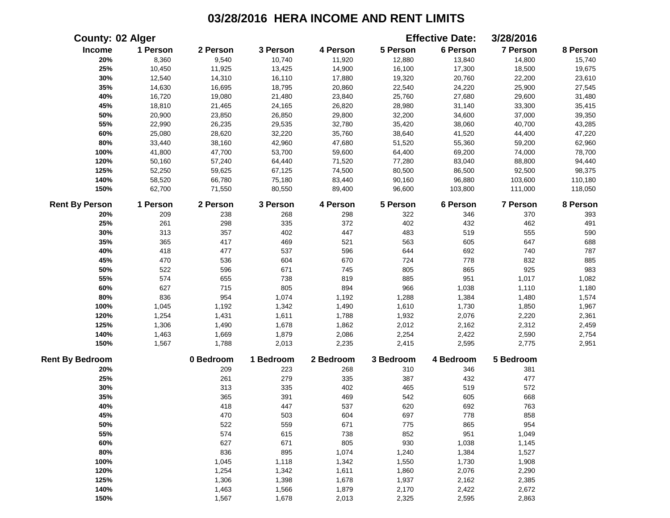|                        | <b>County: 02 Alger</b> |           |           |           |           | <b>Effective Date:</b> | 3/28/2016       |          |
|------------------------|-------------------------|-----------|-----------|-----------|-----------|------------------------|-----------------|----------|
| Income                 | 1 Person                | 2 Person  | 3 Person  | 4 Person  | 5 Person  | 6 Person               | <b>7 Person</b> | 8 Person |
| 20%                    | 8,360                   | 9,540     | 10,740    | 11,920    | 12,880    | 13,840                 | 14,800          | 15,740   |
| 25%                    | 10,450                  | 11,925    | 13,425    | 14,900    | 16,100    | 17,300                 | 18,500          | 19,675   |
| 30%                    | 12,540                  | 14,310    | 16,110    | 17,880    | 19,320    | 20,760                 | 22,200          | 23,610   |
| 35%                    | 14,630                  | 16,695    | 18,795    | 20,860    | 22,540    | 24,220                 | 25,900          | 27,545   |
| 40%                    | 16,720                  | 19,080    | 21,480    | 23,840    | 25,760    | 27,680                 | 29,600          | 31,480   |
| 45%                    | 18,810                  | 21,465    | 24,165    | 26,820    | 28,980    | 31,140                 | 33,300          | 35,415   |
| 50%                    | 20,900                  | 23,850    | 26,850    | 29,800    | 32,200    | 34,600                 | 37,000          | 39,350   |
| 55%                    | 22,990                  | 26,235    | 29,535    | 32,780    | 35,420    | 38,060                 | 40,700          | 43,285   |
| 60%                    | 25,080                  | 28,620    | 32,220    | 35,760    | 38,640    | 41,520                 | 44,400          | 47,220   |
| 80%                    | 33,440                  | 38,160    | 42,960    | 47,680    | 51,520    | 55,360                 | 59,200          | 62,960   |
| 100%                   | 41,800                  | 47,700    | 53,700    | 59,600    | 64,400    | 69,200                 | 74,000          | 78,700   |
| 120%                   | 50,160                  | 57,240    | 64,440    | 71,520    | 77,280    | 83,040                 | 88,800          | 94,440   |
| 125%                   | 52,250                  | 59,625    | 67,125    | 74,500    | 80,500    | 86,500                 | 92,500          | 98,375   |
| 140%                   | 58,520                  | 66,780    | 75,180    | 83,440    | 90,160    | 96,880                 | 103,600         | 110,180  |
| 150%                   | 62,700                  | 71,550    | 80,550    | 89,400    | 96,600    | 103,800                | 111,000         | 118,050  |
| <b>Rent By Person</b>  | 1 Person                | 2 Person  | 3 Person  | 4 Person  | 5 Person  | 6 Person               | 7 Person        | 8 Person |
| 20%                    | 209                     | 238       | 268       | 298       | 322       | 346                    | 370             | 393      |
| 25%                    | 261                     | 298       | 335       | 372       | 402       | 432                    | 462             | 491      |
| 30%                    | 313                     | 357       | 402       | 447       | 483       | 519                    | 555             | 590      |
| 35%                    | 365                     | 417       | 469       | 521       | 563       | 605                    | 647             | 688      |
| 40%                    | 418                     | 477       | 537       | 596       | 644       | 692                    | 740             | 787      |
| 45%                    | 470                     | 536       | 604       | 670       | 724       | 778                    | 832             | 885      |
| 50%                    | 522                     | 596       | 671       | 745       | 805       | 865                    | 925             | 983      |
| 55%                    | 574                     | 655       | 738       | 819       | 885       | 951                    | 1,017           | 1,082    |
| 60%                    | 627                     | 715       | 805       | 894       | 966       | 1,038                  | 1,110           | 1,180    |
| 80%                    | 836                     | 954       | 1,074     | 1,192     | 1,288     | 1,384                  | 1,480           | 1,574    |
| 100%                   | 1,045                   | 1,192     | 1,342     | 1,490     | 1,610     | 1,730                  | 1,850           | 1,967    |
| 120%                   | 1,254                   | 1,431     | 1,611     | 1,788     | 1,932     | 2,076                  | 2,220           | 2,361    |
| 125%                   | 1,306                   | 1,490     | 1,678     | 1,862     | 2,012     | 2,162                  | 2,312           | 2,459    |
| 140%                   | 1,463                   | 1,669     | 1,879     | 2,086     | 2,254     | 2,422                  | 2,590           | 2,754    |
| 150%                   | 1,567                   | 1,788     | 2,013     | 2,235     | 2,415     | 2,595                  | 2,775           | 2,951    |
| <b>Rent By Bedroom</b> |                         | 0 Bedroom | 1 Bedroom | 2 Bedroom | 3 Bedroom | 4 Bedroom              | 5 Bedroom       |          |
| 20%                    |                         | 209       | 223       | 268       | 310       | 346                    | 381             |          |
| 25%                    |                         | 261       | 279       | 335       | 387       | 432                    | 477             |          |
| 30%                    |                         | 313       | 335       | 402       | 465       | 519                    | 572             |          |
| 35%                    |                         | 365       | 391       | 469       | 542       | 605                    | 668             |          |
| 40%                    |                         | 418       | 447       | 537       | 620       | 692                    | 763             |          |
| 45%                    |                         | 470       | 503       | 604       | 697       | 778                    | 858             |          |
| 50%                    |                         | 522       | 559       | 671       | 775       | 865                    | 954             |          |
| 55%                    |                         | 574       | 615       | 738       | 852       | 951                    | 1,049           |          |
| 60%                    |                         | 627       | 671       | 805       | 930       | 1,038                  | 1,145           |          |
| 80%                    |                         | 836       | 895       | 1,074     | 1,240     | 1,384                  | 1,527           |          |
| 100%                   |                         | 1,045     | 1,118     | 1,342     | 1,550     | 1,730                  | 1,908           |          |
| 120%                   |                         | 1,254     | 1,342     | 1,611     | 1,860     | 2,076                  | 2,290           |          |
| 125%                   |                         | 1,306     | 1,398     | 1,678     | 1,937     | 2,162                  | 2,385           |          |
| 140%                   |                         | 1,463     | 1,566     | 1,879     | 2,170     | 2,422                  | 2,672           |          |
| 150%                   |                         | 1,567     | 1,678     | 2,013     | 2,325     | 2,595                  | 2,863           |          |
|                        |                         |           |           |           |           |                        |                 |          |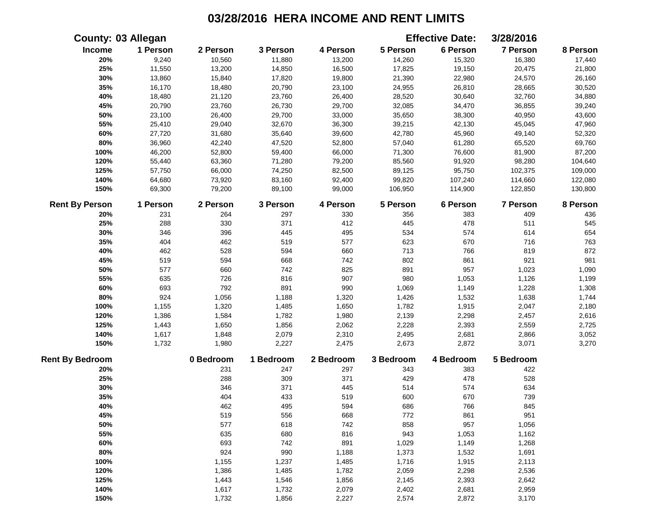|                        | <b>County: 03 Allegan</b> |           |           |           |           | <b>Effective Date:</b> | 3/28/2016 |          |
|------------------------|---------------------------|-----------|-----------|-----------|-----------|------------------------|-----------|----------|
| Income                 | 1 Person                  | 2 Person  | 3 Person  | 4 Person  | 5 Person  | 6 Person               | 7 Person  | 8 Person |
| 20%                    | 9,240                     | 10,560    | 11,880    | 13,200    | 14,260    | 15,320                 | 16,380    | 17,440   |
| 25%                    | 11,550                    | 13,200    | 14,850    | 16,500    | 17,825    | 19,150                 | 20,475    | 21,800   |
| 30%                    | 13,860                    | 15,840    | 17,820    | 19,800    | 21,390    | 22,980                 | 24,570    | 26,160   |
| 35%                    | 16,170                    | 18,480    | 20,790    | 23,100    | 24,955    | 26,810                 | 28,665    | 30,520   |
| 40%                    | 18,480                    | 21,120    | 23,760    | 26,400    | 28,520    | 30,640                 | 32,760    | 34,880   |
| 45%                    | 20,790                    | 23,760    | 26,730    | 29,700    | 32,085    | 34,470                 | 36,855    | 39,240   |
| 50%                    | 23,100                    | 26,400    | 29,700    | 33,000    | 35,650    | 38,300                 | 40,950    | 43,600   |
| 55%                    | 25,410                    | 29,040    | 32,670    | 36,300    | 39,215    | 42,130                 | 45,045    | 47,960   |
| 60%                    | 27,720                    | 31,680    | 35,640    | 39,600    | 42,780    | 45,960                 | 49,140    | 52,320   |
| 80%                    | 36,960                    | 42,240    | 47,520    | 52,800    | 57,040    | 61,280                 | 65,520    | 69,760   |
| 100%                   | 46,200                    | 52,800    | 59,400    | 66,000    | 71,300    | 76,600                 | 81,900    | 87,200   |
| 120%                   | 55,440                    | 63,360    | 71,280    | 79,200    | 85,560    | 91,920                 | 98,280    | 104,640  |
| 125%                   | 57,750                    | 66,000    | 74,250    | 82,500    | 89,125    | 95,750                 | 102,375   | 109,000  |
| 140%                   | 64,680                    | 73,920    | 83,160    | 92,400    | 99,820    | 107,240                | 114,660   | 122,080  |
| 150%                   | 69,300                    | 79,200    | 89,100    | 99,000    | 106,950   | 114,900                | 122,850   | 130,800  |
| <b>Rent By Person</b>  | 1 Person                  | 2 Person  | 3 Person  | 4 Person  | 5 Person  | 6 Person               | 7 Person  | 8 Person |
| 20%                    | 231                       | 264       | 297       | 330       | 356       | 383                    | 409       | 436      |
| 25%                    | 288                       | 330       | 371       | 412       | 445       | 478                    | 511       | 545      |
| 30%                    | 346                       | 396       | 445       | 495       | 534       | 574                    | 614       | 654      |
| 35%                    | 404                       | 462       | 519       | 577       | 623       | 670                    | 716       | 763      |
| 40%                    | 462                       | 528       | 594       | 660       | 713       | 766                    | 819       | 872      |
| 45%                    | 519                       | 594       | 668       | 742       | 802       | 861                    | 921       | 981      |
| 50%                    | 577                       | 660       | 742       | 825       | 891       | 957                    | 1,023     | 1,090    |
| 55%                    | 635                       | 726       | 816       | 907       | 980       | 1,053                  | 1,126     | 1,199    |
| 60%                    | 693                       | 792       | 891       | 990       | 1,069     | 1,149                  | 1,228     | 1,308    |
| 80%                    | 924                       | 1,056     | 1,188     | 1,320     | 1,426     | 1,532                  | 1,638     | 1,744    |
| 100%                   | 1,155                     | 1,320     | 1,485     | 1,650     | 1,782     | 1,915                  | 2,047     | 2,180    |
| 120%                   | 1,386                     | 1,584     | 1,782     | 1,980     | 2,139     | 2,298                  | 2,457     | 2,616    |
| 125%                   | 1,443                     | 1,650     | 1,856     | 2,062     | 2,228     | 2,393                  | 2,559     | 2,725    |
| 140%                   | 1,617                     | 1,848     | 2,079     | 2,310     | 2,495     | 2,681                  | 2,866     | 3,052    |
| 150%                   | 1,732                     | 1,980     | 2,227     | 2,475     | 2,673     | 2,872                  | 3,071     | 3,270    |
| <b>Rent By Bedroom</b> |                           | 0 Bedroom | 1 Bedroom | 2 Bedroom | 3 Bedroom | 4 Bedroom              | 5 Bedroom |          |
| 20%                    |                           | 231       | 247       | 297       | 343       | 383                    | 422       |          |
| 25%                    |                           | 288       | 309       | 371       | 429       | 478                    | 528       |          |
| 30%                    |                           | 346       | 371       | 445       | 514       | 574                    | 634       |          |
| 35%                    |                           | 404       | 433       | 519       | 600       | 670                    | 739       |          |
| 40%                    |                           | 462       | 495       | 594       | 686       | 766                    | 845       |          |
| 45%                    |                           | 519       | 556       | 668       | 772       | 861                    | 951       |          |
| 50%                    |                           | 577       | 618       | 742       | 858       | 957                    | 1,056     |          |
| 55%                    |                           | 635       | 680       | 816       | 943       | 1,053                  | 1,162     |          |
| 60%                    |                           | 693       | 742       | 891       | 1,029     | 1,149                  | 1,268     |          |
| 80%                    |                           | 924       | 990       | 1,188     | 1,373     | 1,532                  | 1,691     |          |
| 100%                   |                           | 1,155     | 1,237     | 1,485     | 1,716     | 1,915                  | 2,113     |          |
| 120%                   |                           | 1,386     | 1,485     | 1,782     | 2,059     | 2,298                  | 2,536     |          |
| 125%                   |                           | 1,443     | 1,546     | 1,856     | 2,145     | 2,393                  | 2,642     |          |
| 140%                   |                           | 1,617     | 1,732     | 2,079     | 2,402     | 2,681                  | 2,959     |          |
| 150%                   |                           | 1,732     | 1,856     | 2,227     | 2,574     | 2,872                  | 3,170     |          |
|                        |                           |           |           |           |           |                        |           |          |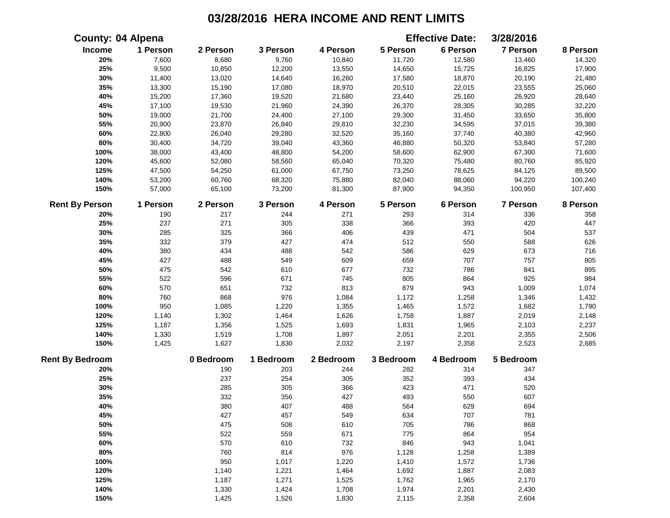|                        | <b>County: 04 Alpena</b> |           |           |           |           | <b>Effective Date:</b> | 3/28/2016 |          |
|------------------------|--------------------------|-----------|-----------|-----------|-----------|------------------------|-----------|----------|
| Income                 | 1 Person                 | 2 Person  | 3 Person  | 4 Person  | 5 Person  | 6 Person               | 7 Person  | 8 Person |
| 20%                    | 7,600                    | 8,680     | 9,760     | 10,840    | 11,720    | 12,580                 | 13,460    | 14,320   |
| 25%                    | 9,500                    | 10,850    | 12,200    | 13,550    | 14,650    | 15,725                 | 16,825    | 17,900   |
| 30%                    | 11,400                   | 13,020    | 14,640    | 16,260    | 17,580    | 18,870                 | 20,190    | 21,480   |
| 35%                    | 13,300                   | 15,190    | 17,080    | 18,970    | 20,510    | 22,015                 | 23,555    | 25,060   |
| 40%                    | 15,200                   | 17,360    | 19,520    | 21,680    | 23,440    | 25,160                 | 26,920    | 28,640   |
| 45%                    | 17,100                   | 19,530    | 21,960    | 24,390    | 26,370    | 28,305                 | 30,285    | 32,220   |
| 50%                    | 19,000                   | 21,700    | 24,400    | 27,100    | 29,300    | 31,450                 | 33,650    | 35,800   |
| 55%                    | 20,900                   | 23,870    | 26,840    | 29,810    | 32,230    | 34,595                 | 37,015    | 39,380   |
| 60%                    | 22,800                   | 26,040    | 29,280    | 32,520    | 35,160    | 37,740                 | 40,380    | 42,960   |
| 80%                    | 30,400                   | 34,720    | 39,040    | 43,360    | 46,880    | 50,320                 | 53,840    | 57,280   |
| 100%                   | 38,000                   | 43,400    | 48,800    | 54,200    | 58,600    | 62,900                 | 67,300    | 71,600   |
| 120%                   | 45,600                   | 52,080    | 58,560    | 65,040    | 70,320    | 75,480                 | 80,760    | 85,920   |
| 125%                   | 47,500                   | 54,250    | 61,000    | 67,750    | 73,250    | 78,625                 | 84,125    | 89,500   |
| 140%                   | 53,200                   | 60,760    | 68,320    | 75,880    | 82,040    | 88,060                 | 94,220    | 100,240  |
| 150%                   | 57,000                   | 65,100    | 73,200    | 81,300    | 87,900    | 94,350                 | 100,950   | 107,400  |
| <b>Rent By Person</b>  | 1 Person                 | 2 Person  | 3 Person  | 4 Person  | 5 Person  | 6 Person               | 7 Person  | 8 Person |
| 20%                    | 190                      | 217       | 244       | 271       | 293       | 314                    | 336       | 358      |
| 25%                    | 237                      | 271       | 305       | 338       | 366       | 393                    | 420       | 447      |
| 30%                    | 285                      | 325       | 366       | 406       | 439       | 471                    | 504       | 537      |
| 35%                    | 332                      | 379       | 427       | 474       | 512       | 550                    | 588       | 626      |
| 40%                    | 380                      | 434       | 488       | 542       | 586       | 629                    | 673       | 716      |
| 45%                    | 427                      | 488       | 549       | 609       | 659       | 707                    | 757       | 805      |
| 50%                    | 475                      | 542       | 610       | 677       | 732       | 786                    | 841       | 895      |
| 55%                    | 522                      | 596       | 671       | 745       | 805       | 864                    | 925       | 984      |
| 60%                    | 570                      | 651       | 732       | 813       | 879       | 943                    | 1,009     | 1,074    |
| 80%                    | 760                      | 868       | 976       | 1,084     | 1,172     | 1,258                  | 1,346     | 1,432    |
| 100%                   | 950                      | 1,085     | 1,220     | 1,355     | 1,465     | 1,572                  | 1,682     | 1,790    |
| 120%                   | 1,140                    | 1,302     | 1,464     | 1,626     | 1,758     | 1,887                  | 2,019     | 2,148    |
| 125%                   | 1,187                    | 1,356     | 1,525     | 1,693     | 1,831     | 1,965                  | 2,103     | 2,237    |
| 140%                   | 1,330                    | 1,519     | 1,708     | 1,897     | 2,051     | 2,201                  | 2,355     | 2,506    |
| 150%                   | 1,425                    | 1,627     | 1,830     | 2,032     | 2,197     | 2,358                  | 2,523     | 2,685    |
| <b>Rent By Bedroom</b> |                          | 0 Bedroom | 1 Bedroom | 2 Bedroom | 3 Bedroom | 4 Bedroom              | 5 Bedroom |          |
| 20%                    |                          | 190       | 203       | 244       | 282       | 314                    | 347       |          |
| 25%                    |                          | 237       | 254       | 305       | 352       | 393                    | 434       |          |
| 30%                    |                          | 285       | 305       | 366       | 423       | 471                    | 520       |          |
| 35%                    |                          | 332       | 356       | 427       | 493       | 550                    | 607       |          |
| 40%                    |                          | 380       | 407       | 488       | 564       | 629                    | 694       |          |
| 45%                    |                          | 427       | 457       | 549       | 634       | 707                    | 781       |          |
| 50%                    |                          | 475       | 508       | 610       | 705       | 786                    | 868       |          |
| 55%                    |                          | 522       | 559       | 671       | 775       | 864                    | 954       |          |
| 60%                    |                          | 570       | 610       | 732       | 846       | 943                    | 1,041     |          |
| 80%                    |                          | 760       | 814       | 976       | 1,128     | 1,258                  | 1,389     |          |
| 100%                   |                          | 950       | 1,017     | 1,220     | 1,410     | 1,572                  | 1,736     |          |
| 120%                   |                          | 1,140     | 1,221     | 1,464     | 1,692     | 1,887                  | 2,083     |          |
| 125%                   |                          | 1,187     | 1,271     | 1,525     | 1,762     | 1,965                  | 2,170     |          |
| 140%                   |                          | 1,330     | 1,424     | 1,708     | 1,974     | 2,201                  | 2,430     |          |
| 150%                   |                          | 1,425     | 1,526     | 1,830     | 2,115     | 2,358                  | 2,604     |          |
|                        |                          |           |           |           |           |                        |           |          |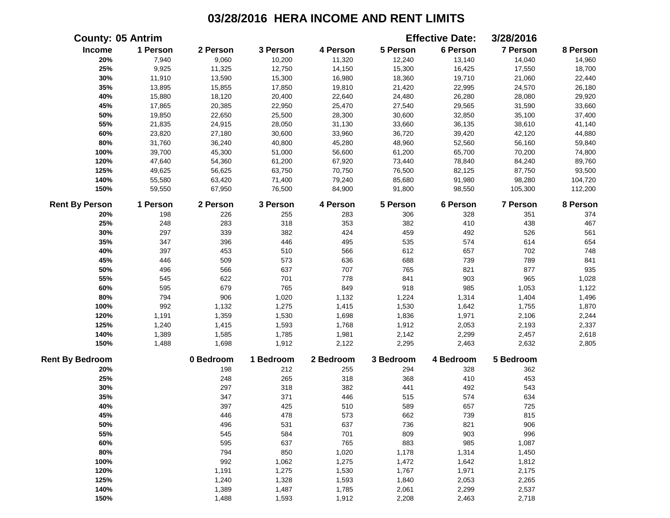|                        | <b>County: 05 Antrim</b> |           |           |           |           | <b>Effective Date:</b> | 3/28/2016       |          |
|------------------------|--------------------------|-----------|-----------|-----------|-----------|------------------------|-----------------|----------|
| Income                 | 1 Person                 | 2 Person  | 3 Person  | 4 Person  | 5 Person  | 6 Person               | 7 Person        | 8 Person |
| 20%                    | 7,940                    | 9,060     | 10,200    | 11,320    | 12,240    | 13,140                 | 14,040          | 14,960   |
| 25%                    | 9,925                    | 11,325    | 12,750    | 14,150    | 15,300    | 16,425                 | 17,550          | 18,700   |
| 30%                    | 11,910                   | 13,590    | 15,300    | 16,980    | 18,360    | 19,710                 | 21,060          | 22,440   |
| 35%                    | 13,895                   | 15,855    | 17,850    | 19,810    | 21,420    | 22,995                 | 24,570          | 26,180   |
| 40%                    | 15,880                   | 18,120    | 20,400    | 22,640    | 24,480    | 26,280                 | 28,080          | 29,920   |
| 45%                    | 17,865                   | 20,385    | 22,950    | 25,470    | 27,540    | 29,565                 | 31,590          | 33,660   |
| 50%                    | 19,850                   | 22,650    | 25,500    | 28,300    | 30,600    | 32,850                 | 35,100          | 37,400   |
| 55%                    | 21,835                   | 24,915    | 28,050    | 31,130    | 33,660    | 36,135                 | 38,610          | 41,140   |
| 60%                    | 23,820                   | 27,180    | 30,600    | 33,960    | 36,720    | 39,420                 | 42,120          | 44,880   |
| $80\%$                 | 31,760                   | 36,240    | 40,800    | 45,280    | 48,960    | 52,560                 | 56,160          | 59,840   |
| 100%                   | 39,700                   | 45,300    | 51,000    | 56,600    | 61,200    | 65,700                 | 70,200          | 74,800   |
| 120%                   | 47,640                   | 54,360    | 61,200    | 67,920    | 73,440    | 78,840                 | 84,240          | 89,760   |
| 125%                   | 49,625                   | 56,625    | 63,750    | 70,750    | 76,500    | 82,125                 | 87,750          | 93,500   |
| 140%                   | 55,580                   | 63,420    | 71,400    | 79,240    | 85,680    | 91,980                 | 98,280          | 104,720  |
| 150%                   | 59,550                   | 67,950    | 76,500    | 84,900    | 91,800    | 98,550                 | 105,300         | 112,200  |
| <b>Rent By Person</b>  | 1 Person                 | 2 Person  | 3 Person  | 4 Person  | 5 Person  | 6 Person               | <b>7 Person</b> | 8 Person |
| 20%                    | 198                      | 226       | 255       | 283       | 306       | 328                    | 351             | 374      |
| 25%                    | 248                      | 283       | 318       | 353       | 382       | 410                    | 438             | 467      |
| 30%                    | 297                      | 339       | 382       | 424       | 459       | 492                    | 526             | 561      |
| 35%                    | 347                      | 396       | 446       | 495       | 535       | 574                    | 614             | 654      |
| 40%                    | 397                      | 453       | 510       | 566       | 612       | 657                    | 702             | 748      |
| 45%                    | 446                      | 509       | 573       | 636       | 688       | 739                    | 789             | 841      |
| 50%                    | 496                      | 566       | 637       | 707       | 765       | 821                    | 877             | 935      |
| 55%                    | 545                      | 622       | 701       | 778       | 841       | 903                    | 965             | 1,028    |
| 60%                    | 595                      | 679       | 765       | 849       | 918       | 985                    | 1,053           | 1,122    |
| 80%                    | 794                      | 906       | 1,020     | 1,132     | 1,224     | 1,314                  | 1,404           | 1,496    |
| 100%                   | 992                      | 1,132     | 1,275     | 1,415     | 1,530     | 1,642                  | 1,755           | 1,870    |
| 120%                   | 1,191                    | 1,359     | 1,530     | 1,698     | 1,836     | 1,971                  | 2,106           | 2,244    |
| 125%                   | 1,240                    | 1,415     | 1,593     | 1,768     | 1,912     | 2,053                  | 2,193           | 2,337    |
| 140%                   | 1,389                    | 1,585     | 1,785     | 1,981     | 2,142     | 2,299                  | 2,457           | 2,618    |
| 150%                   | 1,488                    | 1,698     | 1,912     | 2,122     | 2,295     | 2,463                  | 2,632           | 2,805    |
| <b>Rent By Bedroom</b> |                          | 0 Bedroom | 1 Bedroom | 2 Bedroom | 3 Bedroom | 4 Bedroom              | 5 Bedroom       |          |
| 20%                    |                          | 198       | 212       | 255       | 294       | 328                    | 362             |          |
| 25%                    |                          | 248       | 265       | 318       | 368       | 410                    | 453             |          |
| 30%                    |                          | 297       | 318       | 382       | 441       | 492                    | 543             |          |
| 35%                    |                          | 347       | 371       | 446       | 515       | 574                    | 634             |          |
| 40%                    |                          | 397       | 425       | 510       | 589       | 657                    | 725             |          |
| 45%                    |                          | 446       | 478       | 573       | 662       | 739                    | 815             |          |
| 50%                    |                          | 496       | 531       | 637       | 736       | 821                    | 906             |          |
| 55%                    |                          | 545       | 584       | 701       | 809       | 903                    | 996             |          |
| 60%                    |                          | 595       | 637       | 765       | 883       | 985                    | 1,087           |          |
| 80%                    |                          | 794       | 850       | 1,020     | 1,178     | 1,314                  | 1,450           |          |
| 100%                   |                          | 992       | 1,062     | 1,275     | 1,472     | 1,642                  | 1,812           |          |
| 120%                   |                          | 1,191     | 1,275     | 1,530     | 1,767     | 1,971                  | 2,175           |          |
| 125%                   |                          | 1,240     | 1,328     | 1,593     | 1,840     | 2,053                  | 2,265           |          |
| 140%                   |                          | 1,389     | 1,487     | 1,785     | 2,061     | 2,299                  | 2,537           |          |
| 150%                   |                          | 1,488     | 1,593     | 1,912     | 2,208     | 2,463                  | 2,718           |          |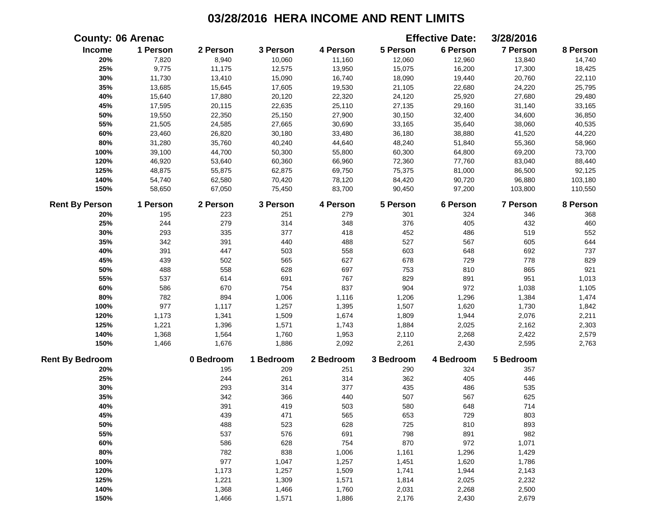|                        | <b>County: 06 Arenac</b> |           |           |           |           | <b>Effective Date:</b> | 3/28/2016       |          |
|------------------------|--------------------------|-----------|-----------|-----------|-----------|------------------------|-----------------|----------|
| Income                 | 1 Person                 | 2 Person  | 3 Person  | 4 Person  | 5 Person  | 6 Person               | 7 Person        | 8 Person |
| 20%                    | 7,820                    | 8,940     | 10,060    | 11,160    | 12,060    | 12,960                 | 13,840          | 14,740   |
| 25%                    | 9,775                    | 11,175    | 12,575    | 13,950    | 15,075    | 16,200                 | 17,300          | 18,425   |
| 30%                    | 11,730                   | 13,410    | 15,090    | 16,740    | 18,090    | 19,440                 | 20,760          | 22,110   |
| 35%                    | 13,685                   | 15,645    | 17,605    | 19,530    | 21,105    | 22,680                 | 24,220          | 25,795   |
| 40%                    | 15,640                   | 17,880    | 20,120    | 22,320    | 24,120    | 25,920                 | 27,680          | 29,480   |
| 45%                    | 17,595                   | 20,115    | 22,635    | 25,110    | 27,135    | 29,160                 | 31,140          | 33,165   |
| 50%                    | 19,550                   | 22,350    | 25,150    | 27,900    | 30,150    | 32,400                 | 34,600          | 36,850   |
| 55%                    | 21,505                   | 24,585    | 27,665    | 30,690    | 33,165    | 35,640                 | 38,060          | 40,535   |
| 60%                    | 23,460                   | 26,820    | 30,180    | 33,480    | 36,180    | 38,880                 | 41,520          | 44,220   |
| $80\%$                 | 31,280                   | 35,760    | 40,240    | 44,640    | 48,240    | 51,840                 | 55,360          | 58,960   |
| 100%                   | 39,100                   | 44,700    | 50,300    | 55,800    | 60,300    | 64,800                 | 69,200          | 73,700   |
| 120%                   | 46,920                   | 53,640    | 60,360    | 66,960    | 72,360    | 77,760                 | 83,040          | 88,440   |
| 125%                   | 48,875                   | 55,875    | 62,875    | 69,750    | 75,375    | 81,000                 | 86,500          | 92,125   |
| 140%                   | 54,740                   | 62,580    | 70,420    | 78,120    | 84,420    | 90,720                 | 96,880          | 103,180  |
| 150%                   | 58,650                   | 67,050    | 75,450    | 83,700    | 90,450    | 97,200                 | 103,800         | 110,550  |
| <b>Rent By Person</b>  | 1 Person                 | 2 Person  | 3 Person  | 4 Person  | 5 Person  | 6 Person               | <b>7 Person</b> | 8 Person |
| 20%                    | 195                      | 223       | 251       | 279       | 301       | 324                    | 346             | 368      |
| 25%                    | 244                      | 279       | 314       | 348       | 376       | 405                    | 432             | 460      |
| 30%                    | 293                      | 335       | 377       | 418       | 452       | 486                    | 519             | 552      |
| 35%                    | 342                      | 391       | 440       | 488       | 527       | 567                    | 605             | 644      |
| 40%                    | 391                      | 447       | 503       | 558       | 603       | 648                    | 692             | 737      |
| 45%                    | 439                      | 502       | 565       | 627       | 678       | 729                    | 778             | 829      |
| 50%                    | 488                      | 558       | 628       | 697       | 753       | 810                    | 865             | 921      |
| 55%                    | 537                      | 614       | 691       | 767       | 829       | 891                    | 951             | 1,013    |
| 60%                    | 586                      | 670       | 754       | 837       | 904       | 972                    | 1,038           | 1,105    |
| 80%                    | 782                      | 894       | 1,006     | 1,116     | 1,206     | 1,296                  | 1,384           | 1,474    |
| 100%                   | 977                      | 1,117     | 1,257     | 1,395     | 1,507     | 1,620                  | 1,730           | 1,842    |
| 120%                   | 1,173                    | 1,341     | 1,509     | 1,674     | 1,809     | 1,944                  | 2,076           | 2,211    |
| 125%                   | 1,221                    | 1,396     | 1,571     | 1,743     | 1,884     | 2,025                  | 2,162           | 2,303    |
| 140%                   | 1,368                    | 1,564     | 1,760     | 1,953     | 2,110     | 2,268                  | 2,422           | 2,579    |
| 150%                   | 1,466                    | 1,676     | 1,886     | 2,092     | 2,261     | 2,430                  | 2,595           | 2,763    |
| <b>Rent By Bedroom</b> |                          | 0 Bedroom | 1 Bedroom | 2 Bedroom | 3 Bedroom | 4 Bedroom              | 5 Bedroom       |          |
| 20%                    |                          | 195       | 209       | 251       | 290       | 324                    | 357             |          |
| 25%                    |                          | 244       | 261       | 314       | 362       | 405                    | 446             |          |
| 30%                    |                          | 293       | 314       | 377       | 435       | 486                    | 535             |          |
| 35%                    |                          | 342       | 366       | 440       | 507       | 567                    | 625             |          |
| 40%                    |                          | 391       | 419       | 503       | 580       | 648                    | 714             |          |
| 45%                    |                          | 439       | 471       | 565       | 653       | 729                    | 803             |          |
| 50%                    |                          | 488       | 523       | 628       | 725       | 810                    | 893             |          |
| 55%                    |                          | 537       | 576       | 691       | 798       | 891                    | 982             |          |
| 60%                    |                          | 586       | 628       | 754       | 870       | 972                    | 1,071           |          |
| 80%                    |                          | 782       | 838       | 1,006     | 1,161     | 1,296                  | 1,429           |          |
| 100%                   |                          | 977       | 1,047     | 1,257     | 1,451     | 1,620                  | 1,786           |          |
| 120%                   |                          | 1,173     | 1,257     | 1,509     | 1,741     | 1,944                  | 2,143           |          |
| 125%                   |                          | 1,221     | 1,309     | 1,571     | 1,814     | 2,025                  | 2,232           |          |
| 140%                   |                          | 1,368     | 1,466     | 1,760     | 2,031     | 2,268                  | 2,500           |          |
| 150%                   |                          | 1,466     | 1,571     | 1,886     | 2,176     | 2,430                  | 2,679           |          |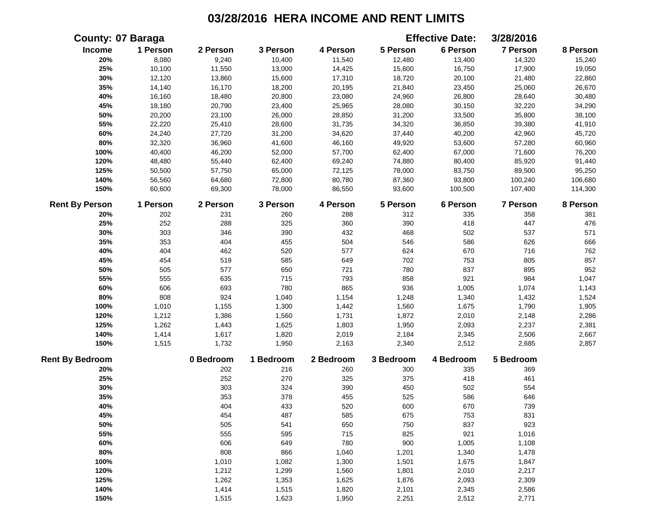| <b>County: 07 Baraga</b> |          |           |           |           |           | <b>Effective Date:</b> | 3/28/2016       |          |
|--------------------------|----------|-----------|-----------|-----------|-----------|------------------------|-----------------|----------|
| <b>Income</b>            | 1 Person | 2 Person  | 3 Person  | 4 Person  | 5 Person  | 6 Person               | 7 Person        | 8 Person |
| 20%                      | 8,080    | 9,240     | 10,400    | 11,540    | 12,480    | 13,400                 | 14,320          | 15,240   |
| 25%                      | 10,100   | 11,550    | 13,000    | 14,425    | 15,600    | 16,750                 | 17,900          | 19,050   |
| 30%                      | 12,120   | 13,860    | 15,600    | 17,310    | 18,720    | 20,100                 | 21,480          | 22,860   |
| 35%                      | 14,140   | 16,170    | 18,200    | 20,195    | 21,840    | 23,450                 | 25,060          | 26,670   |
| 40%                      | 16,160   | 18,480    | 20,800    | 23,080    | 24,960    | 26,800                 | 28,640          | 30,480   |
| 45%                      | 18,180   | 20,790    | 23,400    | 25,965    | 28,080    | 30,150                 | 32,220          | 34,290   |
| 50%                      | 20,200   | 23,100    | 26,000    | 28,850    | 31,200    | 33,500                 | 35,800          | 38,100   |
| 55%                      | 22,220   | 25,410    | 28,600    | 31,735    | 34,320    | 36,850                 | 39,380          | 41,910   |
| 60%                      | 24,240   | 27,720    | 31,200    | 34,620    | 37,440    | 40,200                 | 42,960          | 45,720   |
| 80%                      | 32,320   | 36,960    | 41,600    | 46,160    | 49,920    | 53,600                 | 57,280          | 60,960   |
| 100%                     | 40,400   | 46,200    | 52,000    | 57,700    | 62,400    | 67,000                 | 71,600          | 76,200   |
| 120%                     | 48,480   | 55,440    | 62,400    | 69,240    | 74,880    | 80,400                 | 85,920          | 91,440   |
| 125%                     | 50,500   | 57,750    | 65,000    | 72,125    | 78,000    | 83,750                 | 89,500          | 95,250   |
| 140%                     | 56,560   | 64,680    | 72,800    | 80,780    | 87,360    | 93,800                 | 100,240         | 106,680  |
| 150%                     | 60,600   | 69,300    | 78,000    | 86,550    | 93,600    | 100,500                | 107,400         | 114,300  |
| <b>Rent By Person</b>    | 1 Person | 2 Person  | 3 Person  | 4 Person  | 5 Person  | 6 Person               | <b>7 Person</b> | 8 Person |
| 20%                      | 202      | 231       | 260       | 288       | 312       | 335                    | 358             | 381      |
| 25%                      | 252      | 288       | 325       | 360       | 390       | 418                    | 447             | 476      |
| 30%                      | 303      | 346       | 390       | 432       | 468       | 502                    | 537             | 571      |
| 35%                      | 353      | 404       | 455       | 504       | 546       | 586                    | 626             | 666      |
| 40%                      | 404      | 462       | 520       | 577       | 624       | 670                    | 716             | 762      |
| 45%                      | 454      | 519       | 585       | 649       | 702       | 753                    | 805             | 857      |
| 50%                      | 505      | 577       | 650       | 721       | 780       | 837                    | 895             | 952      |
| 55%                      | 555      | 635       | 715       | 793       | 858       | 921                    | 984             | 1,047    |
| 60%                      | 606      | 693       | 780       | 865       | 936       | 1,005                  | 1,074           | 1,143    |
| 80%                      | 808      | 924       | 1,040     | 1,154     | 1,248     | 1,340                  | 1,432           | 1,524    |
| 100%                     | 1,010    | 1,155     | 1,300     | 1,442     | 1,560     | 1,675                  | 1,790           | 1,905    |
| 120%                     | 1,212    | 1,386     | 1,560     | 1,731     | 1,872     | 2,010                  | 2,148           | 2,286    |
| 125%                     | 1,262    | 1,443     | 1,625     | 1,803     | 1,950     | 2,093                  | 2,237           | 2,381    |
| 140%                     | 1,414    | 1,617     | 1,820     | 2,019     | 2,184     | 2,345                  | 2,506           | 2,667    |
| 150%                     | 1,515    | 1,732     | 1,950     | 2,163     | 2,340     | 2,512                  | 2,685           | 2,857    |
| <b>Rent By Bedroom</b>   |          | 0 Bedroom | 1 Bedroom | 2 Bedroom | 3 Bedroom | 4 Bedroom              | 5 Bedroom       |          |
| 20%                      |          | 202       | 216       | 260       | 300       | 335                    | 369             |          |
| 25%                      |          | 252       | 270       | 325       | 375       | 418                    | 461             |          |
| 30%                      |          | 303       | 324       | 390       | 450       | 502                    | 554             |          |
| 35%                      |          | 353       | 378       | 455       | 525       | 586                    | 646             |          |
| 40%                      |          | 404       | 433       | 520       | 600       | 670                    | 739             |          |
| 45%                      |          | 454       | 487       | 585       | 675       | 753                    | 831             |          |
| 50%                      |          | 505       | 541       | 650       | 750       | 837                    | 923             |          |
| 55%                      |          | 555       | 595       | 715       | 825       | 921                    | 1,016           |          |
| 60%                      |          | 606       | 649       | 780       | 900       | 1,005                  | 1,108           |          |
| 80%                      |          | 808       | 866       | 1,040     | 1,201     | 1,340                  | 1,478           |          |
| 100%                     |          | 1,010     | 1,082     | 1,300     | 1,501     | 1,675                  | 1,847           |          |
| 120%                     |          | 1,212     | 1,299     | 1,560     | 1,801     | 2,010                  | 2,217           |          |
| 125%                     |          | 1,262     | 1,353     | 1,625     | 1,876     | 2,093                  | 2,309           |          |
| 140%                     |          | 1,414     | 1,515     | 1,820     | 2,101     | 2,345                  | 2,586           |          |
| 150%                     |          | 1,515     | 1,623     | 1,950     | 2,251     | 2,512                  | 2,771           |          |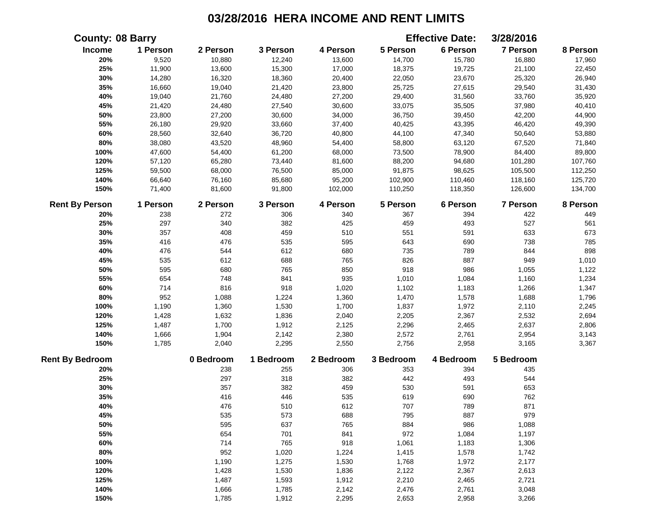|                        | <b>County: 08 Barry</b> |           |           |           |           | <b>Effective Date:</b> | 3/28/2016 |          |
|------------------------|-------------------------|-----------|-----------|-----------|-----------|------------------------|-----------|----------|
| Income                 | 1 Person                | 2 Person  | 3 Person  | 4 Person  | 5 Person  | 6 Person               | 7 Person  | 8 Person |
| 20%                    | 9,520                   | 10,880    | 12,240    | 13,600    | 14,700    | 15,780                 | 16,880    | 17,960   |
| 25%                    | 11,900                  | 13,600    | 15,300    | 17,000    | 18,375    | 19,725                 | 21,100    | 22,450   |
| 30%                    | 14,280                  | 16,320    | 18,360    | 20,400    | 22,050    | 23,670                 | 25,320    | 26,940   |
| 35%                    | 16,660                  | 19,040    | 21,420    | 23,800    | 25,725    | 27,615                 | 29,540    | 31,430   |
| 40%                    | 19,040                  | 21,760    | 24,480    | 27,200    | 29,400    | 31,560                 | 33,760    | 35,920   |
| 45%                    | 21,420                  | 24,480    | 27,540    | 30,600    | 33,075    | 35,505                 | 37,980    | 40,410   |
| 50%                    | 23,800                  | 27,200    | 30,600    | 34,000    | 36,750    | 39,450                 | 42,200    | 44,900   |
| 55%                    | 26,180                  | 29,920    | 33,660    | 37,400    | 40,425    | 43,395                 | 46,420    | 49,390   |
| 60%                    | 28,560                  | 32,640    | 36,720    | 40,800    | 44,100    | 47,340                 | 50,640    | 53,880   |
| 80%                    | 38,080                  | 43,520    | 48,960    | 54,400    | 58,800    | 63,120                 | 67,520    | 71,840   |
| 100%                   | 47,600                  | 54,400    | 61,200    | 68,000    | 73,500    | 78,900                 | 84,400    | 89,800   |
| 120%                   | 57,120                  | 65,280    | 73,440    | 81,600    | 88,200    | 94,680                 | 101,280   | 107,760  |
| 125%                   | 59,500                  | 68,000    | 76,500    | 85,000    | 91,875    | 98,625                 | 105,500   | 112,250  |
| 140%                   | 66,640                  | 76,160    | 85,680    | 95,200    | 102,900   | 110,460                | 118,160   | 125,720  |
| 150%                   | 71,400                  | 81,600    | 91,800    | 102,000   | 110,250   | 118,350                | 126,600   | 134,700  |
| <b>Rent By Person</b>  | 1 Person                | 2 Person  | 3 Person  | 4 Person  | 5 Person  | 6 Person               | 7 Person  | 8 Person |
| 20%                    | 238                     | 272       | 306       | 340       | 367       | 394                    | 422       | 449      |
| 25%                    | 297                     | 340       | 382       | 425       | 459       | 493                    | 527       | 561      |
| 30%                    | 357                     | 408       | 459       | 510       | 551       | 591                    | 633       | 673      |
| 35%                    | 416                     | 476       | 535       | 595       | 643       | 690                    | 738       | 785      |
| 40%                    | 476                     | 544       | 612       | 680       | 735       | 789                    | 844       | 898      |
| 45%                    | 535                     | 612       | 688       | 765       | 826       | 887                    | 949       | 1,010    |
| 50%                    | 595                     | 680       | 765       | 850       | 918       | 986                    | 1,055     | 1,122    |
| 55%                    | 654                     | 748       | 841       | 935       | 1,010     | 1,084                  | 1,160     | 1,234    |
| 60%                    | 714                     | 816       | 918       | 1,020     | 1,102     | 1,183                  | 1,266     | 1,347    |
| 80%                    | 952                     | 1,088     | 1,224     | 1,360     | 1,470     | 1,578                  | 1,688     | 1,796    |
| 100%                   | 1,190                   | 1,360     | 1,530     | 1,700     | 1,837     | 1,972                  | 2,110     | 2,245    |
| 120%                   | 1,428                   | 1,632     | 1,836     | 2,040     | 2,205     | 2,367                  | 2,532     | 2,694    |
| 125%                   | 1,487                   | 1,700     | 1,912     | 2,125     | 2,296     | 2,465                  | 2,637     | 2,806    |
| 140%                   | 1,666                   | 1,904     | 2,142     | 2,380     | 2,572     | 2,761                  | 2,954     | 3,143    |
| 150%                   | 1,785                   | 2,040     | 2,295     | 2,550     | 2,756     | 2,958                  | 3,165     | 3,367    |
| <b>Rent By Bedroom</b> |                         | 0 Bedroom | 1 Bedroom | 2 Bedroom | 3 Bedroom | 4 Bedroom              | 5 Bedroom |          |
| 20%                    |                         | 238       | 255       | 306       | 353       | 394                    | 435       |          |
| 25%                    |                         | 297       | 318       | 382       | 442       | 493                    | 544       |          |
| 30%                    |                         | 357       | 382       | 459       | 530       | 591                    | 653       |          |
| 35%                    |                         | 416       | 446       | 535       | 619       | 690                    | 762       |          |
| 40%                    |                         | 476       | 510       | 612       | 707       | 789                    | 871       |          |
| 45%                    |                         | 535       | 573       | 688       | 795       | 887                    | 979       |          |
| 50%                    |                         | 595       | 637       | 765       | 884       | 986                    | 1,088     |          |
| 55%                    |                         | 654       | 701       | 841       | 972       | 1,084                  | 1,197     |          |
| 60%                    |                         | 714       | 765       | 918       | 1,061     | 1,183                  | 1,306     |          |
| 80%                    |                         | 952       | 1,020     | 1,224     | 1,415     | 1,578                  | 1,742     |          |
| 100%                   |                         | 1,190     | 1,275     | 1,530     | 1,768     | 1,972                  | 2,177     |          |
| 120%                   |                         | 1,428     | 1,530     | 1,836     | 2,122     | 2,367                  | 2,613     |          |
| 125%                   |                         | 1,487     | 1,593     | 1,912     | 2,210     | 2,465                  | 2,721     |          |
| 140%                   |                         | 1,666     | 1,785     | 2,142     | 2,476     | 2,761                  | 3,048     |          |
| 150%                   |                         | 1,785     | 1,912     | 2,295     | 2,653     | 2,958                  | 3,266     |          |
|                        |                         |           |           |           |           |                        |           |          |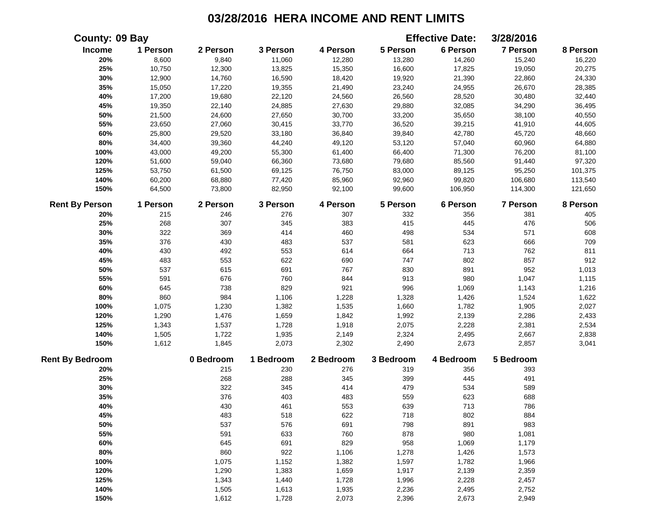| County: 09 Bay         |          |           |           |           |           | <b>Effective Date:</b> | 3/28/2016       |          |
|------------------------|----------|-----------|-----------|-----------|-----------|------------------------|-----------------|----------|
| Income                 | 1 Person | 2 Person  | 3 Person  | 4 Person  | 5 Person  | 6 Person               | <b>7 Person</b> | 8 Person |
| 20%                    | 8,600    | 9,840     | 11,060    | 12,280    | 13,280    | 14,260                 | 15,240          | 16,220   |
| 25%                    | 10,750   | 12,300    | 13,825    | 15,350    | 16,600    | 17,825                 | 19,050          | 20,275   |
| 30%                    | 12,900   | 14,760    | 16,590    | 18,420    | 19,920    | 21,390                 | 22,860          | 24,330   |
| 35%                    | 15,050   | 17,220    | 19,355    | 21,490    | 23,240    | 24,955                 | 26,670          | 28,385   |
| 40%                    | 17,200   | 19,680    | 22,120    | 24,560    | 26,560    | 28,520                 | 30,480          | 32,440   |
| 45%                    | 19,350   | 22,140    | 24,885    | 27,630    | 29,880    | 32,085                 | 34,290          | 36,495   |
| 50%                    | 21,500   | 24,600    | 27,650    | 30,700    | 33,200    | 35,650                 | 38,100          | 40,550   |
| 55%                    | 23,650   | 27,060    | 30,415    | 33,770    | 36,520    | 39,215                 | 41,910          | 44,605   |
| 60%                    | 25,800   | 29,520    | 33,180    | 36,840    | 39,840    | 42,780                 | 45,720          | 48,660   |
| 80%                    | 34,400   | 39,360    | 44,240    | 49,120    | 53,120    | 57,040                 | 60,960          | 64,880   |
| 100%                   | 43,000   | 49,200    | 55,300    | 61,400    | 66,400    | 71,300                 | 76,200          | 81,100   |
| 120%                   | 51,600   | 59,040    | 66,360    | 73,680    | 79,680    | 85,560                 | 91,440          | 97,320   |
| 125%                   | 53,750   | 61,500    | 69,125    | 76,750    | 83,000    | 89,125                 | 95,250          | 101,375  |
| 140%                   | 60,200   | 68,880    | 77,420    | 85,960    | 92,960    | 99,820                 | 106,680         | 113,540  |
| 150%                   | 64,500   | 73,800    | 82,950    | 92,100    | 99,600    | 106,950                | 114,300         | 121,650  |
| <b>Rent By Person</b>  | 1 Person | 2 Person  | 3 Person  | 4 Person  | 5 Person  | 6 Person               | <b>7 Person</b> | 8 Person |
| 20%                    | 215      | 246       | 276       | 307       | 332       | 356                    | 381             | 405      |
| 25%                    | 268      | 307       | 345       | 383       | 415       | 445                    | 476             | 506      |
| 30%                    | 322      | 369       | 414       | 460       | 498       | 534                    | 571             | 608      |
| 35%                    | 376      | 430       | 483       | 537       | 581       | 623                    | 666             | 709      |
| 40%                    | 430      | 492       | 553       | 614       | 664       | 713                    | 762             | 811      |
| 45%                    | 483      | 553       | 622       | 690       | 747       | 802                    | 857             | 912      |
| 50%                    | 537      | 615       | 691       | 767       | 830       | 891                    | 952             | 1,013    |
| 55%                    | 591      | 676       | 760       | 844       | 913       | 980                    | 1,047           | 1,115    |
| 60%                    | 645      | 738       | 829       | 921       | 996       | 1,069                  | 1,143           | 1,216    |
| 80%                    | 860      | 984       | 1,106     | 1,228     | 1,328     | 1,426                  | 1,524           | 1,622    |
| 100%                   | 1,075    | 1,230     | 1,382     | 1,535     | 1,660     | 1,782                  | 1,905           | 2,027    |
| 120%                   | 1,290    | 1,476     | 1,659     | 1,842     | 1,992     | 2,139                  | 2,286           | 2,433    |
| 125%                   | 1,343    | 1,537     | 1,728     | 1,918     | 2,075     | 2,228                  | 2,381           | 2,534    |
| 140%                   | 1,505    | 1,722     | 1,935     | 2,149     | 2,324     | 2,495                  | 2,667           | 2,838    |
| 150%                   | 1,612    | 1,845     | 2,073     | 2,302     | 2,490     | 2,673                  | 2,857           | 3,041    |
| <b>Rent By Bedroom</b> |          | 0 Bedroom | 1 Bedroom | 2 Bedroom | 3 Bedroom | 4 Bedroom              | 5 Bedroom       |          |
| 20%                    |          | 215       | 230       | 276       | 319       | 356                    | 393             |          |
| 25%                    |          | 268       | 288       | 345       | 399       | 445                    | 491             |          |
| 30%                    |          | 322       | 345       | 414       | 479       | 534                    | 589             |          |
| 35%                    |          | 376       | 403       | 483       | 559       | 623                    | 688             |          |
| 40%                    |          | 430       | 461       | 553       | 639       | 713                    | 786             |          |
| 45%                    |          | 483       | 518       | 622       | 718       | 802                    | 884             |          |
| 50%                    |          | 537       | 576       | 691       | 798       | 891                    | 983             |          |
| 55%                    |          | 591       | 633       | 760       | 878       | 980                    | 1,081           |          |
| 60%                    |          | 645       | 691       | 829       | 958       | 1,069                  | 1,179           |          |
| 80%                    |          | 860       | 922       | 1,106     | 1,278     | 1,426                  | 1,573           |          |
| 100%                   |          | 1,075     | 1,152     | 1,382     | 1,597     | 1,782                  | 1,966           |          |
| 120%                   |          | 1,290     | 1,383     | 1,659     | 1,917     | 2,139                  | 2,359           |          |
| 125%                   |          | 1,343     | 1,440     | 1,728     | 1,996     | 2,228                  | 2,457           |          |
| 140%                   |          | 1,505     | 1,613     | 1,935     | 2,236     | 2,495                  | 2,752           |          |
| 150%                   |          | 1,612     | 1,728     | 2,073     | 2,396     | 2,673                  | 2,949           |          |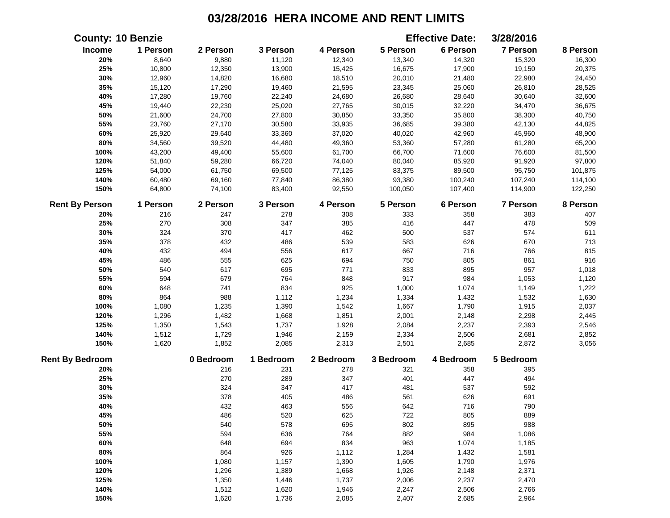|                        | <b>County: 10 Benzie</b> |           |           |           |           | <b>Effective Date:</b> | 3/28/2016       |          |
|------------------------|--------------------------|-----------|-----------|-----------|-----------|------------------------|-----------------|----------|
| Income                 | 1 Person                 | 2 Person  | 3 Person  | 4 Person  | 5 Person  | 6 Person               | 7 Person        | 8 Person |
| 20%                    | 8,640                    | 9,880     | 11,120    | 12,340    | 13,340    | 14,320                 | 15,320          | 16,300   |
| 25%                    | 10,800                   | 12,350    | 13,900    | 15,425    | 16,675    | 17,900                 | 19,150          | 20,375   |
| 30%                    | 12,960                   | 14,820    | 16,680    | 18,510    | 20,010    | 21,480                 | 22,980          | 24,450   |
| 35%                    | 15,120                   | 17,290    | 19,460    | 21,595    | 23,345    | 25,060                 | 26,810          | 28,525   |
| 40%                    | 17,280                   | 19,760    | 22,240    | 24,680    | 26,680    | 28,640                 | 30,640          | 32,600   |
| 45%                    | 19,440                   | 22,230    | 25,020    | 27,765    | 30,015    | 32,220                 | 34,470          | 36,675   |
| 50%                    | 21,600                   | 24,700    | 27,800    | 30,850    | 33,350    | 35,800                 | 38,300          | 40,750   |
| 55%                    | 23,760                   | 27,170    | 30,580    | 33,935    | 36,685    | 39,380                 | 42,130          | 44,825   |
| 60%                    | 25,920                   | 29,640    | 33,360    | 37,020    | 40,020    | 42,960                 | 45,960          | 48,900   |
| $80\%$                 | 34,560                   | 39,520    | 44,480    | 49,360    | 53,360    | 57,280                 | 61,280          | 65,200   |
| 100%                   | 43,200                   | 49,400    | 55,600    | 61,700    | 66,700    | 71,600                 | 76,600          | 81,500   |
| 120%                   | 51,840                   | 59,280    | 66,720    | 74,040    | 80,040    | 85,920                 | 91,920          | 97,800   |
| 125%                   | 54,000                   | 61,750    | 69,500    | 77,125    | 83,375    | 89,500                 | 95,750          | 101,875  |
| 140%                   | 60,480                   | 69,160    | 77,840    | 86,380    | 93,380    | 100,240                | 107,240         | 114,100  |
| 150%                   | 64,800                   | 74,100    | 83,400    | 92,550    | 100,050   | 107,400                | 114,900         | 122,250  |
| <b>Rent By Person</b>  | 1 Person                 | 2 Person  | 3 Person  | 4 Person  | 5 Person  | 6 Person               | <b>7 Person</b> | 8 Person |
| 20%                    | 216                      | 247       | 278       | 308       | 333       | 358                    | 383             | 407      |
| 25%                    | 270                      | 308       | 347       | 385       | 416       | 447                    | 478             | 509      |
| 30%                    | 324                      | 370       | 417       | 462       | 500       | 537                    | 574             | 611      |
| 35%                    | 378                      | 432       | 486       | 539       | 583       | 626                    | 670             | 713      |
| 40%                    | 432                      | 494       | 556       | 617       | 667       | 716                    | 766             | 815      |
| 45%                    | 486                      | 555       | 625       | 694       | 750       | 805                    | 861             | 916      |
| 50%                    | 540                      | 617       | 695       | 771       | 833       | 895                    | 957             | 1,018    |
| 55%                    | 594                      | 679       | 764       | 848       | 917       | 984                    | 1,053           | 1,120    |
| 60%                    | 648                      | 741       | 834       | 925       | 1,000     | 1,074                  | 1,149           | 1,222    |
| 80%                    | 864                      | 988       | 1,112     | 1,234     | 1,334     | 1,432                  | 1,532           | 1,630    |
| 100%                   | 1,080                    | 1,235     | 1,390     | 1,542     | 1,667     | 1,790                  | 1,915           | 2,037    |
| 120%                   | 1,296                    | 1,482     | 1,668     | 1,851     | 2,001     | 2,148                  | 2,298           | 2,445    |
| 125%                   | 1,350                    | 1,543     | 1,737     | 1,928     | 2,084     | 2,237                  | 2,393           | 2,546    |
| 140%                   | 1,512                    | 1,729     | 1,946     | 2,159     | 2,334     | 2,506                  | 2,681           | 2,852    |
| 150%                   | 1,620                    | 1,852     | 2,085     | 2,313     | 2,501     | 2,685                  | 2,872           | 3,056    |
| <b>Rent By Bedroom</b> |                          | 0 Bedroom | 1 Bedroom | 2 Bedroom | 3 Bedroom | 4 Bedroom              | 5 Bedroom       |          |
| 20%                    |                          | 216       | 231       | 278       | 321       | 358                    | 395             |          |
| 25%                    |                          | 270       | 289       | 347       | 401       | 447                    | 494             |          |
| 30%                    |                          | 324       | 347       | 417       | 481       | 537                    | 592             |          |
| 35%                    |                          | 378       | 405       | 486       | 561       | 626                    | 691             |          |
| 40%                    |                          | 432       | 463       | 556       | 642       | 716                    | 790             |          |
| 45%                    |                          | 486       | 520       | 625       | 722       | 805                    | 889             |          |
| 50%                    |                          | 540       | 578       | 695       | 802       | 895                    | 988             |          |
| 55%                    |                          | 594       | 636       | 764       | 882       | 984                    | 1,086           |          |
| 60%                    |                          | 648       | 694       | 834       | 963       | 1,074                  | 1,185           |          |
| 80%                    |                          | 864       | 926       | 1,112     | 1,284     | 1,432                  | 1,581           |          |
| 100%                   |                          | 1,080     | 1,157     | 1,390     | 1,605     | 1,790                  | 1,976           |          |
| 120%                   |                          | 1,296     | 1,389     | 1,668     | 1,926     | 2,148                  | 2,371           |          |
| 125%                   |                          | 1,350     | 1,446     | 1,737     | 2,006     | 2,237                  | 2,470           |          |
| 140%                   |                          | 1,512     | 1,620     | 1,946     | 2,247     | 2,506                  | 2,766           |          |
| 150%                   |                          | 1,620     | 1,736     | 2,085     | 2,407     | 2,685                  | 2,964           |          |
|                        |                          |           |           |           |           |                        |                 |          |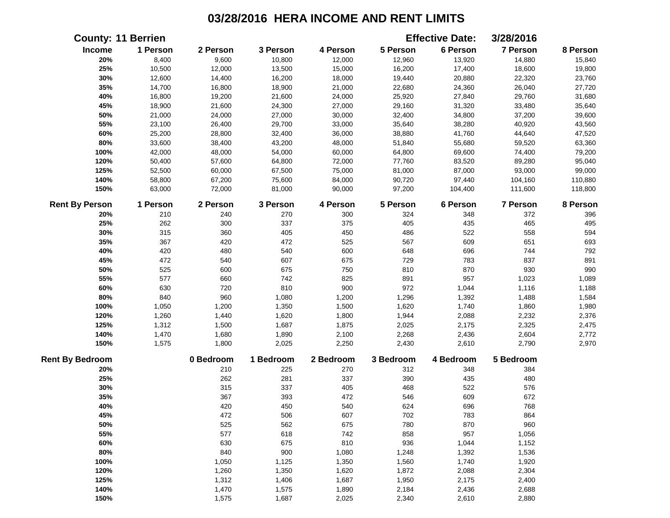|                        | <b>County: 11 Berrien</b> |           |           |           |           | <b>Effective Date:</b> | 3/28/2016       |          |
|------------------------|---------------------------|-----------|-----------|-----------|-----------|------------------------|-----------------|----------|
| Income                 | 1 Person                  | 2 Person  | 3 Person  | 4 Person  | 5 Person  | 6 Person               | <b>7 Person</b> | 8 Person |
| 20%                    | 8,400                     | 9,600     | 10,800    | 12,000    | 12,960    | 13,920                 | 14,880          | 15,840   |
| 25%                    | 10,500                    | 12,000    | 13,500    | 15,000    | 16,200    | 17,400                 | 18,600          | 19,800   |
| 30%                    | 12,600                    | 14,400    | 16,200    | 18,000    | 19,440    | 20,880                 | 22,320          | 23,760   |
| 35%                    | 14,700                    | 16,800    | 18,900    | 21,000    | 22,680    | 24,360                 | 26,040          | 27,720   |
| 40%                    | 16,800                    | 19,200    | 21,600    | 24,000    | 25,920    | 27,840                 | 29,760          | 31,680   |
| 45%                    | 18,900                    | 21,600    | 24,300    | 27,000    | 29,160    | 31,320                 | 33,480          | 35,640   |
| 50%                    | 21,000                    | 24,000    | 27,000    | 30,000    | 32,400    | 34,800                 | 37,200          | 39,600   |
| 55%                    | 23,100                    | 26,400    | 29,700    | 33,000    | 35,640    | 38,280                 | 40,920          | 43,560   |
| 60%                    | 25,200                    | 28,800    | 32,400    | 36,000    | 38,880    | 41,760                 | 44,640          | 47,520   |
| 80%                    | 33,600                    | 38,400    | 43,200    | 48,000    | 51,840    | 55,680                 | 59,520          | 63,360   |
| 100%                   | 42,000                    | 48,000    | 54,000    | 60,000    | 64,800    | 69,600                 | 74,400          | 79,200   |
| 120%                   | 50,400                    | 57,600    | 64,800    | 72,000    | 77,760    | 83,520                 | 89,280          | 95,040   |
| 125%                   | 52,500                    | 60,000    | 67,500    | 75,000    | 81,000    | 87,000                 | 93,000          | 99,000   |
| 140%                   | 58,800                    | 67,200    | 75,600    | 84,000    | 90,720    | 97,440                 | 104,160         | 110,880  |
| 150%                   | 63,000                    | 72,000    | 81,000    | 90,000    | 97,200    | 104,400                | 111,600         | 118,800  |
| <b>Rent By Person</b>  | 1 Person                  | 2 Person  | 3 Person  | 4 Person  | 5 Person  | 6 Person               | 7 Person        | 8 Person |
| 20%                    | 210                       | 240       | 270       | 300       | 324       | 348                    | 372             | 396      |
| 25%                    | 262                       | 300       | 337       | 375       | 405       | 435                    | 465             | 495      |
| 30%                    | 315                       | 360       | 405       | 450       | 486       | 522                    | 558             | 594      |
| 35%                    | 367                       | 420       | 472       | 525       | 567       | 609                    | 651             | 693      |
| 40%                    | 420                       | 480       | 540       | 600       | 648       | 696                    | 744             | 792      |
| 45%                    | 472                       | 540       | 607       | 675       | 729       | 783                    | 837             | 891      |
| 50%                    | 525                       | 600       | 675       | 750       | 810       | 870                    | 930             | 990      |
| 55%                    | 577                       | 660       | 742       | 825       | 891       | 957                    | 1,023           | 1,089    |
| 60%                    | 630                       | 720       | 810       | 900       | 972       | 1,044                  | 1,116           | 1,188    |
| 80%                    | 840                       | 960       | 1,080     | 1,200     | 1,296     | 1,392                  | 1,488           | 1,584    |
| 100%                   | 1,050                     | 1,200     | 1,350     | 1,500     | 1,620     | 1,740                  | 1,860           | 1,980    |
| 120%                   | 1,260                     | 1,440     | 1,620     | 1,800     | 1,944     | 2,088                  | 2,232           | 2,376    |
| 125%                   | 1,312                     | 1,500     | 1,687     | 1,875     | 2,025     | 2,175                  | 2,325           | 2,475    |
| 140%                   | 1,470                     | 1,680     | 1,890     | 2,100     | 2,268     | 2,436                  | 2,604           | 2,772    |
| 150%                   | 1,575                     | 1,800     | 2,025     | 2,250     | 2,430     | 2,610                  | 2,790           | 2,970    |
| <b>Rent By Bedroom</b> |                           | 0 Bedroom | 1 Bedroom | 2 Bedroom | 3 Bedroom | 4 Bedroom              | 5 Bedroom       |          |
| 20%                    |                           | 210       | 225       | 270       | 312       | 348                    | 384             |          |
| 25%                    |                           | 262       | 281       | 337       | 390       | 435                    | 480             |          |
| 30%                    |                           | 315       | 337       | 405       | 468       | 522                    | 576             |          |
| 35%                    |                           | 367       | 393       | 472       | 546       | 609                    | 672             |          |
| 40%                    |                           | 420       | 450       | 540       | 624       | 696                    | 768             |          |
| 45%                    |                           | 472       | 506       | 607       | 702       | 783                    | 864             |          |
| 50%                    |                           | 525       | 562       | 675       | 780       | 870                    | 960             |          |
| 55%                    |                           | 577       | 618       | 742       | 858       | 957                    | 1,056           |          |
| 60%                    |                           | 630       | 675       | 810       | 936       | 1,044                  | 1,152           |          |
| 80%                    |                           | 840       | 900       | 1,080     | 1,248     | 1,392                  | 1,536           |          |
| 100%                   |                           | 1,050     | 1,125     | 1,350     | 1,560     | 1,740                  | 1,920           |          |
| 120%                   |                           | 1,260     | 1,350     | 1,620     | 1,872     | 2,088                  | 2,304           |          |
| 125%                   |                           | 1,312     | 1,406     | 1,687     | 1,950     | 2,175                  | 2,400           |          |
| 140%                   |                           | 1,470     | 1,575     | 1,890     | 2,184     | 2,436                  | 2,688           |          |
| 150%                   |                           | 1,575     | 1,687     | 2,025     | 2,340     | 2,610                  | 2,880           |          |
|                        |                           |           |           |           |           |                        |                 |          |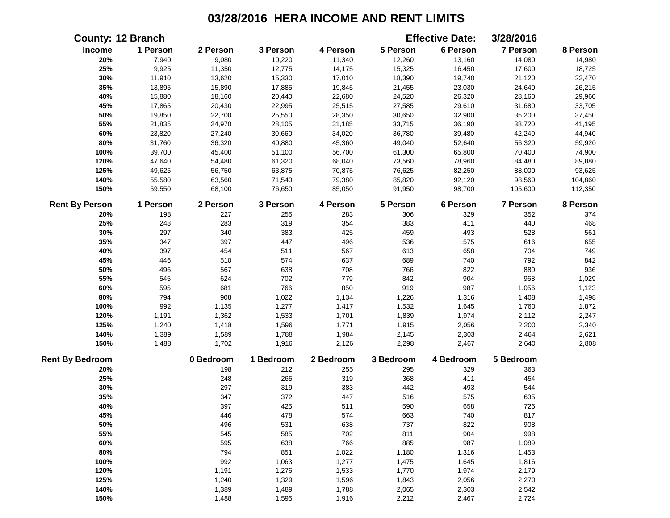|                        | <b>County: 12 Branch</b> |           |           |           |           | <b>Effective Date:</b> | 3/28/2016       |          |
|------------------------|--------------------------|-----------|-----------|-----------|-----------|------------------------|-----------------|----------|
| Income                 | 1 Person                 | 2 Person  | 3 Person  | 4 Person  | 5 Person  | 6 Person               | 7 Person        | 8 Person |
| 20%                    | 7,940                    | 9,080     | 10,220    | 11,340    | 12,260    | 13,160                 | 14,080          | 14,980   |
| 25%                    | 9,925                    | 11,350    | 12,775    | 14,175    | 15,325    | 16,450                 | 17,600          | 18,725   |
| 30%                    | 11,910                   | 13,620    | 15,330    | 17,010    | 18,390    | 19,740                 | 21,120          | 22,470   |
| 35%                    | 13,895                   | 15,890    | 17,885    | 19,845    | 21,455    | 23,030                 | 24,640          | 26,215   |
| 40%                    | 15,880                   | 18,160    | 20,440    | 22,680    | 24,520    | 26,320                 | 28,160          | 29,960   |
| 45%                    | 17,865                   | 20,430    | 22,995    | 25,515    | 27,585    | 29,610                 | 31,680          | 33,705   |
| 50%                    | 19,850                   | 22,700    | 25,550    | 28,350    | 30,650    | 32,900                 | 35,200          | 37,450   |
| 55%                    | 21,835                   | 24,970    | 28,105    | 31,185    | 33,715    | 36,190                 | 38,720          | 41,195   |
| 60%                    | 23,820                   | 27,240    | 30,660    | 34,020    | 36,780    | 39,480                 | 42,240          | 44,940   |
| 80%                    | 31,760                   | 36,320    | 40,880    | 45,360    | 49,040    | 52,640                 | 56,320          | 59,920   |
| 100%                   | 39,700                   | 45,400    | 51,100    | 56,700    | 61,300    | 65,800                 | 70,400          | 74,900   |
| 120%                   | 47,640                   | 54,480    | 61,320    | 68,040    | 73,560    | 78,960                 | 84,480          | 89,880   |
| 125%                   | 49,625                   | 56,750    | 63,875    | 70,875    | 76,625    | 82,250                 | 88,000          | 93,625   |
| 140%                   | 55,580                   | 63,560    | 71,540    | 79,380    | 85,820    | 92,120                 | 98,560          | 104,860  |
| 150%                   | 59,550                   | 68,100    | 76,650    | 85,050    | 91,950    | 98,700                 | 105,600         | 112,350  |
| <b>Rent By Person</b>  | 1 Person                 | 2 Person  | 3 Person  | 4 Person  | 5 Person  | 6 Person               | <b>7 Person</b> | 8 Person |
| 20%                    | 198                      | 227       | 255       | 283       | 306       | 329                    | 352             | 374      |
| 25%                    | 248                      | 283       | 319       | 354       | 383       | 411                    | 440             | 468      |
| 30%                    | 297                      | 340       | 383       | 425       | 459       | 493                    | 528             | 561      |
| 35%                    | 347                      | 397       | 447       | 496       | 536       | 575                    | 616             | 655      |
| 40%                    | 397                      | 454       | 511       | 567       | 613       | 658                    | 704             | 749      |
| 45%                    | 446                      | 510       | 574       | 637       | 689       | 740                    | 792             | 842      |
| 50%                    | 496                      | 567       | 638       | 708       | 766       | 822                    | 880             | 936      |
| 55%                    | 545                      | 624       | 702       | 779       | 842       | 904                    | 968             | 1,029    |
| 60%                    | 595                      | 681       | 766       | 850       | 919       | 987                    | 1,056           | 1,123    |
| 80%                    | 794                      | 908       | 1,022     | 1,134     | 1,226     | 1,316                  | 1,408           | 1,498    |
| 100%                   | 992                      | 1,135     | 1,277     | 1,417     | 1,532     | 1,645                  | 1,760           | 1,872    |
| 120%                   | 1,191                    | 1,362     | 1,533     | 1,701     | 1,839     | 1,974                  | 2,112           | 2,247    |
| 125%                   | 1,240                    | 1,418     | 1,596     | 1,771     | 1,915     | 2,056                  | 2,200           | 2,340    |
| 140%                   | 1,389                    | 1,589     | 1,788     | 1,984     | 2,145     | 2,303                  | 2,464           | 2,621    |
| 150%                   | 1,488                    | 1,702     | 1,916     | 2,126     | 2,298     | 2,467                  | 2,640           | 2,808    |
| <b>Rent By Bedroom</b> |                          | 0 Bedroom | 1 Bedroom | 2 Bedroom | 3 Bedroom | 4 Bedroom              | 5 Bedroom       |          |
| 20%                    |                          | 198       | 212       | 255       | 295       | 329                    | 363             |          |
| 25%                    |                          | 248       | 265       | 319       | 368       | 411                    | 454             |          |
| 30%                    |                          | 297       | 319       | 383       | 442       | 493                    | 544             |          |
| 35%                    |                          | 347       | 372       | 447       | 516       | 575                    | 635             |          |
| 40%                    |                          | 397       | 425       | 511       | 590       | 658                    | 726             |          |
| 45%                    |                          | 446       | 478       | 574       | 663       | 740                    | 817             |          |
| 50%                    |                          | 496       | 531       | 638       | 737       | 822                    | 908             |          |
| 55%                    |                          | 545       | 585       | 702       | 811       | 904                    | 998             |          |
| 60%                    |                          | 595       | 638       | 766       | 885       | 987                    | 1,089           |          |
| 80%                    |                          | 794       | 851       | 1,022     | 1,180     | 1,316                  | 1,453           |          |
| 100%                   |                          | 992       | 1,063     | 1,277     | 1,475     | 1,645                  | 1,816           |          |
| 120%                   |                          | 1,191     | 1,276     | 1,533     | 1,770     | 1,974                  | 2,179           |          |
| 125%                   |                          | 1,240     | 1,329     | 1,596     | 1,843     | 2,056                  | 2,270           |          |
| 140%                   |                          | 1,389     | 1,489     | 1,788     | 2,065     | 2,303                  | 2,542           |          |
| 150%                   |                          | 1,488     | 1,595     | 1,916     | 2,212     | 2,467                  | 2,724           |          |
|                        |                          |           |           |           |           |                        |                 |          |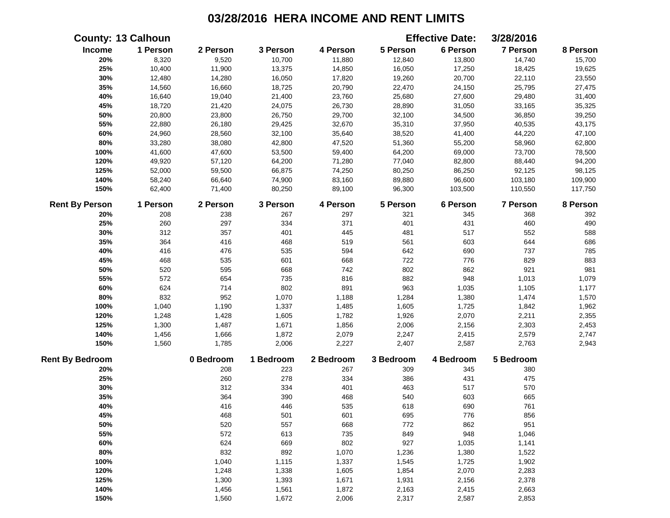| 1 Person<br>6 Person<br>7 Person<br>Income<br>2 Person<br>3 Person<br>5 Person<br>4 Person<br>8 Person<br>9,520<br>10,700<br>20%<br>8,320<br>11,880<br>12,840<br>13,800<br>14,740<br>15,700<br>25%<br>10,400<br>11,900<br>13,375<br>14,850<br>16,050<br>17,250<br>18,425<br>19,625<br>30%<br>12,480<br>14,280<br>16,050<br>17,820<br>19,260<br>20,700<br>22,110<br>23,550<br>35%<br>14,560<br>16,660<br>18,725<br>20,790<br>22,470<br>24,150<br>25,795<br>27,475<br>40%<br>19,040<br>21,400<br>23,760<br>25,680<br>16,640<br>27,600<br>29,480<br>31,400<br>45%<br>18,720<br>21,420<br>24,075<br>26,730<br>28,890<br>31,050<br>33,165<br>35,325<br>50%<br>23,800<br>26,750<br>29,700<br>34,500<br>36,850<br>39,250<br>20,800<br>32,100<br>55%<br>22,880<br>26,180<br>29,425<br>32,670<br>35,310<br>37,950<br>40,535<br>43,175<br>60%<br>24,960<br>28,560<br>32,100<br>38,520<br>44,220<br>35,640<br>41,400<br>47,100<br>80%<br>42,800<br>47,520<br>33,280<br>38,080<br>51,360<br>55,200<br>58,960<br>62,800<br>100%<br>41,600<br>47,600<br>53,500<br>73,700<br>59,400<br>64,200<br>69,000<br>78,500<br>120%<br>49,920<br>71,280<br>57,120<br>64,200<br>77,040<br>82,800<br>88,440<br>94,200<br>125%<br>52,000<br>66,875<br>74,250<br>98,125<br>59,500<br>80,250<br>86,250<br>92,125<br>140%<br>58,240<br>66,640<br>74,900<br>83,160<br>89,880<br>96,600<br>103,180<br>109,900<br>150%<br>71,400<br>80,250<br>89,100<br>96,300<br>62,400<br>103,500<br>110,550<br>117,750<br><b>Rent By Person</b><br>1 Person<br>2 Person<br>3 Person<br>4 Person<br>5 Person<br>6 Person<br>7 Person<br>208<br>238<br>267<br>297<br>321<br>345<br>368<br>392<br>20%<br>371<br>490<br>297<br>334<br>401<br>431<br>460<br>25%<br>260<br>30%<br>312<br>357<br>401<br>445<br>481<br>517<br>552<br>588<br>519<br>603<br>686<br>35%<br>364<br>416<br>468<br>561<br>644<br>642<br>40%<br>476<br>535<br>594<br>690<br>737<br>785<br>416<br>601<br>668<br>722<br>776<br>829<br>883<br>45%<br>468<br>535<br>802<br>862<br>921<br>50%<br>595<br>668<br>742<br>981<br>520<br>816<br>882<br>948<br>55%<br>572<br>654<br>735<br>1,013<br>1,079<br>802<br>891<br>963<br>60%<br>624<br>714<br>1,035<br>1,105<br>1,177<br>80%<br>832<br>952<br>1,070<br>1,188<br>1,284<br>1,380<br>1,474<br>1,570<br>100%<br>1,040<br>1,190<br>1,605<br>1,725<br>1,842<br>1,962<br>1,337<br>1,485<br>2,070<br>120%<br>1,248<br>1,428<br>1,605<br>1,782<br>1,926<br>2,211<br>2,355<br>125%<br>2,006<br>2,156<br>2,453<br>1,300<br>1,487<br>1,671<br>1,856<br>2,303<br>140%<br>1,456<br>1,872<br>2,079<br>2,247<br>2,579<br>2,747<br>1,666<br>2,415<br>150%<br>2,763<br>2,943<br>1,560<br>1,785<br>2,006<br>2,227<br>2,407<br>2,587<br>0 Bedroom<br>1 Bedroom<br>2 Bedroom<br>3 Bedroom<br>4 Bedroom<br>5 Bedroom<br>208<br>20%<br>223<br>267<br>309<br>345<br>380<br>25%<br>260<br>278<br>334<br>386<br>431<br>475<br>30%<br>312<br>334<br>401<br>463<br>517<br>570<br>35%<br>364<br>390<br>540<br>468<br>603<br>665<br>40%<br>416<br>446<br>535<br>618<br>690<br>761<br>45%<br>468<br>501<br>601<br>695<br>776<br>856<br>862<br>951<br>50%<br>520<br>557<br>668<br>772<br>948<br>55%<br>572<br>613<br>735<br>849<br>1,046<br>624<br>802<br>927<br>60%<br>669<br>1,035<br>1,141<br>80%<br>832<br>892<br>1,070<br>1,236<br>1,380<br>1,522<br>100%<br>1,337<br>1,545<br>1,725<br>1,902<br>1,040<br>1,115<br>120%<br>1,248<br>1,338<br>1,605<br>1,854<br>2,070<br>2,283<br>125%<br>2,378<br>1,300<br>1,393<br>1,671<br>1,931<br>2,156<br>140%<br>1,456<br>1,561<br>1,872<br>2,163<br>2,415<br>2,663<br>150%<br>1,560<br>1,672<br>2,006<br>2,317<br>2,587<br>2,853 |                        | <b>County: 13 Calhoun</b> |  |  | <b>Effective Date:</b> | 3/28/2016 |          |
|--------------------------------------------------------------------------------------------------------------------------------------------------------------------------------------------------------------------------------------------------------------------------------------------------------------------------------------------------------------------------------------------------------------------------------------------------------------------------------------------------------------------------------------------------------------------------------------------------------------------------------------------------------------------------------------------------------------------------------------------------------------------------------------------------------------------------------------------------------------------------------------------------------------------------------------------------------------------------------------------------------------------------------------------------------------------------------------------------------------------------------------------------------------------------------------------------------------------------------------------------------------------------------------------------------------------------------------------------------------------------------------------------------------------------------------------------------------------------------------------------------------------------------------------------------------------------------------------------------------------------------------------------------------------------------------------------------------------------------------------------------------------------------------------------------------------------------------------------------------------------------------------------------------------------------------------------------------------------------------------------------------------------------------------------------------------------------------------------------------------------------------------------------------------------------------------------------------------------------------------------------------------------------------------------------------------------------------------------------------------------------------------------------------------------------------------------------------------------------------------------------------------------------------------------------------------------------------------------------------------------------------------------------------------------------------------------------------------------------------------------------------------------------------------------------------------------------------------------------------------------------------------------------------------------------------------------------------------------------------------------------------------------------------------------------------------------------------------------------------------------------------------------------------------------------------------------------------------------------------------------------------------------------------------------------------------------------------------------------------------------------------------------------------------------------------------------------------------------------------------------------------------------------------------------------------------------------------------------------------|------------------------|---------------------------|--|--|------------------------|-----------|----------|
|                                                                                                                                                                                                                                                                                                                                                                                                                                                                                                                                                                                                                                                                                                                                                                                                                                                                                                                                                                                                                                                                                                                                                                                                                                                                                                                                                                                                                                                                                                                                                                                                                                                                                                                                                                                                                                                                                                                                                                                                                                                                                                                                                                                                                                                                                                                                                                                                                                                                                                                                                                                                                                                                                                                                                                                                                                                                                                                                                                                                                                                                                                                                                                                                                                                                                                                                                                                                                                                                                                                                                                                                              |                        |                           |  |  |                        |           |          |
|                                                                                                                                                                                                                                                                                                                                                                                                                                                                                                                                                                                                                                                                                                                                                                                                                                                                                                                                                                                                                                                                                                                                                                                                                                                                                                                                                                                                                                                                                                                                                                                                                                                                                                                                                                                                                                                                                                                                                                                                                                                                                                                                                                                                                                                                                                                                                                                                                                                                                                                                                                                                                                                                                                                                                                                                                                                                                                                                                                                                                                                                                                                                                                                                                                                                                                                                                                                                                                                                                                                                                                                                              |                        |                           |  |  |                        |           |          |
|                                                                                                                                                                                                                                                                                                                                                                                                                                                                                                                                                                                                                                                                                                                                                                                                                                                                                                                                                                                                                                                                                                                                                                                                                                                                                                                                                                                                                                                                                                                                                                                                                                                                                                                                                                                                                                                                                                                                                                                                                                                                                                                                                                                                                                                                                                                                                                                                                                                                                                                                                                                                                                                                                                                                                                                                                                                                                                                                                                                                                                                                                                                                                                                                                                                                                                                                                                                                                                                                                                                                                                                                              |                        |                           |  |  |                        |           |          |
|                                                                                                                                                                                                                                                                                                                                                                                                                                                                                                                                                                                                                                                                                                                                                                                                                                                                                                                                                                                                                                                                                                                                                                                                                                                                                                                                                                                                                                                                                                                                                                                                                                                                                                                                                                                                                                                                                                                                                                                                                                                                                                                                                                                                                                                                                                                                                                                                                                                                                                                                                                                                                                                                                                                                                                                                                                                                                                                                                                                                                                                                                                                                                                                                                                                                                                                                                                                                                                                                                                                                                                                                              |                        |                           |  |  |                        |           |          |
|                                                                                                                                                                                                                                                                                                                                                                                                                                                                                                                                                                                                                                                                                                                                                                                                                                                                                                                                                                                                                                                                                                                                                                                                                                                                                                                                                                                                                                                                                                                                                                                                                                                                                                                                                                                                                                                                                                                                                                                                                                                                                                                                                                                                                                                                                                                                                                                                                                                                                                                                                                                                                                                                                                                                                                                                                                                                                                                                                                                                                                                                                                                                                                                                                                                                                                                                                                                                                                                                                                                                                                                                              |                        |                           |  |  |                        |           |          |
|                                                                                                                                                                                                                                                                                                                                                                                                                                                                                                                                                                                                                                                                                                                                                                                                                                                                                                                                                                                                                                                                                                                                                                                                                                                                                                                                                                                                                                                                                                                                                                                                                                                                                                                                                                                                                                                                                                                                                                                                                                                                                                                                                                                                                                                                                                                                                                                                                                                                                                                                                                                                                                                                                                                                                                                                                                                                                                                                                                                                                                                                                                                                                                                                                                                                                                                                                                                                                                                                                                                                                                                                              |                        |                           |  |  |                        |           |          |
|                                                                                                                                                                                                                                                                                                                                                                                                                                                                                                                                                                                                                                                                                                                                                                                                                                                                                                                                                                                                                                                                                                                                                                                                                                                                                                                                                                                                                                                                                                                                                                                                                                                                                                                                                                                                                                                                                                                                                                                                                                                                                                                                                                                                                                                                                                                                                                                                                                                                                                                                                                                                                                                                                                                                                                                                                                                                                                                                                                                                                                                                                                                                                                                                                                                                                                                                                                                                                                                                                                                                                                                                              |                        |                           |  |  |                        |           |          |
|                                                                                                                                                                                                                                                                                                                                                                                                                                                                                                                                                                                                                                                                                                                                                                                                                                                                                                                                                                                                                                                                                                                                                                                                                                                                                                                                                                                                                                                                                                                                                                                                                                                                                                                                                                                                                                                                                                                                                                                                                                                                                                                                                                                                                                                                                                                                                                                                                                                                                                                                                                                                                                                                                                                                                                                                                                                                                                                                                                                                                                                                                                                                                                                                                                                                                                                                                                                                                                                                                                                                                                                                              |                        |                           |  |  |                        |           |          |
|                                                                                                                                                                                                                                                                                                                                                                                                                                                                                                                                                                                                                                                                                                                                                                                                                                                                                                                                                                                                                                                                                                                                                                                                                                                                                                                                                                                                                                                                                                                                                                                                                                                                                                                                                                                                                                                                                                                                                                                                                                                                                                                                                                                                                                                                                                                                                                                                                                                                                                                                                                                                                                                                                                                                                                                                                                                                                                                                                                                                                                                                                                                                                                                                                                                                                                                                                                                                                                                                                                                                                                                                              |                        |                           |  |  |                        |           |          |
|                                                                                                                                                                                                                                                                                                                                                                                                                                                                                                                                                                                                                                                                                                                                                                                                                                                                                                                                                                                                                                                                                                                                                                                                                                                                                                                                                                                                                                                                                                                                                                                                                                                                                                                                                                                                                                                                                                                                                                                                                                                                                                                                                                                                                                                                                                                                                                                                                                                                                                                                                                                                                                                                                                                                                                                                                                                                                                                                                                                                                                                                                                                                                                                                                                                                                                                                                                                                                                                                                                                                                                                                              |                        |                           |  |  |                        |           |          |
|                                                                                                                                                                                                                                                                                                                                                                                                                                                                                                                                                                                                                                                                                                                                                                                                                                                                                                                                                                                                                                                                                                                                                                                                                                                                                                                                                                                                                                                                                                                                                                                                                                                                                                                                                                                                                                                                                                                                                                                                                                                                                                                                                                                                                                                                                                                                                                                                                                                                                                                                                                                                                                                                                                                                                                                                                                                                                                                                                                                                                                                                                                                                                                                                                                                                                                                                                                                                                                                                                                                                                                                                              |                        |                           |  |  |                        |           |          |
|                                                                                                                                                                                                                                                                                                                                                                                                                                                                                                                                                                                                                                                                                                                                                                                                                                                                                                                                                                                                                                                                                                                                                                                                                                                                                                                                                                                                                                                                                                                                                                                                                                                                                                                                                                                                                                                                                                                                                                                                                                                                                                                                                                                                                                                                                                                                                                                                                                                                                                                                                                                                                                                                                                                                                                                                                                                                                                                                                                                                                                                                                                                                                                                                                                                                                                                                                                                                                                                                                                                                                                                                              |                        |                           |  |  |                        |           |          |
|                                                                                                                                                                                                                                                                                                                                                                                                                                                                                                                                                                                                                                                                                                                                                                                                                                                                                                                                                                                                                                                                                                                                                                                                                                                                                                                                                                                                                                                                                                                                                                                                                                                                                                                                                                                                                                                                                                                                                                                                                                                                                                                                                                                                                                                                                                                                                                                                                                                                                                                                                                                                                                                                                                                                                                                                                                                                                                                                                                                                                                                                                                                                                                                                                                                                                                                                                                                                                                                                                                                                                                                                              |                        |                           |  |  |                        |           |          |
|                                                                                                                                                                                                                                                                                                                                                                                                                                                                                                                                                                                                                                                                                                                                                                                                                                                                                                                                                                                                                                                                                                                                                                                                                                                                                                                                                                                                                                                                                                                                                                                                                                                                                                                                                                                                                                                                                                                                                                                                                                                                                                                                                                                                                                                                                                                                                                                                                                                                                                                                                                                                                                                                                                                                                                                                                                                                                                                                                                                                                                                                                                                                                                                                                                                                                                                                                                                                                                                                                                                                                                                                              |                        |                           |  |  |                        |           |          |
|                                                                                                                                                                                                                                                                                                                                                                                                                                                                                                                                                                                                                                                                                                                                                                                                                                                                                                                                                                                                                                                                                                                                                                                                                                                                                                                                                                                                                                                                                                                                                                                                                                                                                                                                                                                                                                                                                                                                                                                                                                                                                                                                                                                                                                                                                                                                                                                                                                                                                                                                                                                                                                                                                                                                                                                                                                                                                                                                                                                                                                                                                                                                                                                                                                                                                                                                                                                                                                                                                                                                                                                                              |                        |                           |  |  |                        |           |          |
|                                                                                                                                                                                                                                                                                                                                                                                                                                                                                                                                                                                                                                                                                                                                                                                                                                                                                                                                                                                                                                                                                                                                                                                                                                                                                                                                                                                                                                                                                                                                                                                                                                                                                                                                                                                                                                                                                                                                                                                                                                                                                                                                                                                                                                                                                                                                                                                                                                                                                                                                                                                                                                                                                                                                                                                                                                                                                                                                                                                                                                                                                                                                                                                                                                                                                                                                                                                                                                                                                                                                                                                                              |                        |                           |  |  |                        |           |          |
|                                                                                                                                                                                                                                                                                                                                                                                                                                                                                                                                                                                                                                                                                                                                                                                                                                                                                                                                                                                                                                                                                                                                                                                                                                                                                                                                                                                                                                                                                                                                                                                                                                                                                                                                                                                                                                                                                                                                                                                                                                                                                                                                                                                                                                                                                                                                                                                                                                                                                                                                                                                                                                                                                                                                                                                                                                                                                                                                                                                                                                                                                                                                                                                                                                                                                                                                                                                                                                                                                                                                                                                                              |                        |                           |  |  |                        |           | 8 Person |
|                                                                                                                                                                                                                                                                                                                                                                                                                                                                                                                                                                                                                                                                                                                                                                                                                                                                                                                                                                                                                                                                                                                                                                                                                                                                                                                                                                                                                                                                                                                                                                                                                                                                                                                                                                                                                                                                                                                                                                                                                                                                                                                                                                                                                                                                                                                                                                                                                                                                                                                                                                                                                                                                                                                                                                                                                                                                                                                                                                                                                                                                                                                                                                                                                                                                                                                                                                                                                                                                                                                                                                                                              |                        |                           |  |  |                        |           |          |
|                                                                                                                                                                                                                                                                                                                                                                                                                                                                                                                                                                                                                                                                                                                                                                                                                                                                                                                                                                                                                                                                                                                                                                                                                                                                                                                                                                                                                                                                                                                                                                                                                                                                                                                                                                                                                                                                                                                                                                                                                                                                                                                                                                                                                                                                                                                                                                                                                                                                                                                                                                                                                                                                                                                                                                                                                                                                                                                                                                                                                                                                                                                                                                                                                                                                                                                                                                                                                                                                                                                                                                                                              |                        |                           |  |  |                        |           |          |
|                                                                                                                                                                                                                                                                                                                                                                                                                                                                                                                                                                                                                                                                                                                                                                                                                                                                                                                                                                                                                                                                                                                                                                                                                                                                                                                                                                                                                                                                                                                                                                                                                                                                                                                                                                                                                                                                                                                                                                                                                                                                                                                                                                                                                                                                                                                                                                                                                                                                                                                                                                                                                                                                                                                                                                                                                                                                                                                                                                                                                                                                                                                                                                                                                                                                                                                                                                                                                                                                                                                                                                                                              |                        |                           |  |  |                        |           |          |
|                                                                                                                                                                                                                                                                                                                                                                                                                                                                                                                                                                                                                                                                                                                                                                                                                                                                                                                                                                                                                                                                                                                                                                                                                                                                                                                                                                                                                                                                                                                                                                                                                                                                                                                                                                                                                                                                                                                                                                                                                                                                                                                                                                                                                                                                                                                                                                                                                                                                                                                                                                                                                                                                                                                                                                                                                                                                                                                                                                                                                                                                                                                                                                                                                                                                                                                                                                                                                                                                                                                                                                                                              |                        |                           |  |  |                        |           |          |
|                                                                                                                                                                                                                                                                                                                                                                                                                                                                                                                                                                                                                                                                                                                                                                                                                                                                                                                                                                                                                                                                                                                                                                                                                                                                                                                                                                                                                                                                                                                                                                                                                                                                                                                                                                                                                                                                                                                                                                                                                                                                                                                                                                                                                                                                                                                                                                                                                                                                                                                                                                                                                                                                                                                                                                                                                                                                                                                                                                                                                                                                                                                                                                                                                                                                                                                                                                                                                                                                                                                                                                                                              |                        |                           |  |  |                        |           |          |
|                                                                                                                                                                                                                                                                                                                                                                                                                                                                                                                                                                                                                                                                                                                                                                                                                                                                                                                                                                                                                                                                                                                                                                                                                                                                                                                                                                                                                                                                                                                                                                                                                                                                                                                                                                                                                                                                                                                                                                                                                                                                                                                                                                                                                                                                                                                                                                                                                                                                                                                                                                                                                                                                                                                                                                                                                                                                                                                                                                                                                                                                                                                                                                                                                                                                                                                                                                                                                                                                                                                                                                                                              |                        |                           |  |  |                        |           |          |
|                                                                                                                                                                                                                                                                                                                                                                                                                                                                                                                                                                                                                                                                                                                                                                                                                                                                                                                                                                                                                                                                                                                                                                                                                                                                                                                                                                                                                                                                                                                                                                                                                                                                                                                                                                                                                                                                                                                                                                                                                                                                                                                                                                                                                                                                                                                                                                                                                                                                                                                                                                                                                                                                                                                                                                                                                                                                                                                                                                                                                                                                                                                                                                                                                                                                                                                                                                                                                                                                                                                                                                                                              |                        |                           |  |  |                        |           |          |
|                                                                                                                                                                                                                                                                                                                                                                                                                                                                                                                                                                                                                                                                                                                                                                                                                                                                                                                                                                                                                                                                                                                                                                                                                                                                                                                                                                                                                                                                                                                                                                                                                                                                                                                                                                                                                                                                                                                                                                                                                                                                                                                                                                                                                                                                                                                                                                                                                                                                                                                                                                                                                                                                                                                                                                                                                                                                                                                                                                                                                                                                                                                                                                                                                                                                                                                                                                                                                                                                                                                                                                                                              |                        |                           |  |  |                        |           |          |
|                                                                                                                                                                                                                                                                                                                                                                                                                                                                                                                                                                                                                                                                                                                                                                                                                                                                                                                                                                                                                                                                                                                                                                                                                                                                                                                                                                                                                                                                                                                                                                                                                                                                                                                                                                                                                                                                                                                                                                                                                                                                                                                                                                                                                                                                                                                                                                                                                                                                                                                                                                                                                                                                                                                                                                                                                                                                                                                                                                                                                                                                                                                                                                                                                                                                                                                                                                                                                                                                                                                                                                                                              |                        |                           |  |  |                        |           |          |
|                                                                                                                                                                                                                                                                                                                                                                                                                                                                                                                                                                                                                                                                                                                                                                                                                                                                                                                                                                                                                                                                                                                                                                                                                                                                                                                                                                                                                                                                                                                                                                                                                                                                                                                                                                                                                                                                                                                                                                                                                                                                                                                                                                                                                                                                                                                                                                                                                                                                                                                                                                                                                                                                                                                                                                                                                                                                                                                                                                                                                                                                                                                                                                                                                                                                                                                                                                                                                                                                                                                                                                                                              |                        |                           |  |  |                        |           |          |
|                                                                                                                                                                                                                                                                                                                                                                                                                                                                                                                                                                                                                                                                                                                                                                                                                                                                                                                                                                                                                                                                                                                                                                                                                                                                                                                                                                                                                                                                                                                                                                                                                                                                                                                                                                                                                                                                                                                                                                                                                                                                                                                                                                                                                                                                                                                                                                                                                                                                                                                                                                                                                                                                                                                                                                                                                                                                                                                                                                                                                                                                                                                                                                                                                                                                                                                                                                                                                                                                                                                                                                                                              |                        |                           |  |  |                        |           |          |
|                                                                                                                                                                                                                                                                                                                                                                                                                                                                                                                                                                                                                                                                                                                                                                                                                                                                                                                                                                                                                                                                                                                                                                                                                                                                                                                                                                                                                                                                                                                                                                                                                                                                                                                                                                                                                                                                                                                                                                                                                                                                                                                                                                                                                                                                                                                                                                                                                                                                                                                                                                                                                                                                                                                                                                                                                                                                                                                                                                                                                                                                                                                                                                                                                                                                                                                                                                                                                                                                                                                                                                                                              |                        |                           |  |  |                        |           |          |
|                                                                                                                                                                                                                                                                                                                                                                                                                                                                                                                                                                                                                                                                                                                                                                                                                                                                                                                                                                                                                                                                                                                                                                                                                                                                                                                                                                                                                                                                                                                                                                                                                                                                                                                                                                                                                                                                                                                                                                                                                                                                                                                                                                                                                                                                                                                                                                                                                                                                                                                                                                                                                                                                                                                                                                                                                                                                                                                                                                                                                                                                                                                                                                                                                                                                                                                                                                                                                                                                                                                                                                                                              |                        |                           |  |  |                        |           |          |
|                                                                                                                                                                                                                                                                                                                                                                                                                                                                                                                                                                                                                                                                                                                                                                                                                                                                                                                                                                                                                                                                                                                                                                                                                                                                                                                                                                                                                                                                                                                                                                                                                                                                                                                                                                                                                                                                                                                                                                                                                                                                                                                                                                                                                                                                                                                                                                                                                                                                                                                                                                                                                                                                                                                                                                                                                                                                                                                                                                                                                                                                                                                                                                                                                                                                                                                                                                                                                                                                                                                                                                                                              |                        |                           |  |  |                        |           |          |
|                                                                                                                                                                                                                                                                                                                                                                                                                                                                                                                                                                                                                                                                                                                                                                                                                                                                                                                                                                                                                                                                                                                                                                                                                                                                                                                                                                                                                                                                                                                                                                                                                                                                                                                                                                                                                                                                                                                                                                                                                                                                                                                                                                                                                                                                                                                                                                                                                                                                                                                                                                                                                                                                                                                                                                                                                                                                                                                                                                                                                                                                                                                                                                                                                                                                                                                                                                                                                                                                                                                                                                                                              |                        |                           |  |  |                        |           |          |
|                                                                                                                                                                                                                                                                                                                                                                                                                                                                                                                                                                                                                                                                                                                                                                                                                                                                                                                                                                                                                                                                                                                                                                                                                                                                                                                                                                                                                                                                                                                                                                                                                                                                                                                                                                                                                                                                                                                                                                                                                                                                                                                                                                                                                                                                                                                                                                                                                                                                                                                                                                                                                                                                                                                                                                                                                                                                                                                                                                                                                                                                                                                                                                                                                                                                                                                                                                                                                                                                                                                                                                                                              | <b>Rent By Bedroom</b> |                           |  |  |                        |           |          |
|                                                                                                                                                                                                                                                                                                                                                                                                                                                                                                                                                                                                                                                                                                                                                                                                                                                                                                                                                                                                                                                                                                                                                                                                                                                                                                                                                                                                                                                                                                                                                                                                                                                                                                                                                                                                                                                                                                                                                                                                                                                                                                                                                                                                                                                                                                                                                                                                                                                                                                                                                                                                                                                                                                                                                                                                                                                                                                                                                                                                                                                                                                                                                                                                                                                                                                                                                                                                                                                                                                                                                                                                              |                        |                           |  |  |                        |           |          |
|                                                                                                                                                                                                                                                                                                                                                                                                                                                                                                                                                                                                                                                                                                                                                                                                                                                                                                                                                                                                                                                                                                                                                                                                                                                                                                                                                                                                                                                                                                                                                                                                                                                                                                                                                                                                                                                                                                                                                                                                                                                                                                                                                                                                                                                                                                                                                                                                                                                                                                                                                                                                                                                                                                                                                                                                                                                                                                                                                                                                                                                                                                                                                                                                                                                                                                                                                                                                                                                                                                                                                                                                              |                        |                           |  |  |                        |           |          |
|                                                                                                                                                                                                                                                                                                                                                                                                                                                                                                                                                                                                                                                                                                                                                                                                                                                                                                                                                                                                                                                                                                                                                                                                                                                                                                                                                                                                                                                                                                                                                                                                                                                                                                                                                                                                                                                                                                                                                                                                                                                                                                                                                                                                                                                                                                                                                                                                                                                                                                                                                                                                                                                                                                                                                                                                                                                                                                                                                                                                                                                                                                                                                                                                                                                                                                                                                                                                                                                                                                                                                                                                              |                        |                           |  |  |                        |           |          |
|                                                                                                                                                                                                                                                                                                                                                                                                                                                                                                                                                                                                                                                                                                                                                                                                                                                                                                                                                                                                                                                                                                                                                                                                                                                                                                                                                                                                                                                                                                                                                                                                                                                                                                                                                                                                                                                                                                                                                                                                                                                                                                                                                                                                                                                                                                                                                                                                                                                                                                                                                                                                                                                                                                                                                                                                                                                                                                                                                                                                                                                                                                                                                                                                                                                                                                                                                                                                                                                                                                                                                                                                              |                        |                           |  |  |                        |           |          |
|                                                                                                                                                                                                                                                                                                                                                                                                                                                                                                                                                                                                                                                                                                                                                                                                                                                                                                                                                                                                                                                                                                                                                                                                                                                                                                                                                                                                                                                                                                                                                                                                                                                                                                                                                                                                                                                                                                                                                                                                                                                                                                                                                                                                                                                                                                                                                                                                                                                                                                                                                                                                                                                                                                                                                                                                                                                                                                                                                                                                                                                                                                                                                                                                                                                                                                                                                                                                                                                                                                                                                                                                              |                        |                           |  |  |                        |           |          |
|                                                                                                                                                                                                                                                                                                                                                                                                                                                                                                                                                                                                                                                                                                                                                                                                                                                                                                                                                                                                                                                                                                                                                                                                                                                                                                                                                                                                                                                                                                                                                                                                                                                                                                                                                                                                                                                                                                                                                                                                                                                                                                                                                                                                                                                                                                                                                                                                                                                                                                                                                                                                                                                                                                                                                                                                                                                                                                                                                                                                                                                                                                                                                                                                                                                                                                                                                                                                                                                                                                                                                                                                              |                        |                           |  |  |                        |           |          |
|                                                                                                                                                                                                                                                                                                                                                                                                                                                                                                                                                                                                                                                                                                                                                                                                                                                                                                                                                                                                                                                                                                                                                                                                                                                                                                                                                                                                                                                                                                                                                                                                                                                                                                                                                                                                                                                                                                                                                                                                                                                                                                                                                                                                                                                                                                                                                                                                                                                                                                                                                                                                                                                                                                                                                                                                                                                                                                                                                                                                                                                                                                                                                                                                                                                                                                                                                                                                                                                                                                                                                                                                              |                        |                           |  |  |                        |           |          |
|                                                                                                                                                                                                                                                                                                                                                                                                                                                                                                                                                                                                                                                                                                                                                                                                                                                                                                                                                                                                                                                                                                                                                                                                                                                                                                                                                                                                                                                                                                                                                                                                                                                                                                                                                                                                                                                                                                                                                                                                                                                                                                                                                                                                                                                                                                                                                                                                                                                                                                                                                                                                                                                                                                                                                                                                                                                                                                                                                                                                                                                                                                                                                                                                                                                                                                                                                                                                                                                                                                                                                                                                              |                        |                           |  |  |                        |           |          |
|                                                                                                                                                                                                                                                                                                                                                                                                                                                                                                                                                                                                                                                                                                                                                                                                                                                                                                                                                                                                                                                                                                                                                                                                                                                                                                                                                                                                                                                                                                                                                                                                                                                                                                                                                                                                                                                                                                                                                                                                                                                                                                                                                                                                                                                                                                                                                                                                                                                                                                                                                                                                                                                                                                                                                                                                                                                                                                                                                                                                                                                                                                                                                                                                                                                                                                                                                                                                                                                                                                                                                                                                              |                        |                           |  |  |                        |           |          |
|                                                                                                                                                                                                                                                                                                                                                                                                                                                                                                                                                                                                                                                                                                                                                                                                                                                                                                                                                                                                                                                                                                                                                                                                                                                                                                                                                                                                                                                                                                                                                                                                                                                                                                                                                                                                                                                                                                                                                                                                                                                                                                                                                                                                                                                                                                                                                                                                                                                                                                                                                                                                                                                                                                                                                                                                                                                                                                                                                                                                                                                                                                                                                                                                                                                                                                                                                                                                                                                                                                                                                                                                              |                        |                           |  |  |                        |           |          |
|                                                                                                                                                                                                                                                                                                                                                                                                                                                                                                                                                                                                                                                                                                                                                                                                                                                                                                                                                                                                                                                                                                                                                                                                                                                                                                                                                                                                                                                                                                                                                                                                                                                                                                                                                                                                                                                                                                                                                                                                                                                                                                                                                                                                                                                                                                                                                                                                                                                                                                                                                                                                                                                                                                                                                                                                                                                                                                                                                                                                                                                                                                                                                                                                                                                                                                                                                                                                                                                                                                                                                                                                              |                        |                           |  |  |                        |           |          |
|                                                                                                                                                                                                                                                                                                                                                                                                                                                                                                                                                                                                                                                                                                                                                                                                                                                                                                                                                                                                                                                                                                                                                                                                                                                                                                                                                                                                                                                                                                                                                                                                                                                                                                                                                                                                                                                                                                                                                                                                                                                                                                                                                                                                                                                                                                                                                                                                                                                                                                                                                                                                                                                                                                                                                                                                                                                                                                                                                                                                                                                                                                                                                                                                                                                                                                                                                                                                                                                                                                                                                                                                              |                        |                           |  |  |                        |           |          |
|                                                                                                                                                                                                                                                                                                                                                                                                                                                                                                                                                                                                                                                                                                                                                                                                                                                                                                                                                                                                                                                                                                                                                                                                                                                                                                                                                                                                                                                                                                                                                                                                                                                                                                                                                                                                                                                                                                                                                                                                                                                                                                                                                                                                                                                                                                                                                                                                                                                                                                                                                                                                                                                                                                                                                                                                                                                                                                                                                                                                                                                                                                                                                                                                                                                                                                                                                                                                                                                                                                                                                                                                              |                        |                           |  |  |                        |           |          |
|                                                                                                                                                                                                                                                                                                                                                                                                                                                                                                                                                                                                                                                                                                                                                                                                                                                                                                                                                                                                                                                                                                                                                                                                                                                                                                                                                                                                                                                                                                                                                                                                                                                                                                                                                                                                                                                                                                                                                                                                                                                                                                                                                                                                                                                                                                                                                                                                                                                                                                                                                                                                                                                                                                                                                                                                                                                                                                                                                                                                                                                                                                                                                                                                                                                                                                                                                                                                                                                                                                                                                                                                              |                        |                           |  |  |                        |           |          |
|                                                                                                                                                                                                                                                                                                                                                                                                                                                                                                                                                                                                                                                                                                                                                                                                                                                                                                                                                                                                                                                                                                                                                                                                                                                                                                                                                                                                                                                                                                                                                                                                                                                                                                                                                                                                                                                                                                                                                                                                                                                                                                                                                                                                                                                                                                                                                                                                                                                                                                                                                                                                                                                                                                                                                                                                                                                                                                                                                                                                                                                                                                                                                                                                                                                                                                                                                                                                                                                                                                                                                                                                              |                        |                           |  |  |                        |           |          |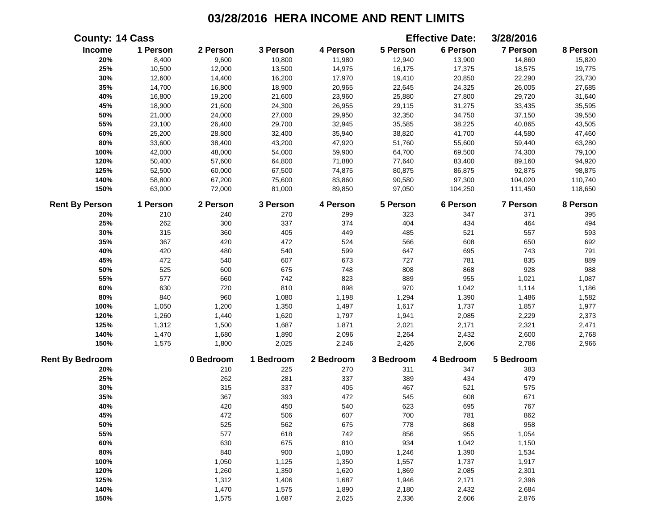|                        | <b>County: 14 Cass</b> |           |           |           |           | <b>Effective Date:</b> | 3/28/2016 |          |
|------------------------|------------------------|-----------|-----------|-----------|-----------|------------------------|-----------|----------|
| Income                 | 1 Person               | 2 Person  | 3 Person  | 4 Person  | 5 Person  | 6 Person               | 7 Person  | 8 Person |
| 20%                    | 8,400                  | 9,600     | 10,800    | 11,980    | 12,940    | 13,900                 | 14,860    | 15,820   |
| 25%                    | 10,500                 | 12,000    | 13,500    | 14,975    | 16,175    | 17,375                 | 18,575    | 19,775   |
| 30%                    | 12,600                 | 14,400    | 16,200    | 17,970    | 19,410    | 20,850                 | 22,290    | 23,730   |
| 35%                    | 14,700                 | 16,800    | 18,900    | 20,965    | 22,645    | 24,325                 | 26,005    | 27,685   |
| 40%                    | 16,800                 | 19,200    | 21,600    | 23,960    | 25,880    | 27,800                 | 29,720    | 31,640   |
| 45%                    | 18,900                 | 21,600    | 24,300    | 26,955    | 29,115    | 31,275                 | 33,435    | 35,595   |
| 50%                    | 21,000                 | 24,000    | 27,000    | 29,950    | 32,350    | 34,750                 | 37,150    | 39,550   |
| 55%                    | 23,100                 | 26,400    | 29,700    | 32,945    | 35,585    | 38,225                 | 40,865    | 43,505   |
| 60%                    | 25,200                 | 28,800    | 32,400    | 35,940    | 38,820    | 41,700                 | 44,580    | 47,460   |
| 80%                    | 33,600                 | 38,400    | 43,200    | 47,920    | 51,760    | 55,600                 | 59,440    | 63,280   |
| 100%                   | 42,000                 | 48,000    | 54,000    | 59,900    | 64,700    | 69,500                 | 74,300    | 79,100   |
| 120%                   | 50,400                 | 57,600    | 64,800    | 71,880    | 77,640    | 83,400                 | 89,160    | 94,920   |
| 125%                   | 52,500                 | 60,000    | 67,500    | 74,875    | 80,875    | 86,875                 | 92,875    | 98,875   |
| 140%                   | 58,800                 | 67,200    | 75,600    | 83,860    | 90,580    | 97,300                 | 104,020   | 110,740  |
| 150%                   | 63,000                 | 72,000    | 81,000    | 89,850    | 97,050    | 104,250                | 111,450   | 118,650  |
| <b>Rent By Person</b>  | 1 Person               | 2 Person  | 3 Person  | 4 Person  | 5 Person  | 6 Person               | 7 Person  | 8 Person |
| 20%                    | 210                    | 240       | 270       | 299       | 323       | 347                    | 371       | 395      |
| 25%                    | 262                    | 300       | 337       | 374       | 404       | 434                    | 464       | 494      |
| 30%                    | 315                    | 360       | 405       | 449       | 485       | 521                    | 557       | 593      |
| 35%                    | 367                    | 420       | 472       | 524       | 566       | 608                    | 650       | 692      |
| 40%                    | 420                    | 480       | 540       | 599       | 647       | 695                    | 743       | 791      |
| 45%                    | 472                    | 540       | 607       | 673       | 727       | 781                    | 835       | 889      |
| 50%                    | 525                    | 600       | 675       | 748       | 808       | 868                    | 928       | 988      |
| 55%                    | 577                    | 660       | 742       | 823       | 889       | 955                    | 1,021     | 1,087    |
| 60%                    | 630                    | 720       | 810       | 898       | 970       | 1,042                  | 1,114     | 1,186    |
| 80%                    | 840                    | 960       | 1,080     | 1,198     | 1,294     | 1,390                  | 1,486     | 1,582    |
| 100%                   | 1,050                  | 1,200     | 1,350     | 1,497     | 1,617     | 1,737                  | 1,857     | 1,977    |
| 120%                   | 1,260                  | 1,440     | 1,620     | 1,797     | 1,941     | 2,085                  | 2,229     | 2,373    |
| 125%                   | 1,312                  | 1,500     | 1,687     | 1,871     | 2,021     | 2,171                  | 2,321     | 2,471    |
| 140%                   | 1,470                  | 1,680     | 1,890     | 2,096     | 2,264     | 2,432                  | 2,600     | 2,768    |
| 150%                   | 1,575                  | 1,800     | 2,025     | 2,246     | 2,426     | 2,606                  | 2,786     | 2,966    |
| <b>Rent By Bedroom</b> |                        | 0 Bedroom | 1 Bedroom | 2 Bedroom | 3 Bedroom | 4 Bedroom              | 5 Bedroom |          |
| 20%                    |                        | 210       | 225       | 270       | 311       | 347                    | 383       |          |
| 25%                    |                        | 262       | 281       | 337       | 389       | 434                    | 479       |          |
| 30%                    |                        | 315       | 337       | 405       | 467       | 521                    | 575       |          |
| 35%                    |                        | 367       | 393       | 472       | 545       | 608                    | 671       |          |
| 40%                    |                        | 420       | 450       | 540       | 623       | 695                    | 767       |          |
| 45%                    |                        | 472       | 506       | 607       | 700       | 781                    | 862       |          |
| 50%                    |                        | 525       | 562       | 675       | 778       | 868                    | 958       |          |
| 55%                    |                        | 577       | 618       | 742       | 856       | 955                    | 1,054     |          |
| 60%                    |                        | 630       | 675       | 810       | 934       | 1,042                  | 1,150     |          |
| 80%                    |                        | 840       | 900       | 1,080     | 1,246     | 1,390                  | 1,534     |          |
| 100%                   |                        | 1,050     | 1,125     | 1,350     | 1,557     | 1,737                  | 1,917     |          |
| 120%                   |                        | 1,260     | 1,350     | 1,620     | 1,869     | 2,085                  | 2,301     |          |
| 125%                   |                        | 1,312     | 1,406     | 1,687     | 1,946     | 2,171                  | 2,396     |          |
| 140%                   |                        | 1,470     | 1,575     | 1,890     | 2,180     | 2,432                  | 2,684     |          |
| 150%                   |                        | 1,575     | 1,687     | 2,025     | 2,336     | 2,606                  | 2,876     |          |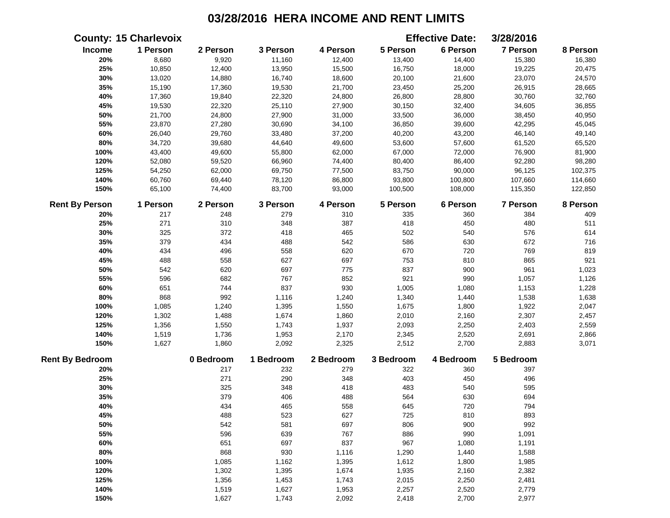|                        | <b>County: 15 Charlevoix</b> |           |           |           |           | <b>Effective Date:</b> | 3/28/2016       |          |
|------------------------|------------------------------|-----------|-----------|-----------|-----------|------------------------|-----------------|----------|
| Income                 | 1 Person                     | 2 Person  | 3 Person  | 4 Person  | 5 Person  | 6 Person               | 7 Person        | 8 Person |
| 20%                    | 8,680                        | 9,920     | 11,160    | 12,400    | 13,400    | 14,400                 | 15,380          | 16,380   |
| 25%                    | 10,850                       | 12,400    | 13,950    | 15,500    | 16,750    | 18,000                 | 19,225          | 20,475   |
| 30%                    | 13,020                       | 14,880    | 16,740    | 18,600    | 20,100    | 21,600                 | 23,070          | 24,570   |
| 35%                    | 15,190                       | 17,360    | 19,530    | 21,700    | 23,450    | 25,200                 | 26,915          | 28,665   |
| 40%                    | 17,360                       | 19,840    | 22,320    | 24,800    | 26,800    | 28,800                 | 30,760          | 32,760   |
| 45%                    | 19,530                       | 22,320    | 25,110    | 27,900    | 30,150    | 32,400                 | 34,605          | 36,855   |
| 50%                    | 21,700                       | 24,800    | 27,900    | 31,000    | 33,500    | 36,000                 | 38,450          | 40,950   |
| 55%                    | 23,870                       | 27,280    | 30,690    | 34,100    | 36,850    | 39,600                 | 42,295          | 45,045   |
| 60%                    | 26,040                       | 29,760    | 33,480    | 37,200    | 40,200    | 43,200                 | 46,140          | 49,140   |
| 80%                    | 34,720                       | 39,680    | 44,640    | 49,600    | 53,600    | 57,600                 | 61,520          | 65,520   |
| 100%                   | 43,400                       | 49,600    | 55,800    | 62,000    | 67,000    | 72,000                 | 76,900          | 81,900   |
| 120%                   | 52,080                       | 59,520    | 66,960    | 74,400    | 80,400    | 86,400                 | 92,280          | 98,280   |
| 125%                   | 54,250                       | 62,000    | 69,750    | 77,500    | 83,750    | 90,000                 | 96,125          | 102,375  |
| 140%                   | 60,760                       | 69,440    | 78,120    | 86,800    | 93,800    | 100,800                | 107,660         | 114,660  |
| 150%                   | 65,100                       | 74,400    | 83,700    | 93,000    | 100,500   | 108,000                | 115,350         | 122,850  |
| <b>Rent By Person</b>  | 1 Person                     | 2 Person  | 3 Person  | 4 Person  | 5 Person  | 6 Person               | <b>7 Person</b> | 8 Person |
| 20%                    | 217                          | 248       | 279       | 310       | 335       | 360                    | 384             | 409      |
| 25%                    | 271                          | 310       | 348       | 387       | 418       | 450                    | 480             | 511      |
| 30%                    | 325                          | 372       | 418       | 465       | 502       | 540                    | 576             | 614      |
| 35%                    | 379                          | 434       | 488       | 542       | 586       | 630                    | 672             | 716      |
| 40%                    | 434                          | 496       | 558       | 620       | 670       | 720                    | 769             | 819      |
| 45%                    | 488                          | 558       | 627       | 697       | 753       | 810                    | 865             | 921      |
| 50%                    | 542                          | 620       | 697       | 775       | 837       | 900                    | 961             | 1,023    |
| 55%                    | 596                          | 682       | 767       | 852       | 921       | 990                    | 1,057           | 1,126    |
| 60%                    | 651                          | 744       | 837       | 930       | 1,005     | 1,080                  | 1,153           | 1,228    |
| 80%                    | 868                          | 992       | 1,116     | 1,240     | 1,340     | 1,440                  | 1,538           | 1,638    |
| 100%                   | 1,085                        | 1,240     | 1,395     | 1,550     | 1,675     | 1,800                  | 1,922           | 2,047    |
| 120%                   | 1,302                        | 1,488     | 1,674     | 1,860     | 2,010     | 2,160                  | 2,307           | 2,457    |
| 125%                   | 1,356                        | 1,550     | 1,743     | 1,937     | 2,093     | 2,250                  | 2,403           | 2,559    |
| 140%                   | 1,519                        | 1,736     | 1,953     | 2,170     | 2,345     | 2,520                  | 2,691           | 2,866    |
| 150%                   | 1,627                        | 1,860     | 2,092     | 2,325     | 2,512     | 2,700                  | 2,883           | 3,071    |
| <b>Rent By Bedroom</b> |                              | 0 Bedroom | 1 Bedroom | 2 Bedroom | 3 Bedroom | 4 Bedroom              | 5 Bedroom       |          |
| 20%                    |                              | 217       | 232       | 279       | 322       | 360                    | 397             |          |
| 25%                    |                              | 271       | 290       | 348       | 403       | 450                    | 496             |          |
| 30%                    |                              | 325       | 348       | 418       | 483       | 540                    | 595             |          |
| 35%                    |                              | 379       | 406       | 488       | 564       | 630                    | 694             |          |
| 40%                    |                              | 434       | 465       | 558       | 645       | 720                    | 794             |          |
| 45%                    |                              | 488       | 523       | 627       | 725       | 810                    | 893             |          |
| 50%                    |                              | 542       | 581       | 697       | 806       | 900                    | 992             |          |
| 55%                    |                              | 596       | 639       | 767       | 886       | 990                    | 1,091           |          |
| 60%                    |                              | 651       | 697       | 837       | 967       | 1,080                  | 1,191           |          |
| 80%                    |                              | 868       | 930       | 1,116     | 1,290     | 1,440                  | 1,588           |          |
| 100%                   |                              | 1,085     | 1,162     | 1,395     | 1,612     | 1,800                  | 1,985           |          |
| 120%                   |                              | 1,302     | 1,395     | 1,674     | 1,935     | 2,160                  | 2,382           |          |
| 125%                   |                              | 1,356     | 1,453     | 1,743     | 2,015     | 2,250                  | 2,481           |          |
| 140%                   |                              | 1,519     | 1,627     | 1,953     | 2,257     | 2,520                  | 2,779           |          |
| 150%                   |                              | 1,627     | 1,743     | 2,092     | 2,418     | 2,700                  | 2,977           |          |
|                        |                              |           |           |           |           |                        |                 |          |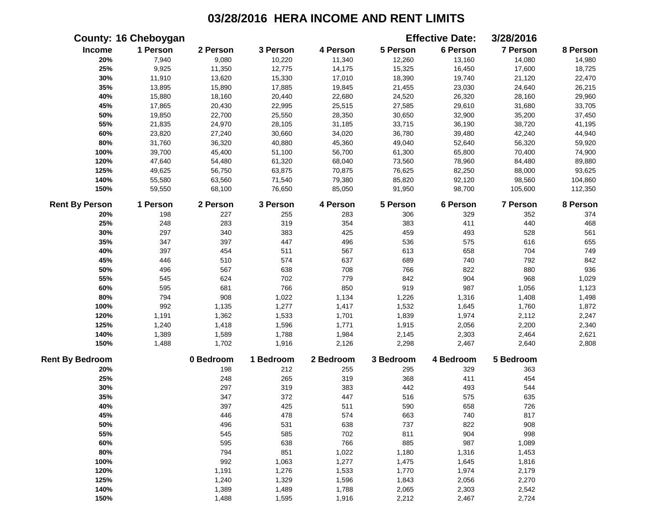|                        | <b>County: 16 Cheboygan</b> |           |           |           |           | <b>Effective Date:</b> | 3/28/2016       |          |
|------------------------|-----------------------------|-----------|-----------|-----------|-----------|------------------------|-----------------|----------|
| Income                 | 1 Person                    | 2 Person  | 3 Person  | 4 Person  | 5 Person  | 6 Person               | 7 Person        | 8 Person |
| 20%                    | 7,940                       | 9,080     | 10,220    | 11,340    | 12,260    | 13,160                 | 14,080          | 14,980   |
| 25%                    | 9,925                       | 11,350    | 12,775    | 14,175    | 15,325    | 16,450                 | 17,600          | 18,725   |
| 30%                    | 11,910                      | 13,620    | 15,330    | 17,010    | 18,390    | 19,740                 | 21,120          | 22,470   |
| 35%                    | 13,895                      | 15,890    | 17,885    | 19,845    | 21,455    | 23,030                 | 24,640          | 26,215   |
| 40%                    | 15,880                      | 18,160    | 20,440    | 22,680    | 24,520    | 26,320                 | 28,160          | 29,960   |
| 45%                    | 17,865                      | 20,430    | 22,995    | 25,515    | 27,585    | 29,610                 | 31,680          | 33,705   |
| 50%                    | 19,850                      | 22,700    | 25,550    | 28,350    | 30,650    | 32,900                 | 35,200          | 37,450   |
| 55%                    | 21,835                      | 24,970    | 28,105    | 31,185    | 33,715    | 36,190                 | 38,720          | 41,195   |
| 60%                    | 23,820                      | 27,240    | 30,660    | 34,020    | 36,780    | 39,480                 | 42,240          | 44,940   |
| 80%                    | 31,760                      | 36,320    | 40,880    | 45,360    | 49,040    | 52,640                 | 56,320          | 59,920   |
| 100%                   | 39,700                      | 45,400    | 51,100    | 56,700    | 61,300    | 65,800                 | 70,400          | 74,900   |
| 120%                   | 47,640                      | 54,480    | 61,320    | 68,040    | 73,560    | 78,960                 | 84,480          | 89,880   |
| 125%                   | 49,625                      | 56,750    | 63,875    | 70,875    | 76,625    | 82,250                 | 88,000          | 93,625   |
| 140%                   | 55,580                      | 63,560    | 71,540    | 79,380    | 85,820    | 92,120                 | 98,560          | 104,860  |
| 150%                   | 59,550                      | 68,100    | 76,650    | 85,050    | 91,950    | 98,700                 | 105,600         | 112,350  |
| <b>Rent By Person</b>  | 1 Person                    | 2 Person  | 3 Person  | 4 Person  | 5 Person  | 6 Person               | <b>7 Person</b> | 8 Person |
| 20%                    | 198                         | 227       | 255       | 283       | 306       | 329                    | 352             | 374      |
| 25%                    | 248                         | 283       | 319       | 354       | 383       | 411                    | 440             | 468      |
| 30%                    | 297                         | 340       | 383       | 425       | 459       | 493                    | 528             | 561      |
| 35%                    | 347                         | 397       | 447       | 496       | 536       | 575                    | 616             | 655      |
| 40%                    | 397                         | 454       | 511       | 567       | 613       | 658                    | 704             | 749      |
| 45%                    | 446                         | 510       | 574       | 637       | 689       | 740                    | 792             | 842      |
| 50%                    | 496                         | 567       | 638       | 708       | 766       | 822                    | 880             | 936      |
| 55%                    | 545                         | 624       | 702       | 779       | 842       | 904                    | 968             | 1,029    |
| 60%                    | 595                         | 681       | 766       | 850       | 919       | 987                    | 1,056           | 1,123    |
| 80%                    | 794                         | 908       | 1,022     | 1,134     | 1,226     | 1,316                  | 1,408           | 1,498    |
| 100%                   | 992                         | 1,135     | 1,277     | 1,417     | 1,532     | 1,645                  | 1,760           | 1,872    |
| 120%                   | 1,191                       | 1,362     | 1,533     | 1,701     | 1,839     | 1,974                  | 2,112           | 2,247    |
| 125%                   | 1,240                       | 1,418     | 1,596     | 1,771     | 1,915     | 2,056                  | 2,200           | 2,340    |
| 140%                   | 1,389                       | 1,589     | 1,788     | 1,984     | 2,145     | 2,303                  | 2,464           | 2,621    |
| 150%                   | 1,488                       | 1,702     | 1,916     | 2,126     | 2,298     | 2,467                  | 2,640           | 2,808    |
| <b>Rent By Bedroom</b> |                             | 0 Bedroom | 1 Bedroom | 2 Bedroom | 3 Bedroom | 4 Bedroom              | 5 Bedroom       |          |
| 20%                    |                             | 198       | 212       | 255       | 295       | 329                    | 363             |          |
| 25%                    |                             | 248       | 265       | 319       | 368       | 411                    | 454             |          |
| 30%                    |                             | 297       | 319       | 383       | 442       | 493                    | 544             |          |
| 35%                    |                             | 347       | 372       | 447       | 516       | 575                    | 635             |          |
| 40%                    |                             | 397       | 425       | 511       | 590       | 658                    | 726             |          |
| 45%                    |                             | 446       | 478       | 574       | 663       | 740                    | 817             |          |
| 50%                    |                             | 496       | 531       | 638       | 737       | 822                    | 908             |          |
| 55%                    |                             | 545       | 585       | 702       | 811       | 904                    | 998             |          |
| 60%                    |                             | 595       | 638       | 766       | 885       | 987                    | 1,089           |          |
| 80%                    |                             | 794       | 851       | 1,022     | 1,180     | 1,316                  | 1,453           |          |
| 100%                   |                             | 992       | 1,063     | 1,277     | 1,475     | 1,645                  | 1,816           |          |
| 120%                   |                             | 1,191     | 1,276     | 1,533     | 1,770     | 1,974                  | 2,179           |          |
| 125%                   |                             | 1,240     | 1,329     | 1,596     | 1,843     | 2,056                  | 2,270           |          |
| 140%                   |                             | 1,389     | 1,489     | 1,788     | 2,065     | 2,303                  | 2,542           |          |
| 150%                   |                             | 1,488     | 1,595     | 1,916     | 2,212     | 2,467                  | 2,724           |          |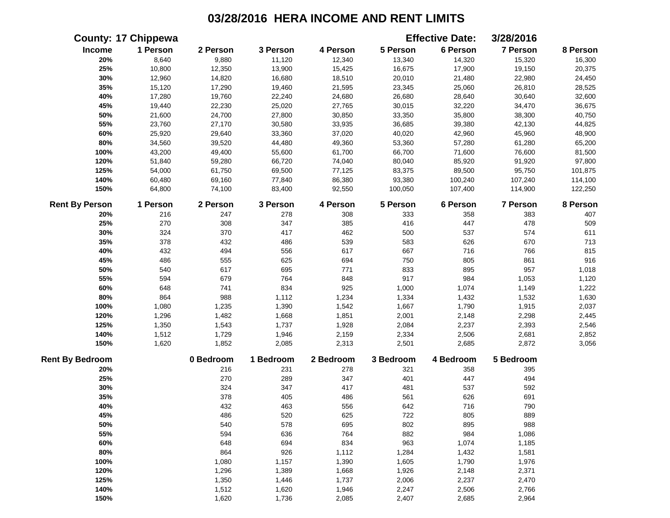|                        | <b>County: 17 Chippewa</b> |           |           |           |           | <b>Effective Date:</b> | 3/28/2016 |          |
|------------------------|----------------------------|-----------|-----------|-----------|-----------|------------------------|-----------|----------|
| <b>Income</b>          | 1 Person                   | 2 Person  | 3 Person  | 4 Person  | 5 Person  | 6 Person               | 7 Person  | 8 Person |
| 20%                    | 8,640                      | 9,880     | 11,120    | 12,340    | 13,340    | 14,320                 | 15,320    | 16,300   |
| 25%                    | 10,800                     | 12,350    | 13,900    | 15,425    | 16,675    | 17,900                 | 19,150    | 20,375   |
| 30%                    | 12,960                     | 14,820    | 16,680    | 18,510    | 20,010    | 21,480                 | 22,980    | 24,450   |
| 35%                    | 15,120                     | 17,290    | 19,460    | 21,595    | 23,345    | 25,060                 | 26,810    | 28,525   |
| 40%                    | 17,280                     | 19,760    | 22,240    | 24,680    | 26,680    | 28,640                 | 30,640    | 32,600   |
| 45%                    | 19,440                     | 22,230    | 25,020    | 27,765    | 30,015    | 32,220                 | 34,470    | 36,675   |
| 50%                    | 21,600                     | 24,700    | 27,800    | 30,850    | 33,350    | 35,800                 | 38,300    | 40,750   |
| 55%                    | 23,760                     | 27,170    | 30,580    | 33,935    | 36,685    | 39,380                 | 42,130    | 44,825   |
| 60%                    | 25,920                     | 29,640    | 33,360    | 37,020    | 40,020    | 42,960                 | 45,960    | 48,900   |
| 80%                    | 34,560                     | 39,520    | 44,480    | 49,360    | 53,360    | 57,280                 | 61,280    | 65,200   |
| 100%                   | 43,200                     | 49,400    | 55,600    | 61,700    | 66,700    | 71,600                 | 76,600    | 81,500   |
| 120%                   | 51,840                     | 59,280    | 66,720    | 74,040    | 80,040    | 85,920                 | 91,920    | 97,800   |
| 125%                   | 54,000                     | 61,750    | 69,500    | 77,125    | 83,375    | 89,500                 | 95,750    | 101,875  |
| 140%                   | 60,480                     | 69,160    | 77,840    | 86,380    | 93,380    | 100,240                | 107,240   | 114,100  |
| 150%                   | 64,800                     | 74,100    | 83,400    | 92,550    | 100,050   | 107,400                | 114,900   | 122,250  |
| <b>Rent By Person</b>  | 1 Person                   | 2 Person  | 3 Person  | 4 Person  | 5 Person  | 6 Person               | 7 Person  | 8 Person |
| 20%                    | 216                        | 247       | 278       | 308       | 333       | 358                    | 383       | 407      |
| 25%                    | 270                        | 308       | 347       | 385       | 416       | 447                    | 478       | 509      |
| 30%                    | 324                        | 370       | 417       | 462       | 500       | 537                    | 574       | 611      |
| 35%                    | 378                        | 432       | 486       | 539       | 583       | 626                    | 670       | 713      |
| 40%                    | 432                        | 494       | 556       | 617       | 667       | 716                    | 766       | 815      |
| 45%                    | 486                        | 555       | 625       | 694       | 750       | 805                    | 861       | 916      |
| 50%                    | 540                        | 617       | 695       | 771       | 833       | 895                    | 957       | 1,018    |
| 55%                    | 594                        | 679       | 764       | 848       | 917       | 984                    | 1,053     | 1,120    |
| 60%                    | 648                        | 741       | 834       | 925       | 1,000     | 1,074                  | 1,149     | 1,222    |
| 80%                    | 864                        | 988       | 1,112     | 1,234     | 1,334     | 1,432                  | 1,532     | 1,630    |
| 100%                   | 1,080                      | 1,235     | 1,390     | 1,542     | 1,667     | 1,790                  | 1,915     | 2,037    |
| 120%                   | 1,296                      | 1,482     | 1,668     | 1,851     | 2,001     | 2,148                  | 2,298     | 2,445    |
| 125%                   | 1,350                      | 1,543     | 1,737     | 1,928     | 2,084     | 2,237                  | 2,393     | 2,546    |
| 140%                   | 1,512                      | 1,729     | 1,946     | 2,159     | 2,334     | 2,506                  | 2,681     | 2,852    |
| 150%                   | 1,620                      | 1,852     | 2,085     | 2,313     | 2,501     | 2,685                  | 2,872     | 3,056    |
| <b>Rent By Bedroom</b> |                            | 0 Bedroom | 1 Bedroom | 2 Bedroom | 3 Bedroom | 4 Bedroom              | 5 Bedroom |          |
| 20%                    |                            | 216       | 231       | 278       | 321       | 358                    | 395       |          |
| 25%                    |                            | 270       | 289       | 347       | 401       | 447                    | 494       |          |
| 30%                    |                            | 324       | 347       | 417       | 481       | 537                    | 592       |          |
| 35%                    |                            | 378       | 405       | 486       | 561       | 626                    | 691       |          |
| 40%                    |                            | 432       | 463       | 556       | 642       | 716                    | 790       |          |
| 45%                    |                            | 486       | 520       | 625       | 722       | 805                    | 889       |          |
| 50%                    |                            | 540       | 578       | 695       | 802       | 895                    | 988       |          |
| 55%                    |                            | 594       | 636       | 764       | 882       | 984                    | 1,086     |          |
| 60%                    |                            | 648       | 694       | 834       | 963       | 1,074                  | 1,185     |          |
| 80%                    |                            | 864       | 926       | 1,112     | 1,284     | 1,432                  | 1,581     |          |
| 100%                   |                            | 1,080     | 1,157     | 1,390     | 1,605     | 1,790                  | 1,976     |          |
| 120%                   |                            | 1,296     | 1,389     | 1,668     | 1,926     | 2,148                  | 2,371     |          |
| 125%                   |                            | 1,350     | 1,446     | 1,737     | 2,006     | 2,237                  | 2,470     |          |
| 140%                   |                            | 1,512     | 1,620     | 1,946     | 2,247     | 2,506                  | 2,766     |          |
| 150%                   |                            | 1,620     | 1,736     | 2,085     | 2,407     | 2,685                  | 2,964     |          |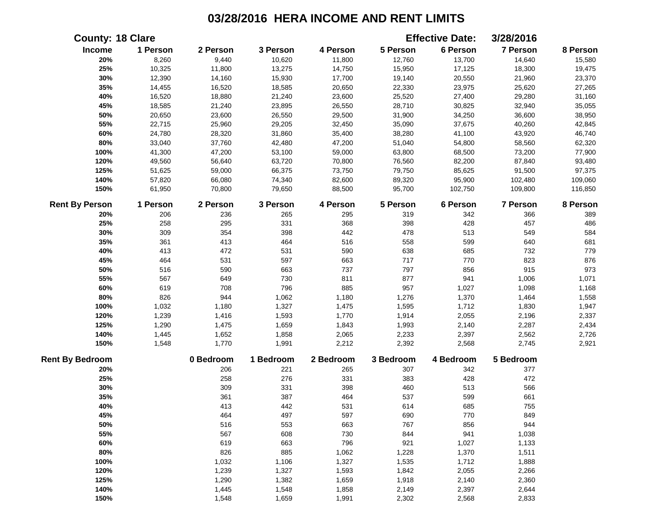|                        | <b>County: 18 Clare</b> |           |           |           |           | <b>Effective Date:</b> | 3/28/2016       |          |
|------------------------|-------------------------|-----------|-----------|-----------|-----------|------------------------|-----------------|----------|
| Income                 | 1 Person                | 2 Person  | 3 Person  | 4 Person  | 5 Person  | 6 Person               | <b>7 Person</b> | 8 Person |
| 20%                    | 8,260                   | 9,440     | 10,620    | 11,800    | 12,760    | 13,700                 | 14,640          | 15,580   |
| 25%                    | 10,325                  | 11,800    | 13,275    | 14,750    | 15,950    | 17,125                 | 18,300          | 19,475   |
| 30%                    | 12,390                  | 14,160    | 15,930    | 17,700    | 19,140    | 20,550                 | 21,960          | 23,370   |
| 35%                    | 14,455                  | 16,520    | 18,585    | 20,650    | 22,330    | 23,975                 | 25,620          | 27,265   |
| 40%                    | 16,520                  | 18,880    | 21,240    | 23,600    | 25,520    | 27,400                 | 29,280          | 31,160   |
| 45%                    | 18,585                  | 21,240    | 23,895    | 26,550    | 28,710    | 30,825                 | 32,940          | 35,055   |
| 50%                    | 20,650                  | 23,600    | 26,550    | 29,500    | 31,900    | 34,250                 | 36,600          | 38,950   |
| 55%                    | 22,715                  | 25,960    | 29,205    | 32,450    | 35,090    | 37,675                 | 40,260          | 42,845   |
| 60%                    | 24,780                  | 28,320    | 31,860    | 35,400    | 38,280    | 41,100                 | 43,920          | 46,740   |
| 80%                    | 33,040                  | 37,760    | 42,480    | 47,200    | 51,040    | 54,800                 | 58,560          | 62,320   |
| 100%                   | 41,300                  | 47,200    | 53,100    | 59,000    | 63,800    | 68,500                 | 73,200          | 77,900   |
| 120%                   | 49,560                  | 56,640    | 63,720    | 70,800    | 76,560    | 82,200                 | 87,840          | 93,480   |
| 125%                   | 51,625                  | 59,000    | 66,375    | 73,750    | 79,750    | 85,625                 | 91,500          | 97,375   |
| 140%                   | 57,820                  | 66,080    | 74,340    | 82,600    | 89,320    | 95,900                 | 102,480         | 109,060  |
| 150%                   | 61,950                  | 70,800    | 79,650    | 88,500    | 95,700    | 102,750                | 109,800         | 116,850  |
| <b>Rent By Person</b>  | 1 Person                | 2 Person  | 3 Person  | 4 Person  | 5 Person  | 6 Person               | <b>7 Person</b> | 8 Person |
| 20%                    | 206                     | 236       | 265       | 295       | 319       | 342                    | 366             | 389      |
| 25%                    | 258                     | 295       | 331       | 368       | 398       | 428                    | 457             | 486      |
| 30%                    | 309                     | 354       | 398       | 442       | 478       | 513                    | 549             | 584      |
| 35%                    | 361                     | 413       | 464       | 516       | 558       | 599                    | 640             | 681      |
| 40%                    | 413                     | 472       | 531       | 590       | 638       | 685                    | 732             | 779      |
| 45%                    | 464                     | 531       | 597       | 663       | 717       | 770                    | 823             | 876      |
| 50%                    | 516                     | 590       | 663       | 737       | 797       | 856                    | 915             | 973      |
| 55%                    | 567                     | 649       | 730       | 811       | 877       | 941                    | 1,006           | 1,071    |
| 60%                    | 619                     | 708       | 796       | 885       | 957       | 1,027                  | 1,098           | 1,168    |
| 80%                    | 826                     | 944       | 1,062     | 1,180     | 1,276     | 1,370                  | 1,464           | 1,558    |
| 100%                   | 1,032                   | 1,180     | 1,327     | 1,475     | 1,595     | 1,712                  | 1,830           | 1,947    |
| 120%                   | 1,239                   | 1,416     | 1,593     | 1,770     | 1,914     | 2,055                  | 2,196           | 2,337    |
| 125%                   | 1,290                   | 1,475     | 1,659     | 1,843     | 1,993     | 2,140                  | 2,287           | 2,434    |
| 140%                   | 1,445                   | 1,652     | 1,858     | 2,065     | 2,233     | 2,397                  | 2,562           | 2,726    |
| 150%                   | 1,548                   | 1,770     | 1,991     | 2,212     | 2,392     | 2,568                  | 2,745           | 2,921    |
| <b>Rent By Bedroom</b> |                         | 0 Bedroom | 1 Bedroom | 2 Bedroom | 3 Bedroom | 4 Bedroom              | 5 Bedroom       |          |
| 20%                    |                         | 206       | 221       | 265       | 307       | 342                    | 377             |          |
| 25%                    |                         | 258       | 276       | 331       | 383       | 428                    | 472             |          |
| 30%                    |                         | 309       | 331       | 398       | 460       | 513                    | 566             |          |
| 35%                    |                         | 361       | 387       | 464       | 537       | 599                    | 661             |          |
| 40%                    |                         | 413       | 442       | 531       | 614       | 685                    | 755             |          |
| 45%                    |                         | 464       | 497       | 597       | 690       | 770                    | 849             |          |
| 50%                    |                         | 516       | 553       | 663       | 767       | 856                    | 944             |          |
| 55%                    |                         | 567       | 608       | 730       | 844       | 941                    | 1,038           |          |
| 60%                    |                         | 619       | 663       | 796       | 921       | 1,027                  | 1,133           |          |
| 80%                    |                         | 826       | 885       | 1,062     | 1,228     | 1,370                  | 1,511           |          |
| 100%                   |                         | 1,032     | 1,106     | 1,327     | 1,535     | 1,712                  | 1,888           |          |
| 120%                   |                         | 1,239     | 1,327     | 1,593     | 1,842     | 2,055                  | 2,266           |          |
| 125%                   |                         | 1,290     | 1,382     | 1,659     | 1,918     | 2,140                  | 2,360           |          |
| 140%                   |                         | 1,445     | 1,548     | 1,858     | 2,149     | 2,397                  | 2,644           |          |
| 150%                   |                         | 1,548     | 1,659     | 1,991     | 2,302     | 2,568                  | 2,833           |          |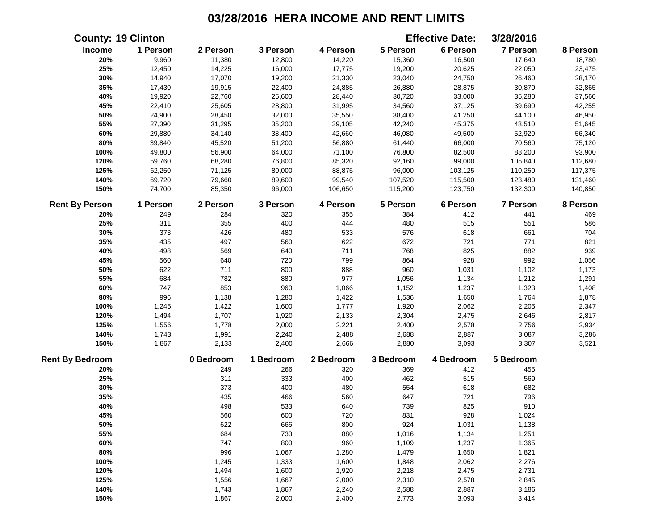|                        | <b>County: 19 Clinton</b> |           |           |           |           | <b>Effective Date:</b> | 3/28/2016       |          |
|------------------------|---------------------------|-----------|-----------|-----------|-----------|------------------------|-----------------|----------|
| Income                 | 1 Person                  | 2 Person  | 3 Person  | 4 Person  | 5 Person  | 6 Person               | 7 Person        | 8 Person |
| 20%                    | 9,960                     | 11,380    | 12,800    | 14,220    | 15,360    | 16,500                 | 17,640          | 18,780   |
| 25%                    | 12,450                    | 14,225    | 16,000    | 17,775    | 19,200    | 20,625                 | 22,050          | 23,475   |
| 30%                    | 14,940                    | 17,070    | 19,200    | 21,330    | 23,040    | 24,750                 | 26,460          | 28,170   |
| 35%                    | 17,430                    | 19,915    | 22,400    | 24,885    | 26,880    | 28,875                 | 30,870          | 32,865   |
| 40%                    | 19,920                    | 22,760    | 25,600    | 28,440    | 30,720    | 33,000                 | 35,280          | 37,560   |
| 45%                    | 22,410                    | 25,605    | 28,800    | 31,995    | 34,560    | 37,125                 | 39,690          | 42,255   |
| 50%                    | 24,900                    | 28,450    | 32,000    | 35,550    | 38,400    | 41,250                 | 44,100          | 46,950   |
| 55%                    | 27,390                    | 31,295    | 35,200    | 39,105    | 42,240    | 45,375                 | 48,510          | 51,645   |
| 60%                    | 29,880                    | 34,140    | 38,400    | 42,660    | 46,080    | 49,500                 | 52,920          | 56,340   |
| $80\%$                 | 39,840                    | 45,520    | 51,200    | 56,880    | 61,440    | 66,000                 | 70,560          | 75,120   |
| 100%                   | 49,800                    | 56,900    | 64,000    | 71,100    | 76,800    | 82,500                 | 88,200          | 93,900   |
| 120%                   | 59,760                    | 68,280    | 76,800    | 85,320    | 92,160    | 99,000                 | 105,840         | 112,680  |
| 125%                   | 62,250                    | 71,125    | 80,000    | 88,875    | 96,000    | 103,125                | 110,250         | 117,375  |
| 140%                   | 69,720                    | 79,660    | 89,600    | 99,540    | 107,520   | 115,500                | 123,480         | 131,460  |
| 150%                   | 74,700                    | 85,350    | 96,000    | 106,650   | 115,200   | 123,750                | 132,300         | 140,850  |
| <b>Rent By Person</b>  | 1 Person                  | 2 Person  | 3 Person  | 4 Person  | 5 Person  | 6 Person               | <b>7 Person</b> | 8 Person |
| 20%                    | 249                       | 284       | 320       | 355       | 384       | 412                    | 441             | 469      |
| 25%                    | 311                       | 355       | 400       | 444       | 480       | 515                    | 551             | 586      |
| 30%                    | 373                       | 426       | 480       | 533       | 576       | 618                    | 661             | 704      |
| 35%                    | 435                       | 497       | 560       | 622       | 672       | 721                    | 771             | 821      |
| 40%                    | 498                       | 569       | 640       | 711       | 768       | 825                    | 882             | 939      |
| 45%                    | 560                       | 640       | 720       | 799       | 864       | 928                    | 992             | 1,056    |
| 50%                    | 622                       | 711       | 800       | 888       | 960       | 1,031                  | 1,102           | 1,173    |
| 55%                    | 684                       | 782       | 880       | 977       | 1,056     | 1,134                  | 1,212           | 1,291    |
| 60%                    | 747                       | 853       | 960       | 1,066     | 1,152     | 1,237                  | 1,323           | 1,408    |
| 80%                    | 996                       | 1,138     | 1,280     | 1,422     | 1,536     | 1,650                  | 1,764           | 1,878    |
| 100%                   | 1,245                     | 1,422     | 1,600     | 1,777     | 1,920     | 2,062                  | 2,205           | 2,347    |
| 120%                   | 1,494                     | 1,707     | 1,920     | 2,133     | 2,304     | 2,475                  | 2,646           | 2,817    |
| 125%                   | 1,556                     | 1,778     | 2,000     | 2,221     | 2,400     | 2,578                  | 2,756           | 2,934    |
| 140%                   | 1,743                     | 1,991     | 2,240     | 2,488     | 2,688     | 2,887                  | 3,087           | 3,286    |
| 150%                   | 1,867                     | 2,133     | 2,400     | 2,666     | 2,880     | 3,093                  | 3,307           | 3,521    |
| <b>Rent By Bedroom</b> |                           | 0 Bedroom | 1 Bedroom | 2 Bedroom | 3 Bedroom | 4 Bedroom              | 5 Bedroom       |          |
| 20%                    |                           | 249       | 266       | 320       | 369       | 412                    | 455             |          |
| 25%                    |                           | 311       | 333       | 400       | 462       | 515                    | 569             |          |
| 30%                    |                           | 373       | 400       | 480       | 554       | 618                    | 682             |          |
| 35%                    |                           | 435       | 466       | 560       | 647       | 721                    | 796             |          |
| 40%                    |                           | 498       | 533       | 640       | 739       | 825                    | 910             |          |
| 45%                    |                           | 560       | 600       | 720       | 831       | 928                    | 1,024           |          |
| 50%                    |                           | 622       | 666       | 800       | 924       | 1,031                  | 1,138           |          |
| 55%                    |                           | 684       | 733       | 880       | 1,016     | 1,134                  | 1,251           |          |
| 60%                    |                           | 747       | 800       | 960       | 1,109     | 1,237                  | 1,365           |          |
| 80%                    |                           | 996       | 1,067     | 1,280     | 1,479     | 1,650                  | 1,821           |          |
| 100%                   |                           | 1,245     | 1,333     | 1,600     | 1,848     | 2,062                  | 2,276           |          |
| 120%                   |                           | 1,494     | 1,600     | 1,920     | 2,218     | 2,475                  | 2,731           |          |
| 125%                   |                           | 1,556     | 1,667     | 2,000     | 2,310     | 2,578                  | 2,845           |          |
| 140%                   |                           | 1,743     | 1,867     | 2,240     | 2,588     | 2,887                  | 3,186           |          |
| 150%                   |                           | 1,867     | 2,000     | 2,400     | 2,773     | 3,093                  | 3,414           |          |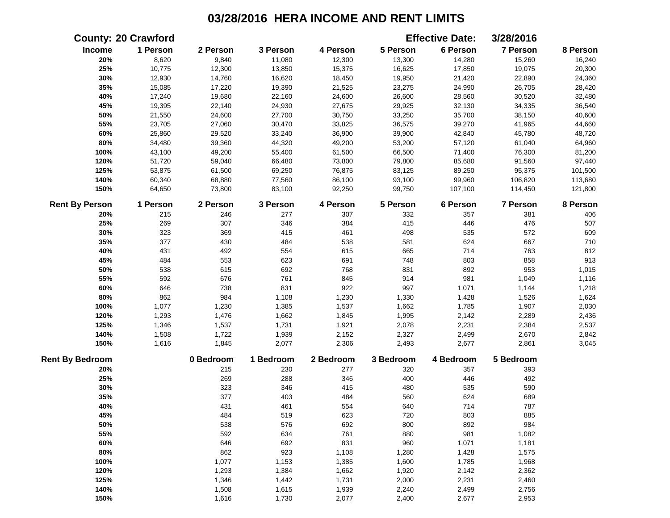|                        | <b>County: 20 Crawford</b> |           |           |           |           | <b>Effective Date:</b> | 3/28/2016       |          |
|------------------------|----------------------------|-----------|-----------|-----------|-----------|------------------------|-----------------|----------|
| Income                 | 1 Person                   | 2 Person  | 3 Person  | 4 Person  | 5 Person  | 6 Person               | 7 Person        | 8 Person |
| 20%                    | 8,620                      | 9,840     | 11,080    | 12,300    | 13,300    | 14,280                 | 15,260          | 16,240   |
| 25%                    | 10,775                     | 12,300    | 13,850    | 15,375    | 16,625    | 17,850                 | 19,075          | 20,300   |
| 30%                    | 12,930                     | 14,760    | 16,620    | 18,450    | 19,950    | 21,420                 | 22,890          | 24,360   |
| 35%                    | 15,085                     | 17,220    | 19,390    | 21,525    | 23,275    | 24,990                 | 26,705          | 28,420   |
| 40%                    | 17,240                     | 19,680    | 22,160    | 24,600    | 26,600    | 28,560                 | 30,520          | 32,480   |
| 45%                    | 19,395                     | 22,140    | 24,930    | 27,675    | 29,925    | 32,130                 | 34,335          | 36,540   |
| 50%                    | 21,550                     | 24,600    | 27,700    | 30,750    | 33,250    | 35,700                 | 38,150          | 40,600   |
| 55%                    | 23,705                     | 27,060    | 30,470    | 33,825    | 36,575    | 39,270                 | 41,965          | 44,660   |
| 60%                    | 25,860                     | 29,520    | 33,240    | 36,900    | 39,900    | 42,840                 | 45,780          | 48,720   |
| 80%                    | 34,480                     | 39,360    | 44,320    | 49,200    | 53,200    | 57,120                 | 61,040          | 64,960   |
| 100%                   | 43,100                     | 49,200    | 55,400    | 61,500    | 66,500    | 71,400                 | 76,300          | 81,200   |
| 120%                   | 51,720                     | 59,040    | 66,480    | 73,800    | 79,800    | 85,680                 | 91,560          | 97,440   |
| 125%                   | 53,875                     | 61,500    | 69,250    | 76,875    | 83,125    | 89,250                 | 95,375          | 101,500  |
| 140%                   | 60,340                     | 68,880    | 77,560    | 86,100    | 93,100    | 99,960                 | 106,820         | 113,680  |
| 150%                   | 64,650                     | 73,800    | 83,100    | 92,250    | 99,750    | 107,100                | 114,450         | 121,800  |
| <b>Rent By Person</b>  | 1 Person                   | 2 Person  | 3 Person  | 4 Person  | 5 Person  | 6 Person               | <b>7 Person</b> | 8 Person |
| 20%                    | 215                        | 246       | 277       | 307       | 332       | 357                    | 381             | 406      |
| 25%                    | 269                        | 307       | 346       | 384       | 415       | 446                    | 476             | 507      |
| 30%                    | 323                        | 369       | 415       | 461       | 498       | 535                    | 572             | 609      |
| 35%                    | 377                        | 430       | 484       | 538       | 581       | 624                    | 667             | 710      |
| 40%                    | 431                        | 492       | 554       | 615       | 665       | 714                    | 763             | 812      |
| 45%                    | 484                        | 553       | 623       | 691       | 748       | 803                    | 858             | 913      |
| 50%                    | 538                        | 615       | 692       | 768       | 831       | 892                    | 953             | 1,015    |
| 55%                    | 592                        | 676       | 761       | 845       | 914       | 981                    | 1,049           | 1,116    |
| 60%                    | 646                        | 738       | 831       | 922       | 997       | 1,071                  | 1,144           | 1,218    |
| 80%                    | 862                        | 984       | 1,108     | 1,230     | 1,330     | 1,428                  | 1,526           | 1,624    |
| 100%                   | 1,077                      | 1,230     | 1,385     | 1,537     | 1,662     | 1,785                  | 1,907           | 2,030    |
| 120%                   | 1,293                      | 1,476     | 1,662     | 1,845     | 1,995     | 2,142                  | 2,289           | 2,436    |
| 125%                   | 1,346                      | 1,537     | 1,731     | 1,921     | 2,078     | 2,231                  | 2,384           | 2,537    |
| 140%                   | 1,508                      | 1,722     | 1,939     | 2,152     | 2,327     | 2,499                  | 2,670           | 2,842    |
| 150%                   | 1,616                      | 1,845     | 2,077     | 2,306     | 2,493     | 2,677                  | 2,861           | 3,045    |
| <b>Rent By Bedroom</b> |                            | 0 Bedroom | 1 Bedroom | 2 Bedroom | 3 Bedroom | 4 Bedroom              | 5 Bedroom       |          |
| 20%                    |                            | 215       | 230       | 277       | 320       | 357                    | 393             |          |
| 25%                    |                            | 269       | 288       | 346       | 400       | 446                    | 492             |          |
| 30%                    |                            | 323       | 346       | 415       | 480       | 535                    | 590             |          |
| 35%                    |                            | 377       | 403       | 484       | 560       | 624                    | 689             |          |
| 40%                    |                            | 431       | 461       | 554       | 640       | 714                    | 787             |          |
| 45%                    |                            | 484       | 519       | 623       | 720       | 803                    | 885             |          |
| 50%                    |                            | 538       | 576       | 692       | 800       | 892                    | 984             |          |
| 55%                    |                            | 592       | 634       | 761       | 880       | 981                    | 1,082           |          |
| 60%                    |                            | 646       | 692       | 831       | 960       | 1,071                  | 1,181           |          |
| 80%                    |                            | 862       | 923       | 1,108     | 1,280     | 1,428                  | 1,575           |          |
| 100%                   |                            | 1,077     | 1,153     | 1,385     | 1,600     | 1,785                  | 1,968           |          |
| 120%                   |                            | 1,293     | 1,384     | 1,662     | 1,920     | 2,142                  | 2,362           |          |
| 125%                   |                            | 1,346     | 1,442     | 1,731     | 2,000     | 2,231                  | 2,460           |          |
| 140%                   |                            | 1,508     | 1,615     | 1,939     | 2,240     | 2,499                  | 2,756           |          |
| 150%                   |                            | 1,616     | 1,730     | 2,077     | 2,400     | 2,677                  | 2,953           |          |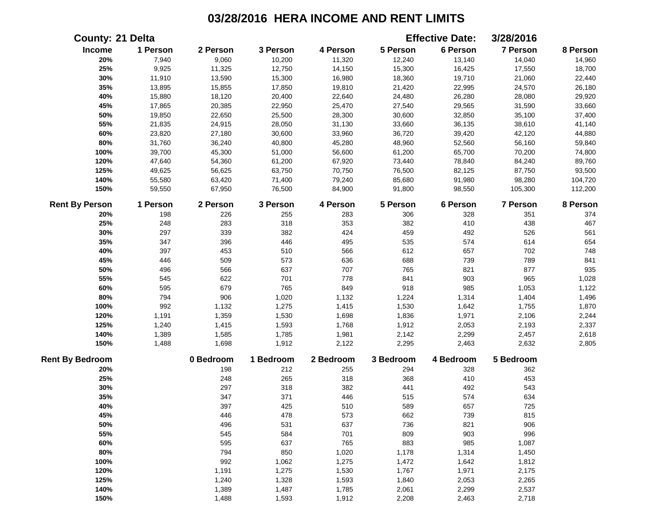|                        | <b>County: 21 Delta</b> |           |           |           |           | <b>Effective Date:</b> | 3/28/2016       |          |
|------------------------|-------------------------|-----------|-----------|-----------|-----------|------------------------|-----------------|----------|
| Income                 | 1 Person                | 2 Person  | 3 Person  | 4 Person  | 5 Person  | 6 Person               | 7 Person        | 8 Person |
| 20%                    | 7,940                   | 9,060     | 10,200    | 11,320    | 12,240    | 13,140                 | 14,040          | 14,960   |
| 25%                    | 9,925                   | 11,325    | 12,750    | 14,150    | 15,300    | 16,425                 | 17,550          | 18,700   |
| 30%                    | 11,910                  | 13,590    | 15,300    | 16,980    | 18,360    | 19,710                 | 21,060          | 22,440   |
| 35%                    | 13,895                  | 15,855    | 17,850    | 19,810    | 21,420    | 22,995                 | 24,570          | 26,180   |
| 40%                    | 15,880                  | 18,120    | 20,400    | 22,640    | 24,480    | 26,280                 | 28,080          | 29,920   |
| 45%                    | 17,865                  | 20,385    | 22,950    | 25,470    | 27,540    | 29,565                 | 31,590          | 33,660   |
| 50%                    | 19,850                  | 22,650    | 25,500    | 28,300    | 30,600    | 32,850                 | 35,100          | 37,400   |
| 55%                    | 21,835                  | 24,915    | 28,050    | 31,130    | 33,660    | 36,135                 | 38,610          | 41,140   |
| 60%                    | 23,820                  | 27,180    | 30,600    | 33,960    | 36,720    | 39,420                 | 42,120          | 44,880   |
| $80\%$                 | 31,760                  | 36,240    | 40,800    | 45,280    | 48,960    | 52,560                 | 56,160          | 59,840   |
| 100%                   | 39,700                  | 45,300    | 51,000    | 56,600    | 61,200    | 65,700                 | 70,200          | 74,800   |
| 120%                   | 47,640                  | 54,360    | 61,200    | 67,920    | 73,440    | 78,840                 | 84,240          | 89,760   |
| 125%                   | 49,625                  | 56,625    | 63,750    | 70,750    | 76,500    | 82,125                 | 87,750          | 93,500   |
| 140%                   | 55,580                  | 63,420    | 71,400    | 79,240    | 85,680    | 91,980                 | 98,280          | 104,720  |
| 150%                   | 59,550                  | 67,950    | 76,500    | 84,900    | 91,800    | 98,550                 | 105,300         | 112,200  |
| <b>Rent By Person</b>  | 1 Person                | 2 Person  | 3 Person  | 4 Person  | 5 Person  | 6 Person               | <b>7 Person</b> | 8 Person |
| 20%                    | 198                     | 226       | 255       | 283       | 306       | 328                    | 351             | 374      |
| 25%                    | 248                     | 283       | 318       | 353       | 382       | 410                    | 438             | 467      |
| 30%                    | 297                     | 339       | 382       | 424       | 459       | 492                    | 526             | 561      |
| 35%                    | 347                     | 396       | 446       | 495       | 535       | 574                    | 614             | 654      |
| 40%                    | 397                     | 453       | 510       | 566       | 612       | 657                    | 702             | 748      |
| 45%                    | 446                     | 509       | 573       | 636       | 688       | 739                    | 789             | 841      |
| 50%                    | 496                     | 566       | 637       | 707       | 765       | 821                    | 877             | 935      |
| 55%                    | 545                     | 622       | 701       | 778       | 841       | 903                    | 965             | 1,028    |
| 60%                    | 595                     | 679       | 765       | 849       | 918       | 985                    | 1,053           | 1,122    |
| 80%                    | 794                     | 906       | 1,020     | 1,132     | 1,224     | 1,314                  | 1,404           | 1,496    |
| 100%                   | 992                     | 1,132     | 1,275     | 1,415     | 1,530     | 1,642                  | 1,755           | 1,870    |
| 120%                   | 1,191                   | 1,359     | 1,530     | 1,698     | 1,836     | 1,971                  | 2,106           | 2,244    |
| 125%                   | 1,240                   | 1,415     | 1,593     | 1,768     | 1,912     | 2,053                  | 2,193           | 2,337    |
| 140%                   | 1,389                   | 1,585     | 1,785     | 1,981     | 2,142     | 2,299                  | 2,457           | 2,618    |
| 150%                   | 1,488                   | 1,698     | 1,912     | 2,122     | 2,295     | 2,463                  | 2,632           | 2,805    |
| <b>Rent By Bedroom</b> |                         | 0 Bedroom | 1 Bedroom | 2 Bedroom | 3 Bedroom | 4 Bedroom              | 5 Bedroom       |          |
| 20%                    |                         | 198       | 212       | 255       | 294       | 328                    | 362             |          |
| 25%                    |                         | 248       | 265       | 318       | 368       | 410                    | 453             |          |
| 30%                    |                         | 297       | 318       | 382       | 441       | 492                    | 543             |          |
| 35%                    |                         | 347       | 371       | 446       | 515       | 574                    | 634             |          |
| 40%                    |                         | 397       | 425       | 510       | 589       | 657                    | 725             |          |
| 45%                    |                         | 446       | 478       | 573       | 662       | 739                    | 815             |          |
| 50%                    |                         | 496       | 531       | 637       | 736       | 821                    | 906             |          |
| 55%                    |                         | 545       | 584       | 701       | 809       | 903                    | 996             |          |
| 60%                    |                         | 595       | 637       | 765       | 883       | 985                    | 1,087           |          |
| 80%                    |                         | 794       | 850       | 1,020     | 1,178     | 1,314                  | 1,450           |          |
| 100%                   |                         | 992       | 1,062     | 1,275     | 1,472     | 1,642                  | 1,812           |          |
| 120%                   |                         | 1,191     | 1,275     | 1,530     | 1,767     | 1,971                  | 2,175           |          |
| 125%                   |                         | 1,240     | 1,328     | 1,593     | 1,840     | 2,053                  | 2,265           |          |
| 140%                   |                         | 1,389     | 1,487     | 1,785     | 2,061     | 2,299                  | 2,537           |          |
| 150%                   |                         | 1,488     | 1,593     | 1,912     | 2,208     | 2,463                  | 2,718           |          |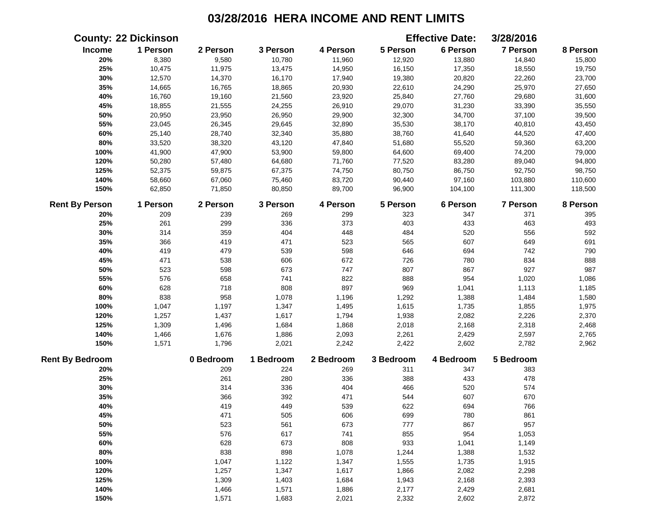|                        | <b>County: 22 Dickinson</b> |           |           |           |           | <b>Effective Date:</b> | 3/28/2016 |          |
|------------------------|-----------------------------|-----------|-----------|-----------|-----------|------------------------|-----------|----------|
| Income                 | 1 Person                    | 2 Person  | 3 Person  | 4 Person  | 5 Person  | 6 Person               | 7 Person  | 8 Person |
| 20%                    | 8,380                       | 9,580     | 10,780    | 11,960    | 12,920    | 13,880                 | 14,840    | 15,800   |
| 25%                    | 10,475                      | 11,975    | 13,475    | 14,950    | 16,150    | 17,350                 | 18,550    | 19,750   |
| 30%                    | 12,570                      | 14,370    | 16,170    | 17,940    | 19,380    | 20,820                 | 22,260    | 23,700   |
| 35%                    | 14,665                      | 16,765    | 18,865    | 20,930    | 22,610    | 24,290                 | 25,970    | 27,650   |
| 40%                    | 16,760                      | 19,160    | 21,560    | 23,920    | 25,840    | 27,760                 | 29,680    | 31,600   |
| 45%                    | 18,855                      | 21,555    | 24,255    | 26,910    | 29,070    | 31,230                 | 33,390    | 35,550   |
| 50%                    | 20,950                      | 23,950    | 26,950    | 29,900    | 32,300    | 34,700                 | 37,100    | 39,500   |
| 55%                    | 23,045                      | 26,345    | 29,645    | 32,890    | 35,530    | 38,170                 | 40,810    | 43,450   |
| 60%                    | 25,140                      | 28,740    | 32,340    | 35,880    | 38,760    | 41,640                 | 44,520    | 47,400   |
| 80%                    | 33,520                      | 38,320    | 43,120    | 47,840    | 51,680    | 55,520                 | 59,360    | 63,200   |
| 100%                   | 41,900                      | 47,900    | 53,900    | 59,800    | 64,600    | 69,400                 | 74,200    | 79,000   |
| 120%                   | 50,280                      | 57,480    | 64,680    | 71,760    | 77,520    | 83,280                 | 89,040    | 94,800   |
| 125%                   | 52,375                      | 59,875    | 67,375    | 74,750    | 80,750    | 86,750                 | 92,750    | 98,750   |
| 140%                   | 58,660                      | 67,060    | 75,460    | 83,720    | 90,440    | 97,160                 | 103,880   | 110,600  |
| 150%                   | 62,850                      | 71,850    | 80,850    | 89,700    | 96,900    | 104,100                | 111,300   | 118,500  |
| <b>Rent By Person</b>  | 1 Person                    | 2 Person  | 3 Person  | 4 Person  | 5 Person  | 6 Person               | 7 Person  | 8 Person |
| 20%                    | 209                         | 239       | 269       | 299       | 323       | 347                    | 371       | 395      |
| 25%                    | 261                         | 299       | 336       | 373       | 403       | 433                    | 463       | 493      |
| 30%                    | 314                         | 359       | 404       | 448       | 484       | 520                    | 556       | 592      |
| 35%                    | 366                         | 419       | 471       | 523       | 565       | 607                    | 649       | 691      |
| 40%                    | 419                         | 479       | 539       | 598       | 646       | 694                    | 742       | 790      |
| 45%                    | 471                         | 538       | 606       | 672       | 726       | 780                    | 834       | 888      |
| 50%                    | 523                         | 598       | 673       | 747       | 807       | 867                    | 927       | 987      |
| 55%                    | 576                         | 658       | 741       | 822       | 888       | 954                    | 1,020     | 1,086    |
| 60%                    | 628                         | 718       | 808       | 897       | 969       | 1,041                  | 1,113     | 1,185    |
| 80%                    | 838                         | 958       | 1,078     | 1,196     | 1,292     | 1,388                  | 1,484     | 1,580    |
| 100%                   | 1,047                       | 1,197     | 1,347     | 1,495     | 1,615     | 1,735                  | 1,855     | 1,975    |
| 120%                   | 1,257                       | 1,437     | 1,617     | 1,794     | 1,938     | 2,082                  | 2,226     | 2,370    |
| 125%                   | 1,309                       | 1,496     | 1,684     | 1,868     | 2,018     | 2,168                  | 2,318     | 2,468    |
| 140%                   | 1,466                       | 1,676     | 1,886     | 2,093     | 2,261     | 2,429                  | 2,597     | 2,765    |
| 150%                   | 1,571                       | 1,796     | 2,021     | 2,242     | 2,422     | 2,602                  | 2,782     | 2,962    |
| <b>Rent By Bedroom</b> |                             | 0 Bedroom | 1 Bedroom | 2 Bedroom | 3 Bedroom | 4 Bedroom              | 5 Bedroom |          |
| 20%                    |                             | 209       | 224       | 269       | 311       | 347                    | 383       |          |
| 25%                    |                             | 261       | 280       | 336       | 388       | 433                    | 478       |          |
| 30%                    |                             | 314       | 336       | 404       | 466       | 520                    | 574       |          |
| 35%                    |                             | 366       | 392       | 471       | 544       | 607                    | 670       |          |
| 40%                    |                             | 419       | 449       | 539       | 622       | 694                    | 766       |          |
| 45%                    |                             | 471       | 505       | 606       | 699       | 780                    | 861       |          |
| 50%                    |                             | 523       | 561       | 673       | 777       | 867                    | 957       |          |
| 55%                    |                             | 576       | 617       | 741       | 855       | 954                    | 1,053     |          |
| 60%                    |                             | 628       | 673       | 808       | 933       | 1,041                  | 1,149     |          |
| 80%                    |                             | 838       | 898       | 1,078     | 1,244     | 1,388                  | 1,532     |          |
| 100%                   |                             | 1,047     | 1,122     | 1,347     | 1,555     | 1,735                  | 1,915     |          |
| 120%                   |                             | 1,257     | 1,347     | 1,617     | 1,866     | 2,082                  | 2,298     |          |
| 125%                   |                             | 1,309     | 1,403     | 1,684     | 1,943     | 2,168                  | 2,393     |          |
| 140%                   |                             | 1,466     | 1,571     | 1,886     | 2,177     | 2,429                  | 2,681     |          |
| 150%                   |                             | 1,571     | 1,683     | 2,021     | 2,332     | 2,602                  | 2,872     |          |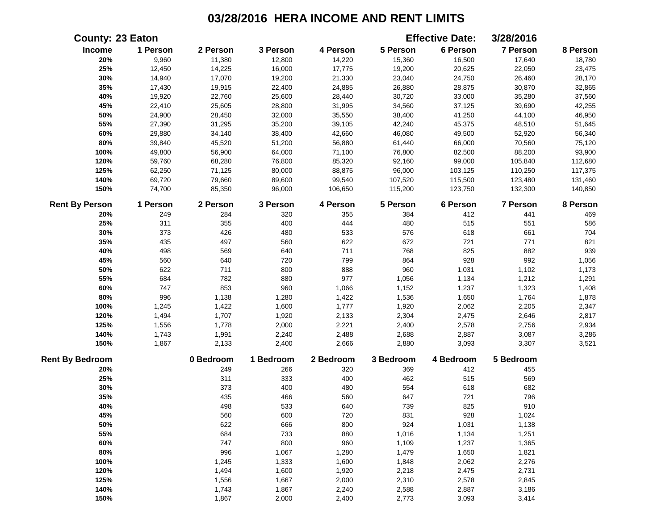|                        | <b>County: 23 Eaton</b> |           |           |           |           | <b>Effective Date:</b> | 3/28/2016       |          |
|------------------------|-------------------------|-----------|-----------|-----------|-----------|------------------------|-----------------|----------|
| Income                 | 1 Person                | 2 Person  | 3 Person  | 4 Person  | 5 Person  | 6 Person               | 7 Person        | 8 Person |
| 20%                    | 9,960                   | 11,380    | 12,800    | 14,220    | 15,360    | 16,500                 | 17,640          | 18,780   |
| 25%                    | 12,450                  | 14,225    | 16,000    | 17,775    | 19,200    | 20,625                 | 22,050          | 23,475   |
| 30%                    | 14,940                  | 17,070    | 19,200    | 21,330    | 23,040    | 24,750                 | 26,460          | 28,170   |
| 35%                    | 17,430                  | 19,915    | 22,400    | 24,885    | 26,880    | 28,875                 | 30,870          | 32,865   |
| 40%                    | 19,920                  | 22,760    | 25,600    | 28,440    | 30,720    | 33,000                 | 35,280          | 37,560   |
| 45%                    | 22,410                  | 25,605    | 28,800    | 31,995    | 34,560    | 37,125                 | 39,690          | 42,255   |
| 50%                    | 24,900                  | 28,450    | 32,000    | 35,550    | 38,400    | 41,250                 | 44,100          | 46,950   |
| 55%                    | 27,390                  | 31,295    | 35,200    | 39,105    | 42,240    | 45,375                 | 48,510          | 51,645   |
| 60%                    | 29,880                  | 34,140    | 38,400    | 42,660    | 46,080    | 49,500                 | 52,920          | 56,340   |
| $80\%$                 | 39,840                  | 45,520    | 51,200    | 56,880    | 61,440    | 66,000                 | 70,560          | 75,120   |
| 100%                   | 49,800                  | 56,900    | 64,000    | 71,100    | 76,800    | 82,500                 | 88,200          | 93,900   |
| 120%                   | 59,760                  | 68,280    | 76,800    | 85,320    | 92,160    | 99,000                 | 105,840         | 112,680  |
| 125%                   | 62,250                  | 71,125    | 80,000    | 88,875    | 96,000    | 103,125                | 110,250         | 117,375  |
| 140%                   | 69,720                  | 79,660    | 89,600    | 99,540    | 107,520   | 115,500                | 123,480         | 131,460  |
| 150%                   | 74,700                  | 85,350    | 96,000    | 106,650   | 115,200   | 123,750                | 132,300         | 140,850  |
| <b>Rent By Person</b>  | 1 Person                | 2 Person  | 3 Person  | 4 Person  | 5 Person  | 6 Person               | <b>7 Person</b> | 8 Person |
| 20%                    | 249                     | 284       | 320       | 355       | 384       | 412                    | 441             | 469      |
| 25%                    | 311                     | 355       | 400       | 444       | 480       | 515                    | 551             | 586      |
| 30%                    | 373                     | 426       | 480       | 533       | 576       | 618                    | 661             | 704      |
| 35%                    | 435                     | 497       | 560       | 622       | 672       | 721                    | 771             | 821      |
| 40%                    | 498                     | 569       | 640       | 711       | 768       | 825                    | 882             | 939      |
| 45%                    | 560                     | 640       | 720       | 799       | 864       | 928                    | 992             | 1,056    |
| 50%                    | 622                     | 711       | 800       | 888       | 960       | 1,031                  | 1,102           | 1,173    |
| 55%                    | 684                     | 782       | 880       | 977       | 1,056     | 1,134                  | 1,212           | 1,291    |
| 60%                    | 747                     | 853       | 960       | 1,066     | 1,152     | 1,237                  | 1,323           | 1,408    |
| 80%                    | 996                     | 1,138     | 1,280     | 1,422     | 1,536     | 1,650                  | 1,764           | 1,878    |
| 100%                   | 1,245                   | 1,422     | 1,600     | 1,777     | 1,920     | 2,062                  | 2,205           | 2,347    |
| 120%                   | 1,494                   | 1,707     | 1,920     | 2,133     | 2,304     | 2,475                  | 2,646           | 2,817    |
| 125%                   | 1,556                   | 1,778     | 2,000     | 2,221     | 2,400     | 2,578                  | 2,756           | 2,934    |
| 140%                   | 1,743                   | 1,991     | 2,240     | 2,488     | 2,688     | 2,887                  | 3,087           | 3,286    |
| 150%                   | 1,867                   | 2,133     | 2,400     | 2,666     | 2,880     | 3,093                  | 3,307           | 3,521    |
| <b>Rent By Bedroom</b> |                         | 0 Bedroom | 1 Bedroom | 2 Bedroom | 3 Bedroom | 4 Bedroom              | 5 Bedroom       |          |
| 20%                    |                         | 249       | 266       | 320       | 369       | 412                    | 455             |          |
| 25%                    |                         | 311       | 333       | 400       | 462       | 515                    | 569             |          |
| 30%                    |                         | 373       | 400       | 480       | 554       | 618                    | 682             |          |
| 35%                    |                         | 435       | 466       | 560       | 647       | 721                    | 796             |          |
| 40%                    |                         | 498       | 533       | 640       | 739       | 825                    | 910             |          |
| 45%                    |                         | 560       | 600       | 720       | 831       | 928                    | 1,024           |          |
| 50%                    |                         | 622       | 666       | 800       | 924       | 1,031                  | 1,138           |          |
| 55%                    |                         | 684       | 733       | 880       | 1,016     | 1,134                  | 1,251           |          |
| 60%                    |                         | 747       | 800       | 960       | 1,109     | 1,237                  | 1,365           |          |
| 80%                    |                         | 996       | 1,067     | 1,280     | 1,479     | 1,650                  | 1,821           |          |
| 100%                   |                         | 1,245     | 1,333     | 1,600     | 1,848     | 2,062                  | 2,276           |          |
| 120%                   |                         | 1,494     | 1,600     | 1,920     | 2,218     | 2,475                  | 2,731           |          |
| 125%                   |                         | 1,556     | 1,667     | 2,000     | 2,310     | 2,578                  | 2,845           |          |
| 140%                   |                         | 1,743     | 1,867     | 2,240     | 2,588     | 2,887                  | 3,186           |          |
| 150%                   |                         | 1,867     | 2,000     | 2,400     | 2,773     | 3,093                  | 3,414           |          |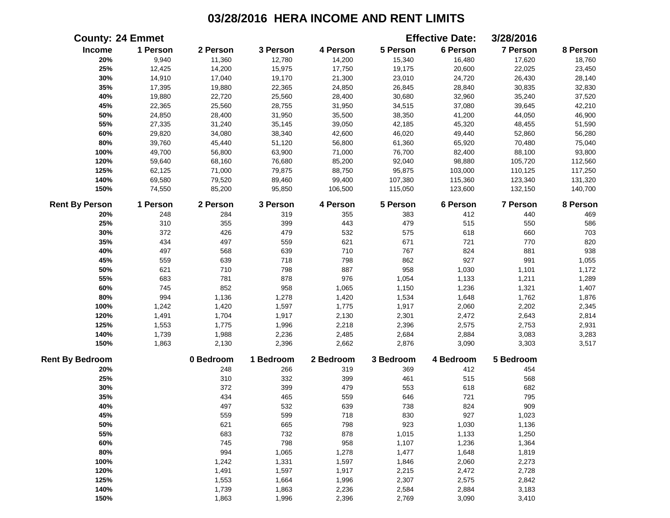|                        | <b>County: 24 Emmet</b> |           |           |           |           | <b>Effective Date:</b> | 3/28/2016       |          |
|------------------------|-------------------------|-----------|-----------|-----------|-----------|------------------------|-----------------|----------|
| Income                 | 1 Person                | 2 Person  | 3 Person  | 4 Person  | 5 Person  | 6 Person               | 7 Person        | 8 Person |
| 20%                    | 9,940                   | 11,360    | 12,780    | 14,200    | 15,340    | 16,480                 | 17,620          | 18,760   |
| 25%                    | 12,425                  | 14,200    | 15,975    | 17,750    | 19,175    | 20,600                 | 22,025          | 23,450   |
| 30%                    | 14,910                  | 17,040    | 19,170    | 21,300    | 23,010    | 24,720                 | 26,430          | 28,140   |
| 35%                    | 17,395                  | 19,880    | 22,365    | 24,850    | 26,845    | 28,840                 | 30,835          | 32,830   |
| 40%                    | 19,880                  | 22,720    | 25,560    | 28,400    | 30,680    | 32,960                 | 35,240          | 37,520   |
| 45%                    | 22,365                  | 25,560    | 28,755    | 31,950    | 34,515    | 37,080                 | 39,645          | 42,210   |
| 50%                    | 24,850                  | 28,400    | 31,950    | 35,500    | 38,350    | 41,200                 | 44,050          | 46,900   |
| 55%                    | 27,335                  | 31,240    | 35,145    | 39,050    | 42,185    | 45,320                 | 48,455          | 51,590   |
| 60%                    | 29,820                  | 34,080    | 38,340    | 42,600    | 46,020    | 49,440                 | 52,860          | 56,280   |
| $80\%$                 | 39,760                  | 45,440    | 51,120    | 56,800    | 61,360    | 65,920                 | 70,480          | 75,040   |
| 100%                   | 49,700                  | 56,800    | 63,900    | 71,000    | 76,700    | 82,400                 | 88,100          | 93,800   |
| 120%                   | 59,640                  | 68,160    | 76,680    | 85,200    | 92,040    | 98,880                 | 105,720         | 112,560  |
| 125%                   | 62,125                  | 71,000    | 79,875    | 88,750    | 95,875    | 103,000                | 110,125         | 117,250  |
| 140%                   | 69,580                  | 79,520    | 89,460    | 99,400    | 107,380   | 115,360                | 123,340         | 131,320  |
| 150%                   | 74,550                  | 85,200    | 95,850    | 106,500   | 115,050   | 123,600                | 132,150         | 140,700  |
| <b>Rent By Person</b>  | 1 Person                | 2 Person  | 3 Person  | 4 Person  | 5 Person  | 6 Person               | <b>7 Person</b> | 8 Person |
| 20%                    | 248                     | 284       | 319       | 355       | 383       | 412                    | 440             | 469      |
| 25%                    | 310                     | 355       | 399       | 443       | 479       | 515                    | 550             | 586      |
| 30%                    | 372                     | 426       | 479       | 532       | 575       | 618                    | 660             | 703      |
| 35%                    | 434                     | 497       | 559       | 621       | 671       | 721                    | 770             | 820      |
| 40%                    | 497                     | 568       | 639       | 710       | 767       | 824                    | 881             | 938      |
| 45%                    | 559                     | 639       | 718       | 798       | 862       | 927                    | 991             | 1,055    |
| 50%                    | 621                     | 710       | 798       | 887       | 958       | 1,030                  | 1,101           | 1,172    |
| 55%                    | 683                     | 781       | 878       | 976       | 1,054     | 1,133                  | 1,211           | 1,289    |
| 60%                    | 745                     | 852       | 958       | 1,065     | 1,150     | 1,236                  | 1,321           | 1,407    |
| 80%                    | 994                     | 1,136     | 1,278     | 1,420     | 1,534     | 1,648                  | 1,762           | 1,876    |
| 100%                   | 1,242                   | 1,420     | 1,597     | 1,775     | 1,917     | 2,060                  | 2,202           | 2,345    |
| 120%                   | 1,491                   | 1,704     | 1,917     | 2,130     | 2,301     | 2,472                  | 2,643           | 2,814    |
| 125%                   | 1,553                   | 1,775     | 1,996     | 2,218     | 2,396     | 2,575                  | 2,753           | 2,931    |
| 140%                   | 1,739                   | 1,988     | 2,236     | 2,485     | 2,684     | 2,884                  | 3,083           | 3,283    |
| 150%                   | 1,863                   | 2,130     | 2,396     | 2,662     | 2,876     | 3,090                  | 3,303           | 3,517    |
| <b>Rent By Bedroom</b> |                         | 0 Bedroom | 1 Bedroom | 2 Bedroom | 3 Bedroom | 4 Bedroom              | 5 Bedroom       |          |
| 20%                    |                         | 248       | 266       | 319       | 369       | 412                    | 454             |          |
| 25%                    |                         | 310       | 332       | 399       | 461       | 515                    | 568             |          |
| 30%                    |                         | 372       | 399       | 479       | 553       | 618                    | 682             |          |
| 35%                    |                         | 434       | 465       | 559       | 646       | 721                    | 795             |          |
| 40%                    |                         | 497       | 532       | 639       | 738       | 824                    | 909             |          |
| 45%                    |                         | 559       | 599       | 718       | 830       | 927                    | 1,023           |          |
| 50%                    |                         | 621       | 665       | 798       | 923       | 1,030                  | 1,136           |          |
| 55%                    |                         | 683       | 732       | 878       | 1,015     | 1,133                  | 1,250           |          |
| 60%                    |                         | 745       | 798       | 958       | 1,107     | 1,236                  | 1,364           |          |
| 80%                    |                         | 994       | 1,065     | 1,278     | 1,477     | 1,648                  | 1,819           |          |
| 100%                   |                         | 1,242     | 1,331     | 1,597     | 1,846     | 2,060                  | 2,273           |          |
| 120%                   |                         | 1,491     | 1,597     | 1,917     | 2,215     | 2,472                  | 2,728           |          |
| 125%                   |                         | 1,553     | 1,664     | 1,996     | 2,307     | 2,575                  | 2,842           |          |
| 140%                   |                         | 1,739     | 1,863     | 2,236     | 2,584     | 2,884                  | 3,183           |          |
| 150%                   |                         | 1,863     | 1,996     | 2,396     | 2,769     | 3,090                  | 3,410           |          |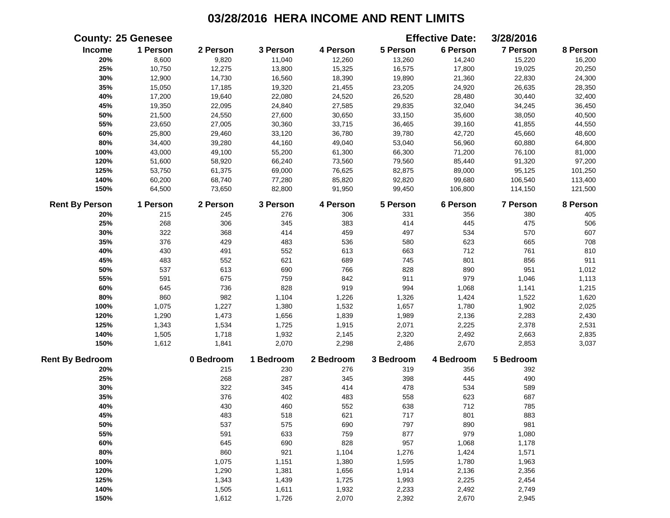|                        | <b>County: 25 Genesee</b> |           |           |           |           | <b>Effective Date:</b> | 3/28/2016 |          |
|------------------------|---------------------------|-----------|-----------|-----------|-----------|------------------------|-----------|----------|
| <b>Income</b>          | 1 Person                  | 2 Person  | 3 Person  | 4 Person  | 5 Person  | 6 Person               | 7 Person  | 8 Person |
| 20%                    | 8,600                     | 9,820     | 11,040    | 12,260    | 13,260    | 14,240                 | 15,220    | 16,200   |
| 25%                    | 10,750                    | 12,275    | 13,800    | 15,325    | 16,575    | 17,800                 | 19,025    | 20,250   |
| 30%                    | 12,900                    | 14,730    | 16,560    | 18,390    | 19,890    | 21,360                 | 22,830    | 24,300   |
| 35%                    | 15,050                    | 17,185    | 19,320    | 21,455    | 23,205    | 24,920                 | 26,635    | 28,350   |
| 40%                    | 17,200                    | 19,640    | 22,080    | 24,520    | 26,520    | 28,480                 | 30,440    | 32,400   |
| 45%                    | 19,350                    | 22,095    | 24,840    | 27,585    | 29,835    | 32,040                 | 34,245    | 36,450   |
| 50%                    | 21,500                    | 24,550    | 27,600    | 30,650    | 33,150    | 35,600                 | 38,050    | 40,500   |
| 55%                    | 23,650                    | 27,005    | 30,360    | 33,715    | 36,465    | 39,160                 | 41,855    | 44,550   |
| 60%                    | 25,800                    | 29,460    | 33,120    | 36,780    | 39,780    | 42,720                 | 45,660    | 48,600   |
| 80%                    | 34,400                    | 39,280    | 44,160    | 49,040    | 53,040    | 56,960                 | 60,880    | 64,800   |
| 100%                   | 43,000                    | 49,100    | 55,200    | 61,300    | 66,300    | 71,200                 | 76,100    | 81,000   |
| 120%                   | 51,600                    | 58,920    | 66,240    | 73,560    | 79,560    | 85,440                 | 91,320    | 97,200   |
| 125%                   | 53,750                    | 61,375    | 69,000    | 76,625    | 82,875    | 89,000                 | 95,125    | 101,250  |
| 140%                   | 60,200                    | 68,740    | 77,280    | 85,820    | 92,820    | 99,680                 | 106,540   | 113,400  |
| 150%                   | 64,500                    | 73,650    | 82,800    | 91,950    | 99,450    | 106,800                | 114,150   | 121,500  |
| <b>Rent By Person</b>  | 1 Person                  | 2 Person  | 3 Person  | 4 Person  | 5 Person  | 6 Person               | 7 Person  | 8 Person |
| 20%                    | 215                       | 245       | 276       | 306       | 331       | 356                    | 380       | 405      |
| 25%                    | 268                       | 306       | 345       | 383       | 414       | 445                    | 475       | 506      |
| 30%                    | 322                       | 368       | 414       | 459       | 497       | 534                    | 570       | 607      |
| 35%                    | 376                       | 429       | 483       | 536       | 580       | 623                    | 665       | 708      |
| 40%                    | 430                       | 491       | 552       | 613       | 663       | 712                    | 761       | 810      |
| 45%                    | 483                       | 552       | 621       | 689       | 745       | 801                    | 856       | 911      |
| 50%                    | 537                       | 613       | 690       | 766       | 828       | 890                    | 951       | 1,012    |
| 55%                    | 591                       | 675       | 759       | 842       | 911       | 979                    | 1,046     | 1,113    |
| 60%                    | 645                       | 736       | 828       | 919       | 994       | 1,068                  | 1,141     | 1,215    |
| 80%                    | 860                       | 982       | 1,104     | 1,226     | 1,326     | 1,424                  | 1,522     | 1,620    |
| 100%                   | 1,075                     | 1,227     | 1,380     | 1,532     | 1,657     | 1,780                  | 1,902     | 2,025    |
| 120%                   | 1,290                     | 1,473     | 1,656     | 1,839     | 1,989     | 2,136                  | 2,283     | 2,430    |
| 125%                   | 1,343                     | 1,534     | 1,725     | 1,915     | 2,071     | 2,225                  | 2,378     | 2,531    |
| 140%                   | 1,505                     | 1,718     | 1,932     | 2,145     | 2,320     | 2,492                  | 2,663     | 2,835    |
| 150%                   | 1,612                     | 1,841     | 2,070     | 2,298     | 2,486     | 2,670                  | 2,853     | 3,037    |
| <b>Rent By Bedroom</b> |                           | 0 Bedroom | 1 Bedroom | 2 Bedroom | 3 Bedroom | 4 Bedroom              | 5 Bedroom |          |
| 20%                    |                           | 215       | 230       | 276       | 319       | 356                    | 392       |          |
| 25%                    |                           | 268       | 287       | 345       | 398       | 445                    | 490       |          |
| 30%                    |                           | 322       | 345       | 414       | 478       | 534                    | 589       |          |
| 35%                    |                           | 376       | 402       | 483       | 558       | 623                    | 687       |          |
| 40%                    |                           | 430       | 460       | 552       | 638       | 712                    | 785       |          |
| 45%                    |                           | 483       | 518       | 621       | 717       | 801                    | 883       |          |
| 50%                    |                           | 537       | 575       | 690       | 797       | 890                    | 981       |          |
| 55%                    |                           | 591       | 633       | 759       | 877       | 979                    | 1,080     |          |
| 60%                    |                           | 645       | 690       | 828       | 957       | 1,068                  | 1,178     |          |
| 80%                    |                           | 860       | 921       | 1,104     | 1,276     | 1,424                  | 1,571     |          |
| 100%                   |                           | 1,075     | 1,151     | 1,380     | 1,595     | 1,780                  | 1,963     |          |
| 120%                   |                           | 1,290     | 1,381     | 1,656     | 1,914     | 2,136                  | 2,356     |          |
| 125%                   |                           | 1,343     | 1,439     | 1,725     | 1,993     | 2,225                  | 2,454     |          |
| 140%                   |                           | 1,505     | 1,611     | 1,932     | 2,233     | 2,492                  | 2,749     |          |
| 150%                   |                           | 1,612     | 1,726     | 2,070     | 2,392     | 2,670                  | 2,945     |          |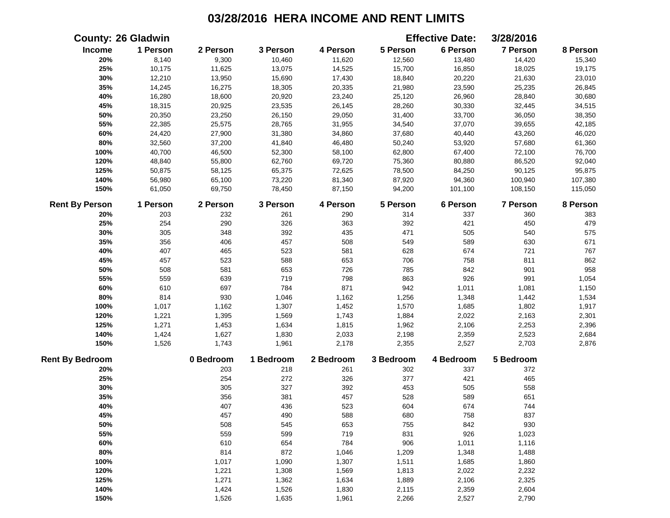|                        | <b>County: 26 Gladwin</b> |           |           |           |           | <b>Effective Date:</b> | 3/28/2016 |          |
|------------------------|---------------------------|-----------|-----------|-----------|-----------|------------------------|-----------|----------|
| Income                 | 1 Person                  | 2 Person  | 3 Person  | 4 Person  | 5 Person  | 6 Person               | 7 Person  | 8 Person |
| 20%                    | 8,140                     | 9,300     | 10,460    | 11,620    | 12,560    | 13,480                 | 14,420    | 15,340   |
| 25%                    | 10,175                    | 11,625    | 13,075    | 14,525    | 15,700    | 16,850                 | 18,025    | 19,175   |
| 30%                    | 12,210                    | 13,950    | 15,690    | 17,430    | 18,840    | 20,220                 | 21,630    | 23,010   |
| 35%                    | 14,245                    | 16,275    | 18,305    | 20,335    | 21,980    | 23,590                 | 25,235    | 26,845   |
| 40%                    | 16,280                    | 18,600    | 20,920    | 23,240    | 25,120    | 26,960                 | 28,840    | 30,680   |
| 45%                    | 18,315                    | 20,925    | 23,535    | 26,145    | 28,260    | 30,330                 | 32,445    | 34,515   |
| 50%                    | 20,350                    | 23,250    | 26,150    | 29,050    | 31,400    | 33,700                 | 36,050    | 38,350   |
| 55%                    | 22,385                    | 25,575    | 28,765    | 31,955    | 34,540    | 37,070                 | 39,655    | 42,185   |
| 60%                    | 24,420                    | 27,900    | 31,380    | 34,860    | 37,680    | 40,440                 | 43,260    | 46,020   |
| 80%                    | 32,560                    | 37,200    | 41,840    | 46,480    | 50,240    | 53,920                 | 57,680    | 61,360   |
| 100%                   | 40,700                    | 46,500    | 52,300    | 58,100    | 62,800    | 67,400                 | 72,100    | 76,700   |
| 120%                   | 48,840                    | 55,800    | 62,760    | 69,720    | 75,360    | 80,880                 | 86,520    | 92,040   |
| 125%                   | 50,875                    | 58,125    | 65,375    | 72,625    | 78,500    | 84,250                 | 90,125    | 95,875   |
| 140%                   | 56,980                    | 65,100    | 73,220    | 81,340    | 87,920    | 94,360                 | 100,940   | 107,380  |
| 150%                   | 61,050                    | 69,750    | 78,450    | 87,150    | 94,200    | 101,100                | 108,150   | 115,050  |
| <b>Rent By Person</b>  | 1 Person                  | 2 Person  | 3 Person  | 4 Person  | 5 Person  | 6 Person               | 7 Person  | 8 Person |
| 20%                    | 203                       | 232       | 261       | 290       | 314       | 337                    | 360       | 383      |
| 25%                    | 254                       | 290       | 326       | 363       | 392       | 421                    | 450       | 479      |
| 30%                    | 305                       | 348       | 392       | 435       | 471       | 505                    | 540       | 575      |
| 35%                    | 356                       | 406       | 457       | 508       | 549       | 589                    | 630       | 671      |
| 40%                    | 407                       | 465       | 523       | 581       | 628       | 674                    | 721       | 767      |
| 45%                    | 457                       | 523       | 588       | 653       | 706       | 758                    | 811       | 862      |
| 50%                    | 508                       | 581       | 653       | 726       | 785       | 842                    | 901       | 958      |
| 55%                    | 559                       | 639       | 719       | 798       | 863       | 926                    | 991       | 1,054    |
| 60%                    | 610                       | 697       | 784       | 871       | 942       | 1,011                  | 1,081     | 1,150    |
| 80%                    | 814                       | 930       | 1,046     | 1,162     | 1,256     | 1,348                  | 1,442     | 1,534    |
| 100%                   | 1,017                     | 1,162     | 1,307     | 1,452     | 1,570     | 1,685                  | 1,802     | 1,917    |
| 120%                   | 1,221                     | 1,395     | 1,569     | 1,743     | 1,884     | 2,022                  | 2,163     | 2,301    |
| 125%                   | 1,271                     | 1,453     | 1,634     | 1,815     | 1,962     | 2,106                  | 2,253     | 2,396    |
| 140%                   | 1,424                     | 1,627     | 1,830     | 2,033     | 2,198     | 2,359                  | 2,523     | 2,684    |
| 150%                   | 1,526                     | 1,743     | 1,961     | 2,178     | 2,355     | 2,527                  | 2,703     | 2,876    |
| <b>Rent By Bedroom</b> |                           | 0 Bedroom | 1 Bedroom | 2 Bedroom | 3 Bedroom | 4 Bedroom              | 5 Bedroom |          |
| 20%                    |                           | 203       | 218       | 261       | 302       | 337                    | 372       |          |
| 25%                    |                           | 254       | 272       | 326       | 377       | 421                    | 465       |          |
| 30%                    |                           | 305       | 327       | 392       | 453       | 505                    | 558       |          |
| 35%                    |                           | 356       | 381       | 457       | 528       | 589                    | 651       |          |
| 40%                    |                           | 407       | 436       | 523       | 604       | 674                    | 744       |          |
| 45%                    |                           | 457       | 490       | 588       | 680       | 758                    | 837       |          |
| 50%                    |                           | 508       | 545       | 653       | 755       | 842                    | 930       |          |
| 55%                    |                           | 559       | 599       | 719       | 831       | 926                    | 1,023     |          |
| 60%                    |                           | 610       | 654       | 784       | 906       | 1,011                  | 1,116     |          |
| 80%                    |                           | 814       | 872       | 1,046     | 1,209     | 1,348                  | 1,488     |          |
| 100%                   |                           | 1,017     | 1,090     | 1,307     | 1,511     | 1,685                  | 1,860     |          |
| 120%                   |                           | 1,221     | 1,308     | 1,569     | 1,813     | 2,022                  | 2,232     |          |
| 125%                   |                           | 1,271     | 1,362     | 1,634     | 1,889     | 2,106                  | 2,325     |          |
| 140%                   |                           | 1,424     | 1,526     | 1,830     | 2,115     | 2,359                  | 2,604     |          |
| 150%                   |                           | 1,526     | 1,635     | 1,961     | 2,266     | 2,527                  | 2,790     |          |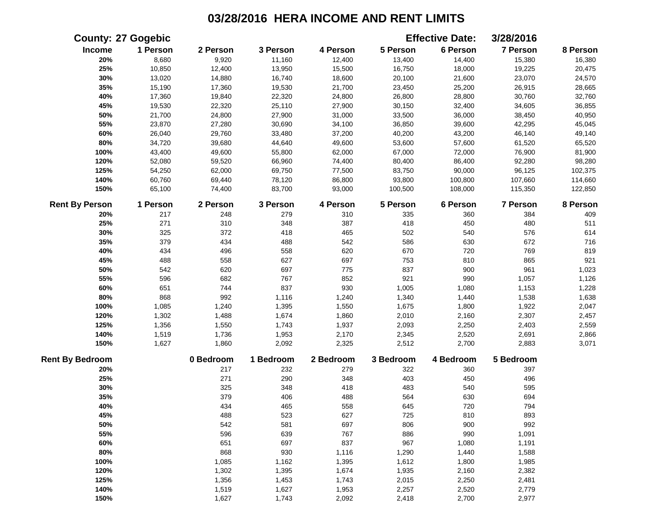|                        | <b>County: 27 Gogebic</b> |           |           |           |           | <b>Effective Date:</b> | 3/28/2016 |          |
|------------------------|---------------------------|-----------|-----------|-----------|-----------|------------------------|-----------|----------|
| Income                 | 1 Person                  | 2 Person  | 3 Person  | 4 Person  | 5 Person  | 6 Person               | 7 Person  | 8 Person |
| 20%                    | 8,680                     | 9,920     | 11,160    | 12,400    | 13,400    | 14,400                 | 15,380    | 16,380   |
| 25%                    | 10,850                    | 12,400    | 13,950    | 15,500    | 16,750    | 18,000                 | 19,225    | 20,475   |
| 30%                    | 13,020                    | 14,880    | 16,740    | 18,600    | 20,100    | 21,600                 | 23,070    | 24,570   |
| 35%                    | 15,190                    | 17,360    | 19,530    | 21,700    | 23,450    | 25,200                 | 26,915    | 28,665   |
| 40%                    | 17,360                    | 19,840    | 22,320    | 24,800    | 26,800    | 28,800                 | 30,760    | 32,760   |
| 45%                    | 19,530                    | 22,320    | 25,110    | 27,900    | 30,150    | 32,400                 | 34,605    | 36,855   |
| 50%                    | 21,700                    | 24,800    | 27,900    | 31,000    | 33,500    | 36,000                 | 38,450    | 40,950   |
| 55%                    | 23,870                    | 27,280    | 30,690    | 34,100    | 36,850    | 39,600                 | 42,295    | 45,045   |
| 60%                    | 26,040                    | 29,760    | 33,480    | 37,200    | 40,200    | 43,200                 | 46,140    | 49,140   |
| 80%                    | 34,720                    | 39,680    | 44,640    | 49,600    | 53,600    | 57,600                 | 61,520    | 65,520   |
| 100%                   | 43,400                    | 49,600    | 55,800    | 62,000    | 67,000    | 72,000                 | 76,900    | 81,900   |
| 120%                   | 52,080                    | 59,520    | 66,960    | 74,400    | 80,400    | 86,400                 | 92,280    | 98,280   |
| 125%                   | 54,250                    | 62,000    | 69,750    | 77,500    | 83,750    | 90,000                 | 96,125    | 102,375  |
| 140%                   | 60,760                    | 69,440    | 78,120    | 86,800    | 93,800    | 100,800                | 107,660   | 114,660  |
| 150%                   | 65,100                    | 74,400    | 83,700    | 93,000    | 100,500   | 108,000                | 115,350   | 122,850  |
| <b>Rent By Person</b>  | 1 Person                  | 2 Person  | 3 Person  | 4 Person  | 5 Person  | 6 Person               | 7 Person  | 8 Person |
| 20%                    | 217                       | 248       | 279       | 310       | 335       | 360                    | 384       | 409      |
| 25%                    | 271                       | 310       | 348       | 387       | 418       | 450                    | 480       | 511      |
| 30%                    | 325                       | 372       | 418       | 465       | 502       | 540                    | 576       | 614      |
| 35%                    | 379                       | 434       | 488       | 542       | 586       | 630                    | 672       | 716      |
| 40%                    | 434                       | 496       | 558       | 620       | 670       | 720                    | 769       | 819      |
| 45%                    | 488                       | 558       | 627       | 697       | 753       | 810                    | 865       | 921      |
| 50%                    | 542                       | 620       | 697       | 775       | 837       | 900                    | 961       | 1,023    |
| 55%                    | 596                       | 682       | 767       | 852       | 921       | 990                    | 1,057     | 1,126    |
| 60%                    | 651                       | 744       | 837       | 930       | 1,005     | 1,080                  | 1,153     | 1,228    |
| 80%                    | 868                       | 992       | 1,116     | 1,240     | 1,340     | 1,440                  | 1,538     | 1,638    |
| 100%                   | 1,085                     | 1,240     | 1,395     | 1,550     | 1,675     | 1,800                  | 1,922     | 2,047    |
| 120%                   | 1,302                     | 1,488     | 1,674     | 1,860     | 2,010     | 2,160                  | 2,307     | 2,457    |
| 125%                   | 1,356                     | 1,550     | 1,743     | 1,937     | 2,093     | 2,250                  | 2,403     | 2,559    |
| 140%                   | 1,519                     | 1,736     | 1,953     | 2,170     | 2,345     | 2,520                  | 2,691     | 2,866    |
| 150%                   | 1,627                     | 1,860     | 2,092     | 2,325     | 2,512     | 2,700                  | 2,883     | 3,071    |
| <b>Rent By Bedroom</b> |                           | 0 Bedroom | 1 Bedroom | 2 Bedroom | 3 Bedroom | 4 Bedroom              | 5 Bedroom |          |
| 20%                    |                           | 217       | 232       | 279       | 322       | 360                    | 397       |          |
| 25%                    |                           | 271       | 290       | 348       | 403       | 450                    | 496       |          |
| 30%                    |                           | 325       | 348       | 418       | 483       | 540                    | 595       |          |
| 35%                    |                           | 379       | 406       | 488       | 564       | 630                    | 694       |          |
| 40%                    |                           | 434       | 465       | 558       | 645       | 720                    | 794       |          |
| 45%                    |                           | 488       | 523       | 627       | 725       | 810                    | 893       |          |
| 50%                    |                           | 542       | 581       | 697       | 806       | 900                    | 992       |          |
| 55%                    |                           | 596       | 639       | 767       | 886       | 990                    | 1,091     |          |
| 60%                    |                           | 651       | 697       | 837       | 967       | 1,080                  | 1,191     |          |
| 80%                    |                           | 868       | 930       | 1,116     | 1,290     | 1,440                  | 1,588     |          |
| 100%                   |                           | 1,085     | 1,162     | 1,395     | 1,612     | 1,800                  | 1,985     |          |
| 120%                   |                           | 1,302     | 1,395     | 1,674     | 1,935     | 2,160                  | 2,382     |          |
| 125%                   |                           | 1,356     | 1,453     | 1,743     | 2,015     | 2,250                  | 2,481     |          |
| 140%                   |                           | 1,519     | 1,627     | 1,953     | 2,257     | 2,520                  | 2,779     |          |
| 150%                   |                           | 1,627     | 1,743     | 2,092     | 2,418     | 2,700                  | 2,977     |          |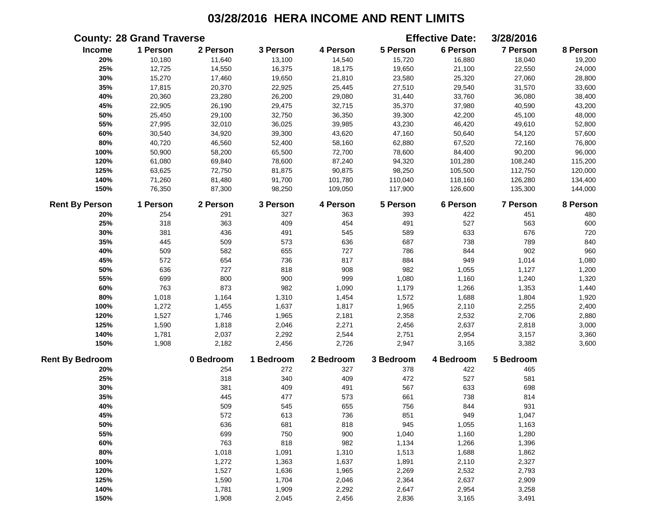|                        | <b>County: 28 Grand Traverse</b> |           |           |           |           | <b>Effective Date:</b> | 3/28/2016       |          |
|------------------------|----------------------------------|-----------|-----------|-----------|-----------|------------------------|-----------------|----------|
| Income                 | 1 Person                         | 2 Person  | 3 Person  | 4 Person  | 5 Person  | 6 Person               | 7 Person        | 8 Person |
| 20%                    | 10,180                           | 11,640    | 13,100    | 14,540    | 15,720    | 16,880                 | 18,040          | 19,200   |
| 25%                    | 12,725                           | 14,550    | 16,375    | 18,175    | 19,650    | 21,100                 | 22,550          | 24,000   |
| 30%                    | 15,270                           | 17,460    | 19,650    | 21,810    | 23,580    | 25,320                 | 27,060          | 28,800   |
| 35%                    | 17,815                           | 20,370    | 22,925    | 25,445    | 27,510    | 29,540                 | 31,570          | 33,600   |
| 40%                    | 20,360                           | 23,280    | 26,200    | 29,080    | 31,440    | 33,760                 | 36,080          | 38,400   |
| 45%                    | 22,905                           | 26,190    | 29,475    | 32,715    | 35,370    | 37,980                 | 40,590          | 43,200   |
| 50%                    | 25,450                           | 29,100    | 32,750    | 36,350    | 39,300    | 42,200                 | 45,100          | 48,000   |
| 55%                    | 27,995                           | 32,010    | 36,025    | 39,985    | 43,230    | 46,420                 | 49,610          | 52,800   |
| 60%                    | 30,540                           | 34,920    | 39,300    | 43,620    | 47,160    | 50,640                 | 54,120          | 57,600   |
| $80\%$                 | 40,720                           | 46,560    | 52,400    | 58,160    | 62,880    | 67,520                 | 72,160          | 76,800   |
| 100%                   | 50,900                           | 58,200    | 65,500    | 72,700    | 78,600    | 84,400                 | 90,200          | 96,000   |
| 120%                   | 61,080                           | 69,840    | 78,600    | 87,240    | 94,320    | 101,280                | 108,240         | 115,200  |
| 125%                   | 63,625                           | 72,750    | 81,875    | 90,875    | 98,250    | 105,500                | 112,750         | 120,000  |
| 140%                   | 71,260                           | 81,480    | 91,700    | 101,780   | 110,040   | 118,160                | 126,280         | 134,400  |
| 150%                   | 76,350                           | 87,300    | 98,250    | 109,050   | 117,900   | 126,600                | 135,300         | 144,000  |
| <b>Rent By Person</b>  | 1 Person                         | 2 Person  | 3 Person  | 4 Person  | 5 Person  | 6 Person               | <b>7 Person</b> | 8 Person |
| 20%                    | 254                              | 291       | 327       | 363       | 393       | 422                    | 451             | 480      |
| 25%                    | 318                              | 363       | 409       | 454       | 491       | 527                    | 563             | 600      |
| 30%                    | 381                              | 436       | 491       | 545       | 589       | 633                    | 676             | 720      |
| 35%                    | 445                              | 509       | 573       | 636       | 687       | 738                    | 789             | 840      |
| 40%                    | 509                              | 582       | 655       | 727       | 786       | 844                    | 902             | 960      |
| 45%                    | 572                              | 654       | 736       | 817       | 884       | 949                    | 1,014           | 1,080    |
| 50%                    | 636                              | 727       | 818       | 908       | 982       | 1,055                  | 1,127           | 1,200    |
| 55%                    | 699                              | 800       | 900       | 999       | 1,080     | 1,160                  | 1,240           | 1,320    |
| 60%                    | 763                              | 873       | 982       | 1,090     | 1,179     | 1,266                  | 1,353           | 1,440    |
| 80%                    | 1,018                            | 1,164     | 1,310     | 1,454     | 1,572     | 1,688                  | 1,804           | 1,920    |
| 100%                   | 1,272                            | 1,455     | 1,637     | 1,817     | 1,965     | 2,110                  | 2,255           | 2,400    |
| 120%                   | 1,527                            | 1,746     | 1,965     | 2,181     | 2,358     | 2,532                  | 2,706           | 2,880    |
| 125%                   | 1,590                            | 1,818     | 2,046     | 2,271     | 2,456     | 2,637                  | 2,818           | 3,000    |
| 140%                   | 1,781                            | 2,037     | 2,292     | 2,544     | 2,751     | 2,954                  | 3,157           | 3,360    |
| 150%                   | 1,908                            | 2,182     | 2,456     | 2,726     | 2,947     | 3,165                  | 3,382           | 3,600    |
| <b>Rent By Bedroom</b> |                                  | 0 Bedroom | 1 Bedroom | 2 Bedroom | 3 Bedroom | 4 Bedroom              | 5 Bedroom       |          |
| 20%                    |                                  | 254       | 272       | 327       | 378       | 422                    | 465             |          |
| 25%                    |                                  | 318       | 340       | 409       | 472       | 527                    | 581             |          |
| 30%                    |                                  | 381       | 409       | 491       | 567       | 633                    | 698             |          |
| 35%                    |                                  | 445       | 477       | 573       | 661       | 738                    | 814             |          |
| 40%                    |                                  | 509       | 545       | 655       | 756       | 844                    | 931             |          |
| 45%                    |                                  | 572       | 613       | 736       | 851       | 949                    | 1,047           |          |
| 50%                    |                                  | 636       | 681       | 818       | 945       | 1,055                  | 1,163           |          |
| 55%                    |                                  | 699       | 750       | 900       | 1,040     | 1,160                  | 1,280           |          |
| 60%                    |                                  | 763       | 818       | 982       | 1,134     | 1,266                  | 1,396           |          |
| 80%                    |                                  | 1,018     | 1,091     | 1,310     | 1,513     | 1,688                  | 1,862           |          |
| 100%                   |                                  | 1,272     | 1,363     | 1,637     | 1,891     | 2,110                  | 2,327           |          |
| 120%                   |                                  | 1,527     | 1,636     | 1,965     | 2,269     | 2,532                  | 2,793           |          |
| 125%                   |                                  | 1,590     | 1,704     | 2,046     | 2,364     | 2,637                  | 2,909           |          |
| 140%                   |                                  | 1,781     | 1,909     | 2,292     | 2,647     | 2,954                  | 3,258           |          |
| 150%                   |                                  | 1,908     | 2,045     | 2,456     | 2,836     | 3,165                  | 3,491           |          |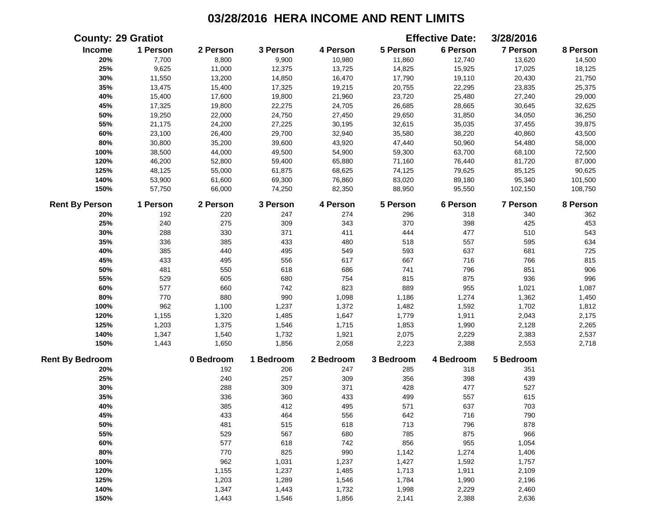|                        | <b>County: 29 Gratiot</b> |           |           |           |           | <b>Effective Date:</b> | 3/28/2016       |          |
|------------------------|---------------------------|-----------|-----------|-----------|-----------|------------------------|-----------------|----------|
| Income                 | 1 Person                  | 2 Person  | 3 Person  | 4 Person  | 5 Person  | 6 Person               | 7 Person        | 8 Person |
| 20%                    | 7,700                     | 8,800     | 9,900     | 10,980    | 11,860    | 12,740                 | 13,620          | 14,500   |
| 25%                    | 9,625                     | 11,000    | 12,375    | 13,725    | 14,825    | 15,925                 | 17,025          | 18,125   |
| 30%                    | 11,550                    | 13,200    | 14,850    | 16,470    | 17,790    | 19,110                 | 20,430          | 21,750   |
| 35%                    | 13,475                    | 15,400    | 17,325    | 19,215    | 20,755    | 22,295                 | 23,835          | 25,375   |
| 40%                    | 15,400                    | 17,600    | 19,800    | 21,960    | 23,720    | 25,480                 | 27,240          | 29,000   |
| 45%                    | 17,325                    | 19,800    | 22,275    | 24,705    | 26,685    | 28,665                 | 30,645          | 32,625   |
| 50%                    | 19,250                    | 22,000    | 24,750    | 27,450    | 29,650    | 31,850                 | 34,050          | 36,250   |
| 55%                    | 21,175                    | 24,200    | 27,225    | 30,195    | 32,615    | 35,035                 | 37,455          | 39,875   |
| 60%                    | 23,100                    | 26,400    | 29,700    | 32,940    | 35,580    | 38,220                 | 40,860          | 43,500   |
| 80%                    | 30,800                    | 35,200    | 39,600    | 43,920    | 47,440    | 50,960                 | 54,480          | 58,000   |
| 100%                   | 38,500                    | 44,000    | 49,500    | 54,900    | 59,300    | 63,700                 | 68,100          | 72,500   |
| 120%                   | 46,200                    | 52,800    | 59,400    | 65,880    | 71,160    | 76,440                 | 81,720          | 87,000   |
| 125%                   | 48,125                    | 55,000    | 61,875    | 68,625    | 74,125    | 79,625                 | 85,125          | 90,625   |
| 140%                   | 53,900                    | 61,600    | 69,300    | 76,860    | 83,020    | 89,180                 | 95,340          | 101,500  |
| 150%                   | 57,750                    | 66,000    | 74,250    | 82,350    | 88,950    | 95,550                 | 102,150         | 108,750  |
| <b>Rent By Person</b>  | 1 Person                  | 2 Person  | 3 Person  | 4 Person  | 5 Person  | 6 Person               | <b>7 Person</b> | 8 Person |
| 20%                    | 192                       | 220       | 247       | 274       | 296       | 318                    | 340             | 362      |
| 25%                    | 240                       | 275       | 309       | 343       | 370       | 398                    | 425             | 453      |
| 30%                    | 288                       | 330       | 371       | 411       | 444       | 477                    | 510             | 543      |
| 35%                    | 336                       | 385       | 433       | 480       | 518       | 557                    | 595             | 634      |
| 40%                    | 385                       | 440       | 495       | 549       | 593       | 637                    | 681             | 725      |
| 45%                    | 433                       | 495       | 556       | 617       | 667       | 716                    | 766             | 815      |
| 50%                    | 481                       | 550       | 618       | 686       | 741       | 796                    | 851             | 906      |
| 55%                    | 529                       | 605       | 680       | 754       | 815       | 875                    | 936             | 996      |
| 60%                    | 577                       | 660       | 742       | 823       | 889       | 955                    | 1,021           | 1,087    |
| 80%                    | 770                       | 880       | 990       | 1,098     | 1,186     | 1,274                  | 1,362           | 1,450    |
| 100%                   | 962                       | 1,100     | 1,237     | 1,372     | 1,482     | 1,592                  | 1,702           | 1,812    |
| 120%                   | 1,155                     | 1,320     | 1,485     | 1,647     | 1,779     | 1,911                  | 2,043           | 2,175    |
| 125%                   | 1,203                     | 1,375     | 1,546     | 1,715     | 1,853     | 1,990                  | 2,128           | 2,265    |
| 140%                   | 1,347                     | 1,540     | 1,732     | 1,921     | 2,075     | 2,229                  | 2,383           | 2,537    |
| 150%                   | 1,443                     | 1,650     | 1,856     | 2,058     | 2,223     | 2,388                  | 2,553           | 2,718    |
| <b>Rent By Bedroom</b> |                           | 0 Bedroom | 1 Bedroom | 2 Bedroom | 3 Bedroom | 4 Bedroom              | 5 Bedroom       |          |
| 20%                    |                           | 192       | 206       | 247       | 285       | 318                    | 351             |          |
| 25%                    |                           | 240       | 257       | 309       | 356       | 398                    | 439             |          |
| 30%                    |                           | 288       | 309       | 371       | 428       | 477                    | 527             |          |
| 35%                    |                           | 336       | 360       | 433       | 499       | 557                    | 615             |          |
| 40%                    |                           | 385       | 412       | 495       | 571       | 637                    | 703             |          |
| 45%                    |                           | 433       | 464       | 556       | 642       | 716                    | 790             |          |
| 50%                    |                           | 481       | 515       | 618       | 713       | 796                    | 878             |          |
| 55%                    |                           | 529       | 567       | 680       | 785       | 875                    | 966             |          |
| 60%                    |                           | 577       | 618       | 742       | 856       | 955                    | 1,054           |          |
| 80%                    |                           | 770       | 825       | 990       | 1,142     | 1,274                  | 1,406           |          |
| 100%                   |                           | 962       | 1,031     | 1,237     | 1,427     | 1,592                  | 1,757           |          |
| 120%                   |                           | 1,155     | 1,237     | 1,485     | 1,713     | 1,911                  | 2,109           |          |
| 125%                   |                           | 1,203     | 1,289     | 1,546     | 1,784     | 1,990                  | 2,196           |          |
| 140%                   |                           | 1,347     | 1,443     | 1,732     | 1,998     | 2,229                  | 2,460           |          |
| 150%                   |                           | 1,443     | 1,546     | 1,856     | 2,141     | 2,388                  | 2,636           |          |
|                        |                           |           |           |           |           |                        |                 |          |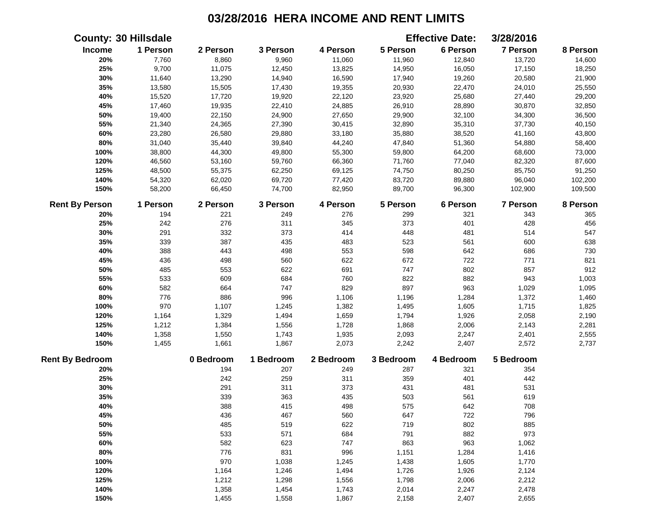|                        | <b>County: 30 Hillsdale</b> |           |           |           |           | <b>Effective Date:</b> | 3/28/2016 |          |
|------------------------|-----------------------------|-----------|-----------|-----------|-----------|------------------------|-----------|----------|
| Income                 | 1 Person                    | 2 Person  | 3 Person  | 4 Person  | 5 Person  | 6 Person               | 7 Person  | 8 Person |
| 20%                    | 7,760                       | 8,860     | 9,960     | 11,060    | 11,960    | 12,840                 | 13,720    | 14,600   |
| 25%                    | 9,700                       | 11,075    | 12,450    | 13,825    | 14,950    | 16,050                 | 17,150    | 18,250   |
| 30%                    | 11,640                      | 13,290    | 14,940    | 16,590    | 17,940    | 19,260                 | 20,580    | 21,900   |
| 35%                    | 13,580                      | 15,505    | 17,430    | 19,355    | 20,930    | 22,470                 | 24,010    | 25,550   |
| 40%                    | 15,520                      | 17,720    | 19,920    | 22,120    | 23,920    | 25,680                 | 27,440    | 29,200   |
| 45%                    | 17,460                      | 19,935    | 22,410    | 24,885    | 26,910    | 28,890                 | 30,870    | 32,850   |
| 50%                    | 19,400                      | 22,150    | 24,900    | 27,650    | 29,900    | 32,100                 | 34,300    | 36,500   |
| 55%                    | 21,340                      | 24,365    | 27,390    | 30,415    | 32,890    | 35,310                 | 37,730    | 40,150   |
| 60%                    | 23,280                      | 26,580    | 29,880    | 33,180    | 35,880    | 38,520                 | 41,160    | 43,800   |
| 80%                    | 31,040                      | 35,440    | 39,840    | 44,240    | 47,840    | 51,360                 | 54,880    | 58,400   |
| 100%                   | 38,800                      | 44,300    | 49,800    | 55,300    | 59,800    | 64,200                 | 68,600    | 73,000   |
| 120%                   | 46,560                      | 53,160    | 59,760    | 66,360    | 71,760    | 77,040                 | 82,320    | 87,600   |
| 125%                   | 48,500                      | 55,375    | 62,250    | 69,125    | 74,750    | 80,250                 | 85,750    | 91,250   |
| 140%                   | 54,320                      | 62,020    | 69,720    | 77,420    | 83,720    | 89,880                 | 96,040    | 102,200  |
| 150%                   | 58,200                      | 66,450    | 74,700    | 82,950    | 89,700    | 96,300                 | 102,900   | 109,500  |
| <b>Rent By Person</b>  | 1 Person                    | 2 Person  | 3 Person  | 4 Person  | 5 Person  | 6 Person               | 7 Person  | 8 Person |
| 20%                    | 194                         | 221       | 249       | 276       | 299       | 321                    | 343       | 365      |
| 25%                    | 242                         | 276       | 311       | 345       | 373       | 401                    | 428       | 456      |
| 30%                    | 291                         | 332       | 373       | 414       | 448       | 481                    | 514       | 547      |
| 35%                    | 339                         | 387       | 435       | 483       | 523       | 561                    | 600       | 638      |
| 40%                    | 388                         | 443       | 498       | 553       | 598       | 642                    | 686       | 730      |
| 45%                    | 436                         | 498       | 560       | 622       | 672       | 722                    | 771       | 821      |
| 50%                    | 485                         | 553       | 622       | 691       | 747       | 802                    | 857       | 912      |
| 55%                    | 533                         | 609       | 684       | 760       | 822       | 882                    | 943       | 1,003    |
| 60%                    | 582                         | 664       | 747       | 829       | 897       | 963                    | 1,029     | 1,095    |
| 80%                    | 776                         | 886       | 996       | 1,106     | 1,196     | 1,284                  | 1,372     | 1,460    |
| 100%                   | 970                         | 1,107     | 1,245     | 1,382     | 1,495     | 1,605                  | 1,715     | 1,825    |
| 120%                   | 1,164                       | 1,329     | 1,494     | 1,659     | 1,794     | 1,926                  | 2,058     | 2,190    |
| 125%                   | 1,212                       | 1,384     | 1,556     | 1,728     | 1,868     | 2,006                  | 2,143     | 2,281    |
| 140%                   | 1,358                       | 1,550     | 1,743     | 1,935     | 2,093     | 2,247                  | 2,401     | 2,555    |
| 150%                   | 1,455                       | 1,661     | 1,867     | 2,073     | 2,242     | 2,407                  | 2,572     | 2,737    |
| <b>Rent By Bedroom</b> |                             | 0 Bedroom | 1 Bedroom | 2 Bedroom | 3 Bedroom | 4 Bedroom              | 5 Bedroom |          |
| 20%                    |                             | 194       | 207       | 249       | 287       | 321                    | 354       |          |
| 25%                    |                             | 242       | 259       | 311       | 359       | 401                    | 442       |          |
| 30%                    |                             | 291       | 311       | 373       | 431       | 481                    | 531       |          |
| 35%                    |                             | 339       | 363       | 435       | 503       | 561                    | 619       |          |
| 40%                    |                             | 388       | 415       | 498       | 575       | 642                    | 708       |          |
| 45%                    |                             | 436       | 467       | 560       | 647       | 722                    | 796       |          |
| 50%                    |                             | 485       | 519       | 622       | 719       | 802                    | 885       |          |
| 55%                    |                             | 533       | 571       | 684       | 791       | 882                    | 973       |          |
| 60%                    |                             | 582       | 623       | 747       | 863       | 963                    | 1,062     |          |
| 80%                    |                             | 776       | 831       | 996       | 1,151     | 1,284                  | 1,416     |          |
| 100%                   |                             | 970       | 1,038     | 1,245     | 1,438     | 1,605                  | 1,770     |          |
| 120%                   |                             | 1,164     | 1,246     | 1,494     | 1,726     | 1,926                  | 2,124     |          |
| 125%                   |                             | 1,212     | 1,298     | 1,556     | 1,798     | 2,006                  | 2,212     |          |
| 140%                   |                             | 1,358     | 1,454     | 1,743     | 2,014     | 2,247                  | 2,478     |          |
| 150%                   |                             | 1,455     | 1,558     | 1,867     | 2,158     | 2,407                  | 2,655     |          |
|                        |                             |           |           |           |           |                        |           |          |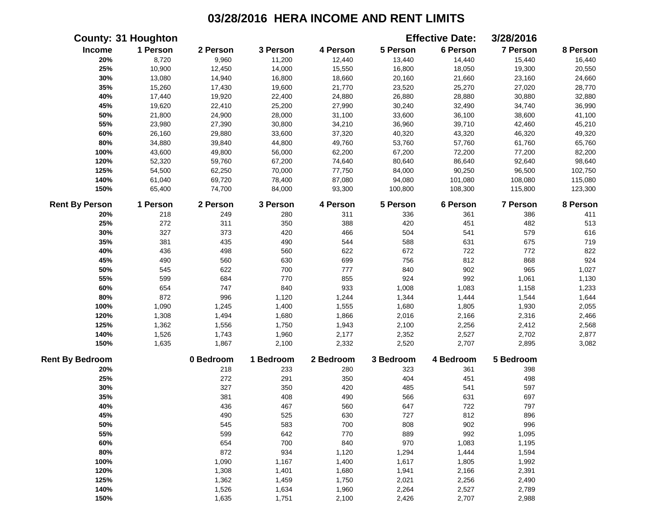|                        | <b>County: 31 Houghton</b> |           |           |           |           | <b>Effective Date:</b> | 3/28/2016 |          |
|------------------------|----------------------------|-----------|-----------|-----------|-----------|------------------------|-----------|----------|
| <b>Income</b>          | 1 Person                   | 2 Person  | 3 Person  | 4 Person  | 5 Person  | 6 Person               | 7 Person  | 8 Person |
| 20%                    | 8,720                      | 9,960     | 11,200    | 12,440    | 13,440    | 14,440                 | 15,440    | 16,440   |
| 25%                    | 10,900                     | 12,450    | 14,000    | 15,550    | 16,800    | 18,050                 | 19,300    | 20,550   |
| 30%                    | 13,080                     | 14,940    | 16,800    | 18,660    | 20,160    | 21,660                 | 23,160    | 24,660   |
| 35%                    | 15,260                     | 17,430    | 19,600    | 21,770    | 23,520    | 25,270                 | 27,020    | 28,770   |
| 40%                    | 17,440                     | 19,920    | 22,400    | 24,880    | 26,880    | 28,880                 | 30,880    | 32,880   |
| 45%                    | 19,620                     | 22,410    | 25,200    | 27,990    | 30,240    | 32,490                 | 34,740    | 36,990   |
| 50%                    | 21,800                     | 24,900    | 28,000    | 31,100    | 33,600    | 36,100                 | 38,600    | 41,100   |
| 55%                    | 23,980                     | 27,390    | 30,800    | 34,210    | 36,960    | 39,710                 | 42,460    | 45,210   |
| 60%                    | 26,160                     | 29,880    | 33,600    | 37,320    | 40,320    | 43,320                 | 46,320    | 49,320   |
| 80%                    | 34,880                     | 39,840    | 44,800    | 49,760    | 53,760    | 57,760                 | 61,760    | 65,760   |
| 100%                   | 43,600                     | 49,800    | 56,000    | 62,200    | 67,200    | 72,200                 | 77,200    | 82,200   |
| 120%                   | 52,320                     | 59,760    | 67,200    | 74,640    | 80,640    | 86,640                 | 92,640    | 98,640   |
| 125%                   | 54,500                     | 62,250    | 70,000    | 77,750    | 84,000    | 90,250                 | 96,500    | 102,750  |
| 140%                   | 61,040                     | 69,720    | 78,400    | 87,080    | 94,080    | 101,080                | 108,080   | 115,080  |
| 150%                   | 65,400                     | 74,700    | 84,000    | 93,300    | 100,800   | 108,300                | 115,800   | 123,300  |
| <b>Rent By Person</b>  | 1 Person                   | 2 Person  | 3 Person  | 4 Person  | 5 Person  | 6 Person               | 7 Person  | 8 Person |
| 20%                    | 218                        | 249       | 280       | 311       | 336       | 361                    | 386       | 411      |
| 25%                    | 272                        | 311       | 350       | 388       | 420       | 451                    | 482       | 513      |
| 30%                    | 327                        | 373       | 420       | 466       | 504       | 541                    | 579       | 616      |
| 35%                    | 381                        | 435       | 490       | 544       | 588       | 631                    | 675       | 719      |
| 40%                    | 436                        | 498       | 560       | 622       | 672       | 722                    | 772       | 822      |
| 45%                    | 490                        | 560       | 630       | 699       | 756       | 812                    | 868       | 924      |
| 50%                    | 545                        | 622       | 700       | 777       | 840       | 902                    | 965       | 1,027    |
| 55%                    | 599                        | 684       | 770       | 855       | 924       | 992                    | 1,061     | 1,130    |
| 60%                    | 654                        | 747       | 840       | 933       | 1,008     | 1,083                  | 1,158     | 1,233    |
| 80%                    | 872                        | 996       | 1,120     | 1,244     | 1,344     | 1,444                  | 1,544     | 1,644    |
| 100%                   | 1,090                      | 1,245     | 1,400     | 1,555     | 1,680     | 1,805                  | 1,930     | 2,055    |
| 120%                   | 1,308                      | 1,494     | 1,680     | 1,866     | 2,016     | 2,166                  | 2,316     | 2,466    |
| 125%                   | 1,362                      | 1,556     | 1,750     | 1,943     | 2,100     | 2,256                  | 2,412     | 2,568    |
| 140%                   | 1,526                      | 1,743     | 1,960     | 2,177     | 2,352     | 2,527                  | 2,702     | 2,877    |
| 150%                   | 1,635                      | 1,867     | 2,100     | 2,332     | 2,520     | 2,707                  | 2,895     | 3,082    |
| <b>Rent By Bedroom</b> |                            | 0 Bedroom | 1 Bedroom | 2 Bedroom | 3 Bedroom | 4 Bedroom              | 5 Bedroom |          |
| 20%                    |                            | 218       | 233       | 280       | 323       | 361                    | 398       |          |
| 25%                    |                            | 272       | 291       | 350       | 404       | 451                    | 498       |          |
| 30%                    |                            | 327       | 350       | 420       | 485       | 541                    | 597       |          |
| 35%                    |                            | 381       | 408       | 490       | 566       | 631                    | 697       |          |
| 40%                    |                            | 436       | 467       | 560       | 647       | 722                    | 797       |          |
| 45%                    |                            | 490       | 525       | 630       | 727       | 812                    | 896       |          |
| 50%                    |                            | 545       | 583       | 700       | 808       | 902                    | 996       |          |
| 55%                    |                            | 599       | 642       | 770       | 889       | 992                    | 1,095     |          |
| 60%                    |                            | 654       | 700       | 840       | 970       | 1,083                  | 1,195     |          |
| 80%                    |                            | 872       | 934       | 1,120     | 1,294     | 1,444                  | 1,594     |          |
| 100%                   |                            | 1,090     | 1,167     | 1,400     | 1,617     | 1,805                  | 1,992     |          |
| 120%                   |                            | 1,308     | 1,401     | 1,680     | 1,941     | 2,166                  | 2,391     |          |
| 125%                   |                            | 1,362     | 1,459     | 1,750     | 2,021     | 2,256                  | 2,490     |          |
| 140%                   |                            | 1,526     | 1,634     | 1,960     | 2,264     | 2,527                  | 2,789     |          |
| 150%                   |                            | 1,635     | 1,751     | 2,100     | 2,426     | 2,707                  | 2,988     |          |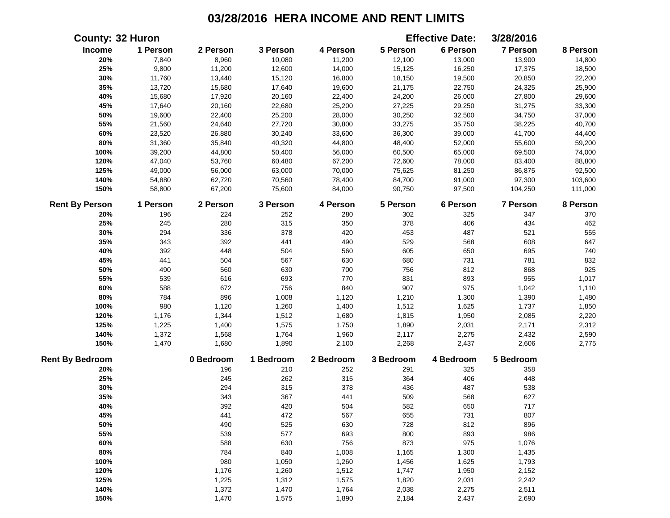| 1 Person<br>6 Person<br>7 Person<br>Income<br>2 Person<br>3 Person<br>4 Person<br>5 Person<br>20%<br>7,840<br>8,960<br>10,080<br>11,200<br>12,100<br>13,000<br>13,900<br>14,800<br>25%<br>9,800<br>11,200<br>12,600<br>14,000<br>15,125<br>16,250<br>17,375<br>18,500<br>30%<br>11,760<br>13,440<br>15,120<br>16,800<br>18,150<br>19,500<br>20,850<br>22,200<br>35%<br>13,720<br>15,680<br>17,640<br>19,600<br>21,175<br>22,750<br>24,325<br>25,900<br>40%<br>15,680<br>17,920<br>20,160<br>22,400<br>24,200<br>26,000<br>27,800<br>29,600<br>45%<br>17,640<br>20,160<br>22,680<br>25,200<br>27,225<br>29,250<br>31,275<br>33,300<br>50%<br>19,600<br>22,400<br>25,200<br>28,000<br>30,250<br>32,500<br>34,750<br>37,000<br>55%<br>27,720<br>30,800<br>33,275<br>35,750<br>40,700<br>21,560<br>24,640<br>38,225<br>60%<br>41,700<br>44,400<br>23,520<br>26,880<br>30,240<br>33,600<br>36,300<br>39,000<br>$80\%$<br>40,320<br>44,800<br>31,360<br>35,840<br>48,400<br>52,000<br>55,600<br>59,200<br>100%<br>39,200<br>44,800<br>50,400<br>56,000<br>60,500<br>65,000<br>69,500<br>74,000<br>120%<br>47,040<br>67,200<br>88,800<br>53,760<br>60,480<br>72,600<br>78,000<br>83,400<br>125%<br>49,000<br>56,000<br>63,000<br>70,000<br>75,625<br>81,250<br>86,875<br>92,500<br>140%<br>54,880<br>62,720<br>70,560<br>78,400<br>84,700<br>91,000<br>97,300<br>103,600<br>150%<br>58,800<br>67,200<br>75,600<br>84,000<br>90,750<br>97,500<br>104,250<br>111,000<br><b>Rent By Person</b><br>1 Person<br>2 Person<br>3 Person<br>4 Person<br>5 Person<br>6 Person<br><b>7 Person</b><br>347<br>370<br>20%<br>196<br>224<br>252<br>280<br>302<br>325<br>462<br>245<br>280<br>315<br>350<br>378<br>406<br>434<br>25%<br>487<br>555<br>30%<br>294<br>336<br>378<br>420<br>453<br>521<br>647<br>35%<br>343<br>392<br>441<br>490<br>529<br>568<br>608<br>40%<br>448<br>504<br>560<br>605<br>650<br>695<br>740<br>392<br>832<br>45%<br>504<br>567<br>630<br>680<br>731<br>781<br>441<br>925<br>560<br>630<br>700<br>756<br>812<br>868<br>50%<br>490<br>693<br>831<br>893<br>955<br>55%<br>616<br>770<br>1,017<br>539<br>840<br>907<br>60%<br>588<br>672<br>756<br>975<br>1,042<br>1,110<br>80%<br>784<br>896<br>1,120<br>1,210<br>1,300<br>1,390<br>1,480<br>1,008<br>100%<br>980<br>1,120<br>1,260<br>1,400<br>1,512<br>1,625<br>1,737<br>1,850<br>120%<br>2,220<br>1,176<br>1,344<br>1,512<br>1,680<br>1,815<br>1,950<br>2,085<br>125%<br>1,225<br>1,575<br>1,890<br>2,031<br>2,171<br>2,312<br>1,400<br>1,750<br>140%<br>1,372<br>2,432<br>1,568<br>1,764<br>2,117<br>2,275<br>2,590<br>1,960<br>150%<br>1,470<br>2,606<br>2,775<br>1,680<br>1,890<br>2,100<br>2,268<br>2,437<br>5 Bedroom<br>0 Bedroom<br>1 Bedroom<br>2 Bedroom<br>3 Bedroom<br>4 Bedroom<br>20%<br>196<br>210<br>252<br>291<br>325<br>358<br>25%<br>245<br>262<br>315<br>364<br>406<br>448<br>315<br>378<br>436<br>30%<br>294<br>487<br>538<br>343<br>367<br>441<br>509<br>568<br>35%<br>627<br>40%<br>392<br>420<br>504<br>582<br>650<br>717<br>45%<br>441<br>472<br>567<br>655<br>731<br>807<br>50%<br>490<br>525<br>630<br>728<br>812<br>896<br>893<br>986<br>55%<br>539<br>577<br>693<br>800<br>630<br>756<br>873<br>975<br>1,076<br>60%<br>588<br>784<br>840<br>1,165<br>80%<br>1,008<br>1,300<br>1,435<br>980<br>1,456<br>1,625<br>1,793<br>100%<br>1,050<br>1,260<br>120%<br>2,152<br>1,176<br>1,260<br>1,512<br>1,747<br>1,950<br>125%<br>1,225<br>1,312<br>1,575<br>1,820<br>2,031<br>2,242<br>140%<br>1,372<br>1,470<br>1,764<br>2,038<br>2,275<br>2,511<br>150%<br>1,470<br>1,575<br>1,890<br>2,184<br>2,437<br>2,690 |                        | <b>County: 32 Huron</b> |  |  | <b>Effective Date:</b> | 3/28/2016 |          |
|---------------------------------------------------------------------------------------------------------------------------------------------------------------------------------------------------------------------------------------------------------------------------------------------------------------------------------------------------------------------------------------------------------------------------------------------------------------------------------------------------------------------------------------------------------------------------------------------------------------------------------------------------------------------------------------------------------------------------------------------------------------------------------------------------------------------------------------------------------------------------------------------------------------------------------------------------------------------------------------------------------------------------------------------------------------------------------------------------------------------------------------------------------------------------------------------------------------------------------------------------------------------------------------------------------------------------------------------------------------------------------------------------------------------------------------------------------------------------------------------------------------------------------------------------------------------------------------------------------------------------------------------------------------------------------------------------------------------------------------------------------------------------------------------------------------------------------------------------------------------------------------------------------------------------------------------------------------------------------------------------------------------------------------------------------------------------------------------------------------------------------------------------------------------------------------------------------------------------------------------------------------------------------------------------------------------------------------------------------------------------------------------------------------------------------------------------------------------------------------------------------------------------------------------------------------------------------------------------------------------------------------------------------------------------------------------------------------------------------------------------------------------------------------------------------------------------------------------------------------------------------------------------------------------------------------------------------------------------------------------------------------------------------------------------------------------------------------------------------------------------------------------------------------------------------------------------------------------------------------------------------------------------------------------------------------------------------------------------------------------------------------------------------------------------------------------------------------------------------------------------------------------------------------------------------------------------------------------|------------------------|-------------------------|--|--|------------------------|-----------|----------|
|                                                                                                                                                                                                                                                                                                                                                                                                                                                                                                                                                                                                                                                                                                                                                                                                                                                                                                                                                                                                                                                                                                                                                                                                                                                                                                                                                                                                                                                                                                                                                                                                                                                                                                                                                                                                                                                                                                                                                                                                                                                                                                                                                                                                                                                                                                                                                                                                                                                                                                                                                                                                                                                                                                                                                                                                                                                                                                                                                                                                                                                                                                                                                                                                                                                                                                                                                                                                                                                                                                                                                                                             |                        |                         |  |  |                        |           | 8 Person |
|                                                                                                                                                                                                                                                                                                                                                                                                                                                                                                                                                                                                                                                                                                                                                                                                                                                                                                                                                                                                                                                                                                                                                                                                                                                                                                                                                                                                                                                                                                                                                                                                                                                                                                                                                                                                                                                                                                                                                                                                                                                                                                                                                                                                                                                                                                                                                                                                                                                                                                                                                                                                                                                                                                                                                                                                                                                                                                                                                                                                                                                                                                                                                                                                                                                                                                                                                                                                                                                                                                                                                                                             |                        |                         |  |  |                        |           |          |
|                                                                                                                                                                                                                                                                                                                                                                                                                                                                                                                                                                                                                                                                                                                                                                                                                                                                                                                                                                                                                                                                                                                                                                                                                                                                                                                                                                                                                                                                                                                                                                                                                                                                                                                                                                                                                                                                                                                                                                                                                                                                                                                                                                                                                                                                                                                                                                                                                                                                                                                                                                                                                                                                                                                                                                                                                                                                                                                                                                                                                                                                                                                                                                                                                                                                                                                                                                                                                                                                                                                                                                                             |                        |                         |  |  |                        |           |          |
|                                                                                                                                                                                                                                                                                                                                                                                                                                                                                                                                                                                                                                                                                                                                                                                                                                                                                                                                                                                                                                                                                                                                                                                                                                                                                                                                                                                                                                                                                                                                                                                                                                                                                                                                                                                                                                                                                                                                                                                                                                                                                                                                                                                                                                                                                                                                                                                                                                                                                                                                                                                                                                                                                                                                                                                                                                                                                                                                                                                                                                                                                                                                                                                                                                                                                                                                                                                                                                                                                                                                                                                             |                        |                         |  |  |                        |           |          |
|                                                                                                                                                                                                                                                                                                                                                                                                                                                                                                                                                                                                                                                                                                                                                                                                                                                                                                                                                                                                                                                                                                                                                                                                                                                                                                                                                                                                                                                                                                                                                                                                                                                                                                                                                                                                                                                                                                                                                                                                                                                                                                                                                                                                                                                                                                                                                                                                                                                                                                                                                                                                                                                                                                                                                                                                                                                                                                                                                                                                                                                                                                                                                                                                                                                                                                                                                                                                                                                                                                                                                                                             |                        |                         |  |  |                        |           |          |
|                                                                                                                                                                                                                                                                                                                                                                                                                                                                                                                                                                                                                                                                                                                                                                                                                                                                                                                                                                                                                                                                                                                                                                                                                                                                                                                                                                                                                                                                                                                                                                                                                                                                                                                                                                                                                                                                                                                                                                                                                                                                                                                                                                                                                                                                                                                                                                                                                                                                                                                                                                                                                                                                                                                                                                                                                                                                                                                                                                                                                                                                                                                                                                                                                                                                                                                                                                                                                                                                                                                                                                                             |                        |                         |  |  |                        |           |          |
|                                                                                                                                                                                                                                                                                                                                                                                                                                                                                                                                                                                                                                                                                                                                                                                                                                                                                                                                                                                                                                                                                                                                                                                                                                                                                                                                                                                                                                                                                                                                                                                                                                                                                                                                                                                                                                                                                                                                                                                                                                                                                                                                                                                                                                                                                                                                                                                                                                                                                                                                                                                                                                                                                                                                                                                                                                                                                                                                                                                                                                                                                                                                                                                                                                                                                                                                                                                                                                                                                                                                                                                             |                        |                         |  |  |                        |           |          |
|                                                                                                                                                                                                                                                                                                                                                                                                                                                                                                                                                                                                                                                                                                                                                                                                                                                                                                                                                                                                                                                                                                                                                                                                                                                                                                                                                                                                                                                                                                                                                                                                                                                                                                                                                                                                                                                                                                                                                                                                                                                                                                                                                                                                                                                                                                                                                                                                                                                                                                                                                                                                                                                                                                                                                                                                                                                                                                                                                                                                                                                                                                                                                                                                                                                                                                                                                                                                                                                                                                                                                                                             |                        |                         |  |  |                        |           |          |
|                                                                                                                                                                                                                                                                                                                                                                                                                                                                                                                                                                                                                                                                                                                                                                                                                                                                                                                                                                                                                                                                                                                                                                                                                                                                                                                                                                                                                                                                                                                                                                                                                                                                                                                                                                                                                                                                                                                                                                                                                                                                                                                                                                                                                                                                                                                                                                                                                                                                                                                                                                                                                                                                                                                                                                                                                                                                                                                                                                                                                                                                                                                                                                                                                                                                                                                                                                                                                                                                                                                                                                                             |                        |                         |  |  |                        |           |          |
|                                                                                                                                                                                                                                                                                                                                                                                                                                                                                                                                                                                                                                                                                                                                                                                                                                                                                                                                                                                                                                                                                                                                                                                                                                                                                                                                                                                                                                                                                                                                                                                                                                                                                                                                                                                                                                                                                                                                                                                                                                                                                                                                                                                                                                                                                                                                                                                                                                                                                                                                                                                                                                                                                                                                                                                                                                                                                                                                                                                                                                                                                                                                                                                                                                                                                                                                                                                                                                                                                                                                                                                             |                        |                         |  |  |                        |           |          |
|                                                                                                                                                                                                                                                                                                                                                                                                                                                                                                                                                                                                                                                                                                                                                                                                                                                                                                                                                                                                                                                                                                                                                                                                                                                                                                                                                                                                                                                                                                                                                                                                                                                                                                                                                                                                                                                                                                                                                                                                                                                                                                                                                                                                                                                                                                                                                                                                                                                                                                                                                                                                                                                                                                                                                                                                                                                                                                                                                                                                                                                                                                                                                                                                                                                                                                                                                                                                                                                                                                                                                                                             |                        |                         |  |  |                        |           |          |
|                                                                                                                                                                                                                                                                                                                                                                                                                                                                                                                                                                                                                                                                                                                                                                                                                                                                                                                                                                                                                                                                                                                                                                                                                                                                                                                                                                                                                                                                                                                                                                                                                                                                                                                                                                                                                                                                                                                                                                                                                                                                                                                                                                                                                                                                                                                                                                                                                                                                                                                                                                                                                                                                                                                                                                                                                                                                                                                                                                                                                                                                                                                                                                                                                                                                                                                                                                                                                                                                                                                                                                                             |                        |                         |  |  |                        |           |          |
|                                                                                                                                                                                                                                                                                                                                                                                                                                                                                                                                                                                                                                                                                                                                                                                                                                                                                                                                                                                                                                                                                                                                                                                                                                                                                                                                                                                                                                                                                                                                                                                                                                                                                                                                                                                                                                                                                                                                                                                                                                                                                                                                                                                                                                                                                                                                                                                                                                                                                                                                                                                                                                                                                                                                                                                                                                                                                                                                                                                                                                                                                                                                                                                                                                                                                                                                                                                                                                                                                                                                                                                             |                        |                         |  |  |                        |           |          |
|                                                                                                                                                                                                                                                                                                                                                                                                                                                                                                                                                                                                                                                                                                                                                                                                                                                                                                                                                                                                                                                                                                                                                                                                                                                                                                                                                                                                                                                                                                                                                                                                                                                                                                                                                                                                                                                                                                                                                                                                                                                                                                                                                                                                                                                                                                                                                                                                                                                                                                                                                                                                                                                                                                                                                                                                                                                                                                                                                                                                                                                                                                                                                                                                                                                                                                                                                                                                                                                                                                                                                                                             |                        |                         |  |  |                        |           |          |
|                                                                                                                                                                                                                                                                                                                                                                                                                                                                                                                                                                                                                                                                                                                                                                                                                                                                                                                                                                                                                                                                                                                                                                                                                                                                                                                                                                                                                                                                                                                                                                                                                                                                                                                                                                                                                                                                                                                                                                                                                                                                                                                                                                                                                                                                                                                                                                                                                                                                                                                                                                                                                                                                                                                                                                                                                                                                                                                                                                                                                                                                                                                                                                                                                                                                                                                                                                                                                                                                                                                                                                                             |                        |                         |  |  |                        |           |          |
|                                                                                                                                                                                                                                                                                                                                                                                                                                                                                                                                                                                                                                                                                                                                                                                                                                                                                                                                                                                                                                                                                                                                                                                                                                                                                                                                                                                                                                                                                                                                                                                                                                                                                                                                                                                                                                                                                                                                                                                                                                                                                                                                                                                                                                                                                                                                                                                                                                                                                                                                                                                                                                                                                                                                                                                                                                                                                                                                                                                                                                                                                                                                                                                                                                                                                                                                                                                                                                                                                                                                                                                             |                        |                         |  |  |                        |           |          |
|                                                                                                                                                                                                                                                                                                                                                                                                                                                                                                                                                                                                                                                                                                                                                                                                                                                                                                                                                                                                                                                                                                                                                                                                                                                                                                                                                                                                                                                                                                                                                                                                                                                                                                                                                                                                                                                                                                                                                                                                                                                                                                                                                                                                                                                                                                                                                                                                                                                                                                                                                                                                                                                                                                                                                                                                                                                                                                                                                                                                                                                                                                                                                                                                                                                                                                                                                                                                                                                                                                                                                                                             |                        |                         |  |  |                        |           | 8 Person |
|                                                                                                                                                                                                                                                                                                                                                                                                                                                                                                                                                                                                                                                                                                                                                                                                                                                                                                                                                                                                                                                                                                                                                                                                                                                                                                                                                                                                                                                                                                                                                                                                                                                                                                                                                                                                                                                                                                                                                                                                                                                                                                                                                                                                                                                                                                                                                                                                                                                                                                                                                                                                                                                                                                                                                                                                                                                                                                                                                                                                                                                                                                                                                                                                                                                                                                                                                                                                                                                                                                                                                                                             |                        |                         |  |  |                        |           |          |
|                                                                                                                                                                                                                                                                                                                                                                                                                                                                                                                                                                                                                                                                                                                                                                                                                                                                                                                                                                                                                                                                                                                                                                                                                                                                                                                                                                                                                                                                                                                                                                                                                                                                                                                                                                                                                                                                                                                                                                                                                                                                                                                                                                                                                                                                                                                                                                                                                                                                                                                                                                                                                                                                                                                                                                                                                                                                                                                                                                                                                                                                                                                                                                                                                                                                                                                                                                                                                                                                                                                                                                                             |                        |                         |  |  |                        |           |          |
|                                                                                                                                                                                                                                                                                                                                                                                                                                                                                                                                                                                                                                                                                                                                                                                                                                                                                                                                                                                                                                                                                                                                                                                                                                                                                                                                                                                                                                                                                                                                                                                                                                                                                                                                                                                                                                                                                                                                                                                                                                                                                                                                                                                                                                                                                                                                                                                                                                                                                                                                                                                                                                                                                                                                                                                                                                                                                                                                                                                                                                                                                                                                                                                                                                                                                                                                                                                                                                                                                                                                                                                             |                        |                         |  |  |                        |           |          |
|                                                                                                                                                                                                                                                                                                                                                                                                                                                                                                                                                                                                                                                                                                                                                                                                                                                                                                                                                                                                                                                                                                                                                                                                                                                                                                                                                                                                                                                                                                                                                                                                                                                                                                                                                                                                                                                                                                                                                                                                                                                                                                                                                                                                                                                                                                                                                                                                                                                                                                                                                                                                                                                                                                                                                                                                                                                                                                                                                                                                                                                                                                                                                                                                                                                                                                                                                                                                                                                                                                                                                                                             |                        |                         |  |  |                        |           |          |
|                                                                                                                                                                                                                                                                                                                                                                                                                                                                                                                                                                                                                                                                                                                                                                                                                                                                                                                                                                                                                                                                                                                                                                                                                                                                                                                                                                                                                                                                                                                                                                                                                                                                                                                                                                                                                                                                                                                                                                                                                                                                                                                                                                                                                                                                                                                                                                                                                                                                                                                                                                                                                                                                                                                                                                                                                                                                                                                                                                                                                                                                                                                                                                                                                                                                                                                                                                                                                                                                                                                                                                                             |                        |                         |  |  |                        |           |          |
|                                                                                                                                                                                                                                                                                                                                                                                                                                                                                                                                                                                                                                                                                                                                                                                                                                                                                                                                                                                                                                                                                                                                                                                                                                                                                                                                                                                                                                                                                                                                                                                                                                                                                                                                                                                                                                                                                                                                                                                                                                                                                                                                                                                                                                                                                                                                                                                                                                                                                                                                                                                                                                                                                                                                                                                                                                                                                                                                                                                                                                                                                                                                                                                                                                                                                                                                                                                                                                                                                                                                                                                             |                        |                         |  |  |                        |           |          |
|                                                                                                                                                                                                                                                                                                                                                                                                                                                                                                                                                                                                                                                                                                                                                                                                                                                                                                                                                                                                                                                                                                                                                                                                                                                                                                                                                                                                                                                                                                                                                                                                                                                                                                                                                                                                                                                                                                                                                                                                                                                                                                                                                                                                                                                                                                                                                                                                                                                                                                                                                                                                                                                                                                                                                                                                                                                                                                                                                                                                                                                                                                                                                                                                                                                                                                                                                                                                                                                                                                                                                                                             |                        |                         |  |  |                        |           |          |
|                                                                                                                                                                                                                                                                                                                                                                                                                                                                                                                                                                                                                                                                                                                                                                                                                                                                                                                                                                                                                                                                                                                                                                                                                                                                                                                                                                                                                                                                                                                                                                                                                                                                                                                                                                                                                                                                                                                                                                                                                                                                                                                                                                                                                                                                                                                                                                                                                                                                                                                                                                                                                                                                                                                                                                                                                                                                                                                                                                                                                                                                                                                                                                                                                                                                                                                                                                                                                                                                                                                                                                                             |                        |                         |  |  |                        |           |          |
|                                                                                                                                                                                                                                                                                                                                                                                                                                                                                                                                                                                                                                                                                                                                                                                                                                                                                                                                                                                                                                                                                                                                                                                                                                                                                                                                                                                                                                                                                                                                                                                                                                                                                                                                                                                                                                                                                                                                                                                                                                                                                                                                                                                                                                                                                                                                                                                                                                                                                                                                                                                                                                                                                                                                                                                                                                                                                                                                                                                                                                                                                                                                                                                                                                                                                                                                                                                                                                                                                                                                                                                             |                        |                         |  |  |                        |           |          |
|                                                                                                                                                                                                                                                                                                                                                                                                                                                                                                                                                                                                                                                                                                                                                                                                                                                                                                                                                                                                                                                                                                                                                                                                                                                                                                                                                                                                                                                                                                                                                                                                                                                                                                                                                                                                                                                                                                                                                                                                                                                                                                                                                                                                                                                                                                                                                                                                                                                                                                                                                                                                                                                                                                                                                                                                                                                                                                                                                                                                                                                                                                                                                                                                                                                                                                                                                                                                                                                                                                                                                                                             |                        |                         |  |  |                        |           |          |
|                                                                                                                                                                                                                                                                                                                                                                                                                                                                                                                                                                                                                                                                                                                                                                                                                                                                                                                                                                                                                                                                                                                                                                                                                                                                                                                                                                                                                                                                                                                                                                                                                                                                                                                                                                                                                                                                                                                                                                                                                                                                                                                                                                                                                                                                                                                                                                                                                                                                                                                                                                                                                                                                                                                                                                                                                                                                                                                                                                                                                                                                                                                                                                                                                                                                                                                                                                                                                                                                                                                                                                                             |                        |                         |  |  |                        |           |          |
|                                                                                                                                                                                                                                                                                                                                                                                                                                                                                                                                                                                                                                                                                                                                                                                                                                                                                                                                                                                                                                                                                                                                                                                                                                                                                                                                                                                                                                                                                                                                                                                                                                                                                                                                                                                                                                                                                                                                                                                                                                                                                                                                                                                                                                                                                                                                                                                                                                                                                                                                                                                                                                                                                                                                                                                                                                                                                                                                                                                                                                                                                                                                                                                                                                                                                                                                                                                                                                                                                                                                                                                             |                        |                         |  |  |                        |           |          |
|                                                                                                                                                                                                                                                                                                                                                                                                                                                                                                                                                                                                                                                                                                                                                                                                                                                                                                                                                                                                                                                                                                                                                                                                                                                                                                                                                                                                                                                                                                                                                                                                                                                                                                                                                                                                                                                                                                                                                                                                                                                                                                                                                                                                                                                                                                                                                                                                                                                                                                                                                                                                                                                                                                                                                                                                                                                                                                                                                                                                                                                                                                                                                                                                                                                                                                                                                                                                                                                                                                                                                                                             |                        |                         |  |  |                        |           |          |
|                                                                                                                                                                                                                                                                                                                                                                                                                                                                                                                                                                                                                                                                                                                                                                                                                                                                                                                                                                                                                                                                                                                                                                                                                                                                                                                                                                                                                                                                                                                                                                                                                                                                                                                                                                                                                                                                                                                                                                                                                                                                                                                                                                                                                                                                                                                                                                                                                                                                                                                                                                                                                                                                                                                                                                                                                                                                                                                                                                                                                                                                                                                                                                                                                                                                                                                                                                                                                                                                                                                                                                                             |                        |                         |  |  |                        |           |          |
|                                                                                                                                                                                                                                                                                                                                                                                                                                                                                                                                                                                                                                                                                                                                                                                                                                                                                                                                                                                                                                                                                                                                                                                                                                                                                                                                                                                                                                                                                                                                                                                                                                                                                                                                                                                                                                                                                                                                                                                                                                                                                                                                                                                                                                                                                                                                                                                                                                                                                                                                                                                                                                                                                                                                                                                                                                                                                                                                                                                                                                                                                                                                                                                                                                                                                                                                                                                                                                                                                                                                                                                             |                        |                         |  |  |                        |           |          |
|                                                                                                                                                                                                                                                                                                                                                                                                                                                                                                                                                                                                                                                                                                                                                                                                                                                                                                                                                                                                                                                                                                                                                                                                                                                                                                                                                                                                                                                                                                                                                                                                                                                                                                                                                                                                                                                                                                                                                                                                                                                                                                                                                                                                                                                                                                                                                                                                                                                                                                                                                                                                                                                                                                                                                                                                                                                                                                                                                                                                                                                                                                                                                                                                                                                                                                                                                                                                                                                                                                                                                                                             | <b>Rent By Bedroom</b> |                         |  |  |                        |           |          |
|                                                                                                                                                                                                                                                                                                                                                                                                                                                                                                                                                                                                                                                                                                                                                                                                                                                                                                                                                                                                                                                                                                                                                                                                                                                                                                                                                                                                                                                                                                                                                                                                                                                                                                                                                                                                                                                                                                                                                                                                                                                                                                                                                                                                                                                                                                                                                                                                                                                                                                                                                                                                                                                                                                                                                                                                                                                                                                                                                                                                                                                                                                                                                                                                                                                                                                                                                                                                                                                                                                                                                                                             |                        |                         |  |  |                        |           |          |
|                                                                                                                                                                                                                                                                                                                                                                                                                                                                                                                                                                                                                                                                                                                                                                                                                                                                                                                                                                                                                                                                                                                                                                                                                                                                                                                                                                                                                                                                                                                                                                                                                                                                                                                                                                                                                                                                                                                                                                                                                                                                                                                                                                                                                                                                                                                                                                                                                                                                                                                                                                                                                                                                                                                                                                                                                                                                                                                                                                                                                                                                                                                                                                                                                                                                                                                                                                                                                                                                                                                                                                                             |                        |                         |  |  |                        |           |          |
|                                                                                                                                                                                                                                                                                                                                                                                                                                                                                                                                                                                                                                                                                                                                                                                                                                                                                                                                                                                                                                                                                                                                                                                                                                                                                                                                                                                                                                                                                                                                                                                                                                                                                                                                                                                                                                                                                                                                                                                                                                                                                                                                                                                                                                                                                                                                                                                                                                                                                                                                                                                                                                                                                                                                                                                                                                                                                                                                                                                                                                                                                                                                                                                                                                                                                                                                                                                                                                                                                                                                                                                             |                        |                         |  |  |                        |           |          |
|                                                                                                                                                                                                                                                                                                                                                                                                                                                                                                                                                                                                                                                                                                                                                                                                                                                                                                                                                                                                                                                                                                                                                                                                                                                                                                                                                                                                                                                                                                                                                                                                                                                                                                                                                                                                                                                                                                                                                                                                                                                                                                                                                                                                                                                                                                                                                                                                                                                                                                                                                                                                                                                                                                                                                                                                                                                                                                                                                                                                                                                                                                                                                                                                                                                                                                                                                                                                                                                                                                                                                                                             |                        |                         |  |  |                        |           |          |
|                                                                                                                                                                                                                                                                                                                                                                                                                                                                                                                                                                                                                                                                                                                                                                                                                                                                                                                                                                                                                                                                                                                                                                                                                                                                                                                                                                                                                                                                                                                                                                                                                                                                                                                                                                                                                                                                                                                                                                                                                                                                                                                                                                                                                                                                                                                                                                                                                                                                                                                                                                                                                                                                                                                                                                                                                                                                                                                                                                                                                                                                                                                                                                                                                                                                                                                                                                                                                                                                                                                                                                                             |                        |                         |  |  |                        |           |          |
|                                                                                                                                                                                                                                                                                                                                                                                                                                                                                                                                                                                                                                                                                                                                                                                                                                                                                                                                                                                                                                                                                                                                                                                                                                                                                                                                                                                                                                                                                                                                                                                                                                                                                                                                                                                                                                                                                                                                                                                                                                                                                                                                                                                                                                                                                                                                                                                                                                                                                                                                                                                                                                                                                                                                                                                                                                                                                                                                                                                                                                                                                                                                                                                                                                                                                                                                                                                                                                                                                                                                                                                             |                        |                         |  |  |                        |           |          |
|                                                                                                                                                                                                                                                                                                                                                                                                                                                                                                                                                                                                                                                                                                                                                                                                                                                                                                                                                                                                                                                                                                                                                                                                                                                                                                                                                                                                                                                                                                                                                                                                                                                                                                                                                                                                                                                                                                                                                                                                                                                                                                                                                                                                                                                                                                                                                                                                                                                                                                                                                                                                                                                                                                                                                                                                                                                                                                                                                                                                                                                                                                                                                                                                                                                                                                                                                                                                                                                                                                                                                                                             |                        |                         |  |  |                        |           |          |
|                                                                                                                                                                                                                                                                                                                                                                                                                                                                                                                                                                                                                                                                                                                                                                                                                                                                                                                                                                                                                                                                                                                                                                                                                                                                                                                                                                                                                                                                                                                                                                                                                                                                                                                                                                                                                                                                                                                                                                                                                                                                                                                                                                                                                                                                                                                                                                                                                                                                                                                                                                                                                                                                                                                                                                                                                                                                                                                                                                                                                                                                                                                                                                                                                                                                                                                                                                                                                                                                                                                                                                                             |                        |                         |  |  |                        |           |          |
|                                                                                                                                                                                                                                                                                                                                                                                                                                                                                                                                                                                                                                                                                                                                                                                                                                                                                                                                                                                                                                                                                                                                                                                                                                                                                                                                                                                                                                                                                                                                                                                                                                                                                                                                                                                                                                                                                                                                                                                                                                                                                                                                                                                                                                                                                                                                                                                                                                                                                                                                                                                                                                                                                                                                                                                                                                                                                                                                                                                                                                                                                                                                                                                                                                                                                                                                                                                                                                                                                                                                                                                             |                        |                         |  |  |                        |           |          |
|                                                                                                                                                                                                                                                                                                                                                                                                                                                                                                                                                                                                                                                                                                                                                                                                                                                                                                                                                                                                                                                                                                                                                                                                                                                                                                                                                                                                                                                                                                                                                                                                                                                                                                                                                                                                                                                                                                                                                                                                                                                                                                                                                                                                                                                                                                                                                                                                                                                                                                                                                                                                                                                                                                                                                                                                                                                                                                                                                                                                                                                                                                                                                                                                                                                                                                                                                                                                                                                                                                                                                                                             |                        |                         |  |  |                        |           |          |
|                                                                                                                                                                                                                                                                                                                                                                                                                                                                                                                                                                                                                                                                                                                                                                                                                                                                                                                                                                                                                                                                                                                                                                                                                                                                                                                                                                                                                                                                                                                                                                                                                                                                                                                                                                                                                                                                                                                                                                                                                                                                                                                                                                                                                                                                                                                                                                                                                                                                                                                                                                                                                                                                                                                                                                                                                                                                                                                                                                                                                                                                                                                                                                                                                                                                                                                                                                                                                                                                                                                                                                                             |                        |                         |  |  |                        |           |          |
|                                                                                                                                                                                                                                                                                                                                                                                                                                                                                                                                                                                                                                                                                                                                                                                                                                                                                                                                                                                                                                                                                                                                                                                                                                                                                                                                                                                                                                                                                                                                                                                                                                                                                                                                                                                                                                                                                                                                                                                                                                                                                                                                                                                                                                                                                                                                                                                                                                                                                                                                                                                                                                                                                                                                                                                                                                                                                                                                                                                                                                                                                                                                                                                                                                                                                                                                                                                                                                                                                                                                                                                             |                        |                         |  |  |                        |           |          |
|                                                                                                                                                                                                                                                                                                                                                                                                                                                                                                                                                                                                                                                                                                                                                                                                                                                                                                                                                                                                                                                                                                                                                                                                                                                                                                                                                                                                                                                                                                                                                                                                                                                                                                                                                                                                                                                                                                                                                                                                                                                                                                                                                                                                                                                                                                                                                                                                                                                                                                                                                                                                                                                                                                                                                                                                                                                                                                                                                                                                                                                                                                                                                                                                                                                                                                                                                                                                                                                                                                                                                                                             |                        |                         |  |  |                        |           |          |
|                                                                                                                                                                                                                                                                                                                                                                                                                                                                                                                                                                                                                                                                                                                                                                                                                                                                                                                                                                                                                                                                                                                                                                                                                                                                                                                                                                                                                                                                                                                                                                                                                                                                                                                                                                                                                                                                                                                                                                                                                                                                                                                                                                                                                                                                                                                                                                                                                                                                                                                                                                                                                                                                                                                                                                                                                                                                                                                                                                                                                                                                                                                                                                                                                                                                                                                                                                                                                                                                                                                                                                                             |                        |                         |  |  |                        |           |          |
|                                                                                                                                                                                                                                                                                                                                                                                                                                                                                                                                                                                                                                                                                                                                                                                                                                                                                                                                                                                                                                                                                                                                                                                                                                                                                                                                                                                                                                                                                                                                                                                                                                                                                                                                                                                                                                                                                                                                                                                                                                                                                                                                                                                                                                                                                                                                                                                                                                                                                                                                                                                                                                                                                                                                                                                                                                                                                                                                                                                                                                                                                                                                                                                                                                                                                                                                                                                                                                                                                                                                                                                             |                        |                         |  |  |                        |           |          |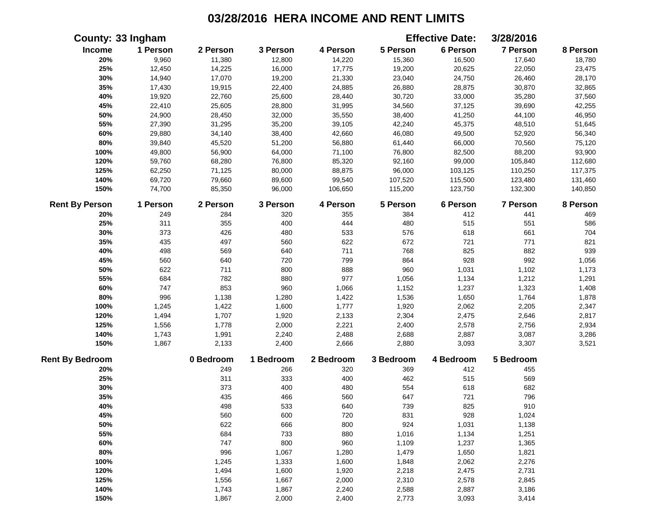|                        | County: 33 Ingham |           |           |           |           | <b>Effective Date:</b> | 3/28/2016       |          |
|------------------------|-------------------|-----------|-----------|-----------|-----------|------------------------|-----------------|----------|
| Income                 | 1 Person          | 2 Person  | 3 Person  | 4 Person  | 5 Person  | 6 Person               | 7 Person        | 8 Person |
| 20%                    | 9,960             | 11,380    | 12,800    | 14,220    | 15,360    | 16,500                 | 17,640          | 18,780   |
| 25%                    | 12,450            | 14,225    | 16,000    | 17,775    | 19,200    | 20,625                 | 22,050          | 23,475   |
| 30%                    | 14,940            | 17,070    | 19,200    | 21,330    | 23,040    | 24,750                 | 26,460          | 28,170   |
| 35%                    | 17,430            | 19,915    | 22,400    | 24,885    | 26,880    | 28,875                 | 30,870          | 32,865   |
| 40%                    | 19,920            | 22,760    | 25,600    | 28,440    | 30,720    | 33,000                 | 35,280          | 37,560   |
| 45%                    | 22,410            | 25,605    | 28,800    | 31,995    | 34,560    | 37,125                 | 39,690          | 42,255   |
| 50%                    | 24,900            | 28,450    | 32,000    | 35,550    | 38,400    | 41,250                 | 44,100          | 46,950   |
| 55%                    | 27,390            | 31,295    | 35,200    | 39,105    | 42,240    | 45,375                 | 48,510          | 51,645   |
| 60%                    | 29,880            | 34,140    | 38,400    | 42,660    | 46,080    | 49,500                 | 52,920          | 56,340   |
| $80\%$                 | 39,840            | 45,520    | 51,200    | 56,880    | 61,440    | 66,000                 | 70,560          | 75,120   |
| 100%                   | 49,800            | 56,900    | 64,000    | 71,100    | 76,800    | 82,500                 | 88,200          | 93,900   |
| 120%                   | 59,760            | 68,280    | 76,800    | 85,320    | 92,160    | 99,000                 | 105,840         | 112,680  |
| 125%                   | 62,250            | 71,125    | 80,000    | 88,875    | 96,000    | 103,125                | 110,250         | 117,375  |
| 140%                   | 69,720            | 79,660    | 89,600    | 99,540    | 107,520   | 115,500                | 123,480         | 131,460  |
| 150%                   | 74,700            | 85,350    | 96,000    | 106,650   | 115,200   | 123,750                | 132,300         | 140,850  |
| <b>Rent By Person</b>  | 1 Person          | 2 Person  | 3 Person  | 4 Person  | 5 Person  | 6 Person               | <b>7 Person</b> | 8 Person |
| 20%                    | 249               | 284       | 320       | 355       | 384       | 412                    | 441             | 469      |
| 25%                    | 311               | 355       | 400       | 444       | 480       | 515                    | 551             | 586      |
| 30%                    | 373               | 426       | 480       | 533       | 576       | 618                    | 661             | 704      |
| 35%                    | 435               | 497       | 560       | 622       | 672       | 721                    | 771             | 821      |
| 40%                    | 498               | 569       | 640       | 711       | 768       | 825                    | 882             | 939      |
| 45%                    | 560               | 640       | 720       | 799       | 864       | 928                    | 992             | 1,056    |
| 50%                    | 622               | 711       | 800       | 888       | 960       | 1,031                  | 1,102           | 1,173    |
| 55%                    | 684               | 782       | 880       | 977       | 1,056     | 1,134                  | 1,212           | 1,291    |
| 60%                    | 747               | 853       | 960       | 1,066     | 1,152     | 1,237                  | 1,323           | 1,408    |
| 80%                    | 996               | 1,138     | 1,280     | 1,422     | 1,536     | 1,650                  | 1,764           | 1,878    |
| 100%                   | 1,245             | 1,422     | 1,600     | 1,777     | 1,920     | 2,062                  | 2,205           | 2,347    |
| 120%                   | 1,494             | 1,707     | 1,920     | 2,133     | 2,304     | 2,475                  | 2,646           | 2,817    |
| 125%                   | 1,556             | 1,778     | 2,000     | 2,221     | 2,400     | 2,578                  | 2,756           | 2,934    |
| 140%                   | 1,743             | 1,991     | 2,240     | 2,488     | 2,688     | 2,887                  | 3,087           | 3,286    |
| 150%                   | 1,867             | 2,133     | 2,400     | 2,666     | 2,880     | 3,093                  | 3,307           | 3,521    |
| <b>Rent By Bedroom</b> |                   | 0 Bedroom | 1 Bedroom | 2 Bedroom | 3 Bedroom | 4 Bedroom              | 5 Bedroom       |          |
| 20%                    |                   | 249       | 266       | 320       | 369       | 412                    | 455             |          |
| 25%                    |                   | 311       | 333       | 400       | 462       | 515                    | 569             |          |
| 30%                    |                   | 373       | 400       | 480       | 554       | 618                    | 682             |          |
| 35%                    |                   | 435       | 466       | 560       | 647       | 721                    | 796             |          |
| 40%                    |                   | 498       | 533       | 640       | 739       | 825                    | 910             |          |
| 45%                    |                   | 560       | 600       | 720       | 831       | 928                    | 1,024           |          |
| 50%                    |                   | 622       | 666       | 800       | 924       | 1,031                  | 1,138           |          |
| 55%                    |                   | 684       | 733       | 880       | 1,016     | 1,134                  | 1,251           |          |
| 60%                    |                   | 747       | 800       | 960       | 1,109     | 1,237                  | 1,365           |          |
| 80%                    |                   | 996       | 1,067     | 1,280     | 1,479     | 1,650                  | 1,821           |          |
| 100%                   |                   | 1,245     | 1,333     | 1,600     | 1,848     | 2,062                  | 2,276           |          |
| 120%                   |                   | 1,494     | 1,600     | 1,920     | 2,218     | 2,475                  | 2,731           |          |
| 125%                   |                   | 1,556     | 1,667     | 2,000     | 2,310     | 2,578                  | 2,845           |          |
| 140%                   |                   | 1,743     | 1,867     | 2,240     | 2,588     | 2,887                  | 3,186           |          |
| 150%                   |                   | 1,867     | 2,000     | 2,400     | 2,773     | 3,093                  | 3,414           |          |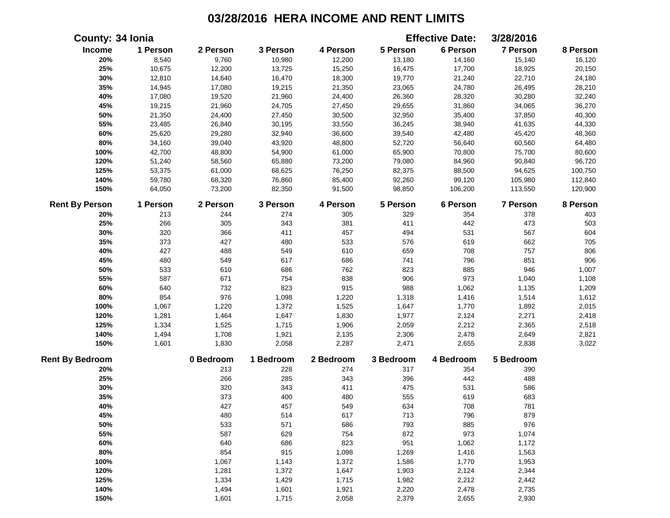| County: 34 Ionia       |          |           |           |           |           | <b>Effective Date:</b> | 3/28/2016       |          |
|------------------------|----------|-----------|-----------|-----------|-----------|------------------------|-----------------|----------|
| Income                 | 1 Person | 2 Person  | 3 Person  | 4 Person  | 5 Person  | 6 Person               | <b>7 Person</b> | 8 Person |
| 20%                    | 8,540    | 9,760     | 10,980    | 12,200    | 13,180    | 14,160                 | 15,140          | 16,120   |
| 25%                    | 10,675   | 12,200    | 13,725    | 15,250    | 16,475    | 17,700                 | 18,925          | 20,150   |
| 30%                    | 12,810   | 14,640    | 16,470    | 18,300    | 19,770    | 21,240                 | 22,710          | 24,180   |
| 35%                    | 14,945   | 17,080    | 19,215    | 21,350    | 23,065    | 24,780                 | 26,495          | 28,210   |
| 40%                    | 17,080   | 19,520    | 21,960    | 24,400    | 26,360    | 28,320                 | 30,280          | 32,240   |
| 45%                    | 19,215   | 21,960    | 24,705    | 27,450    | 29,655    | 31,860                 | 34,065          | 36,270   |
| 50%                    | 21,350   | 24,400    | 27,450    | 30,500    | 32,950    | 35,400                 | 37,850          | 40,300   |
| 55%                    | 23,485   | 26,840    | 30,195    | 33,550    | 36,245    | 38,940                 | 41,635          | 44,330   |
| 60%                    | 25,620   | 29,280    | 32,940    | 36,600    | 39,540    | 42,480                 | 45,420          | 48,360   |
| 80%                    | 34,160   | 39,040    | 43,920    | 48,800    | 52,720    | 56,640                 | 60,560          | 64,480   |
| 100%                   | 42,700   | 48,800    | 54,900    | 61,000    | 65,900    | 70,800                 | 75,700          | 80,600   |
| 120%                   | 51,240   | 58,560    | 65,880    | 73,200    | 79,080    | 84,960                 | 90,840          | 96,720   |
| 125%                   | 53,375   | 61,000    | 68,625    | 76,250    | 82,375    | 88,500                 | 94,625          | 100,750  |
| 140%                   | 59,780   | 68,320    | 76,860    | 85,400    | 92,260    | 99,120                 | 105,980         | 112,840  |
| 150%                   | 64,050   | 73,200    | 82,350    | 91,500    | 98,850    | 106,200                | 113,550         | 120,900  |
| <b>Rent By Person</b>  | 1 Person | 2 Person  | 3 Person  | 4 Person  | 5 Person  | 6 Person               | <b>7 Person</b> | 8 Person |
| 20%                    | 213      | 244       | 274       | 305       | 329       | 354                    | 378             | 403      |
| 25%                    | 266      | 305       | 343       | 381       | 411       | 442                    | 473             | 503      |
| 30%                    | 320      | 366       | 411       | 457       | 494       | 531                    | 567             | 604      |
| 35%                    | 373      | 427       | 480       | 533       | 576       | 619                    | 662             | 705      |
| 40%                    | 427      | 488       | 549       | 610       | 659       | 708                    | 757             | 806      |
| 45%                    | 480      | 549       | 617       | 686       | 741       | 796                    | 851             | 906      |
| 50%                    | 533      | 610       | 686       | 762       | 823       | 885                    | 946             | 1,007    |
| 55%                    | 587      | 671       | 754       | 838       | 906       | 973                    | 1,040           | 1,108    |
| 60%                    | 640      | 732       | 823       | 915       | 988       | 1,062                  | 1,135           | 1,209    |
| 80%                    | 854      | 976       | 1,098     | 1,220     | 1,318     | 1,416                  | 1,514           | 1,612    |
| 100%                   | 1,067    | 1,220     | 1,372     | 1,525     | 1,647     | 1,770                  | 1,892           | 2,015    |
| 120%                   | 1,281    | 1,464     | 1,647     | 1,830     | 1,977     | 2,124                  | 2,271           | 2,418    |
| 125%                   | 1,334    | 1,525     | 1,715     | 1,906     | 2,059     | 2,212                  | 2,365           | 2,518    |
| 140%                   | 1,494    | 1,708     | 1,921     | 2,135     | 2,306     | 2,478                  | 2,649           | 2,821    |
| 150%                   | 1,601    | 1,830     | 2,058     | 2,287     | 2,471     | 2,655                  | 2,838           | 3,022    |
| <b>Rent By Bedroom</b> |          | 0 Bedroom | 1 Bedroom | 2 Bedroom | 3 Bedroom | 4 Bedroom              | 5 Bedroom       |          |
| 20%                    |          | 213       | 228       | 274       | 317       | 354                    | 390             |          |
| 25%                    |          | 266       | 285       | 343       | 396       | 442                    | 488             |          |
| 30%                    |          | 320       | 343       | 411       | 475       | 531                    | 586             |          |
| 35%                    |          | 373       | 400       | 480       | 555       | 619                    | 683             |          |
| 40%                    |          | 427       | 457       | 549       | 634       | 708                    | 781             |          |
| 45%                    |          | 480       | 514       | 617       | 713       | 796                    | 879             |          |
| 50%                    |          | 533       | 571       | 686       | 793       | 885                    | 976             |          |
| 55%                    |          | 587       | 629       | 754       | 872       | 973                    | 1,074           |          |
| 60%                    |          | 640       | 686       | 823       | 951       | 1,062                  | 1,172           |          |
| 80%                    |          | 854       | 915       | 1,098     | 1,269     | 1,416                  | 1,563           |          |
| 100%                   |          | 1,067     | 1,143     | 1,372     | 1,586     | 1,770                  | 1,953           |          |
| 120%                   |          | 1,281     | 1,372     | 1,647     | 1,903     | 2,124                  | 2,344           |          |
| 125%                   |          | 1,334     | 1,429     | 1,715     | 1,982     | 2,212                  | 2,442           |          |
| 140%                   |          | 1,494     | 1,601     | 1,921     | 2,220     | 2,478                  | 2,735           |          |
| 150%                   |          | 1,601     | 1,715     | 2,058     | 2,379     | 2,655                  | 2,930           |          |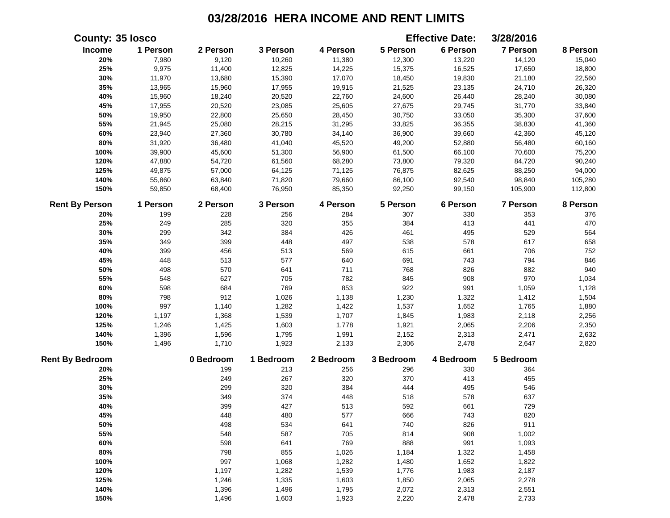|                        | <b>County: 35 losco</b> |           |           |           |           | <b>Effective Date:</b> | 3/28/2016       |          |
|------------------------|-------------------------|-----------|-----------|-----------|-----------|------------------------|-----------------|----------|
| Income                 | 1 Person                | 2 Person  | 3 Person  | 4 Person  | 5 Person  | 6 Person               | 7 Person        | 8 Person |
| 20%                    | 7,980                   | 9,120     | 10,260    | 11,380    | 12,300    | 13,220                 | 14,120          | 15,040   |
| 25%                    | 9,975                   | 11,400    | 12,825    | 14,225    | 15,375    | 16,525                 | 17,650          | 18,800   |
| 30%                    | 11,970                  | 13,680    | 15,390    | 17,070    | 18,450    | 19,830                 | 21,180          | 22,560   |
| 35%                    | 13,965                  | 15,960    | 17,955    | 19,915    | 21,525    | 23,135                 | 24,710          | 26,320   |
| 40%                    | 15,960                  | 18,240    | 20,520    | 22,760    | 24,600    | 26,440                 | 28,240          | 30,080   |
| 45%                    | 17,955                  | 20,520    | 23,085    | 25,605    | 27,675    | 29,745                 | 31,770          | 33,840   |
| 50%                    | 19,950                  | 22,800    | 25,650    | 28,450    | 30,750    | 33,050                 | 35,300          | 37,600   |
| 55%                    | 21,945                  | 25,080    | 28,215    | 31,295    | 33,825    | 36,355                 | 38,830          | 41,360   |
| 60%                    | 23,940                  | 27,360    | 30,780    | 34,140    | 36,900    | 39,660                 | 42,360          | 45,120   |
| $80\%$                 | 31,920                  | 36,480    | 41,040    | 45,520    | 49,200    | 52,880                 | 56,480          | 60,160   |
| 100%                   | 39,900                  | 45,600    | 51,300    | 56,900    | 61,500    | 66,100                 | 70,600          | 75,200   |
| 120%                   | 47,880                  | 54,720    | 61,560    | 68,280    | 73,800    | 79,320                 | 84,720          | 90,240   |
| 125%                   | 49,875                  | 57,000    | 64,125    | 71,125    | 76,875    | 82,625                 | 88,250          | 94,000   |
| 140%                   | 55,860                  | 63,840    | 71,820    | 79,660    | 86,100    | 92,540                 | 98,840          | 105,280  |
| 150%                   | 59,850                  | 68,400    | 76,950    | 85,350    | 92,250    | 99,150                 | 105,900         | 112,800  |
| <b>Rent By Person</b>  | 1 Person                | 2 Person  | 3 Person  | 4 Person  | 5 Person  | 6 Person               | <b>7 Person</b> | 8 Person |
| 20%                    | 199                     | 228       | 256       | 284       | 307       | 330                    | 353             | 376      |
| 25%                    | 249                     | 285       | 320       | 355       | 384       | 413                    | 441             | 470      |
| 30%                    | 299                     | 342       | 384       | 426       | 461       | 495                    | 529             | 564      |
| 35%                    | 349                     | 399       | 448       | 497       | 538       | 578                    | 617             | 658      |
| 40%                    | 399                     | 456       | 513       | 569       | 615       | 661                    | 706             | 752      |
| 45%                    | 448                     | 513       | 577       | 640       | 691       | 743                    | 794             | 846      |
| 50%                    | 498                     | 570       | 641       | 711       | 768       | 826                    | 882             | 940      |
| 55%                    | 548                     | 627       | 705       | 782       | 845       | 908                    | 970             | 1,034    |
| 60%                    | 598                     | 684       | 769       | 853       | 922       | 991                    | 1,059           | 1,128    |
| 80%                    | 798                     | 912       | 1,026     | 1,138     | 1,230     | 1,322                  | 1,412           | 1,504    |
| 100%                   | 997                     | 1,140     | 1,282     | 1,422     | 1,537     | 1,652                  | 1,765           | 1,880    |
| 120%                   | 1,197                   | 1,368     | 1,539     | 1,707     | 1,845     | 1,983                  | 2,118           | 2,256    |
| 125%                   | 1,246                   | 1,425     | 1,603     | 1,778     | 1,921     | 2,065                  | 2,206           | 2,350    |
| 140%                   | 1,396                   | 1,596     | 1,795     | 1,991     | 2,152     | 2,313                  | 2,471           | 2,632    |
| 150%                   | 1,496                   | 1,710     | 1,923     | 2,133     | 2,306     | 2,478                  | 2,647           | 2,820    |
| <b>Rent By Bedroom</b> |                         | 0 Bedroom | 1 Bedroom | 2 Bedroom | 3 Bedroom | 4 Bedroom              | 5 Bedroom       |          |
| 20%                    |                         | 199       | 213       | 256       | 296       | 330                    | 364             |          |
| 25%                    |                         | 249       | 267       | 320       | 370       | 413                    | 455             |          |
| 30%                    |                         | 299       | 320       | 384       | 444       | 495                    | 546             |          |
| 35%                    |                         | 349       | 374       | 448       | 518       | 578                    | 637             |          |
| 40%                    |                         | 399       | 427       | 513       | 592       | 661                    | 729             |          |
| 45%                    |                         | 448       | 480       | 577       | 666       | 743                    | 820             |          |
| 50%                    |                         | 498       | 534       | 641       | 740       | 826                    | 911             |          |
| 55%                    |                         | 548       | 587       | 705       | 814       | 908                    | 1,002           |          |
| 60%                    |                         | 598       | 641       | 769       | 888       | 991                    | 1,093           |          |
| 80%                    |                         | 798       | 855       | 1,026     | 1,184     | 1,322                  | 1,458           |          |
| 100%                   |                         | 997       | 1,068     | 1,282     | 1,480     | 1,652                  | 1,822           |          |
| 120%                   |                         | 1,197     | 1,282     | 1,539     | 1,776     | 1,983                  | 2,187           |          |
| 125%                   |                         | 1,246     | 1,335     | 1,603     | 1,850     | 2,065                  | 2,278           |          |
| 140%                   |                         | 1,396     | 1,496     | 1,795     | 2,072     | 2,313                  | 2,551           |          |
| 150%                   |                         | 1,496     | 1,603     | 1,923     | 2,220     | 2,478                  | 2,733           |          |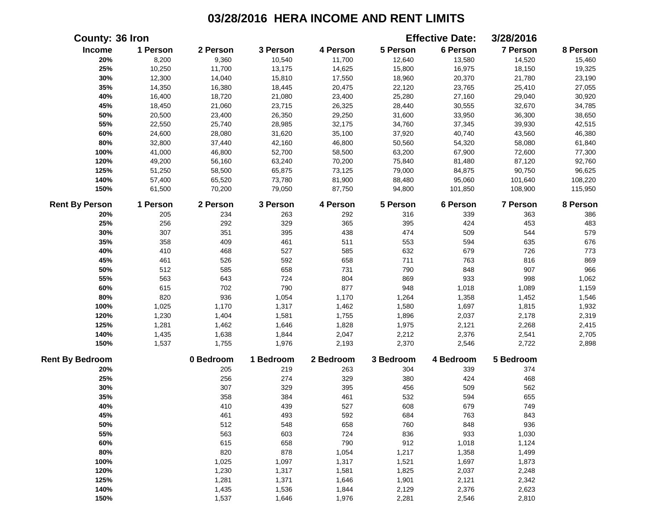| <b>County: 36 Iron</b> |          |           |           |           |           | <b>Effective Date:</b> | 3/28/2016 |          |
|------------------------|----------|-----------|-----------|-----------|-----------|------------------------|-----------|----------|
| Income                 | 1 Person | 2 Person  | 3 Person  | 4 Person  | 5 Person  | 6 Person               | 7 Person  | 8 Person |
| 20%                    | 8,200    | 9,360     | 10,540    | 11,700    | 12,640    | 13,580                 | 14,520    | 15,460   |
| 25%                    | 10,250   | 11,700    | 13,175    | 14,625    | 15,800    | 16,975                 | 18,150    | 19,325   |
| 30%                    | 12,300   | 14,040    | 15,810    | 17,550    | 18,960    | 20,370                 | 21,780    | 23,190   |
| 35%                    | 14,350   | 16,380    | 18,445    | 20,475    | 22,120    | 23,765                 | 25,410    | 27,055   |
| 40%                    | 16,400   | 18,720    | 21,080    | 23,400    | 25,280    | 27,160                 | 29,040    | 30,920   |
| 45%                    | 18,450   | 21,060    | 23,715    | 26,325    | 28,440    | 30,555                 | 32,670    | 34,785   |
| 50%                    | 20,500   | 23,400    | 26,350    | 29,250    | 31,600    | 33,950                 | 36,300    | 38,650   |
| 55%                    | 22,550   | 25,740    | 28,985    | 32,175    | 34,760    | 37,345                 | 39,930    | 42,515   |
| 60%                    | 24,600   | 28,080    | 31,620    | 35,100    | 37,920    | 40,740                 | 43,560    | 46,380   |
| 80%                    | 32,800   | 37,440    | 42,160    | 46,800    | 50,560    | 54,320                 | 58,080    | 61,840   |
| 100%                   | 41,000   | 46,800    | 52,700    | 58,500    | 63,200    | 67,900                 | 72,600    | 77,300   |
| 120%                   | 49,200   | 56,160    | 63,240    | 70,200    | 75,840    | 81,480                 | 87,120    | 92,760   |
| 125%                   | 51,250   | 58,500    | 65,875    | 73,125    | 79,000    | 84,875                 | 90,750    | 96,625   |
| 140%                   | 57,400   | 65,520    | 73,780    | 81,900    | 88,480    | 95,060                 | 101,640   | 108,220  |
| 150%                   | 61,500   | 70,200    | 79,050    | 87,750    | 94,800    | 101,850                | 108,900   | 115,950  |
| <b>Rent By Person</b>  | 1 Person | 2 Person  | 3 Person  | 4 Person  | 5 Person  | 6 Person               | 7 Person  | 8 Person |
| 20%                    | 205      | 234       | 263       | 292       | 316       | 339                    | 363       | 386      |
| 25%                    | 256      | 292       | 329       | 365       | 395       | 424                    | 453       | 483      |
| 30%                    | 307      | 351       | 395       | 438       | 474       | 509                    | 544       | 579      |
| 35%                    | 358      | 409       | 461       | 511       | 553       | 594                    | 635       | 676      |
| 40%                    | 410      | 468       | 527       | 585       | 632       | 679                    | 726       | 773      |
| 45%                    | 461      | 526       | 592       | 658       | 711       | 763                    | 816       | 869      |
| 50%                    | 512      | 585       | 658       | 731       | 790       | 848                    | 907       | 966      |
| 55%                    | 563      | 643       | 724       | 804       | 869       | 933                    | 998       | 1,062    |
| 60%                    | 615      | 702       | 790       | 877       | 948       | 1,018                  | 1,089     | 1,159    |
| 80%                    | 820      | 936       | 1,054     | 1,170     | 1,264     | 1,358                  | 1,452     | 1,546    |
| 100%                   | 1,025    | 1,170     | 1,317     | 1,462     | 1,580     | 1,697                  | 1,815     | 1,932    |
| 120%                   | 1,230    | 1,404     | 1,581     | 1,755     | 1,896     | 2,037                  | 2,178     | 2,319    |
| 125%                   | 1,281    | 1,462     | 1,646     | 1,828     | 1,975     | 2,121                  | 2,268     | 2,415    |
| 140%                   | 1,435    | 1,638     | 1,844     | 2,047     | 2,212     | 2,376                  | 2,541     | 2,705    |
| 150%                   | 1,537    | 1,755     | 1,976     | 2,193     | 2,370     | 2,546                  | 2,722     | 2,898    |
| <b>Rent By Bedroom</b> |          | 0 Bedroom | 1 Bedroom | 2 Bedroom | 3 Bedroom | 4 Bedroom              | 5 Bedroom |          |
| 20%                    |          | 205       | 219       | 263       | 304       | 339                    | 374       |          |
| 25%                    |          | 256       | 274       | 329       | 380       | 424                    | 468       |          |
| 30%                    |          | 307       | 329       | 395       | 456       | 509                    | 562       |          |
| 35%                    |          | 358       | 384       | 461       | 532       | 594                    | 655       |          |
| 40%                    |          | 410       | 439       | 527       | 608       | 679                    | 749       |          |
| 45%                    |          | 461       | 493       | 592       | 684       | 763                    | 843       |          |
| 50%                    |          | 512       | 548       | 658       | 760       | 848                    | 936       |          |
| 55%                    |          | 563       | 603       | 724       | 836       | 933                    | 1,030     |          |
| 60%                    |          | 615       | 658       | 790       | 912       | 1,018                  | 1,124     |          |
| 80%                    |          | 820       | 878       | 1,054     | 1,217     | 1,358                  | 1,499     |          |
| 100%                   |          | 1,025     | 1,097     | 1,317     | 1,521     | 1,697                  | 1,873     |          |
| 120%                   |          | 1,230     | 1,317     | 1,581     | 1,825     | 2,037                  | 2,248     |          |
| 125%                   |          | 1,281     | 1,371     | 1,646     | 1,901     | 2,121                  | 2,342     |          |
| 140%                   |          | 1,435     | 1,536     | 1,844     | 2,129     | 2,376                  | 2,623     |          |
| 150%                   |          | 1,537     | 1,646     | 1,976     | 2,281     | 2,546                  | 2,810     |          |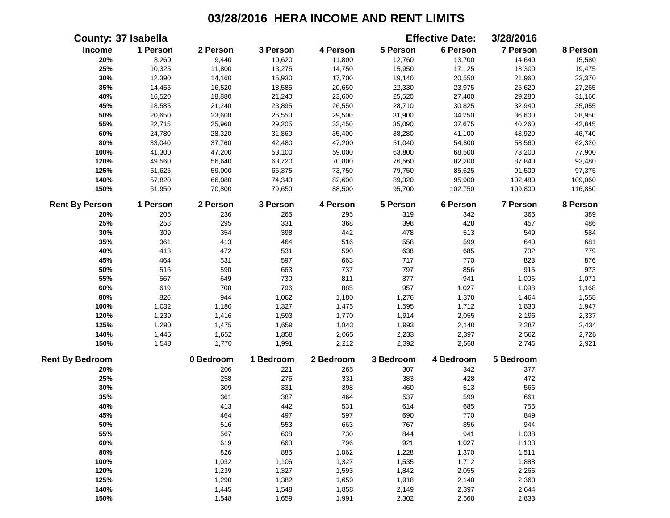|                        | <b>County: 37 Isabella</b> |           |           |           |           | <b>Effective Date:</b> | 3/28/2016       |          |
|------------------------|----------------------------|-----------|-----------|-----------|-----------|------------------------|-----------------|----------|
| Income                 | 1 Person                   | 2 Person  | 3 Person  | 4 Person  | 5 Person  | 6 Person               | 7 Person        | 8 Person |
| 20%                    | 8,260                      | 9,440     | 10,620    | 11,800    | 12,760    | 13,700                 | 14,640          | 15,580   |
| 25%                    | 10,325                     | 11,800    | 13,275    | 14,750    | 15,950    | 17,125                 | 18,300          | 19,475   |
| 30%                    | 12,390                     | 14,160    | 15,930    | 17,700    | 19,140    | 20,550                 | 21,960          | 23,370   |
| 35%                    | 14,455                     | 16,520    | 18,585    | 20,650    | 22,330    | 23,975                 | 25,620          | 27,265   |
| 40%                    | 16,520                     | 18,880    | 21,240    | 23,600    | 25,520    | 27,400                 | 29,280          | 31,160   |
| 45%                    | 18,585                     | 21,240    | 23,895    | 26,550    | 28,710    | 30,825                 | 32,940          | 35,055   |
| 50%                    | 20,650                     | 23,600    | 26,550    | 29,500    | 31,900    | 34,250                 | 36,600          | 38,950   |
| 55%                    | 22,715                     | 25,960    | 29,205    | 32,450    | 35,090    | 37,675                 | 40,260          | 42,845   |
| 60%                    | 24,780                     | 28,320    | 31,860    | 35,400    | 38,280    | 41,100                 | 43,920          | 46,740   |
| $80\%$                 | 33,040                     | 37,760    | 42,480    | 47,200    | 51,040    | 54,800                 | 58,560          | 62,320   |
| 100%                   | 41,300                     | 47,200    | 53,100    | 59,000    | 63,800    | 68,500                 | 73,200          | 77,900   |
| 120%                   | 49,560                     | 56,640    | 63,720    | 70,800    | 76,560    | 82,200                 | 87,840          | 93,480   |
| 125%                   | 51,625                     | 59,000    | 66,375    | 73,750    | 79,750    | 85,625                 | 91,500          | 97,375   |
| 140%                   | 57,820                     | 66,080    | 74,340    | 82,600    | 89,320    | 95,900                 | 102,480         | 109,060  |
| 150%                   | 61,950                     | 70,800    | 79,650    | 88,500    | 95,700    | 102,750                | 109,800         | 116,850  |
| <b>Rent By Person</b>  | 1 Person                   | 2 Person  | 3 Person  | 4 Person  | 5 Person  | 6 Person               | <b>7 Person</b> | 8 Person |
| 20%                    | 206                        | 236       | 265       | 295       | 319       | 342                    | 366             | 389      |
| 25%                    | 258                        | 295       | 331       | 368       | 398       | 428                    | 457             | 486      |
| 30%                    | 309                        | 354       | 398       | 442       | 478       | 513                    | 549             | 584      |
| 35%                    | 361                        | 413       | 464       | 516       | 558       | 599                    | 640             | 681      |
| 40%                    | 413                        | 472       | 531       | 590       | 638       | 685                    | 732             | 779      |
| 45%                    | 464                        | 531       | 597       | 663       | 717       | 770                    | 823             | 876      |
| 50%                    | 516                        | 590       | 663       | 737       | 797       | 856                    | 915             | 973      |
| 55%                    | 567                        | 649       | 730       | 811       | 877       | 941                    | 1,006           | 1,071    |
| 60%                    | 619                        | 708       | 796       | 885       | 957       | 1,027                  | 1,098           | 1,168    |
| 80%                    | 826                        | 944       | 1,062     | 1,180     | 1,276     | 1,370                  | 1,464           | 1,558    |
| 100%                   | 1,032                      | 1,180     | 1,327     | 1,475     | 1,595     | 1,712                  | 1,830           | 1,947    |
| 120%                   | 1,239                      | 1,416     | 1,593     | 1,770     | 1,914     | 2,055                  | 2,196           | 2,337    |
| 125%                   | 1,290                      | 1,475     | 1,659     | 1,843     | 1,993     | 2,140                  | 2,287           | 2,434    |
| 140%                   | 1,445                      | 1,652     | 1,858     | 2,065     | 2,233     | 2,397                  | 2,562           | 2,726    |
| 150%                   | 1,548                      | 1,770     | 1,991     | 2,212     | 2,392     | 2,568                  | 2,745           | 2,921    |
| <b>Rent By Bedroom</b> |                            | 0 Bedroom | 1 Bedroom | 2 Bedroom | 3 Bedroom | 4 Bedroom              | 5 Bedroom       |          |
| 20%                    |                            | 206       | 221       | 265       | 307       | 342                    | 377             |          |
| 25%                    |                            | 258       | 276       | 331       | 383       | 428                    | 472             |          |
| 30%                    |                            | 309       | 331       | 398       | 460       | 513                    | 566             |          |
| 35%                    |                            | 361       | 387       | 464       | 537       | 599                    | 661             |          |
| 40%                    |                            | 413       | 442       | 531       | 614       | 685                    | 755             |          |
| 45%                    |                            | 464       | 497       | 597       | 690       | 770                    | 849             |          |
| 50%                    |                            | 516       | 553       | 663       | 767       | 856                    | 944             |          |
| 55%                    |                            | 567       | 608       | 730       | 844       | 941                    | 1,038           |          |
| 60%                    |                            | 619       | 663       | 796       | 921       | 1,027                  | 1,133           |          |
| 80%                    |                            | 826       | 885       | 1,062     | 1,228     | 1,370                  | 1,511           |          |
| 100%                   |                            | 1,032     | 1,106     | 1,327     | 1,535     | 1,712                  | 1,888           |          |
| 120%                   |                            | 1,239     | 1,327     | 1,593     | 1,842     | 2,055                  | 2,266           |          |
| 125%                   |                            | 1,290     | 1,382     | 1,659     | 1,918     | 2,140                  | 2,360           |          |
| 140%                   |                            | 1,445     | 1,548     | 1,858     | 2,149     | 2,397                  | 2,644           |          |
| 150%                   |                            | 1,548     | 1,659     | 1,991     | 2,302     | 2,568                  | 2,833           |          |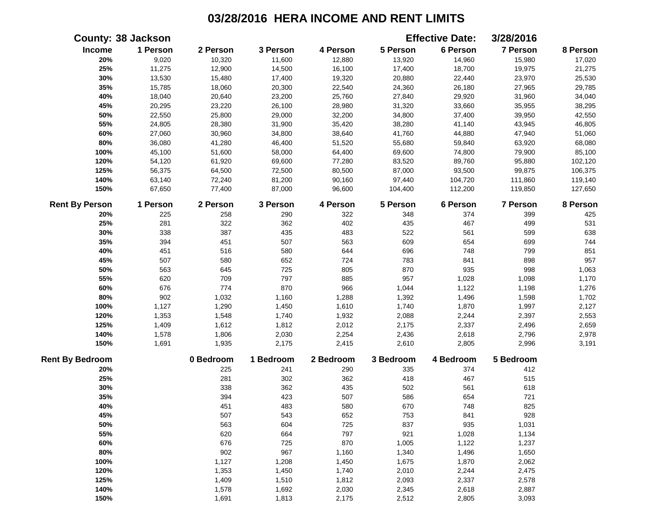|                        | <b>County: 38 Jackson</b> |           |           |           |           | <b>Effective Date:</b> | 3/28/2016 |          |
|------------------------|---------------------------|-----------|-----------|-----------|-----------|------------------------|-----------|----------|
| Income                 | 1 Person                  | 2 Person  | 3 Person  | 4 Person  | 5 Person  | 6 Person               | 7 Person  | 8 Person |
| 20%                    | 9,020                     | 10,320    | 11,600    | 12,880    | 13,920    | 14,960                 | 15,980    | 17,020   |
| 25%                    | 11,275                    | 12,900    | 14,500    | 16,100    | 17,400    | 18,700                 | 19,975    | 21,275   |
| 30%                    | 13,530                    | 15,480    | 17,400    | 19,320    | 20,880    | 22,440                 | 23,970    | 25,530   |
| 35%                    | 15,785                    | 18,060    | 20,300    | 22,540    | 24,360    | 26,180                 | 27,965    | 29,785   |
| 40%                    | 18,040                    | 20,640    | 23,200    | 25,760    | 27,840    | 29,920                 | 31,960    | 34,040   |
| 45%                    | 20,295                    | 23,220    | 26,100    | 28,980    | 31,320    | 33,660                 | 35,955    | 38,295   |
| 50%                    | 22,550                    | 25,800    | 29,000    | 32,200    | 34,800    | 37,400                 | 39,950    | 42,550   |
| 55%                    | 24,805                    | 28,380    | 31,900    | 35,420    | 38,280    | 41,140                 | 43,945    | 46,805   |
| 60%                    | 27,060                    | 30,960    | 34,800    | 38,640    | 41,760    | 44,880                 | 47,940    | 51,060   |
| 80%                    | 36,080                    | 41,280    | 46,400    | 51,520    | 55,680    | 59,840                 | 63,920    | 68,080   |
| 100%                   | 45,100                    | 51,600    | 58,000    | 64,400    | 69,600    | 74,800                 | 79,900    | 85,100   |
| 120%                   | 54,120                    | 61,920    | 69,600    | 77,280    | 83,520    | 89,760                 | 95,880    | 102,120  |
| 125%                   | 56,375                    | 64,500    | 72,500    | 80,500    | 87,000    | 93,500                 | 99,875    | 106,375  |
| 140%                   | 63,140                    | 72,240    | 81,200    | 90,160    | 97,440    | 104,720                | 111,860   | 119,140  |
| 150%                   | 67,650                    | 77,400    | 87,000    | 96,600    | 104,400   | 112,200                | 119,850   | 127,650  |
| <b>Rent By Person</b>  | 1 Person                  | 2 Person  | 3 Person  | 4 Person  | 5 Person  | 6 Person               | 7 Person  | 8 Person |
| 20%                    | 225                       | 258       | 290       | 322       | 348       | 374                    | 399       | 425      |
| 25%                    | 281                       | 322       | 362       | 402       | 435       | 467                    | 499       | 531      |
| 30%                    | 338                       | 387       | 435       | 483       | 522       | 561                    | 599       | 638      |
| 35%                    | 394                       | 451       | 507       | 563       | 609       | 654                    | 699       | 744      |
| 40%                    | 451                       | 516       | 580       | 644       | 696       | 748                    | 799       | 851      |
| 45%                    | 507                       | 580       | 652       | 724       | 783       | 841                    | 898       | 957      |
| 50%                    | 563                       | 645       | 725       | 805       | 870       | 935                    | 998       | 1,063    |
| 55%                    | 620                       | 709       | 797       | 885       | 957       | 1,028                  | 1,098     | 1,170    |
| 60%                    | 676                       | 774       | 870       | 966       | 1,044     | 1,122                  | 1,198     | 1,276    |
| 80%                    | 902                       | 1,032     | 1,160     | 1,288     | 1,392     | 1,496                  | 1,598     | 1,702    |
| 100%                   | 1,127                     | 1,290     | 1,450     | 1,610     | 1,740     | 1,870                  | 1,997     | 2,127    |
| 120%                   | 1,353                     | 1,548     | 1,740     | 1,932     | 2,088     | 2,244                  | 2,397     | 2,553    |
| 125%                   | 1,409                     | 1,612     | 1,812     | 2,012     | 2,175     | 2,337                  | 2,496     | 2,659    |
| 140%                   | 1,578                     | 1,806     | 2,030     | 2,254     | 2,436     | 2,618                  | 2,796     | 2,978    |
| 150%                   | 1,691                     | 1,935     | 2,175     | 2,415     | 2,610     | 2,805                  | 2,996     | 3,191    |
| <b>Rent By Bedroom</b> |                           | 0 Bedroom | 1 Bedroom | 2 Bedroom | 3 Bedroom | 4 Bedroom              | 5 Bedroom |          |
| 20%                    |                           | 225       | 241       | 290       | 335       | 374                    | 412       |          |
| 25%                    |                           | 281       | 302       | 362       | 418       | 467                    | 515       |          |
| 30%                    |                           | 338       | 362       | 435       | 502       | 561                    | 618       |          |
| 35%                    |                           | 394       | 423       | 507       | 586       | 654                    | 721       |          |
| 40%                    |                           | 451       | 483       | 580       | 670       | 748                    | 825       |          |
| 45%                    |                           | 507       | 543       | 652       | 753       | 841                    | 928       |          |
| 50%                    |                           | 563       | 604       | 725       | 837       | 935                    | 1,031     |          |
| 55%                    |                           | 620       | 664       | 797       | 921       | 1,028                  | 1,134     |          |
| 60%                    |                           | 676       | 725       | 870       | 1,005     | 1,122                  | 1,237     |          |
| 80%                    |                           | 902       | 967       | 1,160     | 1,340     | 1,496                  | 1,650     |          |
| 100%                   |                           | 1,127     | 1,208     | 1,450     | 1,675     | 1,870                  | 2,062     |          |
| 120%                   |                           | 1,353     | 1,450     | 1,740     | 2,010     | 2,244                  | 2,475     |          |
| 125%                   |                           | 1,409     | 1,510     | 1,812     | 2,093     | 2,337                  | 2,578     |          |
| 140%                   |                           | 1,578     | 1,692     | 2,030     | 2,345     | 2,618                  | 2,887     |          |
| 150%                   |                           | 1,691     | 1,813     | 2,175     | 2,512     | 2,805                  | 3,093     |          |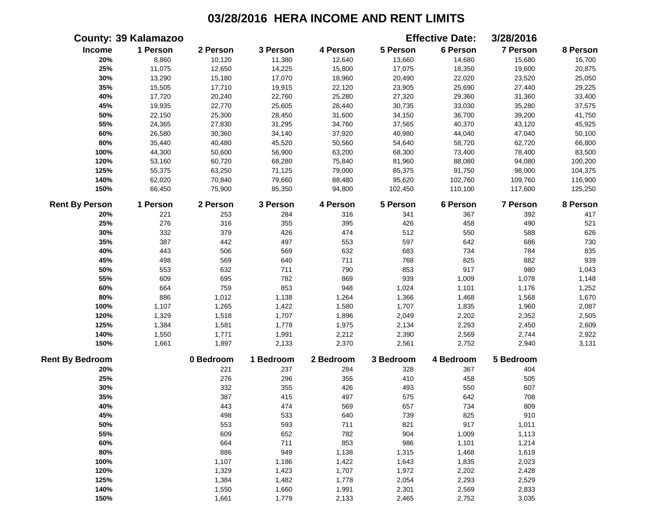|                        | <b>County: 39 Kalamazoo</b> |           |           |           |           | <b>Effective Date:</b> | 3/28/2016 |          |
|------------------------|-----------------------------|-----------|-----------|-----------|-----------|------------------------|-----------|----------|
| Income                 | 1 Person                    | 2 Person  | 3 Person  | 4 Person  | 5 Person  | 6 Person               | 7 Person  | 8 Person |
| 20%                    | 8,860                       | 10,120    | 11,380    | 12,640    | 13,660    | 14,680                 | 15,680    | 16,700   |
| 25%                    | 11,075                      | 12,650    | 14,225    | 15,800    | 17,075    | 18,350                 | 19,600    | 20,875   |
| 30%                    | 13,290                      | 15,180    | 17,070    | 18,960    | 20,490    | 22,020                 | 23,520    | 25,050   |
| 35%                    | 15,505                      | 17,710    | 19,915    | 22,120    | 23,905    | 25,690                 | 27,440    | 29,225   |
| 40%                    | 17,720                      | 20,240    | 22,760    | 25,280    | 27,320    | 29,360                 | 31,360    | 33,400   |
| 45%                    | 19,935                      | 22,770    | 25,605    | 28,440    | 30,735    | 33,030                 | 35,280    | 37,575   |
| 50%                    | 22,150                      | 25,300    | 28,450    | 31,600    | 34,150    | 36,700                 | 39,200    | 41,750   |
| 55%                    | 24,365                      | 27,830    | 31,295    | 34,760    | 37,565    | 40,370                 | 43,120    | 45,925   |
| 60%                    | 26,580                      | 30,360    | 34,140    | 37,920    | 40,980    | 44,040                 | 47,040    | 50,100   |
| $80\%$                 | 35,440                      | 40,480    | 45,520    | 50,560    | 54,640    | 58,720                 | 62,720    | 66,800   |
| 100%                   | 44,300                      | 50,600    | 56,900    | 63,200    | 68,300    | 73,400                 | 78,400    | 83,500   |
| 120%                   | 53,160                      | 60,720    | 68,280    | 75,840    | 81,960    | 88,080                 | 94,080    | 100,200  |
| 125%                   | 55,375                      | 63,250    | 71,125    | 79,000    | 85,375    | 91,750                 | 98,000    | 104,375  |
| 140%                   | 62,020                      | 70,840    | 79,660    | 88,480    | 95,620    | 102,760                | 109,760   | 116,900  |
| 150%                   | 66,450                      | 75,900    | 85,350    | 94,800    | 102,450   | 110,100                | 117,600   | 125,250  |
| <b>Rent By Person</b>  | 1 Person                    | 2 Person  | 3 Person  | 4 Person  | 5 Person  | 6 Person               | 7 Person  | 8 Person |
| 20%                    | 221                         | 253       | 284       | 316       | 341       | 367                    | 392       | 417      |
| 25%                    | 276                         | 316       | 355       | 395       | 426       | 458                    | 490       | 521      |
| 30%                    | 332                         | 379       | 426       | 474       | 512       | 550                    | 588       | 626      |
| 35%                    | 387                         | 442       | 497       | 553       | 597       | 642                    | 686       | 730      |
| 40%                    | 443                         | 506       | 569       | 632       | 683       | 734                    | 784       | 835      |
| 45%                    | 498                         | 569       | 640       | 711       | 768       | 825                    | 882       | 939      |
| 50%                    | 553                         | 632       | 711       | 790       | 853       | 917                    | 980       | 1,043    |
| 55%                    | 609                         | 695       | 782       | 869       | 939       | 1,009                  | 1,078     | 1,148    |
| 60%                    | 664                         | 759       | 853       | 948       | 1,024     | 1,101                  | 1,176     | 1,252    |
| 80%                    | 886                         | 1,012     | 1,138     | 1,264     | 1,366     | 1,468                  | 1,568     | 1,670    |
| 100%                   | 1,107                       | 1,265     | 1,422     | 1,580     | 1,707     | 1,835                  | 1,960     | 2,087    |
| 120%                   | 1,329                       | 1,518     | 1,707     | 1,896     | 2,049     | 2,202                  | 2,352     | 2,505    |
| 125%                   | 1,384                       | 1,581     | 1,778     | 1,975     | 2,134     | 2,293                  | 2,450     | 2,609    |
| 140%                   | 1,550                       | 1,771     | 1,991     | 2,212     | 2,390     | 2,569                  | 2,744     | 2,922    |
| 150%                   | 1,661                       | 1,897     | 2,133     | 2,370     | 2,561     | 2,752                  | 2,940     | 3,131    |
| <b>Rent By Bedroom</b> |                             | 0 Bedroom | 1 Bedroom | 2 Bedroom | 3 Bedroom | 4 Bedroom              | 5 Bedroom |          |
| 20%                    |                             | 221       | 237       | 284       | 328       | 367                    | 404       |          |
| 25%                    |                             | 276       | 296       | 355       | 410       | 458                    | 505       |          |
| 30%                    |                             | 332       | 355       | 426       | 493       | 550                    | 607       |          |
| 35%                    |                             | 387       | 415       | 497       | 575       | 642                    | 708       |          |
| 40%                    |                             | 443       | 474       | 569       | 657       | 734                    | 809       |          |
| 45%                    |                             | 498       | 533       | 640       | 739       | 825                    | 910       |          |
| 50%                    |                             | 553       | 593       | 711       | 821       | 917                    | 1,011     |          |
| 55%                    |                             | 609       | 652       | 782       | 904       | 1,009                  | 1,113     |          |
| 60%                    |                             | 664       | 711       | 853       | 986       | 1,101                  | 1,214     |          |
| 80%                    |                             | 886       | 949       | 1,138     | 1,315     | 1,468                  | 1,619     |          |
| 100%                   |                             | 1,107     | 1,186     | 1,422     | 1,643     | 1,835                  | 2,023     |          |
| 120%                   |                             | 1,329     | 1,423     | 1,707     | 1,972     | 2,202                  | 2,428     |          |
| 125%                   |                             | 1,384     | 1,482     | 1,778     | 2,054     | 2,293                  | 2,529     |          |
| 140%                   |                             | 1,550     | 1,660     | 1,991     | 2,301     | 2,569                  | 2,833     |          |
| 150%                   |                             | 1,661     | 1,779     | 2,133     | 2,465     | 2,752                  | 3,035     |          |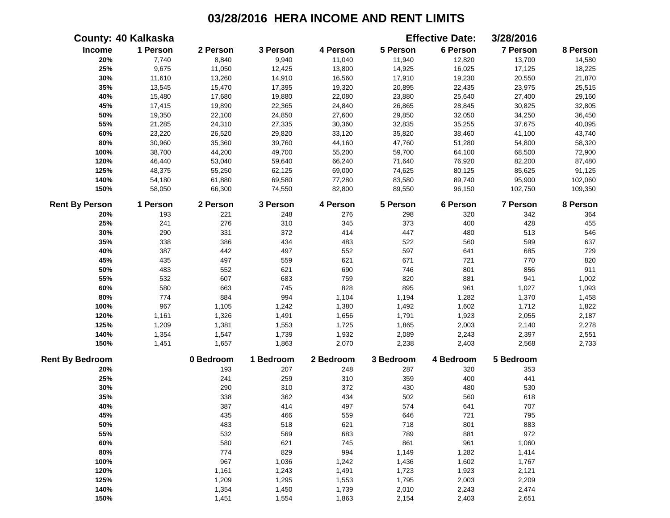|                        | <b>County: 40 Kalkaska</b> |           |           |           |           | <b>Effective Date:</b> | 3/28/2016       |          |
|------------------------|----------------------------|-----------|-----------|-----------|-----------|------------------------|-----------------|----------|
| Income                 | 1 Person                   | 2 Person  | 3 Person  | 4 Person  | 5 Person  | 6 Person               | 7 Person        | 8 Person |
| 20%                    | 7,740                      | 8,840     | 9,940     | 11,040    | 11,940    | 12,820                 | 13,700          | 14,580   |
| 25%                    | 9,675                      | 11,050    | 12,425    | 13,800    | 14,925    | 16,025                 | 17,125          | 18,225   |
| 30%                    | 11,610                     | 13,260    | 14,910    | 16,560    | 17,910    | 19,230                 | 20,550          | 21,870   |
| 35%                    | 13,545                     | 15,470    | 17,395    | 19,320    | 20,895    | 22,435                 | 23,975          | 25,515   |
| 40%                    | 15,480                     | 17,680    | 19,880    | 22,080    | 23,880    | 25,640                 | 27,400          | 29,160   |
| 45%                    | 17,415                     | 19,890    | 22,365    | 24,840    | 26,865    | 28,845                 | 30,825          | 32,805   |
| 50%                    | 19,350                     | 22,100    | 24,850    | 27,600    | 29,850    | 32,050                 | 34,250          | 36,450   |
| 55%                    | 21,285                     | 24,310    | 27,335    | 30,360    | 32,835    | 35,255                 | 37,675          | 40,095   |
| 60%                    | 23,220                     | 26,520    | 29,820    | 33,120    | 35,820    | 38,460                 | 41,100          | 43,740   |
| $80\%$                 | 30,960                     | 35,360    | 39,760    | 44,160    | 47,760    | 51,280                 | 54,800          | 58,320   |
| 100%                   | 38,700                     | 44,200    | 49,700    | 55,200    | 59,700    | 64,100                 | 68,500          | 72,900   |
| 120%                   | 46,440                     | 53,040    | 59,640    | 66,240    | 71,640    | 76,920                 | 82,200          | 87,480   |
| 125%                   | 48,375                     | 55,250    | 62,125    | 69,000    | 74,625    | 80,125                 | 85,625          | 91,125   |
| 140%                   | 54,180                     | 61,880    | 69,580    | 77,280    | 83,580    | 89,740                 | 95,900          | 102,060  |
| 150%                   | 58,050                     | 66,300    | 74,550    | 82,800    | 89,550    | 96,150                 | 102,750         | 109,350  |
| <b>Rent By Person</b>  | 1 Person                   | 2 Person  | 3 Person  | 4 Person  | 5 Person  | 6 Person               | <b>7 Person</b> | 8 Person |
| 20%                    | 193                        | 221       | 248       | 276       | 298       | 320                    | 342             | 364      |
| 25%                    | 241                        | 276       | 310       | 345       | 373       | 400                    | 428             | 455      |
| 30%                    | 290                        | 331       | 372       | 414       | 447       | 480                    | 513             | 546      |
| 35%                    | 338                        | 386       | 434       | 483       | 522       | 560                    | 599             | 637      |
| 40%                    | 387                        | 442       | 497       | 552       | 597       | 641                    | 685             | 729      |
| 45%                    | 435                        | 497       | 559       | 621       | 671       | 721                    | 770             | 820      |
| 50%                    | 483                        | 552       | 621       | 690       | 746       | 801                    | 856             | 911      |
| 55%                    | 532                        | 607       | 683       | 759       | 820       | 881                    | 941             | 1,002    |
| 60%                    | 580                        | 663       | 745       | 828       | 895       | 961                    | 1,027           | 1,093    |
| 80%                    | 774                        | 884       | 994       | 1,104     | 1,194     | 1,282                  | 1,370           | 1,458    |
| 100%                   | 967                        | 1,105     | 1,242     | 1,380     | 1,492     | 1,602                  | 1,712           | 1,822    |
| 120%                   | 1,161                      | 1,326     | 1,491     | 1,656     | 1,791     | 1,923                  | 2,055           | 2,187    |
| 125%                   | 1,209                      | 1,381     | 1,553     | 1,725     | 1,865     | 2,003                  | 2,140           | 2,278    |
| 140%                   | 1,354                      | 1,547     | 1,739     | 1,932     | 2,089     | 2,243                  | 2,397           | 2,551    |
| 150%                   | 1,451                      | 1,657     | 1,863     | 2,070     | 2,238     | 2,403                  | 2,568           | 2,733    |
| <b>Rent By Bedroom</b> |                            | 0 Bedroom | 1 Bedroom | 2 Bedroom | 3 Bedroom | 4 Bedroom              | 5 Bedroom       |          |
| 20%                    |                            | 193       | 207       | 248       | 287       | 320                    | 353             |          |
| 25%                    |                            | 241       | 259       | 310       | 359       | 400                    | 441             |          |
| 30%                    |                            | 290       | 310       | 372       | 430       | 480                    | 530             |          |
| 35%                    |                            | 338       | 362       | 434       | 502       | 560                    | 618             |          |
| 40%                    |                            | 387       | 414       | 497       | 574       | 641                    | 707             |          |
| 45%                    |                            | 435       | 466       | 559       | 646       | 721                    | 795             |          |
| 50%                    |                            | 483       | 518       | 621       | 718       | 801                    | 883             |          |
| 55%                    |                            | 532       | 569       | 683       | 789       | 881                    | 972             |          |
| 60%                    |                            | 580       | 621       | 745       | 861       | 961                    | 1,060           |          |
| 80%                    |                            | 774       | 829       | 994       | 1,149     | 1,282                  | 1,414           |          |
| 100%                   |                            | 967       | 1,036     | 1,242     | 1,436     | 1,602                  | 1,767           |          |
| 120%                   |                            | 1,161     | 1,243     | 1,491     | 1,723     | 1,923                  | 2,121           |          |
| 125%                   |                            | 1,209     | 1,295     | 1,553     | 1,795     | 2,003                  | 2,209           |          |
| 140%                   |                            | 1,354     | 1,450     | 1,739     | 2,010     | 2,243                  | 2,474           |          |
| 150%                   |                            | 1,451     | 1,554     | 1,863     | 2,154     | 2,403                  | 2,651           |          |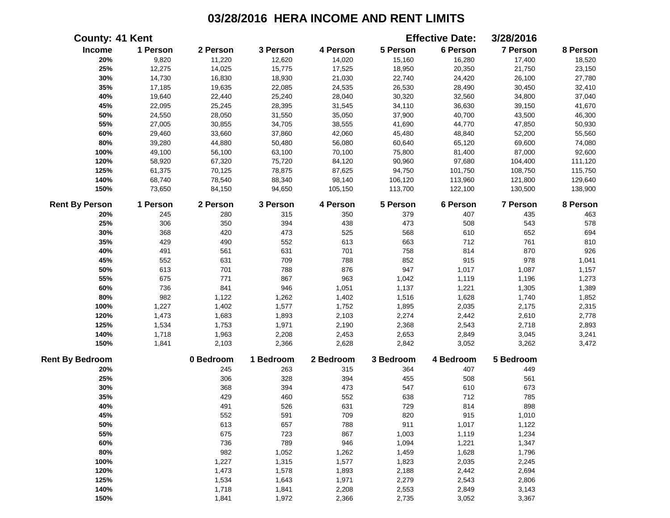| <b>County: 41 Kent</b> |          |           |           |           |           | <b>Effective Date:</b> | 3/28/2016 |          |
|------------------------|----------|-----------|-----------|-----------|-----------|------------------------|-----------|----------|
| Income                 | 1 Person | 2 Person  | 3 Person  | 4 Person  | 5 Person  | 6 Person               | 7 Person  | 8 Person |
| 20%                    | 9,820    | 11,220    | 12,620    | 14,020    | 15,160    | 16,280                 | 17,400    | 18,520   |
| 25%                    | 12,275   | 14,025    | 15,775    | 17,525    | 18,950    | 20,350                 | 21,750    | 23,150   |
| 30%                    | 14,730   | 16,830    | 18,930    | 21,030    | 22,740    | 24,420                 | 26,100    | 27,780   |
| 35%                    | 17,185   | 19,635    | 22,085    | 24,535    | 26,530    | 28,490                 | 30,450    | 32,410   |
| 40%                    | 19,640   | 22,440    | 25,240    | 28,040    | 30,320    | 32,560                 | 34,800    | 37,040   |
| 45%                    | 22,095   | 25,245    | 28,395    | 31,545    | 34,110    | 36,630                 | 39,150    | 41,670   |
| 50%                    | 24,550   | 28,050    | 31,550    | 35,050    | 37,900    | 40,700                 | 43,500    | 46,300   |
| 55%                    | 27,005   | 30,855    | 34,705    | 38,555    | 41,690    | 44,770                 | 47,850    | 50,930   |
| 60%                    | 29,460   | 33,660    | 37,860    | 42,060    | 45,480    | 48,840                 | 52,200    | 55,560   |
| 80%                    | 39,280   | 44,880    | 50,480    | 56,080    | 60,640    | 65,120                 | 69,600    | 74,080   |
| 100%                   | 49,100   | 56,100    | 63,100    | 70,100    | 75,800    | 81,400                 | 87,000    | 92,600   |
| 120%                   | 58,920   | 67,320    | 75,720    | 84,120    | 90,960    | 97,680                 | 104,400   | 111,120  |
| 125%                   | 61,375   | 70,125    | 78,875    | 87,625    | 94,750    | 101,750                | 108,750   | 115,750  |
| 140%                   | 68,740   | 78,540    | 88,340    | 98,140    | 106,120   | 113,960                | 121,800   | 129,640  |
| 150%                   | 73,650   | 84,150    | 94,650    | 105,150   | 113,700   | 122,100                | 130,500   | 138,900  |
| <b>Rent By Person</b>  | 1 Person | 2 Person  | 3 Person  | 4 Person  | 5 Person  | 6 Person               | 7 Person  | 8 Person |
| 20%                    | 245      | 280       | 315       | 350       | 379       | 407                    | 435       | 463      |
| 25%                    | 306      | 350       | 394       | 438       | 473       | 508                    | 543       | 578      |
| 30%                    | 368      | 420       | 473       | 525       | 568       | 610                    | 652       | 694      |
| 35%                    | 429      | 490       | 552       | 613       | 663       | 712                    | 761       | 810      |
| 40%                    | 491      | 561       | 631       | 701       | 758       | 814                    | 870       | 926      |
| 45%                    | 552      | 631       | 709       | 788       | 852       | 915                    | 978       | 1,041    |
| 50%                    | 613      | 701       | 788       | 876       | 947       | 1,017                  | 1,087     | 1,157    |
| 55%                    | 675      | 771       | 867       | 963       | 1,042     | 1,119                  | 1,196     | 1,273    |
| 60%                    | 736      | 841       | 946       | 1,051     | 1,137     | 1,221                  | 1,305     | 1,389    |
| 80%                    | 982      | 1,122     | 1,262     | 1,402     | 1,516     | 1,628                  | 1,740     | 1,852    |
| 100%                   | 1,227    | 1,402     | 1,577     | 1,752     | 1,895     | 2,035                  | 2,175     | 2,315    |
| 120%                   | 1,473    | 1,683     | 1,893     | 2,103     | 2,274     | 2,442                  | 2,610     | 2,778    |
| 125%                   | 1,534    | 1,753     | 1,971     | 2,190     | 2,368     | 2,543                  | 2,718     | 2,893    |
| 140%                   | 1,718    | 1,963     | 2,208     | 2,453     | 2,653     | 2,849                  | 3,045     | 3,241    |
| 150%                   | 1,841    | 2,103     | 2,366     | 2,628     | 2,842     | 3,052                  | 3,262     | 3,472    |
| <b>Rent By Bedroom</b> |          | 0 Bedroom | 1 Bedroom | 2 Bedroom | 3 Bedroom | 4 Bedroom              | 5 Bedroom |          |
| 20%                    |          | 245       | 263       | 315       | 364       | 407                    | 449       |          |
| 25%                    |          | 306       | 328       | 394       | 455       | 508                    | 561       |          |
| 30%                    |          | 368       | 394       | 473       | 547       | 610                    | 673       |          |
| 35%                    |          | 429       | 460       | 552       | 638       | 712                    | 785       |          |
| 40%                    |          | 491       | 526       | 631       | 729       | 814                    | 898       |          |
| 45%                    |          | 552       | 591       | 709       | 820       | 915                    | 1,010     |          |
| 50%                    |          | 613       | 657       | 788       | 911       | 1,017                  | 1,122     |          |
| 55%                    |          | 675       | 723       | 867       | 1,003     | 1,119                  | 1,234     |          |
| 60%                    |          | 736       | 789       | 946       | 1,094     | 1,221                  | 1,347     |          |
| 80%                    |          | 982       | 1,052     | 1,262     | 1,459     | 1,628                  | 1,796     |          |
| 100%                   |          | 1,227     | 1,315     | 1,577     | 1,823     | 2,035                  | 2,245     |          |
| 120%                   |          | 1,473     | 1,578     | 1,893     | 2,188     | 2,442                  | 2,694     |          |
| 125%                   |          | 1,534     | 1,643     | 1,971     | 2,279     | 2,543                  | 2,806     |          |
| 140%                   |          | 1,718     | 1,841     | 2,208     | 2,553     | 2,849                  | 3,143     |          |
| 150%                   |          | 1,841     | 1,972     | 2,366     | 2,735     | 3,052                  | 3,367     |          |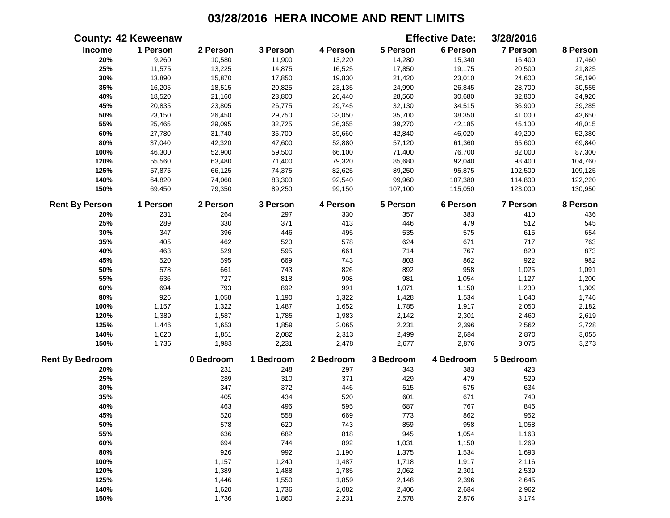|                        | <b>County: 42 Keweenaw</b> |           |           |           |           | <b>Effective Date:</b> | 3/28/2016       |          |
|------------------------|----------------------------|-----------|-----------|-----------|-----------|------------------------|-----------------|----------|
| Income                 | 1 Person                   | 2 Person  | 3 Person  | 4 Person  | 5 Person  | 6 Person               | 7 Person        | 8 Person |
| 20%                    | 9,260                      | 10,580    | 11,900    | 13,220    | 14,280    | 15,340                 | 16,400          | 17,460   |
| 25%                    | 11,575                     | 13,225    | 14,875    | 16,525    | 17,850    | 19,175                 | 20,500          | 21,825   |
| 30%                    | 13,890                     | 15,870    | 17,850    | 19,830    | 21,420    | 23,010                 | 24,600          | 26,190   |
| 35%                    | 16,205                     | 18,515    | 20,825    | 23,135    | 24,990    | 26,845                 | 28,700          | 30,555   |
| 40%                    | 18,520                     | 21,160    | 23,800    | 26,440    | 28,560    | 30,680                 | 32,800          | 34,920   |
| 45%                    | 20,835                     | 23,805    | 26,775    | 29,745    | 32,130    | 34,515                 | 36,900          | 39,285   |
| 50%                    | 23,150                     | 26,450    | 29,750    | 33,050    | 35,700    | 38,350                 | 41,000          | 43,650   |
| 55%                    | 25,465                     | 29,095    | 32,725    | 36,355    | 39,270    | 42,185                 | 45,100          | 48,015   |
| 60%                    | 27,780                     | 31,740    | 35,700    | 39,660    | 42,840    | 46,020                 | 49,200          | 52,380   |
| 80%                    | 37,040                     | 42,320    | 47,600    | 52,880    | 57,120    | 61,360                 | 65,600          | 69,840   |
| 100%                   | 46,300                     | 52,900    | 59,500    | 66,100    | 71,400    | 76,700                 | 82,000          | 87,300   |
| 120%                   | 55,560                     | 63,480    | 71,400    | 79,320    | 85,680    | 92,040                 | 98,400          | 104,760  |
| 125%                   | 57,875                     | 66,125    | 74,375    | 82,625    | 89,250    | 95,875                 | 102,500         | 109,125  |
| 140%                   | 64,820                     | 74,060    | 83,300    | 92,540    | 99,960    | 107,380                | 114,800         | 122,220  |
| 150%                   | 69,450                     | 79,350    | 89,250    | 99,150    | 107,100   | 115,050                | 123,000         | 130,950  |
| <b>Rent By Person</b>  | 1 Person                   | 2 Person  | 3 Person  | 4 Person  | 5 Person  | 6 Person               | <b>7 Person</b> | 8 Person |
| 20%                    | 231                        | 264       | 297       | 330       | 357       | 383                    | 410             | 436      |
| 25%                    | 289                        | 330       | 371       | 413       | 446       | 479                    | 512             | 545      |
| 30%                    | 347                        | 396       | 446       | 495       | 535       | 575                    | 615             | 654      |
| 35%                    | 405                        | 462       | 520       | 578       | 624       | 671                    | 717             | 763      |
| 40%                    | 463                        | 529       | 595       | 661       | 714       | 767                    | 820             | 873      |
| 45%                    | 520                        | 595       | 669       | 743       | 803       | 862                    | 922             | 982      |
| 50%                    | 578                        | 661       | 743       | 826       | 892       | 958                    | 1,025           | 1,091    |
| 55%                    | 636                        | 727       | 818       | 908       | 981       | 1,054                  | 1,127           | 1,200    |
| 60%                    | 694                        | 793       | 892       | 991       | 1,071     | 1,150                  | 1,230           | 1,309    |
| 80%                    | 926                        | 1,058     | 1,190     | 1,322     | 1,428     | 1,534                  | 1,640           | 1,746    |
| 100%                   | 1,157                      | 1,322     | 1,487     | 1,652     | 1,785     | 1,917                  | 2,050           | 2,182    |
| 120%                   | 1,389                      | 1,587     | 1,785     | 1,983     | 2,142     | 2,301                  | 2,460           | 2,619    |
| 125%                   | 1,446                      | 1,653     | 1,859     | 2,065     | 2,231     | 2,396                  | 2,562           | 2,728    |
| 140%                   | 1,620                      | 1,851     | 2,082     | 2,313     | 2,499     | 2,684                  | 2,870           | 3,055    |
| 150%                   | 1,736                      | 1,983     | 2,231     | 2,478     | 2,677     | 2,876                  | 3,075           | 3,273    |
| <b>Rent By Bedroom</b> |                            | 0 Bedroom | 1 Bedroom | 2 Bedroom | 3 Bedroom | 4 Bedroom              | 5 Bedroom       |          |
| 20%                    |                            | 231       | 248       | 297       | 343       | 383                    | 423             |          |
| 25%                    |                            | 289       | 310       | 371       | 429       | 479                    | 529             |          |
| 30%                    |                            | 347       | 372       | 446       | 515       | 575                    | 634             |          |
| 35%                    |                            | 405       | 434       | 520       | 601       | 671                    | 740             |          |
| 40%                    |                            | 463       | 496       | 595       | 687       | 767                    | 846             |          |
| 45%                    |                            | 520       | 558       | 669       | 773       | 862                    | 952             |          |
| 50%                    |                            | 578       | 620       | 743       | 859       | 958                    | 1,058           |          |
| 55%                    |                            | 636       | 682       | 818       | 945       | 1,054                  | 1,163           |          |
| 60%                    |                            | 694       | 744       | 892       | 1,031     | 1,150                  | 1,269           |          |
| 80%                    |                            | 926       | 992       | 1,190     | 1,375     | 1,534                  | 1,693           |          |
| 100%                   |                            | 1,157     | 1,240     | 1,487     | 1,718     | 1,917                  | 2,116           |          |
| 120%                   |                            | 1,389     | 1,488     | 1,785     | 2,062     | 2,301                  | 2,539           |          |
| 125%                   |                            | 1,446     | 1,550     | 1,859     | 2,148     | 2,396                  | 2,645           |          |
| 140%                   |                            | 1,620     | 1,736     | 2,082     | 2,406     | 2,684                  | 2,962           |          |
| 150%                   |                            | 1,736     | 1,860     | 2,231     | 2,578     | 2,876                  | 3,174           |          |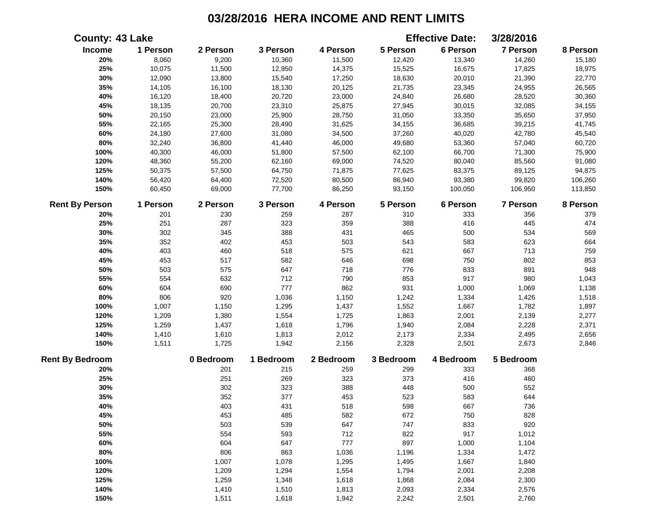| <b>County: 43 Lake</b> |          |           |           |           |           | <b>Effective Date:</b> | 3/28/2016       |          |
|------------------------|----------|-----------|-----------|-----------|-----------|------------------------|-----------------|----------|
| Income                 | 1 Person | 2 Person  | 3 Person  | 4 Person  | 5 Person  | 6 Person               | <b>7 Person</b> | 8 Person |
| 20%                    | 8,060    | 9,200     | 10,360    | 11,500    | 12,420    | 13,340                 | 14,260          | 15,180   |
| 25%                    | 10,075   | 11,500    | 12,950    | 14,375    | 15,525    | 16,675                 | 17,825          | 18,975   |
| 30%                    | 12,090   | 13,800    | 15,540    | 17,250    | 18,630    | 20,010                 | 21,390          | 22,770   |
| 35%                    | 14,105   | 16,100    | 18,130    | 20,125    | 21,735    | 23,345                 | 24,955          | 26,565   |
| 40%                    | 16,120   | 18,400    | 20,720    | 23,000    | 24,840    | 26,680                 | 28,520          | 30,360   |
| 45%                    | 18,135   | 20,700    | 23,310    | 25,875    | 27,945    | 30,015                 | 32,085          | 34,155   |
| 50%                    | 20,150   | 23,000    | 25,900    | 28,750    | 31,050    | 33,350                 | 35,650          | 37,950   |
| 55%                    | 22,165   | 25,300    | 28,490    | 31,625    | 34,155    | 36,685                 | 39,215          | 41,745   |
| 60%                    | 24,180   | 27,600    | 31,080    | 34,500    | 37,260    | 40,020                 | 42,780          | 45,540   |
| 80%                    | 32,240   | 36,800    | 41,440    | 46,000    | 49,680    | 53,360                 | 57,040          | 60,720   |
| 100%                   | 40,300   | 46,000    | 51,800    | 57,500    | 62,100    | 66,700                 | 71,300          | 75,900   |
| 120%                   | 48,360   | 55,200    | 62,160    | 69,000    | 74,520    | 80,040                 | 85,560          | 91,080   |
| 125%                   | 50,375   | 57,500    | 64,750    | 71,875    | 77,625    | 83,375                 | 89,125          | 94,875   |
| 140%                   | 56,420   | 64,400    | 72,520    | 80,500    | 86,940    | 93,380                 | 99,820          | 106,260  |
| 150%                   | 60,450   | 69,000    | 77,700    | 86,250    | 93,150    | 100,050                | 106,950         | 113,850  |
| <b>Rent By Person</b>  | 1 Person | 2 Person  | 3 Person  | 4 Person  | 5 Person  | 6 Person               | <b>7 Person</b> | 8 Person |
| 20%                    | 201      | 230       | 259       | 287       | 310       | 333                    | 356             | 379      |
| 25%                    | 251      | 287       | 323       | 359       | 388       | 416                    | 445             | 474      |
| 30%                    | 302      | 345       | 388       | 431       | 465       | 500                    | 534             | 569      |
| 35%                    | 352      | 402       | 453       | 503       | 543       | 583                    | 623             | 664      |
| 40%                    | 403      | 460       | 518       | 575       | 621       | 667                    | 713             | 759      |
| 45%                    | 453      | 517       | 582       | 646       | 698       | 750                    | 802             | 853      |
| 50%                    | 503      | 575       | 647       | 718       | 776       | 833                    | 891             | 948      |
| 55%                    | 554      | 632       | 712       | 790       | 853       | 917                    | 980             | 1,043    |
| 60%                    | 604      | 690       | 777       | 862       | 931       | 1,000                  | 1,069           | 1,138    |
| 80%                    | 806      | 920       | 1,036     | 1,150     | 1,242     | 1,334                  | 1,426           | 1,518    |
| 100%                   | 1,007    | 1,150     | 1,295     | 1,437     | 1,552     | 1,667                  | 1,782           | 1,897    |
| 120%                   | 1,209    | 1,380     | 1,554     | 1,725     | 1,863     | 2,001                  | 2,139           | 2,277    |
| 125%                   | 1,259    | 1,437     | 1,618     | 1,796     | 1,940     | 2,084                  | 2,228           | 2,371    |
| 140%                   | 1,410    | 1,610     | 1,813     | 2,012     | 2,173     | 2,334                  | 2,495           | 2,656    |
| 150%                   | 1,511    | 1,725     | 1,942     | 2,156     | 2,328     | 2,501                  | 2,673           | 2,846    |
| <b>Rent By Bedroom</b> |          | 0 Bedroom | 1 Bedroom | 2 Bedroom | 3 Bedroom | 4 Bedroom              | 5 Bedroom       |          |
| 20%                    |          | 201       | 215       | 259       | 299       | 333                    | 368             |          |
| 25%                    |          | 251       | 269       | 323       | 373       | 416                    | 460             |          |
| 30%                    |          | 302       | 323       | 388       | 448       | 500                    | 552             |          |
| 35%                    |          | 352       | 377       | 453       | 523       | 583                    | 644             |          |
| 40%                    |          | 403       | 431       | 518       | 598       | 667                    | 736             |          |
| 45%                    |          | 453       | 485       | 582       | 672       | 750                    | 828             |          |
| 50%                    |          | 503       | 539       | 647       | 747       | 833                    | 920             |          |
| 55%                    |          | 554       | 593       | 712       | 822       | 917                    | 1,012           |          |
| 60%                    |          | 604       | 647       | 777       | 897       | 1,000                  | 1,104           |          |
| 80%                    |          | 806       | 863       | 1,036     | 1,196     | 1,334                  | 1,472           |          |
| 100%                   |          | 1,007     | 1,078     | 1,295     | 1,495     | 1,667                  | 1,840           |          |
| 120%                   |          | 1,209     | 1,294     | 1,554     | 1,794     | 2,001                  | 2,208           |          |
| 125%                   |          | 1,259     | 1,348     | 1,618     | 1,868     | 2,084                  | 2,300           |          |
| 140%                   |          | 1,410     | 1,510     | 1,813     | 2,093     | 2,334                  | 2,576           |          |
| 150%                   |          | 1,511     | 1,618     | 1,942     | 2,242     | 2,501                  | 2,760           |          |
|                        |          |           |           |           |           |                        |                 |          |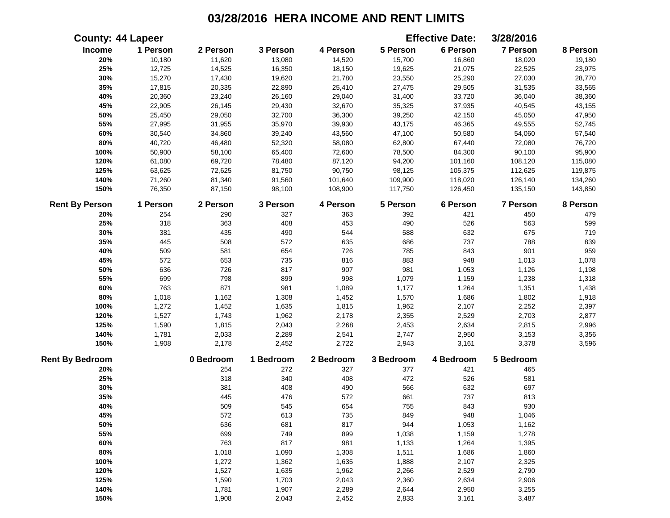|                        | <b>County: 44 Lapeer</b> |           |           |           |           | <b>Effective Date:</b> | 3/28/2016 |          |
|------------------------|--------------------------|-----------|-----------|-----------|-----------|------------------------|-----------|----------|
| Income                 | 1 Person                 | 2 Person  | 3 Person  | 4 Person  | 5 Person  | 6 Person               | 7 Person  | 8 Person |
| 20%                    | 10,180                   | 11,620    | 13,080    | 14,520    | 15,700    | 16,860                 | 18,020    | 19,180   |
| 25%                    | 12,725                   | 14,525    | 16,350    | 18,150    | 19,625    | 21,075                 | 22,525    | 23,975   |
| 30%                    | 15,270                   | 17,430    | 19,620    | 21,780    | 23,550    | 25,290                 | 27,030    | 28,770   |
| 35%                    | 17,815                   | 20,335    | 22,890    | 25,410    | 27,475    | 29,505                 | 31,535    | 33,565   |
| 40%                    | 20,360                   | 23,240    | 26,160    | 29,040    | 31,400    | 33,720                 | 36,040    | 38,360   |
| 45%                    | 22,905                   | 26,145    | 29,430    | 32,670    | 35,325    | 37,935                 | 40,545    | 43,155   |
| 50%                    | 25,450                   | 29,050    | 32,700    | 36,300    | 39,250    | 42,150                 | 45,050    | 47,950   |
| 55%                    | 27,995                   | 31,955    | 35,970    | 39,930    | 43,175    | 46,365                 | 49,555    | 52,745   |
| 60%                    | 30,540                   | 34,860    | 39,240    | 43,560    | 47,100    | 50,580                 | 54,060    | 57,540   |
| 80%                    | 40,720                   | 46,480    | 52,320    | 58,080    | 62,800    | 67,440                 | 72,080    | 76,720   |
| 100%                   | 50,900                   | 58,100    | 65,400    | 72,600    | 78,500    | 84,300                 | 90,100    | 95,900   |
| 120%                   | 61,080                   | 69,720    | 78,480    | 87,120    | 94,200    | 101,160                | 108,120   | 115,080  |
| 125%                   | 63,625                   | 72,625    | 81,750    | 90,750    | 98,125    | 105,375                | 112,625   | 119,875  |
| 140%                   | 71,260                   | 81,340    | 91,560    | 101,640   | 109,900   | 118,020                | 126,140   | 134,260  |
| 150%                   | 76,350                   | 87,150    | 98,100    | 108,900   | 117,750   | 126,450                | 135,150   | 143,850  |
| <b>Rent By Person</b>  | 1 Person                 | 2 Person  | 3 Person  | 4 Person  | 5 Person  | 6 Person               | 7 Person  | 8 Person |
| 20%                    | 254                      | 290       | 327       | 363       | 392       | 421                    | 450       | 479      |
| 25%                    | 318                      | 363       | 408       | 453       | 490       | 526                    | 563       | 599      |
| 30%                    | 381                      | 435       | 490       | 544       | 588       | 632                    | 675       | 719      |
| 35%                    | 445                      | 508       | 572       | 635       | 686       | 737                    | 788       | 839      |
| 40%                    | 509                      | 581       | 654       | 726       | 785       | 843                    | 901       | 959      |
| 45%                    | 572                      | 653       | 735       | 816       | 883       | 948                    | 1,013     | 1,078    |
| 50%                    | 636                      | 726       | 817       | 907       | 981       | 1,053                  | 1,126     | 1,198    |
| 55%                    | 699                      | 798       | 899       | 998       | 1,079     | 1,159                  | 1,238     | 1,318    |
| 60%                    | 763                      | 871       | 981       | 1,089     | 1,177     | 1,264                  | 1,351     | 1,438    |
| 80%                    | 1,018                    | 1,162     | 1,308     | 1,452     | 1,570     | 1,686                  | 1,802     | 1,918    |
| 100%                   | 1,272                    | 1,452     | 1,635     | 1,815     | 1,962     | 2,107                  | 2,252     | 2,397    |
| 120%                   | 1,527                    | 1,743     | 1,962     | 2,178     | 2,355     | 2,529                  | 2,703     | 2,877    |
| 125%                   | 1,590                    | 1,815     | 2,043     | 2,268     | 2,453     | 2,634                  | 2,815     | 2,996    |
| 140%                   | 1,781                    | 2,033     | 2,289     | 2,541     | 2,747     | 2,950                  | 3,153     | 3,356    |
| 150%                   | 1,908                    | 2,178     | 2,452     | 2,722     | 2,943     | 3,161                  | 3,378     | 3,596    |
| <b>Rent By Bedroom</b> |                          | 0 Bedroom | 1 Bedroom | 2 Bedroom | 3 Bedroom | 4 Bedroom              | 5 Bedroom |          |
| 20%                    |                          | 254       | 272       | 327       | 377       | 421                    | 465       |          |
| 25%                    |                          | 318       | 340       | 408       | 472       | 526                    | 581       |          |
| 30%                    |                          | 381       | 408       | 490       | 566       | 632                    | 697       |          |
| 35%                    |                          | 445       | 476       | 572       | 661       | 737                    | 813       |          |
| 40%                    |                          | 509       | 545       | 654       | 755       | 843                    | 930       |          |
| 45%                    |                          | 572       | 613       | 735       | 849       | 948                    | 1,046     |          |
| 50%                    |                          | 636       | 681       | 817       | 944       | 1,053                  | 1,162     |          |
| 55%                    |                          | 699       | 749       | 899       | 1,038     | 1,159                  | 1,278     |          |
| 60%                    |                          | 763       | 817       | 981       | 1,133     | 1,264                  | 1,395     |          |
| 80%                    |                          | 1,018     | 1,090     | 1,308     | 1,511     | 1,686                  | 1,860     |          |
| 100%                   |                          | 1,272     | 1,362     | 1,635     | 1,888     | 2,107                  | 2,325     |          |
| 120%                   |                          | 1,527     | 1,635     | 1,962     | 2,266     | 2,529                  | 2,790     |          |
| 125%                   |                          | 1,590     | 1,703     | 2,043     | 2,360     | 2,634                  | 2,906     |          |
| 140%                   |                          | 1,781     | 1,907     | 2,289     | 2,644     | 2,950                  | 3,255     |          |
| 150%                   |                          | 1,908     | 2,043     | 2,452     | 2,833     | 3,161                  | 3,487     |          |
|                        |                          |           |           |           |           |                        |           |          |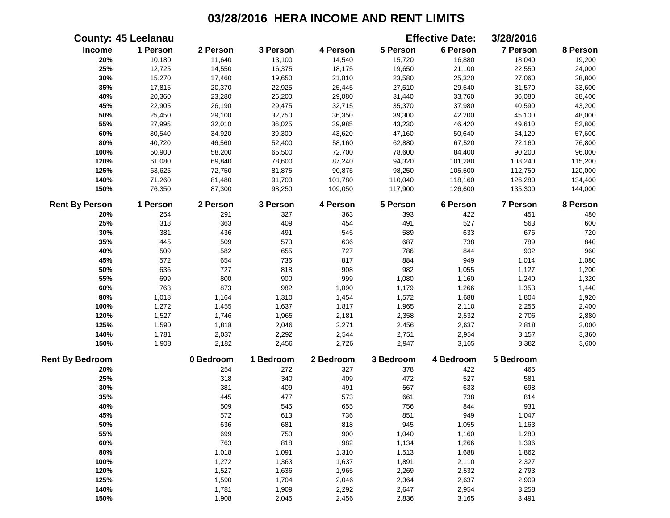|                        | <b>County: 45 Leelanau</b> |           |           |           |           | <b>Effective Date:</b> | 3/28/2016 |          |
|------------------------|----------------------------|-----------|-----------|-----------|-----------|------------------------|-----------|----------|
| Income                 | 1 Person                   | 2 Person  | 3 Person  | 4 Person  | 5 Person  | 6 Person               | 7 Person  | 8 Person |
| 20%                    | 10,180                     | 11,640    | 13,100    | 14,540    | 15,720    | 16,880                 | 18,040    | 19,200   |
| 25%                    | 12,725                     | 14,550    | 16,375    | 18,175    | 19,650    | 21,100                 | 22,550    | 24,000   |
| 30%                    | 15,270                     | 17,460    | 19,650    | 21,810    | 23,580    | 25,320                 | 27,060    | 28,800   |
| 35%                    | 17,815                     | 20,370    | 22,925    | 25,445    | 27,510    | 29,540                 | 31,570    | 33,600   |
| 40%                    | 20,360                     | 23,280    | 26,200    | 29,080    | 31,440    | 33,760                 | 36,080    | 38,400   |
| 45%                    | 22,905                     | 26,190    | 29,475    | 32,715    | 35,370    | 37,980                 | 40,590    | 43,200   |
| 50%                    | 25,450                     | 29,100    | 32,750    | 36,350    | 39,300    | 42,200                 | 45,100    | 48,000   |
| 55%                    | 27,995                     | 32,010    | 36,025    | 39,985    | 43,230    | 46,420                 | 49,610    | 52,800   |
| 60%                    | 30,540                     | 34,920    | 39,300    | 43,620    | 47,160    | 50,640                 | 54,120    | 57,600   |
| 80%                    | 40,720                     | 46,560    | 52,400    | 58,160    | 62,880    | 67,520                 | 72,160    | 76,800   |
| 100%                   | 50,900                     | 58,200    | 65,500    | 72,700    | 78,600    | 84,400                 | 90,200    | 96,000   |
| 120%                   | 61,080                     | 69,840    | 78,600    | 87,240    | 94,320    | 101,280                | 108,240   | 115,200  |
| 125%                   | 63,625                     | 72,750    | 81,875    | 90,875    | 98,250    | 105,500                | 112,750   | 120,000  |
| 140%                   | 71,260                     | 81,480    | 91,700    | 101,780   | 110,040   | 118,160                | 126,280   | 134,400  |
| 150%                   | 76,350                     | 87,300    | 98,250    | 109,050   | 117,900   | 126,600                | 135,300   | 144,000  |
| <b>Rent By Person</b>  | 1 Person                   | 2 Person  | 3 Person  | 4 Person  | 5 Person  | 6 Person               | 7 Person  | 8 Person |
| 20%                    | 254                        | 291       | 327       | 363       | 393       | 422                    | 451       | 480      |
| 25%                    | 318                        | 363       | 409       | 454       | 491       | 527                    | 563       | 600      |
| 30%                    | 381                        | 436       | 491       | 545       | 589       | 633                    | 676       | 720      |
| 35%                    | 445                        | 509       | 573       | 636       | 687       | 738                    | 789       | 840      |
| 40%                    | 509                        | 582       | 655       | 727       | 786       | 844                    | 902       | 960      |
| 45%                    | 572                        | 654       | 736       | 817       | 884       | 949                    | 1,014     | 1,080    |
| 50%                    | 636                        | 727       | 818       | 908       | 982       | 1,055                  | 1,127     | 1,200    |
| 55%                    | 699                        | 800       | 900       | 999       | 1,080     | 1,160                  | 1,240     | 1,320    |
| 60%                    | 763                        | 873       | 982       | 1,090     | 1,179     | 1,266                  | 1,353     | 1,440    |
| 80%                    | 1,018                      | 1,164     | 1,310     | 1,454     | 1,572     | 1,688                  | 1,804     | 1,920    |
| 100%                   | 1,272                      | 1,455     | 1,637     | 1,817     | 1,965     | 2,110                  | 2,255     | 2,400    |
| 120%                   | 1,527                      | 1,746     | 1,965     | 2,181     | 2,358     | 2,532                  | 2,706     | 2,880    |
| 125%                   | 1,590                      | 1,818     | 2,046     | 2,271     | 2,456     | 2,637                  | 2,818     | 3,000    |
| 140%                   | 1,781                      | 2,037     | 2,292     | 2,544     | 2,751     | 2,954                  | 3,157     | 3,360    |
| 150%                   | 1,908                      | 2,182     | 2,456     | 2,726     | 2,947     | 3,165                  | 3,382     | 3,600    |
| <b>Rent By Bedroom</b> |                            | 0 Bedroom | 1 Bedroom | 2 Bedroom | 3 Bedroom | 4 Bedroom              | 5 Bedroom |          |
| 20%                    |                            | 254       | 272       | 327       | 378       | 422                    | 465       |          |
| 25%                    |                            | 318       | 340       | 409       | 472       | 527                    | 581       |          |
| 30%                    |                            | 381       | 409       | 491       | 567       | 633                    | 698       |          |
| 35%                    |                            | 445       | 477       | 573       | 661       | 738                    | 814       |          |
| 40%                    |                            | 509       | 545       | 655       | 756       | 844                    | 931       |          |
| 45%                    |                            | 572       | 613       | 736       | 851       | 949                    | 1,047     |          |
| 50%                    |                            | 636       | 681       | 818       | 945       | 1,055                  | 1,163     |          |
| 55%                    |                            | 699       | 750       | 900       | 1,040     | 1,160                  | 1,280     |          |
| 60%                    |                            | 763       | 818       | 982       | 1,134     | 1,266                  | 1,396     |          |
| 80%                    |                            | 1,018     | 1,091     | 1,310     | 1,513     | 1,688                  | 1,862     |          |
| 100%                   |                            | 1,272     | 1,363     | 1,637     | 1,891     | 2,110                  | 2,327     |          |
| 120%                   |                            | 1,527     | 1,636     | 1,965     | 2,269     | 2,532                  | 2,793     |          |
| 125%                   |                            | 1,590     | 1,704     | 2,046     | 2,364     | 2,637                  | 2,909     |          |
| 140%                   |                            | 1,781     | 1,909     | 2,292     | 2,647     | 2,954                  | 3,258     |          |
| 150%                   |                            | 1,908     | 2,045     | 2,456     | 2,836     | 3,165                  | 3,491     |          |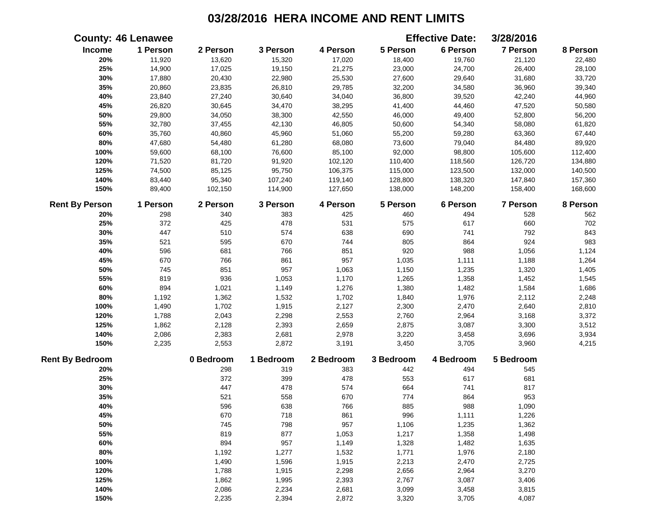|                        | <b>County: 46 Lenawee</b> |           |           |           |           | <b>Effective Date:</b> | 3/28/2016       |          |
|------------------------|---------------------------|-----------|-----------|-----------|-----------|------------------------|-----------------|----------|
| Income                 | 1 Person                  | 2 Person  | 3 Person  | 4 Person  | 5 Person  | 6 Person               | 7 Person        | 8 Person |
| 20%                    | 11,920                    | 13,620    | 15,320    | 17,020    | 18,400    | 19,760                 | 21,120          | 22,480   |
| 25%                    | 14,900                    | 17,025    | 19,150    | 21,275    | 23,000    | 24,700                 | 26,400          | 28,100   |
| 30%                    | 17,880                    | 20,430    | 22,980    | 25,530    | 27,600    | 29,640                 | 31,680          | 33,720   |
| 35%                    | 20,860                    | 23,835    | 26,810    | 29,785    | 32,200    | 34,580                 | 36,960          | 39,340   |
| 40%                    | 23,840                    | 27,240    | 30,640    | 34,040    | 36,800    | 39,520                 | 42,240          | 44,960   |
| 45%                    | 26,820                    | 30,645    | 34,470    | 38,295    | 41,400    | 44,460                 | 47,520          | 50,580   |
| 50%                    | 29,800                    | 34,050    | 38,300    | 42,550    | 46,000    | 49,400                 | 52,800          | 56,200   |
| 55%                    | 32,780                    | 37,455    | 42,130    | 46,805    | 50,600    | 54,340                 | 58,080          | 61,820   |
| 60%                    | 35,760                    | 40,860    | 45,960    | 51,060    | 55,200    | 59,280                 | 63,360          | 67,440   |
| 80%                    | 47,680                    | 54,480    | 61,280    | 68,080    | 73,600    | 79,040                 | 84,480          | 89,920   |
| 100%                   | 59,600                    | 68,100    | 76,600    | 85,100    | 92,000    | 98,800                 | 105,600         | 112,400  |
| 120%                   | 71,520                    | 81,720    | 91,920    | 102,120   | 110,400   | 118,560                | 126,720         | 134,880  |
| 125%                   | 74,500                    | 85,125    | 95,750    | 106,375   | 115,000   | 123,500                | 132,000         | 140,500  |
| 140%                   | 83,440                    | 95,340    | 107,240   | 119,140   | 128,800   | 138,320                | 147,840         | 157,360  |
| 150%                   | 89,400                    | 102,150   | 114,900   | 127,650   | 138,000   | 148,200                | 158,400         | 168,600  |
| <b>Rent By Person</b>  | 1 Person                  | 2 Person  | 3 Person  | 4 Person  | 5 Person  | 6 Person               | <b>7 Person</b> | 8 Person |
| 20%                    | 298                       | 340       | 383       | 425       | 460       | 494                    | 528             | 562      |
| 25%                    | 372                       | 425       | 478       | 531       | 575       | 617                    | 660             | 702      |
| 30%                    | 447                       | 510       | 574       | 638       | 690       | 741                    | 792             | 843      |
| 35%                    | 521                       | 595       | 670       | 744       | 805       | 864                    | 924             | 983      |
| 40%                    | 596                       | 681       | 766       | 851       | 920       | 988                    | 1,056           | 1,124    |
| 45%                    | 670                       | 766       | 861       | 957       | 1,035     | 1,111                  | 1,188           | 1,264    |
| 50%                    | 745                       | 851       | 957       | 1,063     | 1,150     | 1,235                  | 1,320           | 1,405    |
| 55%                    | 819                       | 936       | 1,053     | 1,170     | 1,265     | 1,358                  | 1,452           | 1,545    |
| 60%                    | 894                       | 1,021     | 1,149     | 1,276     | 1,380     | 1,482                  | 1,584           | 1,686    |
| $80\%$                 | 1,192                     | 1,362     | 1,532     | 1,702     | 1,840     | 1,976                  | 2,112           | 2,248    |
| 100%                   | 1,490                     | 1,702     | 1,915     | 2,127     | 2,300     | 2,470                  | 2,640           | 2,810    |
| 120%                   | 1,788                     | 2,043     | 2,298     | 2,553     | 2,760     | 2,964                  | 3,168           | 3,372    |
| 125%                   | 1,862                     | 2,128     | 2,393     | 2,659     | 2,875     | 3,087                  | 3,300           | 3,512    |
| 140%                   | 2,086                     | 2,383     | 2,681     | 2,978     | 3,220     | 3,458                  | 3,696           | 3,934    |
| 150%                   | 2,235                     | 2,553     | 2,872     | 3,191     | 3,450     | 3,705                  | 3,960           | 4,215    |
| <b>Rent By Bedroom</b> |                           | 0 Bedroom | 1 Bedroom | 2 Bedroom | 3 Bedroom | 4 Bedroom              | 5 Bedroom       |          |
| 20%                    |                           | 298       | 319       | 383       | 442       | 494                    | 545             |          |
| 25%                    |                           | 372       | 399       | 478       | 553       | 617                    | 681             |          |
| 30%                    |                           | 447       | 478       | 574       | 664       | 741                    | 817             |          |
| 35%                    |                           | 521       | 558       | 670       | 774       | 864                    | 953             |          |
| 40%                    |                           | 596       | 638       | 766       | 885       | 988                    | 1,090           |          |
| 45%                    |                           | 670       | 718       | 861       | 996       | 1,111                  | 1,226           |          |
| 50%                    |                           | 745       | 798       | 957       | 1,106     | 1,235                  | 1,362           |          |
| 55%                    |                           | 819       | 877       | 1,053     | 1,217     | 1,358                  | 1,498           |          |
| 60%                    |                           | 894       | 957       | 1,149     | 1,328     | 1,482                  | 1,635           |          |
| 80%                    |                           | 1,192     | 1,277     | 1,532     | 1,771     | 1,976                  | 2,180           |          |
| 100%                   |                           | 1,490     | 1,596     | 1,915     | 2,213     | 2,470                  | 2,725           |          |
| 120%                   |                           | 1,788     | 1,915     | 2,298     | 2,656     | 2,964                  | 3,270           |          |
| 125%                   |                           | 1,862     | 1,995     | 2,393     | 2,767     | 3,087                  | 3,406           |          |
| 140%                   |                           | 2,086     | 2,234     | 2,681     | 3,099     | 3,458                  | 3,815           |          |
| 150%                   |                           | 2,235     | 2,394     | 2,872     | 3,320     | 3,705                  | 4,087           |          |
|                        |                           |           |           |           |           |                        |                 |          |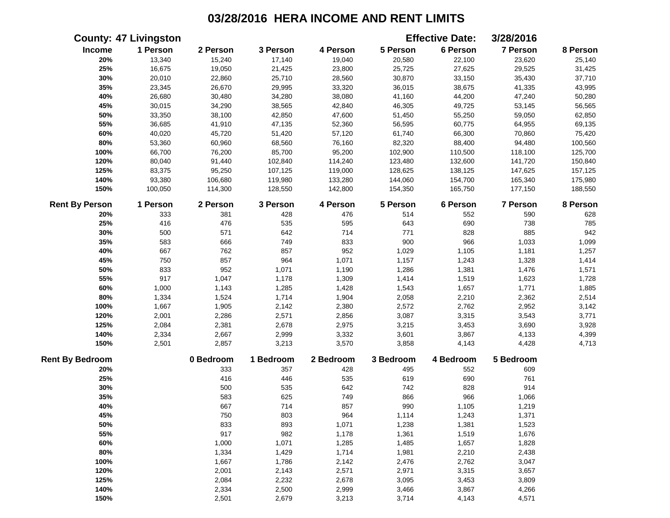|                        | <b>County: 47 Livingston</b> |           |           |           |           | <b>Effective Date:</b> | 3/28/2016       |          |
|------------------------|------------------------------|-----------|-----------|-----------|-----------|------------------------|-----------------|----------|
| Income                 | 1 Person                     | 2 Person  | 3 Person  | 4 Person  | 5 Person  | 6 Person               | 7 Person        | 8 Person |
| 20%                    | 13,340                       | 15,240    | 17,140    | 19,040    | 20,580    | 22,100                 | 23,620          | 25,140   |
| 25%                    | 16,675                       | 19,050    | 21,425    | 23,800    | 25,725    | 27,625                 | 29,525          | 31,425   |
| 30%                    | 20,010                       | 22,860    | 25,710    | 28,560    | 30,870    | 33,150                 | 35,430          | 37,710   |
| 35%                    | 23,345                       | 26,670    | 29,995    | 33,320    | 36,015    | 38,675                 | 41,335          | 43,995   |
| 40%                    | 26,680                       | 30,480    | 34,280    | 38,080    | 41,160    | 44,200                 | 47,240          | 50,280   |
| 45%                    | 30,015                       | 34,290    | 38,565    | 42,840    | 46,305    | 49,725                 | 53,145          | 56,565   |
| 50%                    | 33,350                       | 38,100    | 42,850    | 47,600    | 51,450    | 55,250                 | 59,050          | 62,850   |
| 55%                    | 36,685                       | 41,910    | 47,135    | 52,360    | 56,595    | 60,775                 | 64,955          | 69,135   |
| 60%                    | 40,020                       | 45,720    | 51,420    | 57,120    | 61,740    | 66,300                 | 70,860          | 75,420   |
| 80%                    | 53,360                       | 60,960    | 68,560    | 76,160    | 82,320    | 88,400                 | 94,480          | 100,560  |
| 100%                   | 66,700                       | 76,200    | 85,700    | 95,200    | 102,900   | 110,500                | 118,100         | 125,700  |
| 120%                   | 80,040                       | 91,440    | 102,840   | 114,240   | 123,480   | 132,600                | 141,720         | 150,840  |
| 125%                   | 83,375                       | 95,250    | 107,125   | 119,000   | 128,625   | 138,125                | 147,625         | 157,125  |
| 140%                   | 93,380                       | 106,680   | 119,980   | 133,280   | 144,060   | 154,700                | 165,340         | 175,980  |
| 150%                   | 100,050                      | 114,300   | 128,550   | 142,800   | 154,350   | 165,750                | 177,150         | 188,550  |
| <b>Rent By Person</b>  | 1 Person                     | 2 Person  | 3 Person  | 4 Person  | 5 Person  | 6 Person               | <b>7 Person</b> | 8 Person |
| 20%                    | 333                          | 381       | 428       | 476       | 514       | 552                    | 590             | 628      |
| 25%                    | 416                          | 476       | 535       | 595       | 643       | 690                    | 738             | 785      |
| 30%                    | 500                          | 571       | 642       | 714       | 771       | 828                    | 885             | 942      |
| 35%                    | 583                          | 666       | 749       | 833       | 900       | 966                    | 1,033           | 1,099    |
| 40%                    | 667                          | 762       | 857       | 952       | 1,029     | 1,105                  | 1,181           | 1,257    |
| 45%                    | 750                          | 857       | 964       | 1,071     | 1,157     | 1,243                  | 1,328           | 1,414    |
| 50%                    | 833                          | 952       | 1,071     | 1,190     | 1,286     | 1,381                  | 1,476           | 1,571    |
| 55%                    | 917                          | 1,047     | 1,178     | 1,309     | 1,414     | 1,519                  | 1,623           | 1,728    |
| 60%                    | 1,000                        | 1,143     | 1,285     | 1,428     | 1,543     | 1,657                  | 1,771           | 1,885    |
| 80%                    | 1,334                        | 1,524     | 1,714     | 1,904     | 2,058     | 2,210                  | 2,362           | 2,514    |
| 100%                   | 1,667                        | 1,905     | 2,142     | 2,380     | 2,572     | 2,762                  | 2,952           | 3,142    |
| 120%                   | 2,001                        | 2,286     | 2,571     | 2,856     | 3,087     | 3,315                  | 3,543           | 3,771    |
| 125%                   | 2,084                        | 2,381     | 2,678     | 2,975     | 3,215     | 3,453                  | 3,690           | 3,928    |
| 140%                   | 2,334                        | 2,667     | 2,999     | 3,332     | 3,601     | 3,867                  | 4,133           | 4,399    |
| 150%                   | 2,501                        | 2,857     | 3,213     | 3,570     | 3,858     | 4,143                  | 4,428           | 4,713    |
| <b>Rent By Bedroom</b> |                              | 0 Bedroom | 1 Bedroom | 2 Bedroom | 3 Bedroom | 4 Bedroom              | 5 Bedroom       |          |
| 20%                    |                              | 333       | 357       | 428       | 495       | 552                    | 609             |          |
| 25%                    |                              | 416       | 446       | 535       | 619       | 690                    | 761             |          |
| 30%                    |                              | 500       | 535       | 642       | 742       | 828                    | 914             |          |
| 35%                    |                              | 583       | 625       | 749       | 866       | 966                    | 1,066           |          |
| 40%                    |                              | 667       | 714       | 857       | 990       | 1,105                  | 1,219           |          |
| 45%                    |                              | 750       | 803       | 964       | 1,114     | 1,243                  | 1,371           |          |
| 50%                    |                              | 833       | 893       | 1,071     | 1,238     | 1,381                  | 1,523           |          |
| 55%                    |                              | 917       | 982       | 1,178     | 1,361     | 1,519                  | 1,676           |          |
| 60%                    |                              | 1,000     | 1,071     | 1,285     | 1,485     | 1,657                  | 1,828           |          |
| 80%                    |                              | 1,334     | 1,429     | 1,714     | 1,981     | 2,210                  | 2,438           |          |
| 100%                   |                              | 1,667     | 1,786     | 2,142     | 2,476     | 2,762                  | 3,047           |          |
| 120%                   |                              | 2,001     | 2,143     | 2,571     | 2,971     | 3,315                  | 3,657           |          |
| 125%                   |                              | 2,084     | 2,232     | 2,678     | 3,095     | 3,453                  | 3,809           |          |
| 140%                   |                              | 2,334     | 2,500     | 2,999     | 3,466     | 3,867                  | 4,266           |          |
| 150%                   |                              | 2,501     | 2,679     | 3,213     | 3,714     | 4,143                  | 4,571           |          |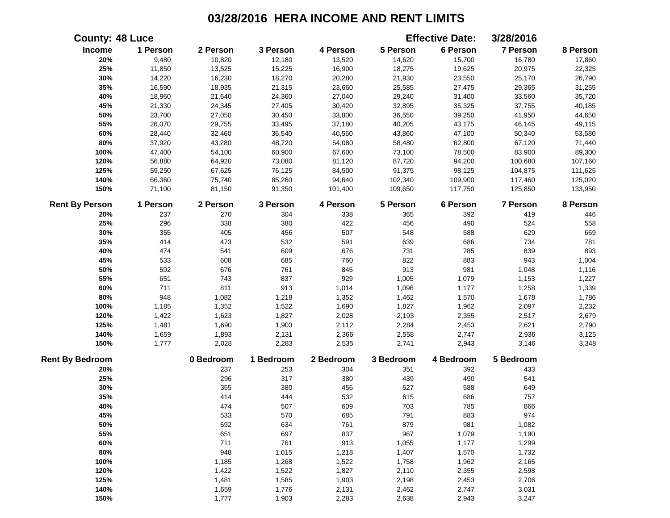|                        | <b>County: 48 Luce</b> |           |           |           |           | <b>Effective Date:</b> | 3/28/2016 |          |
|------------------------|------------------------|-----------|-----------|-----------|-----------|------------------------|-----------|----------|
| Income                 | 1 Person               | 2 Person  | 3 Person  | 4 Person  | 5 Person  | 6 Person               | 7 Person  | 8 Person |
| 20%                    | 9,480                  | 10,820    | 12,180    | 13,520    | 14,620    | 15,700                 | 16,780    | 17,860   |
| 25%                    | 11,850                 | 13,525    | 15,225    | 16,900    | 18,275    | 19,625                 | 20,975    | 22,325   |
| 30%                    | 14,220                 | 16,230    | 18,270    | 20,280    | 21,930    | 23,550                 | 25,170    | 26,790   |
| 35%                    | 16,590                 | 18,935    | 21,315    | 23,660    | 25,585    | 27,475                 | 29,365    | 31,255   |
| 40%                    | 18,960                 | 21,640    | 24,360    | 27,040    | 29,240    | 31,400                 | 33,560    | 35,720   |
| 45%                    | 21,330                 | 24,345    | 27,405    | 30,420    | 32,895    | 35,325                 | 37,755    | 40,185   |
| 50%                    | 23,700                 | 27,050    | 30,450    | 33,800    | 36,550    | 39,250                 | 41,950    | 44,650   |
| 55%                    | 26,070                 | 29,755    | 33,495    | 37,180    | 40,205    | 43,175                 | 46,145    | 49,115   |
| 60%                    | 28,440                 | 32,460    | 36,540    | 40,560    | 43,860    | 47,100                 | 50,340    | 53,580   |
| $80\%$                 | 37,920                 | 43,280    | 48,720    | 54,080    | 58,480    | 62,800                 | 67,120    | 71,440   |
| 100%                   | 47,400                 | 54,100    | 60,900    | 67,600    | 73,100    | 78,500                 | 83,900    | 89,300   |
| 120%                   | 56,880                 | 64,920    | 73,080    | 81,120    | 87,720    | 94,200                 | 100,680   | 107,160  |
| 125%                   | 59,250                 | 67,625    | 76,125    | 84,500    | 91,375    | 98,125                 | 104,875   | 111,625  |
| 140%                   | 66,360                 | 75,740    | 85,260    | 94,640    | 102,340   | 109,900                | 117,460   | 125,020  |
| 150%                   | 71,100                 | 81,150    | 91,350    | 101,400   | 109,650   | 117,750                | 125,850   | 133,950  |
| <b>Rent By Person</b>  | 1 Person               | 2 Person  | 3 Person  | 4 Person  | 5 Person  | 6 Person               | 7 Person  | 8 Person |
| 20%                    | 237                    | 270       | 304       | 338       | 365       | 392                    | 419       | 446      |
| 25%                    | 296                    | 338       | 380       | 422       | 456       | 490                    | 524       | 558      |
| 30%                    | 355                    | 405       | 456       | 507       | 548       | 588                    | 629       | 669      |
| 35%                    | 414                    | 473       | 532       | 591       | 639       | 686                    | 734       | 781      |
| 40%                    | 474                    | 541       | 609       | 676       | 731       | 785                    | 839       | 893      |
| 45%                    | 533                    | 608       | 685       | 760       | 822       | 883                    | 943       | 1,004    |
| 50%                    | 592                    | 676       | 761       | 845       | 913       | 981                    | 1,048     | 1,116    |
| 55%                    | 651                    | 743       | 837       | 929       | 1,005     | 1,079                  | 1,153     | 1,227    |
| 60%                    | 711                    | 811       | 913       | 1,014     | 1,096     | 1,177                  | 1,258     | 1,339    |
| 80%                    | 948                    | 1,082     | 1,218     | 1,352     | 1,462     | 1,570                  | 1,678     | 1,786    |
| 100%                   | 1,185                  | 1,352     | 1,522     | 1,690     | 1,827     | 1,962                  | 2,097     | 2,232    |
| 120%                   | 1,422                  | 1,623     | 1,827     | 2,028     | 2,193     | 2,355                  | 2,517     | 2,679    |
| 125%                   | 1,481                  | 1,690     | 1,903     | 2,112     | 2,284     | 2,453                  | 2,621     | 2,790    |
| 140%                   | 1,659                  | 1,893     | 2,131     | 2,366     | 2,558     | 2,747                  | 2,936     | 3,125    |
| 150%                   | 1,777                  | 2,028     | 2,283     | 2,535     | 2,741     | 2,943                  | 3,146     | 3,348    |
| <b>Rent By Bedroom</b> |                        | 0 Bedroom | 1 Bedroom | 2 Bedroom | 3 Bedroom | 4 Bedroom              | 5 Bedroom |          |
| 20%                    |                        | 237       | 253       | 304       | 351       | 392                    | 433       |          |
| 25%                    |                        | 296       | 317       | 380       | 439       | 490                    | 541       |          |
| 30%                    |                        | 355       | 380       | 456       | 527       | 588                    | 649       |          |
| 35%                    |                        | 414       | 444       | 532       | 615       | 686                    | 757       |          |
| 40%                    |                        | 474       | 507       | 609       | 703       | 785                    | 866       |          |
| 45%                    |                        | 533       | 570       | 685       | 791       | 883                    | 974       |          |
| 50%                    |                        | 592       | 634       | 761       | 879       | 981                    | 1,082     |          |
| 55%                    |                        | 651       | 697       | 837       | 967       | 1,079                  | 1,190     |          |
| 60%                    |                        | 711       | 761       | 913       | 1,055     | 1,177                  | 1,299     |          |
| 80%                    |                        | 948       | 1,015     | 1,218     | 1,407     | 1,570                  | 1,732     |          |
| 100%                   |                        | 1,185     | 1,268     | 1,522     | 1,758     | 1,962                  | 2,165     |          |
| 120%                   |                        | 1,422     | 1,522     | 1,827     | 2,110     | 2,355                  | 2,598     |          |
| 125%                   |                        | 1,481     | 1,585     | 1,903     | 2,198     | 2,453                  | 2,706     |          |
| 140%                   |                        | 1,659     | 1,776     | 2,131     | 2,462     | 2,747                  | 3,031     |          |
| 150%                   |                        | 1,777     | 1,903     | 2,283     | 2,638     | 2,943                  | 3,247     |          |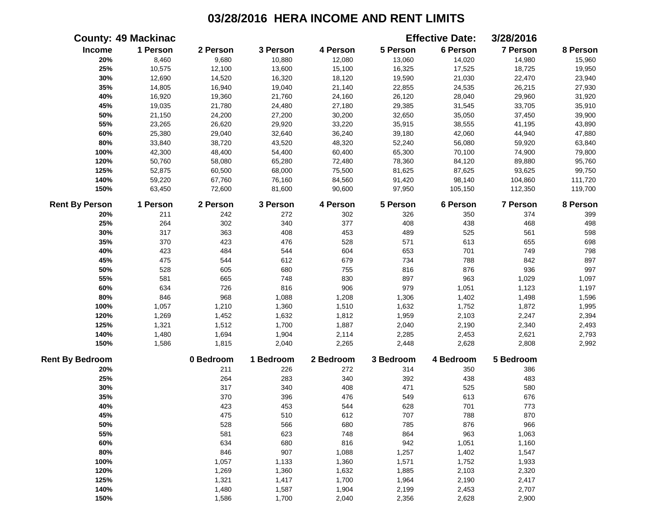|                        | <b>County: 49 Mackinac</b> |           |           |           |           | <b>Effective Date:</b> | 3/28/2016 |          |
|------------------------|----------------------------|-----------|-----------|-----------|-----------|------------------------|-----------|----------|
| Income                 | 1 Person                   | 2 Person  | 3 Person  | 4 Person  | 5 Person  | 6 Person               | 7 Person  | 8 Person |
| 20%                    | 8,460                      | 9,680     | 10,880    | 12,080    | 13,060    | 14,020                 | 14,980    | 15,960   |
| 25%                    | 10,575                     | 12,100    | 13,600    | 15,100    | 16,325    | 17,525                 | 18,725    | 19,950   |
| 30%                    | 12,690                     | 14,520    | 16,320    | 18,120    | 19,590    | 21,030                 | 22,470    | 23,940   |
| 35%                    | 14,805                     | 16,940    | 19,040    | 21,140    | 22,855    | 24,535                 | 26,215    | 27,930   |
| 40%                    | 16,920                     | 19,360    | 21,760    | 24,160    | 26,120    | 28,040                 | 29,960    | 31,920   |
| 45%                    | 19,035                     | 21,780    | 24,480    | 27,180    | 29,385    | 31,545                 | 33,705    | 35,910   |
| 50%                    | 21,150                     | 24,200    | 27,200    | 30,200    | 32,650    | 35,050                 | 37,450    | 39,900   |
| 55%                    | 23,265                     | 26,620    | 29,920    | 33,220    | 35,915    | 38,555                 | 41,195    | 43,890   |
| 60%                    | 25,380                     | 29,040    | 32,640    | 36,240    | 39,180    | 42,060                 | 44,940    | 47,880   |
| $80\%$                 | 33,840                     | 38,720    | 43,520    | 48,320    | 52,240    | 56,080                 | 59,920    | 63,840   |
| 100%                   | 42,300                     | 48,400    | 54,400    | 60,400    | 65,300    | 70,100                 | 74,900    | 79,800   |
| 120%                   | 50,760                     | 58,080    | 65,280    | 72,480    | 78,360    | 84,120                 | 89,880    | 95,760   |
| 125%                   | 52,875                     | 60,500    | 68,000    | 75,500    | 81,625    | 87,625                 | 93,625    | 99,750   |
| 140%                   | 59,220                     | 67,760    | 76,160    | 84,560    | 91,420    | 98,140                 | 104,860   | 111,720  |
| 150%                   | 63,450                     | 72,600    | 81,600    | 90,600    | 97,950    | 105,150                | 112,350   | 119,700  |
| <b>Rent By Person</b>  | 1 Person                   | 2 Person  | 3 Person  | 4 Person  | 5 Person  | 6 Person               | 7 Person  | 8 Person |
| 20%                    | 211                        | 242       | 272       | 302       | 326       | 350                    | 374       | 399      |
| 25%                    | 264                        | 302       | 340       | 377       | 408       | 438                    | 468       | 498      |
| 30%                    | 317                        | 363       | 408       | 453       | 489       | 525                    | 561       | 598      |
| 35%                    | 370                        | 423       | 476       | 528       | 571       | 613                    | 655       | 698      |
| 40%                    | 423                        | 484       | 544       | 604       | 653       | 701                    | 749       | 798      |
| 45%                    | 475                        | 544       | 612       | 679       | 734       | 788                    | 842       | 897      |
| 50%                    | 528                        | 605       | 680       | 755       | 816       | 876                    | 936       | 997      |
| 55%                    | 581                        | 665       | 748       | 830       | 897       | 963                    | 1,029     | 1,097    |
| 60%                    | 634                        | 726       | 816       | 906       | 979       | 1,051                  | 1,123     | 1,197    |
| 80%                    | 846                        | 968       | 1,088     | 1,208     | 1,306     | 1,402                  | 1,498     | 1,596    |
| 100%                   | 1,057                      | 1,210     | 1,360     | 1,510     | 1,632     | 1,752                  | 1,872     | 1,995    |
| 120%                   | 1,269                      | 1,452     | 1,632     | 1,812     | 1,959     | 2,103                  | 2,247     | 2,394    |
| 125%                   | 1,321                      | 1,512     | 1,700     | 1,887     | 2,040     | 2,190                  | 2,340     | 2,493    |
| 140%                   | 1,480                      | 1,694     | 1,904     | 2,114     | 2,285     | 2,453                  | 2,621     | 2,793    |
| 150%                   | 1,586                      | 1,815     | 2,040     | 2,265     | 2,448     | 2,628                  | 2,808     | 2,992    |
| <b>Rent By Bedroom</b> |                            | 0 Bedroom | 1 Bedroom | 2 Bedroom | 3 Bedroom | 4 Bedroom              | 5 Bedroom |          |
| 20%                    |                            | 211       | 226       | 272       | 314       | 350                    | 386       |          |
| 25%                    |                            | 264       | 283       | 340       | 392       | 438                    | 483       |          |
| 30%                    |                            | 317       | 340       | 408       | 471       | 525                    | 580       |          |
| 35%                    |                            | 370       | 396       | 476       | 549       | 613                    | 676       |          |
| 40%                    |                            | 423       | 453       | 544       | 628       | 701                    | 773       |          |
| 45%                    |                            | 475       | 510       | 612       | 707       | 788                    | 870       |          |
| 50%                    |                            | 528       | 566       | 680       | 785       | 876                    | 966       |          |
| 55%                    |                            | 581       | 623       | 748       | 864       | 963                    | 1,063     |          |
| 60%                    |                            | 634       | 680       | 816       | 942       | 1,051                  | 1,160     |          |
| 80%                    |                            | 846       | 907       | 1,088     | 1,257     | 1,402                  | 1,547     |          |
| 100%                   |                            | 1,057     | 1,133     | 1,360     | 1,571     | 1,752                  | 1,933     |          |
| 120%                   |                            | 1,269     | 1,360     | 1,632     | 1,885     | 2,103                  | 2,320     |          |
| 125%                   |                            | 1,321     | 1,417     | 1,700     | 1,964     | 2,190                  | 2,417     |          |
| 140%                   |                            | 1,480     | 1,587     | 1,904     | 2,199     | 2,453                  | 2,707     |          |
| 150%                   |                            | 1,586     | 1,700     | 2,040     | 2,356     | 2,628                  | 2,900     |          |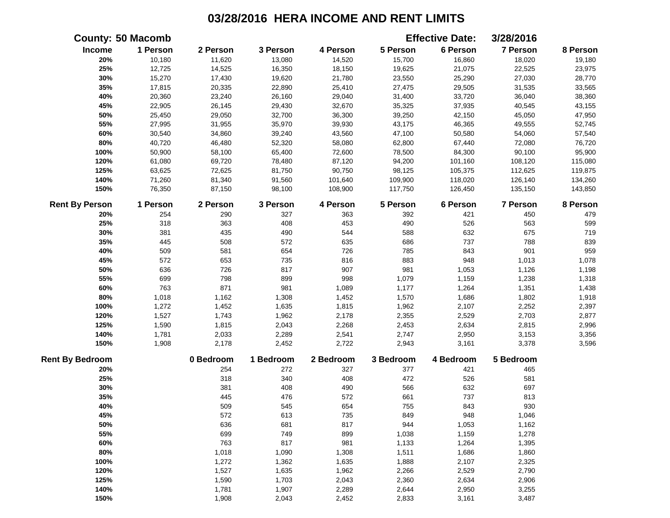|                        | <b>County: 50 Macomb</b> |           |           |           |           | <b>Effective Date:</b> | 3/28/2016 |          |
|------------------------|--------------------------|-----------|-----------|-----------|-----------|------------------------|-----------|----------|
| Income                 | 1 Person                 | 2 Person  | 3 Person  | 4 Person  | 5 Person  | 6 Person               | 7 Person  | 8 Person |
| 20%                    | 10,180                   | 11,620    | 13,080    | 14,520    | 15,700    | 16,860                 | 18,020    | 19,180   |
| 25%                    | 12,725                   | 14,525    | 16,350    | 18,150    | 19,625    | 21,075                 | 22,525    | 23,975   |
| 30%                    | 15,270                   | 17,430    | 19,620    | 21,780    | 23,550    | 25,290                 | 27,030    | 28,770   |
| 35%                    | 17,815                   | 20,335    | 22,890    | 25,410    | 27,475    | 29,505                 | 31,535    | 33,565   |
| 40%                    | 20,360                   | 23,240    | 26,160    | 29,040    | 31,400    | 33,720                 | 36,040    | 38,360   |
| 45%                    | 22,905                   | 26,145    | 29,430    | 32,670    | 35,325    | 37,935                 | 40,545    | 43,155   |
| 50%                    | 25,450                   | 29,050    | 32,700    | 36,300    | 39,250    | 42,150                 | 45,050    | 47,950   |
| 55%                    | 27,995                   | 31,955    | 35,970    | 39,930    | 43,175    | 46,365                 | 49,555    | 52,745   |
| 60%                    | 30,540                   | 34,860    | 39,240    | 43,560    | 47,100    | 50,580                 | 54,060    | 57,540   |
| 80%                    | 40,720                   | 46,480    | 52,320    | 58,080    | 62,800    | 67,440                 | 72,080    | 76,720   |
| 100%                   | 50,900                   | 58,100    | 65,400    | 72,600    | 78,500    | 84,300                 | 90,100    | 95,900   |
| 120%                   | 61,080                   | 69,720    | 78,480    | 87,120    | 94,200    | 101,160                | 108,120   | 115,080  |
| 125%                   | 63,625                   | 72,625    | 81,750    | 90,750    | 98,125    | 105,375                | 112,625   | 119,875  |
| 140%                   | 71,260                   | 81,340    | 91,560    | 101,640   | 109,900   | 118,020                | 126,140   | 134,260  |
| 150%                   | 76,350                   | 87,150    | 98,100    | 108,900   | 117,750   | 126,450                | 135,150   | 143,850  |
| <b>Rent By Person</b>  | 1 Person                 | 2 Person  | 3 Person  | 4 Person  | 5 Person  | 6 Person               | 7 Person  | 8 Person |
| 20%                    | 254                      | 290       | 327       | 363       | 392       | 421                    | 450       | 479      |
| 25%                    | 318                      | 363       | 408       | 453       | 490       | 526                    | 563       | 599      |
| 30%                    | 381                      | 435       | 490       | 544       | 588       | 632                    | 675       | 719      |
| 35%                    | 445                      | 508       | 572       | 635       | 686       | 737                    | 788       | 839      |
| 40%                    | 509                      | 581       | 654       | 726       | 785       | 843                    | 901       | 959      |
| 45%                    | 572                      | 653       | 735       | 816       | 883       | 948                    | 1,013     | 1,078    |
| 50%                    | 636                      | 726       | 817       | 907       | 981       | 1,053                  | 1,126     | 1,198    |
| 55%                    | 699                      | 798       | 899       | 998       | 1,079     | 1,159                  | 1,238     | 1,318    |
| 60%                    | 763                      | 871       | 981       | 1,089     | 1,177     | 1,264                  | 1,351     | 1,438    |
| $80\%$                 | 1,018                    | 1,162     | 1,308     | 1,452     | 1,570     | 1,686                  | 1,802     | 1,918    |
| 100%                   | 1,272                    | 1,452     | 1,635     | 1,815     | 1,962     | 2,107                  | 2,252     | 2,397    |
| 120%                   | 1,527                    | 1,743     | 1,962     | 2,178     | 2,355     | 2,529                  | 2,703     | 2,877    |
| 125%                   | 1,590                    | 1,815     | 2,043     | 2,268     | 2,453     | 2,634                  | 2,815     | 2,996    |
| 140%                   | 1,781                    | 2,033     | 2,289     | 2,541     | 2,747     | 2,950                  | 3,153     | 3,356    |
| 150%                   | 1,908                    | 2,178     | 2,452     | 2,722     | 2,943     | 3,161                  | 3,378     | 3,596    |
| <b>Rent By Bedroom</b> |                          | 0 Bedroom | 1 Bedroom | 2 Bedroom | 3 Bedroom | 4 Bedroom              | 5 Bedroom |          |
| 20%                    |                          | 254       | 272       | 327       | 377       | 421                    | 465       |          |
| 25%                    |                          | 318       | 340       | 408       | 472       | 526                    | 581       |          |
| 30%                    |                          | 381       | 408       | 490       | 566       | 632                    | 697       |          |
| 35%                    |                          | 445       | 476       | 572       | 661       | 737                    | 813       |          |
| 40%                    |                          | 509       | 545       | 654       | 755       | 843                    | 930       |          |
| 45%                    |                          | 572       | 613       | 735       | 849       | 948                    | 1,046     |          |
| 50%                    |                          | 636       | 681       | 817       | 944       | 1,053                  | 1,162     |          |
| 55%                    |                          | 699       | 749       | 899       | 1,038     | 1,159                  | 1,278     |          |
| 60%                    |                          | 763       | 817       | 981       | 1,133     | 1,264                  | 1,395     |          |
| 80%                    |                          | 1,018     | 1,090     | 1,308     | 1,511     | 1,686                  | 1,860     |          |
| 100%                   |                          | 1,272     | 1,362     | 1,635     | 1,888     | 2,107                  | 2,325     |          |
| 120%                   |                          | 1,527     | 1,635     | 1,962     | 2,266     | 2,529                  | 2,790     |          |
| 125%                   |                          | 1,590     | 1,703     | 2,043     | 2,360     | 2,634                  | 2,906     |          |
| 140%                   |                          | 1,781     | 1,907     | 2,289     | 2,644     | 2,950                  | 3,255     |          |
| 150%                   |                          | 1,908     | 2,043     | 2,452     | 2,833     | 3,161                  | 3,487     |          |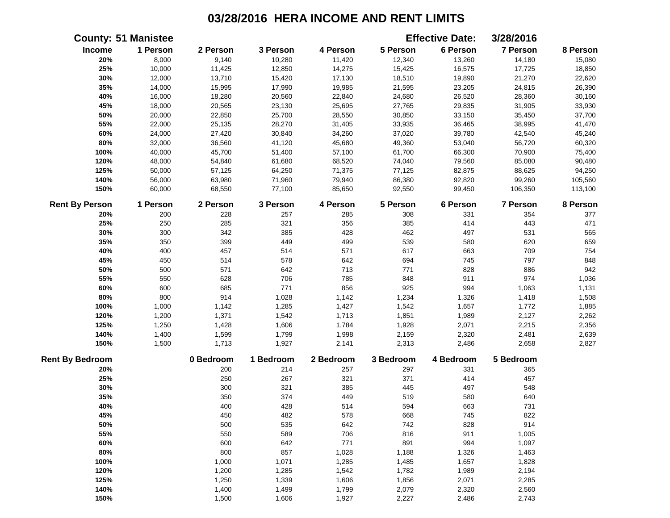|                        | <b>County: 51 Manistee</b> |           |           |           |           | <b>Effective Date:</b> | 3/28/2016 |          |
|------------------------|----------------------------|-----------|-----------|-----------|-----------|------------------------|-----------|----------|
| Income                 | 1 Person                   | 2 Person  | 3 Person  | 4 Person  | 5 Person  | 6 Person               | 7 Person  | 8 Person |
| 20%                    | 8,000                      | 9,140     | 10,280    | 11,420    | 12,340    | 13,260                 | 14,180    | 15,080   |
| 25%                    | 10,000                     | 11,425    | 12,850    | 14,275    | 15,425    | 16,575                 | 17,725    | 18,850   |
| 30%                    | 12,000                     | 13,710    | 15,420    | 17,130    | 18,510    | 19,890                 | 21,270    | 22,620   |
| 35%                    | 14,000                     | 15,995    | 17,990    | 19,985    | 21,595    | 23,205                 | 24,815    | 26,390   |
| 40%                    | 16,000                     | 18,280    | 20,560    | 22,840    | 24,680    | 26,520                 | 28,360    | 30,160   |
| 45%                    | 18,000                     | 20,565    | 23,130    | 25,695    | 27,765    | 29,835                 | 31,905    | 33,930   |
| 50%                    | 20,000                     | 22,850    | 25,700    | 28,550    | 30,850    | 33,150                 | 35,450    | 37,700   |
| 55%                    | 22,000                     | 25,135    | 28,270    | 31,405    | 33,935    | 36,465                 | 38,995    | 41,470   |
| 60%                    | 24,000                     | 27,420    | 30,840    | 34,260    | 37,020    | 39,780                 | 42,540    | 45,240   |
| 80%                    | 32,000                     | 36,560    | 41,120    | 45,680    | 49,360    | 53,040                 | 56,720    | 60,320   |
| 100%                   | 40,000                     | 45,700    | 51,400    | 57,100    | 61,700    | 66,300                 | 70,900    | 75,400   |
| 120%                   | 48,000                     | 54,840    | 61,680    | 68,520    | 74,040    | 79,560                 | 85,080    | 90,480   |
| 125%                   | 50,000                     | 57,125    | 64,250    | 71,375    | 77,125    | 82,875                 | 88,625    | 94,250   |
| 140%                   | 56,000                     | 63,980    | 71,960    | 79,940    | 86,380    | 92,820                 | 99,260    | 105,560  |
| 150%                   | 60,000                     | 68,550    | 77,100    | 85,650    | 92,550    | 99,450                 | 106,350   | 113,100  |
| <b>Rent By Person</b>  | 1 Person                   | 2 Person  | 3 Person  | 4 Person  | 5 Person  | 6 Person               | 7 Person  | 8 Person |
| 20%                    | 200                        | 228       | 257       | 285       | 308       | 331                    | 354       | 377      |
| 25%                    | 250                        | 285       | 321       | 356       | 385       | 414                    | 443       | 471      |
| 30%                    | 300                        | 342       | 385       | 428       | 462       | 497                    | 531       | 565      |
| 35%                    | 350                        | 399       | 449       | 499       | 539       | 580                    | 620       | 659      |
| 40%                    | 400                        | 457       | 514       | 571       | 617       | 663                    | 709       | 754      |
| 45%                    | 450                        | 514       | 578       | 642       | 694       | 745                    | 797       | 848      |
| 50%                    | 500                        | 571       | 642       | 713       | 771       | 828                    | 886       | 942      |
| 55%                    | 550                        | 628       | 706       | 785       | 848       | 911                    | 974       | 1,036    |
| 60%                    | 600                        | 685       | 771       | 856       | 925       | 994                    | 1,063     | 1,131    |
| 80%                    | 800                        | 914       | 1,028     | 1,142     | 1,234     | 1,326                  | 1,418     | 1,508    |
| 100%                   | 1,000                      | 1,142     | 1,285     | 1,427     | 1,542     | 1,657                  | 1,772     | 1,885    |
| 120%                   | 1,200                      | 1,371     | 1,542     | 1,713     | 1,851     | 1,989                  | 2,127     | 2,262    |
| 125%                   | 1,250                      | 1,428     | 1,606     | 1,784     | 1,928     | 2,071                  | 2,215     | 2,356    |
| 140%                   | 1,400                      | 1,599     | 1,799     | 1,998     | 2,159     | 2,320                  | 2,481     | 2,639    |
| 150%                   | 1,500                      | 1,713     | 1,927     | 2,141     | 2,313     | 2,486                  | 2,658     | 2,827    |
| <b>Rent By Bedroom</b> |                            | 0 Bedroom | 1 Bedroom | 2 Bedroom | 3 Bedroom | 4 Bedroom              | 5 Bedroom |          |
| 20%                    |                            | 200       | 214       | 257       | 297       | 331                    | 365       |          |
| 25%                    |                            | 250       | 267       | 321       | 371       | 414                    | 457       |          |
| 30%                    |                            | 300       | 321       | 385       | 445       | 497                    | 548       |          |
| 35%                    |                            | 350       | 374       | 449       | 519       | 580                    | 640       |          |
| 40%                    |                            | 400       | 428       | 514       | 594       | 663                    | 731       |          |
| 45%                    |                            | 450       | 482       | 578       | 668       | 745                    | 822       |          |
| 50%                    |                            | 500       | 535       | 642       | 742       | 828                    | 914       |          |
| 55%                    |                            | 550       | 589       | 706       | 816       | 911                    | 1,005     |          |
| 60%                    |                            | 600       | 642       | 771       | 891       | 994                    | 1,097     |          |
| 80%                    |                            | 800       | 857       | 1,028     | 1,188     | 1,326                  | 1,463     |          |
| 100%                   |                            | 1,000     | 1,071     | 1,285     | 1,485     | 1,657                  | 1,828     |          |
| 120%                   |                            | 1,200     | 1,285     | 1,542     | 1,782     | 1,989                  | 2,194     |          |
| 125%                   |                            | 1,250     | 1,339     | 1,606     | 1,856     | 2,071                  | 2,285     |          |
| 140%                   |                            | 1,400     | 1,499     | 1,799     | 2,079     | 2,320                  | 2,560     |          |
| 150%                   |                            | 1,500     | 1,606     | 1,927     | 2,227     | 2,486                  | 2,743     |          |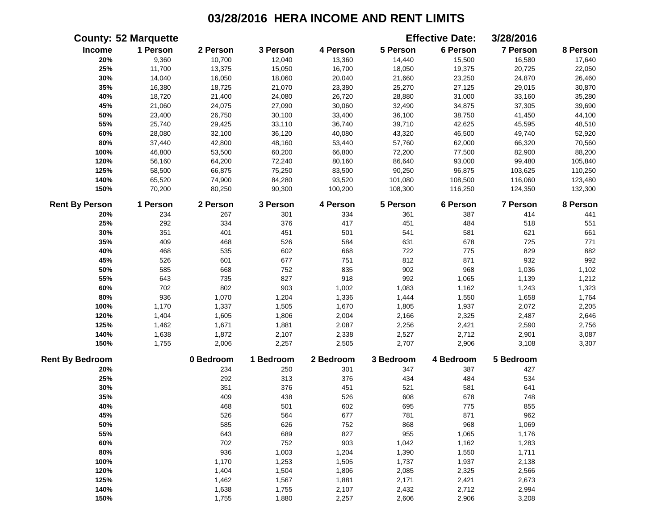|                        | <b>County: 52 Marquette</b> |           |           |           |           | <b>Effective Date:</b> | 3/28/2016       |          |
|------------------------|-----------------------------|-----------|-----------|-----------|-----------|------------------------|-----------------|----------|
| <b>Income</b>          | 1 Person                    | 2 Person  | 3 Person  | 4 Person  | 5 Person  | 6 Person               | 7 Person        | 8 Person |
| 20%                    | 9,360                       | 10,700    | 12,040    | 13,360    | 14,440    | 15,500                 | 16,580          | 17,640   |
| 25%                    | 11,700                      | 13,375    | 15,050    | 16,700    | 18,050    | 19,375                 | 20,725          | 22,050   |
| 30%                    | 14,040                      | 16,050    | 18,060    | 20,040    | 21,660    | 23,250                 | 24,870          | 26,460   |
| 35%                    | 16,380                      | 18,725    | 21,070    | 23,380    | 25,270    | 27,125                 | 29,015          | 30,870   |
| 40%                    | 18,720                      | 21,400    | 24,080    | 26,720    | 28,880    | 31,000                 | 33,160          | 35,280   |
| 45%                    | 21,060                      | 24,075    | 27,090    | 30,060    | 32,490    | 34,875                 | 37,305          | 39,690   |
| 50%                    | 23,400                      | 26,750    | 30,100    | 33,400    | 36,100    | 38,750                 | 41,450          | 44,100   |
| 55%                    | 25,740                      | 29,425    | 33,110    | 36,740    | 39,710    | 42,625                 | 45,595          | 48,510   |
| 60%                    | 28,080                      | 32,100    | 36,120    | 40,080    | 43,320    | 46,500                 | 49,740          | 52,920   |
| 80%                    | 37,440                      | 42,800    | 48,160    | 53,440    | 57,760    | 62,000                 | 66,320          | 70,560   |
| 100%                   | 46,800                      | 53,500    | 60,200    | 66,800    | 72,200    | 77,500                 | 82,900          | 88,200   |
| 120%                   | 56,160                      | 64,200    | 72,240    | 80,160    | 86,640    | 93,000                 | 99,480          | 105,840  |
| 125%                   | 58,500                      | 66,875    | 75,250    | 83,500    | 90,250    | 96,875                 | 103,625         | 110,250  |
| 140%                   | 65,520                      | 74,900    | 84,280    | 93,520    | 101,080   | 108,500                | 116,060         | 123,480  |
| 150%                   | 70,200                      | 80,250    | 90,300    | 100,200   | 108,300   | 116,250                | 124,350         | 132,300  |
| <b>Rent By Person</b>  | 1 Person                    | 2 Person  | 3 Person  | 4 Person  | 5 Person  | 6 Person               | <b>7 Person</b> | 8 Person |
| 20%                    | 234                         | 267       | 301       | 334       | 361       | 387                    | 414             | 441      |
| 25%                    | 292                         | 334       | 376       | 417       | 451       | 484                    | 518             | 551      |
| 30%                    | 351                         | 401       | 451       | 501       | 541       | 581                    | 621             | 661      |
| 35%                    | 409                         | 468       | 526       | 584       | 631       | 678                    | 725             | 771      |
| 40%                    | 468                         | 535       | 602       | 668       | 722       | 775                    | 829             | 882      |
| 45%                    | 526                         | 601       | 677       | 751       | 812       | 871                    | 932             | 992      |
| 50%                    | 585                         | 668       | 752       | 835       | 902       | 968                    | 1,036           | 1,102    |
| 55%                    | 643                         | 735       | 827       | 918       | 992       | 1,065                  | 1,139           | 1,212    |
| 60%                    | 702                         | 802       | 903       | 1,002     | 1,083     | 1,162                  | 1,243           | 1,323    |
| 80%                    | 936                         | 1,070     | 1,204     | 1,336     | 1,444     | 1,550                  | 1,658           | 1,764    |
| 100%                   | 1,170                       | 1,337     | 1,505     | 1,670     | 1,805     | 1,937                  | 2,072           | 2,205    |
| 120%                   | 1,404                       | 1,605     | 1,806     | 2,004     | 2,166     | 2,325                  | 2,487           | 2,646    |
| 125%                   | 1,462                       | 1,671     | 1,881     | 2,087     | 2,256     | 2,421                  | 2,590           | 2,756    |
| 140%                   | 1,638                       | 1,872     | 2,107     | 2,338     | 2,527     | 2,712                  | 2,901           | 3,087    |
| 150%                   | 1,755                       | 2,006     | 2,257     | 2,505     | 2,707     | 2,906                  | 3,108           | 3,307    |
| <b>Rent By Bedroom</b> |                             | 0 Bedroom | 1 Bedroom | 2 Bedroom | 3 Bedroom | 4 Bedroom              | 5 Bedroom       |          |
| 20%                    |                             | 234       | 250       | 301       | 347       | 387                    | 427             |          |
| 25%                    |                             | 292       | 313       | 376       | 434       | 484                    | 534             |          |
| 30%                    |                             | 351       | 376       | 451       | 521       | 581                    | 641             |          |
| 35%                    |                             | 409       | 438       | 526       | 608       | 678                    | 748             |          |
| 40%                    |                             | 468       | 501       | 602       | 695       | 775                    | 855             |          |
| 45%                    |                             | 526       | 564       | 677       | 781       | 871                    | 962             |          |
| 50%                    |                             | 585       | 626       | 752       | 868       | 968                    | 1,069           |          |
| 55%                    |                             | 643       | 689       | 827       | 955       | 1,065                  | 1,176           |          |
| 60%                    |                             | 702       | 752       | 903       | 1,042     | 1,162                  | 1,283           |          |
| 80%                    |                             | 936       | 1,003     | 1,204     | 1,390     | 1,550                  | 1,711           |          |
| 100%                   |                             | 1,170     | 1,253     | 1,505     | 1,737     | 1,937                  | 2,138           |          |
| 120%                   |                             | 1,404     | 1,504     | 1,806     | 2,085     | 2,325                  | 2,566           |          |
| 125%                   |                             | 1,462     | 1,567     | 1,881     | 2,171     | 2,421                  | 2,673           |          |
| 140%                   |                             | 1,638     | 1,755     | 2,107     | 2,432     | 2,712                  | 2,994           |          |
| 150%                   |                             | 1,755     | 1,880     | 2,257     | 2,606     | 2,906                  | 3,208           |          |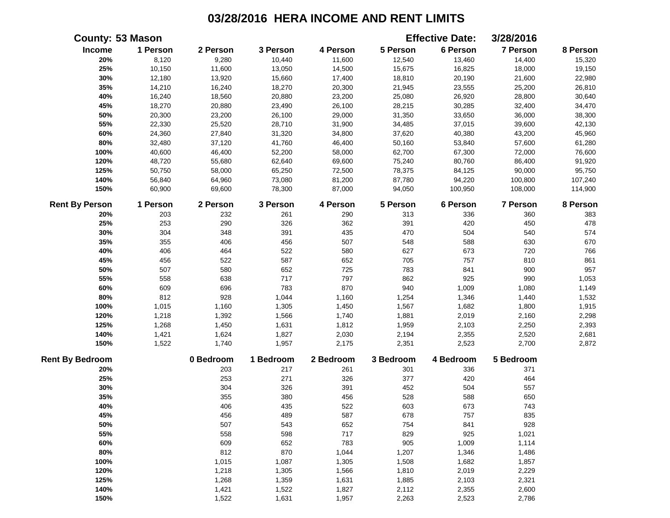|                        | <b>County: 53 Mason</b> |           |           |           |           | <b>Effective Date:</b> | 3/28/2016 |          |
|------------------------|-------------------------|-----------|-----------|-----------|-----------|------------------------|-----------|----------|
| Income                 | 1 Person                | 2 Person  | 3 Person  | 4 Person  | 5 Person  | 6 Person               | 7 Person  | 8 Person |
| 20%                    | 8,120                   | 9,280     | 10,440    | 11,600    | 12,540    | 13,460                 | 14,400    | 15,320   |
| 25%                    | 10,150                  | 11,600    | 13,050    | 14,500    | 15,675    | 16,825                 | 18,000    | 19,150   |
| 30%                    | 12,180                  | 13,920    | 15,660    | 17,400    | 18,810    | 20,190                 | 21,600    | 22,980   |
| 35%                    | 14,210                  | 16,240    | 18,270    | 20,300    | 21,945    | 23,555                 | 25,200    | 26,810   |
| 40%                    | 16,240                  | 18,560    | 20,880    | 23,200    | 25,080    | 26,920                 | 28,800    | 30,640   |
| 45%                    | 18,270                  | 20,880    | 23,490    | 26,100    | 28,215    | 30,285                 | 32,400    | 34,470   |
| 50%                    | 20,300                  | 23,200    | 26,100    | 29,000    | 31,350    | 33,650                 | 36,000    | 38,300   |
| 55%                    | 22,330                  | 25,520    | 28,710    | 31,900    | 34,485    | 37,015                 | 39,600    | 42,130   |
| 60%                    | 24,360                  | 27,840    | 31,320    | 34,800    | 37,620    | 40,380                 | 43,200    | 45,960   |
| 80%                    | 32,480                  | 37,120    | 41,760    | 46,400    | 50,160    | 53,840                 | 57,600    | 61,280   |
| 100%                   | 40,600                  | 46,400    | 52,200    | 58,000    | 62,700    | 67,300                 | 72,000    | 76,600   |
| 120%                   | 48,720                  | 55,680    | 62,640    | 69,600    | 75,240    | 80,760                 | 86,400    | 91,920   |
| 125%                   | 50,750                  | 58,000    | 65,250    | 72,500    | 78,375    | 84,125                 | 90,000    | 95,750   |
| 140%                   | 56,840                  | 64,960    | 73,080    | 81,200    | 87,780    | 94,220                 | 100,800   | 107,240  |
| 150%                   | 60,900                  | 69,600    | 78,300    | 87,000    | 94,050    | 100,950                | 108,000   | 114,900  |
| <b>Rent By Person</b>  | 1 Person                | 2 Person  | 3 Person  | 4 Person  | 5 Person  | 6 Person               | 7 Person  | 8 Person |
| 20%                    | 203                     | 232       | 261       | 290       | 313       | 336                    | 360       | 383      |
| 25%                    | 253                     | 290       | 326       | 362       | 391       | 420                    | 450       | 478      |
| 30%                    | 304                     | 348       | 391       | 435       | 470       | 504                    | 540       | 574      |
| 35%                    | 355                     | 406       | 456       | 507       | 548       | 588                    | 630       | 670      |
| 40%                    | 406                     | 464       | 522       | 580       | 627       | 673                    | 720       | 766      |
| 45%                    | 456                     | 522       | 587       | 652       | 705       | 757                    | 810       | 861      |
| 50%                    | 507                     | 580       | 652       | 725       | 783       | 841                    | 900       | 957      |
| 55%                    | 558                     | 638       | 717       | 797       | 862       | 925                    | 990       | 1,053    |
| 60%                    | 609                     | 696       | 783       | 870       | 940       | 1,009                  | 1,080     | 1,149    |
| 80%                    | 812                     | 928       | 1,044     | 1,160     | 1,254     | 1,346                  | 1,440     | 1,532    |
| 100%                   | 1,015                   | 1,160     | 1,305     | 1,450     | 1,567     | 1,682                  | 1,800     | 1,915    |
| 120%                   | 1,218                   | 1,392     | 1,566     | 1,740     | 1,881     | 2,019                  | 2,160     | 2,298    |
| 125%                   | 1,268                   | 1,450     | 1,631     | 1,812     | 1,959     | 2,103                  | 2,250     | 2,393    |
| 140%                   | 1,421                   | 1,624     | 1,827     | 2,030     | 2,194     | 2,355                  | 2,520     | 2,681    |
| 150%                   | 1,522                   | 1,740     | 1,957     | 2,175     | 2,351     | 2,523                  | 2,700     | 2,872    |
| <b>Rent By Bedroom</b> |                         | 0 Bedroom | 1 Bedroom | 2 Bedroom | 3 Bedroom | 4 Bedroom              | 5 Bedroom |          |
| 20%                    |                         | 203       | 217       | 261       | 301       | 336                    | 371       |          |
| 25%                    |                         | 253       | 271       | 326       | 377       | 420                    | 464       |          |
| 30%                    |                         | 304       | 326       | 391       | 452       | 504                    | 557       |          |
| 35%                    |                         | 355       | 380       | 456       | 528       | 588                    | 650       |          |
| 40%                    |                         | 406       | 435       | 522       | 603       | 673                    | 743       |          |
| 45%                    |                         | 456       | 489       | 587       | 678       | 757                    | 835       |          |
| 50%                    |                         | 507       | 543       | 652       | 754       | 841                    | 928       |          |
| 55%                    |                         | 558       | 598       | 717       | 829       | 925                    | 1,021     |          |
| 60%                    |                         | 609       | 652       | 783       | 905       | 1,009                  | 1,114     |          |
| 80%                    |                         | 812       | 870       | 1,044     | 1,207     | 1,346                  | 1,486     |          |
| 100%                   |                         | 1,015     | 1,087     | 1,305     | 1,508     | 1,682                  | 1,857     |          |
| 120%                   |                         | 1,218     | 1,305     | 1,566     | 1,810     | 2,019                  | 2,229     |          |
| 125%                   |                         | 1,268     | 1,359     | 1,631     | 1,885     | 2,103                  | 2,321     |          |
| 140%                   |                         | 1,421     | 1,522     | 1,827     | 2,112     | 2,355                  | 2,600     |          |
| 150%                   |                         | 1,522     | 1,631     | 1,957     | 2,263     | 2,523                  | 2,786     |          |
|                        |                         |           |           |           |           |                        |           |          |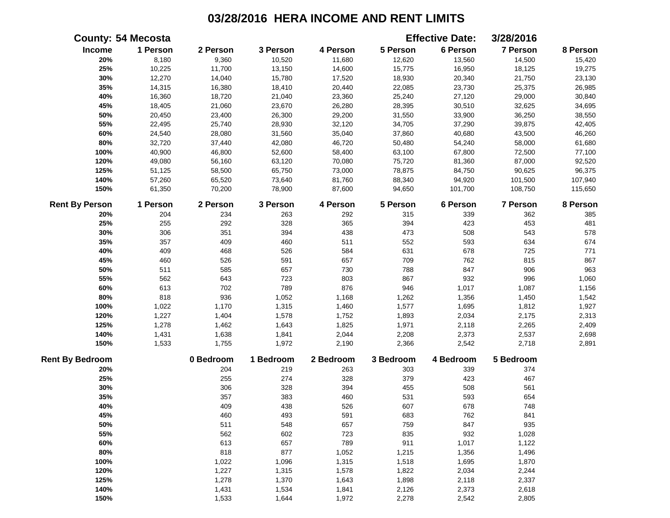|                        | <b>County: 54 Mecosta</b> |           |           |           |           | <b>Effective Date:</b> | 3/28/2016       |          |
|------------------------|---------------------------|-----------|-----------|-----------|-----------|------------------------|-----------------|----------|
| Income                 | 1 Person                  | 2 Person  | 3 Person  | 4 Person  | 5 Person  | 6 Person               | 7 Person        | 8 Person |
| 20%                    | 8,180                     | 9,360     | 10,520    | 11,680    | 12,620    | 13,560                 | 14,500          | 15,420   |
| 25%                    | 10,225                    | 11,700    | 13,150    | 14,600    | 15,775    | 16,950                 | 18,125          | 19,275   |
| 30%                    | 12,270                    | 14,040    | 15,780    | 17,520    | 18,930    | 20,340                 | 21,750          | 23,130   |
| 35%                    | 14,315                    | 16,380    | 18,410    | 20,440    | 22,085    | 23,730                 | 25,375          | 26,985   |
| 40%                    | 16,360                    | 18,720    | 21,040    | 23,360    | 25,240    | 27,120                 | 29,000          | 30,840   |
| 45%                    | 18,405                    | 21,060    | 23,670    | 26,280    | 28,395    | 30,510                 | 32,625          | 34,695   |
| 50%                    | 20,450                    | 23,400    | 26,300    | 29,200    | 31,550    | 33,900                 | 36,250          | 38,550   |
| 55%                    | 22,495                    | 25,740    | 28,930    | 32,120    | 34,705    | 37,290                 | 39,875          | 42,405   |
| 60%                    | 24,540                    | 28,080    | 31,560    | 35,040    | 37,860    | 40,680                 | 43,500          | 46,260   |
| $80\%$                 | 32,720                    | 37,440    | 42,080    | 46,720    | 50,480    | 54,240                 | 58,000          | 61,680   |
| 100%                   | 40,900                    | 46,800    | 52,600    | 58,400    | 63,100    | 67,800                 | 72,500          | 77,100   |
| 120%                   | 49,080                    | 56,160    | 63,120    | 70,080    | 75,720    | 81,360                 | 87,000          | 92,520   |
| 125%                   | 51,125                    | 58,500    | 65,750    | 73,000    | 78,875    | 84,750                 | 90,625          | 96,375   |
| 140%                   | 57,260                    | 65,520    | 73,640    | 81,760    | 88,340    | 94,920                 | 101,500         | 107,940  |
| 150%                   | 61,350                    | 70,200    | 78,900    | 87,600    | 94,650    | 101,700                | 108,750         | 115,650  |
| <b>Rent By Person</b>  | 1 Person                  | 2 Person  | 3 Person  | 4 Person  | 5 Person  | 6 Person               | <b>7 Person</b> | 8 Person |
| 20%                    | 204                       | 234       | 263       | 292       | 315       | 339                    | 362             | 385      |
| 25%                    | 255                       | 292       | 328       | 365       | 394       | 423                    | 453             | 481      |
| 30%                    | 306                       | 351       | 394       | 438       | 473       | 508                    | 543             | 578      |
| 35%                    | 357                       | 409       | 460       | 511       | 552       | 593                    | 634             | 674      |
| 40%                    | 409                       | 468       | 526       | 584       | 631       | 678                    | 725             | 771      |
| 45%                    | 460                       | 526       | 591       | 657       | 709       | 762                    | 815             | 867      |
| 50%                    | 511                       | 585       | 657       | 730       | 788       | 847                    | 906             | 963      |
| 55%                    | 562                       | 643       | 723       | 803       | 867       | 932                    | 996             | 1,060    |
| 60%                    | 613                       | 702       | 789       | 876       | 946       | 1,017                  | 1,087           | 1,156    |
| 80%                    | 818                       | 936       | 1,052     | 1,168     | 1,262     | 1,356                  | 1,450           | 1,542    |
| 100%                   | 1,022                     | 1,170     | 1,315     | 1,460     | 1,577     | 1,695                  | 1,812           | 1,927    |
| 120%                   | 1,227                     | 1,404     | 1,578     | 1,752     | 1,893     | 2,034                  | 2,175           | 2,313    |
| 125%                   | 1,278                     | 1,462     | 1,643     | 1,825     | 1,971     | 2,118                  | 2,265           | 2,409    |
| 140%                   | 1,431                     | 1,638     | 1,841     | 2,044     | 2,208     | 2,373                  | 2,537           | 2,698    |
| 150%                   | 1,533                     | 1,755     | 1,972     | 2,190     | 2,366     | 2,542                  | 2,718           | 2,891    |
| <b>Rent By Bedroom</b> |                           | 0 Bedroom | 1 Bedroom | 2 Bedroom | 3 Bedroom | 4 Bedroom              | 5 Bedroom       |          |
| 20%                    |                           | 204       | 219       | 263       | 303       | 339                    | 374             |          |
| 25%                    |                           | 255       | 274       | 328       | 379       | 423                    | 467             |          |
| 30%                    |                           | 306       | 328       | 394       | 455       | 508                    | 561             |          |
| 35%                    |                           | 357       | 383       | 460       | 531       | 593                    | 654             |          |
| 40%                    |                           | 409       | 438       | 526       | 607       | 678                    | 748             |          |
| 45%                    |                           | 460       | 493       | 591       | 683       | 762                    | 841             |          |
| 50%                    |                           | 511       | 548       | 657       | 759       | 847                    | 935             |          |
| 55%                    |                           | 562       | 602       | 723       | 835       | 932                    | 1,028           |          |
| 60%                    |                           | 613       | 657       | 789       | 911       | 1,017                  | 1,122           |          |
| 80%                    |                           | 818       | 877       | 1,052     | 1,215     | 1,356                  | 1,496           |          |
| 100%                   |                           | 1,022     | 1,096     | 1,315     | 1,518     | 1,695                  | 1,870           |          |
| 120%                   |                           | 1,227     | 1,315     | 1,578     | 1,822     | 2,034                  | 2,244           |          |
| 125%                   |                           | 1,278     | 1,370     | 1,643     | 1,898     | 2,118                  | 2,337           |          |
| 140%                   |                           | 1,431     | 1,534     | 1,841     | 2,126     | 2,373                  | 2,618           |          |
| 150%                   |                           | 1,533     | 1,644     | 1,972     | 2,278     | 2,542                  | 2,805           |          |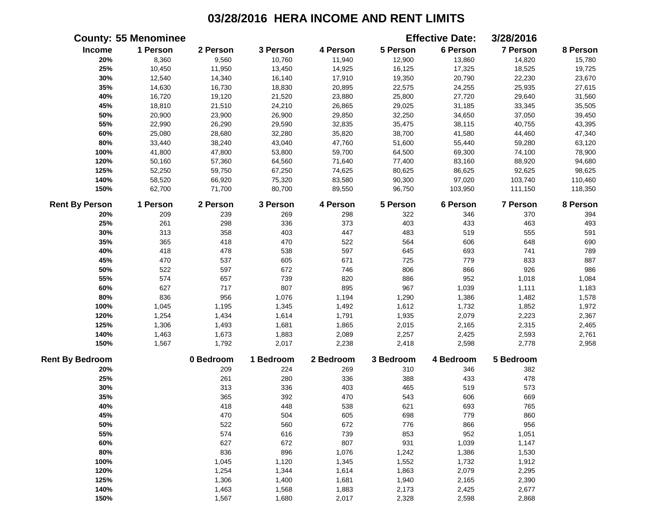|                        | <b>County: 55 Menominee</b> |           |           |           |           | <b>Effective Date:</b> | 3/28/2016       |          |
|------------------------|-----------------------------|-----------|-----------|-----------|-----------|------------------------|-----------------|----------|
| Income                 | 1 Person                    | 2 Person  | 3 Person  | 4 Person  | 5 Person  | 6 Person               | 7 Person        | 8 Person |
| 20%                    | 8,360                       | 9,560     | 10,760    | 11,940    | 12,900    | 13,860                 | 14,820          | 15,780   |
| 25%                    | 10,450                      | 11,950    | 13,450    | 14,925    | 16,125    | 17,325                 | 18,525          | 19,725   |
| 30%                    | 12,540                      | 14,340    | 16,140    | 17,910    | 19,350    | 20,790                 | 22,230          | 23,670   |
| 35%                    | 14,630                      | 16,730    | 18,830    | 20,895    | 22,575    | 24,255                 | 25,935          | 27,615   |
| 40%                    | 16,720                      | 19,120    | 21,520    | 23,880    | 25,800    | 27,720                 | 29,640          | 31,560   |
| 45%                    | 18,810                      | 21,510    | 24,210    | 26,865    | 29,025    | 31,185                 | 33,345          | 35,505   |
| 50%                    | 20,900                      | 23,900    | 26,900    | 29,850    | 32,250    | 34,650                 | 37,050          | 39,450   |
| 55%                    | 22,990                      | 26,290    | 29,590    | 32,835    | 35,475    | 38,115                 | 40,755          | 43,395   |
| 60%                    | 25,080                      | 28,680    | 32,280    | 35,820    | 38,700    | 41,580                 | 44,460          | 47,340   |
| 80%                    | 33,440                      | 38,240    | 43,040    | 47,760    | 51,600    | 55,440                 | 59,280          | 63,120   |
| 100%                   | 41,800                      | 47,800    | 53,800    | 59,700    | 64,500    | 69,300                 | 74,100          | 78,900   |
| 120%                   | 50,160                      | 57,360    | 64,560    | 71,640    | 77,400    | 83,160                 | 88,920          | 94,680   |
| 125%                   | 52,250                      | 59,750    | 67,250    | 74,625    | 80,625    | 86,625                 | 92,625          | 98,625   |
| 140%                   | 58,520                      | 66,920    | 75,320    | 83,580    | 90,300    | 97,020                 | 103,740         | 110,460  |
| 150%                   | 62,700                      | 71,700    | 80,700    | 89,550    | 96,750    | 103,950                | 111,150         | 118,350  |
| <b>Rent By Person</b>  | 1 Person                    | 2 Person  | 3 Person  | 4 Person  | 5 Person  | 6 Person               | <b>7 Person</b> | 8 Person |
| 20%                    | 209                         | 239       | 269       | 298       | 322       | 346                    | 370             | 394      |
| 25%                    | 261                         | 298       | 336       | 373       | 403       | 433                    | 463             | 493      |
| 30%                    | 313                         | 358       | 403       | 447       | 483       | 519                    | 555             | 591      |
| 35%                    | 365                         | 418       | 470       | 522       | 564       | 606                    | 648             | 690      |
| 40%                    | 418                         | 478       | 538       | 597       | 645       | 693                    | 741             | 789      |
| 45%                    | 470                         | 537       | 605       | 671       | 725       | 779                    | 833             | 887      |
| 50%                    | 522                         | 597       | 672       | 746       | 806       | 866                    | 926             | 986      |
| 55%                    | 574                         | 657       | 739       | 820       | 886       | 952                    | 1,018           | 1,084    |
| 60%                    | 627                         | 717       | 807       | 895       | 967       | 1,039                  | 1,111           | 1,183    |
| 80%                    | 836                         | 956       | 1,076     | 1,194     | 1,290     | 1,386                  | 1,482           | 1,578    |
| 100%                   | 1,045                       | 1,195     | 1,345     | 1,492     | 1,612     | 1,732                  | 1,852           | 1,972    |
| 120%                   | 1,254                       | 1,434     | 1,614     | 1,791     | 1,935     | 2,079                  | 2,223           | 2,367    |
| 125%                   | 1,306                       | 1,493     | 1,681     | 1,865     | 2,015     | 2,165                  | 2,315           | 2,465    |
| 140%                   | 1,463                       | 1,673     | 1,883     | 2,089     | 2,257     | 2,425                  | 2,593           | 2,761    |
| 150%                   | 1,567                       | 1,792     | 2,017     | 2,238     | 2,418     | 2,598                  | 2,778           | 2,958    |
| <b>Rent By Bedroom</b> |                             | 0 Bedroom | 1 Bedroom | 2 Bedroom | 3 Bedroom | 4 Bedroom              | 5 Bedroom       |          |
| 20%                    |                             | 209       | 224       | 269       | 310       | 346                    | 382             |          |
| 25%                    |                             | 261       | 280       | 336       | 388       | 433                    | 478             |          |
| 30%                    |                             | 313       | 336       | 403       | 465       | 519                    | 573             |          |
| 35%                    |                             | 365       | 392       | 470       | 543       | 606                    | 669             |          |
| 40%                    |                             | 418       | 448       | 538       | 621       | 693                    | 765             |          |
| 45%                    |                             | 470       | 504       | 605       | 698       | 779                    | 860             |          |
| 50%                    |                             | 522       | 560       | 672       | 776       | 866                    | 956             |          |
| 55%                    |                             | 574       | 616       | 739       | 853       | 952                    | 1,051           |          |
| 60%                    |                             | 627       | 672       | 807       | 931       | 1,039                  | 1,147           |          |
| 80%                    |                             | 836       | 896       | 1,076     | 1,242     | 1,386                  | 1,530           |          |
| 100%                   |                             | 1,045     | 1,120     | 1,345     | 1,552     | 1,732                  | 1,912           |          |
| 120%                   |                             | 1,254     | 1,344     | 1,614     | 1,863     | 2,079                  | 2,295           |          |
| 125%                   |                             | 1,306     | 1,400     | 1,681     | 1,940     | 2,165                  | 2,390           |          |
| 140%                   |                             | 1,463     | 1,568     | 1,883     | 2,173     | 2,425                  | 2,677           |          |
| 150%                   |                             | 1,567     | 1,680     | 2,017     | 2,328     | 2,598                  | 2,868           |          |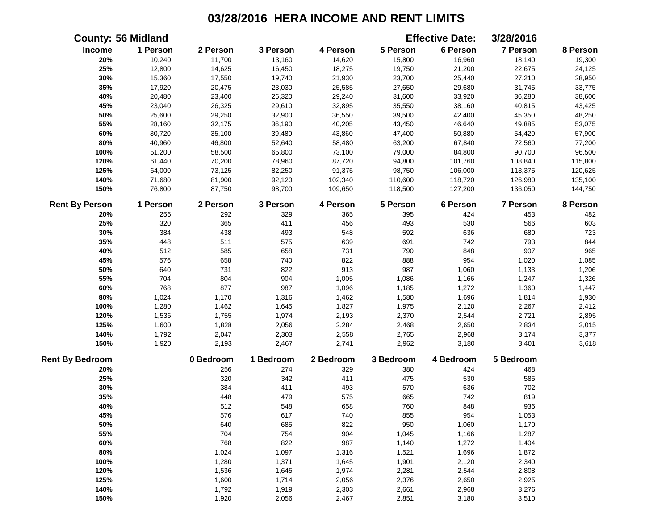|                        | <b>County: 56 Midland</b> |           |           |           |           | <b>Effective Date:</b> | 3/28/2016       |          |
|------------------------|---------------------------|-----------|-----------|-----------|-----------|------------------------|-----------------|----------|
| Income                 | 1 Person                  | 2 Person  | 3 Person  | 4 Person  | 5 Person  | 6 Person               | 7 Person        | 8 Person |
| 20%                    | 10,240                    | 11,700    | 13,160    | 14,620    | 15,800    | 16,960                 | 18,140          | 19,300   |
| 25%                    | 12,800                    | 14,625    | 16,450    | 18,275    | 19,750    | 21,200                 | 22,675          | 24,125   |
| 30%                    | 15,360                    | 17,550    | 19,740    | 21,930    | 23,700    | 25,440                 | 27,210          | 28,950   |
| 35%                    | 17,920                    | 20,475    | 23,030    | 25,585    | 27,650    | 29,680                 | 31,745          | 33,775   |
| 40%                    | 20,480                    | 23,400    | 26,320    | 29,240    | 31,600    | 33,920                 | 36,280          | 38,600   |
| 45%                    | 23,040                    | 26,325    | 29,610    | 32,895    | 35,550    | 38,160                 | 40,815          | 43,425   |
| 50%                    | 25,600                    | 29,250    | 32,900    | 36,550    | 39,500    | 42,400                 | 45,350          | 48,250   |
| 55%                    | 28,160                    | 32,175    | 36,190    | 40,205    | 43,450    | 46,640                 | 49,885          | 53,075   |
| 60%                    | 30,720                    | 35,100    | 39,480    | 43,860    | 47,400    | 50,880                 | 54,420          | 57,900   |
| 80%                    | 40,960                    | 46,800    | 52,640    | 58,480    | 63,200    | 67,840                 | 72,560          | 77,200   |
| 100%                   | 51,200                    | 58,500    | 65,800    | 73,100    | 79,000    | 84,800                 | 90,700          | 96,500   |
| 120%                   | 61,440                    | 70,200    | 78,960    | 87,720    | 94,800    | 101,760                | 108,840         | 115,800  |
| 125%                   | 64,000                    | 73,125    | 82,250    | 91,375    | 98,750    | 106,000                | 113,375         | 120,625  |
| 140%                   | 71,680                    | 81,900    | 92,120    | 102,340   | 110,600   | 118,720                | 126,980         | 135,100  |
| 150%                   | 76,800                    | 87,750    | 98,700    | 109,650   | 118,500   | 127,200                | 136,050         | 144,750  |
| <b>Rent By Person</b>  | 1 Person                  | 2 Person  | 3 Person  | 4 Person  | 5 Person  | 6 Person               | <b>7 Person</b> | 8 Person |
| 20%                    | 256                       | 292       | 329       | 365       | 395       | 424                    | 453             | 482      |
| 25%                    | 320                       | 365       | 411       | 456       | 493       | 530                    | 566             | 603      |
| 30%                    | 384                       | 438       | 493       | 548       | 592       | 636                    | 680             | 723      |
| 35%                    | 448                       | 511       | 575       | 639       | 691       | 742                    | 793             | 844      |
| 40%                    | 512                       | 585       | 658       | 731       | 790       | 848                    | 907             | 965      |
| 45%                    | 576                       | 658       | 740       | 822       | 888       | 954                    | 1,020           | 1,085    |
| 50%                    | 640                       | 731       | 822       | 913       | 987       | 1,060                  | 1,133           | 1,206    |
| 55%                    | 704                       | 804       | 904       | 1,005     | 1,086     | 1,166                  | 1,247           | 1,326    |
| 60%                    | 768                       | 877       | 987       | 1,096     | 1,185     | 1,272                  | 1,360           | 1,447    |
| $80\%$                 | 1,024                     | 1,170     | 1,316     | 1,462     | 1,580     | 1,696                  | 1,814           | 1,930    |
| 100%                   | 1,280                     | 1,462     | 1,645     | 1,827     | 1,975     | 2,120                  | 2,267           | 2,412    |
| 120%                   | 1,536                     | 1,755     | 1,974     | 2,193     | 2,370     | 2,544                  | 2,721           | 2,895    |
| 125%                   | 1,600                     | 1,828     | 2,056     | 2,284     | 2,468     | 2,650                  | 2,834           | 3,015    |
| 140%                   | 1,792                     | 2,047     | 2,303     | 2,558     | 2,765     | 2,968                  | 3,174           | 3,377    |
| 150%                   | 1,920                     | 2,193     | 2,467     | 2,741     | 2,962     | 3,180                  | 3,401           | 3,618    |
| <b>Rent By Bedroom</b> |                           | 0 Bedroom | 1 Bedroom | 2 Bedroom | 3 Bedroom | 4 Bedroom              | 5 Bedroom       |          |
| 20%                    |                           | 256       | 274       | 329       | 380       | 424                    | 468             |          |
| 25%                    |                           | 320       | 342       | 411       | 475       | 530                    | 585             |          |
| 30%                    |                           | 384       | 411       | 493       | 570       | 636                    | 702             |          |
| 35%                    |                           | 448       | 479       | 575       | 665       | 742                    | 819             |          |
| 40%                    |                           | 512       | 548       | 658       | 760       | 848                    | 936             |          |
| 45%                    |                           | 576       | 617       | 740       | 855       | 954                    | 1,053           |          |
| 50%                    |                           | 640       | 685       | 822       | 950       | 1,060                  | 1,170           |          |
| 55%                    |                           | 704       | 754       | 904       | 1,045     | 1,166                  | 1,287           |          |
| 60%                    |                           | 768       | 822       | 987       | 1,140     | 1,272                  | 1,404           |          |
| 80%                    |                           | 1,024     | 1,097     | 1,316     | 1,521     | 1,696                  | 1,872           |          |
| 100%                   |                           | 1,280     | 1,371     | 1,645     | 1,901     | 2,120                  | 2,340           |          |
| 120%                   |                           | 1,536     | 1,645     | 1,974     | 2,281     | 2,544                  | 2,808           |          |
| 125%                   |                           | 1,600     | 1,714     | 2,056     | 2,376     | 2,650                  | 2,925           |          |
| 140%                   |                           | 1,792     | 1,919     | 2,303     | 2,661     | 2,968                  | 3,276           |          |
| 150%                   |                           | 1,920     | 2,056     | 2,467     | 2,851     | 3,180                  | 3,510           |          |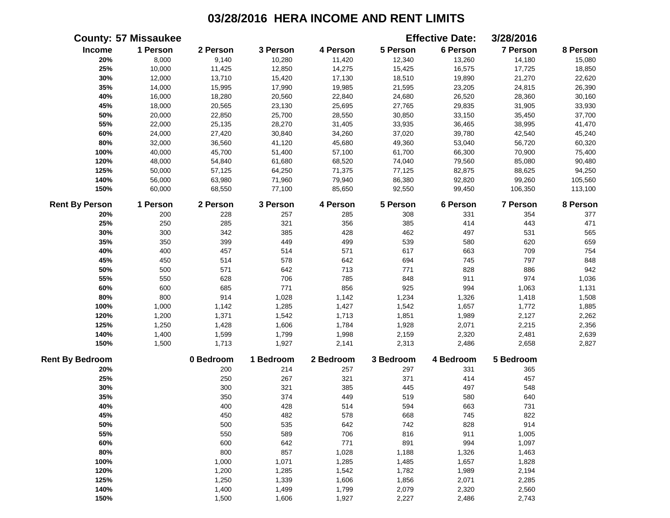|                        | <b>County: 57 Missaukee</b> |           |           |           |           | <b>Effective Date:</b> | 3/28/2016 |          |
|------------------------|-----------------------------|-----------|-----------|-----------|-----------|------------------------|-----------|----------|
| <b>Income</b>          | 1 Person                    | 2 Person  | 3 Person  | 4 Person  | 5 Person  | 6 Person               | 7 Person  | 8 Person |
| 20%                    | 8,000                       | 9,140     | 10,280    | 11,420    | 12,340    | 13,260                 | 14,180    | 15,080   |
| 25%                    | 10,000                      | 11,425    | 12,850    | 14,275    | 15,425    | 16,575                 | 17,725    | 18,850   |
| 30%                    | 12,000                      | 13,710    | 15,420    | 17,130    | 18,510    | 19,890                 | 21,270    | 22,620   |
| 35%                    | 14,000                      | 15,995    | 17,990    | 19,985    | 21,595    | 23,205                 | 24,815    | 26,390   |
| 40%                    | 16,000                      | 18,280    | 20,560    | 22,840    | 24,680    | 26,520                 | 28,360    | 30,160   |
| 45%                    | 18,000                      | 20,565    | 23,130    | 25,695    | 27,765    | 29,835                 | 31,905    | 33,930   |
| 50%                    | 20,000                      | 22,850    | 25,700    | 28,550    | 30,850    | 33,150                 | 35,450    | 37,700   |
| 55%                    | 22,000                      | 25,135    | 28,270    | 31,405    | 33,935    | 36,465                 | 38,995    | 41,470   |
| 60%                    | 24,000                      | 27,420    | 30,840    | 34,260    | 37,020    | 39,780                 | 42,540    | 45,240   |
| 80%                    | 32,000                      | 36,560    | 41,120    | 45,680    | 49,360    | 53,040                 | 56,720    | 60,320   |
| 100%                   | 40,000                      | 45,700    | 51,400    | 57,100    | 61,700    | 66,300                 | 70,900    | 75,400   |
| 120%                   | 48,000                      | 54,840    | 61,680    | 68,520    | 74,040    | 79,560                 | 85,080    | 90,480   |
| 125%                   | 50,000                      | 57,125    | 64,250    | 71,375    | 77,125    | 82,875                 | 88,625    | 94,250   |
| 140%                   | 56,000                      | 63,980    | 71,960    | 79,940    | 86,380    | 92,820                 | 99,260    | 105,560  |
| 150%                   | 60,000                      | 68,550    | 77,100    | 85,650    | 92,550    | 99,450                 | 106,350   | 113,100  |
| <b>Rent By Person</b>  | 1 Person                    | 2 Person  | 3 Person  | 4 Person  | 5 Person  | 6 Person               | 7 Person  | 8 Person |
| 20%                    | 200                         | 228       | 257       | 285       | 308       | 331                    | 354       | 377      |
| 25%                    | 250                         | 285       | 321       | 356       | 385       | 414                    | 443       | 471      |
| 30%                    | 300                         | 342       | 385       | 428       | 462       | 497                    | 531       | 565      |
| 35%                    | 350                         | 399       | 449       | 499       | 539       | 580                    | 620       | 659      |
| 40%                    | 400                         | 457       | 514       | 571       | 617       | 663                    | 709       | 754      |
| 45%                    | 450                         | 514       | 578       | 642       | 694       | 745                    | 797       | 848      |
| 50%                    | 500                         | 571       | 642       | 713       | 771       | 828                    | 886       | 942      |
| 55%                    | 550                         | 628       | 706       | 785       | 848       | 911                    | 974       | 1,036    |
| 60%                    | 600                         | 685       | 771       | 856       | 925       | 994                    | 1,063     | 1,131    |
| 80%                    | 800                         | 914       | 1,028     | 1,142     | 1,234     | 1,326                  | 1,418     | 1,508    |
| 100%                   | 1,000                       | 1,142     | 1,285     | 1,427     | 1,542     | 1,657                  | 1,772     | 1,885    |
| 120%                   | 1,200                       | 1,371     | 1,542     | 1,713     | 1,851     | 1,989                  | 2,127     | 2,262    |
| 125%                   | 1,250                       | 1,428     | 1,606     | 1,784     | 1,928     | 2,071                  | 2,215     | 2,356    |
| 140%                   | 1,400                       | 1,599     | 1,799     | 1,998     | 2,159     | 2,320                  | 2,481     | 2,639    |
| 150%                   | 1,500                       | 1,713     | 1,927     | 2,141     | 2,313     | 2,486                  | 2,658     | 2,827    |
| <b>Rent By Bedroom</b> |                             | 0 Bedroom | 1 Bedroom | 2 Bedroom | 3 Bedroom | 4 Bedroom              | 5 Bedroom |          |
| 20%                    |                             | 200       | 214       | 257       | 297       | 331                    | 365       |          |
| 25%                    |                             | 250       | 267       | 321       | 371       | 414                    | 457       |          |
| 30%                    |                             | 300       | 321       | 385       | 445       | 497                    | 548       |          |
| 35%                    |                             | 350       | 374       | 449       | 519       | 580                    | 640       |          |
| 40%                    |                             | 400       | 428       | 514       | 594       | 663                    | 731       |          |
| 45%                    |                             | 450       | 482       | 578       | 668       | 745                    | 822       |          |
| 50%                    |                             | 500       | 535       | 642       | 742       | 828                    | 914       |          |
| 55%                    |                             | 550       | 589       | 706       | 816       | 911                    | 1,005     |          |
| 60%                    |                             | 600       | 642       | 771       | 891       | 994                    | 1,097     |          |
| 80%                    |                             | 800       | 857       | 1,028     | 1,188     | 1,326                  | 1,463     |          |
| 100%                   |                             | 1,000     | 1,071     | 1,285     | 1,485     | 1,657                  | 1,828     |          |
| 120%                   |                             | 1,200     | 1,285     | 1,542     | 1,782     | 1,989                  | 2,194     |          |
| 125%                   |                             | 1,250     | 1,339     | 1,606     | 1,856     | 2,071                  | 2,285     |          |
| 140%                   |                             | 1,400     | 1,499     | 1,799     | 2,079     | 2,320                  | 2,560     |          |
| 150%                   |                             | 1,500     | 1,606     | 1,927     | 2,227     | 2,486                  | 2,743     |          |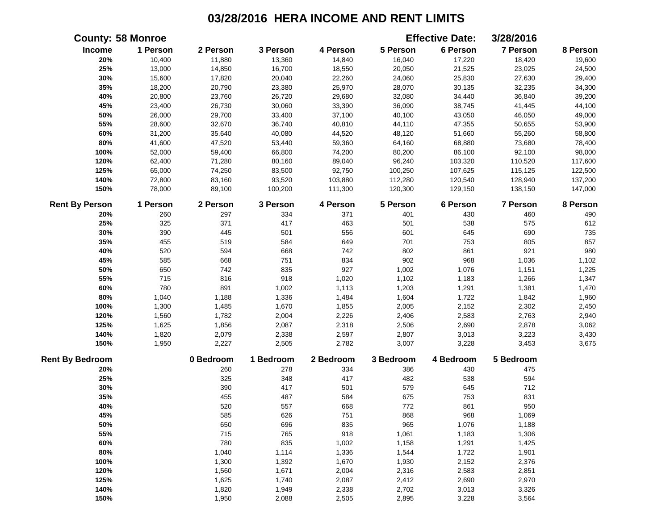|                        | <b>County: 58 Monroe</b> |           |           |           |           | <b>Effective Date:</b> | 3/28/2016       |          |
|------------------------|--------------------------|-----------|-----------|-----------|-----------|------------------------|-----------------|----------|
| Income                 | 1 Person                 | 2 Person  | 3 Person  | 4 Person  | 5 Person  | 6 Person               | 7 Person        | 8 Person |
| 20%                    | 10,400                   | 11,880    | 13,360    | 14,840    | 16,040    | 17,220                 | 18,420          | 19,600   |
| 25%                    | 13,000                   | 14,850    | 16,700    | 18,550    | 20,050    | 21,525                 | 23,025          | 24,500   |
| 30%                    | 15,600                   | 17,820    | 20,040    | 22,260    | 24,060    | 25,830                 | 27,630          | 29,400   |
| 35%                    | 18,200                   | 20,790    | 23,380    | 25,970    | 28,070    | 30,135                 | 32,235          | 34,300   |
| 40%                    | 20,800                   | 23,760    | 26,720    | 29,680    | 32,080    | 34,440                 | 36,840          | 39,200   |
| 45%                    | 23,400                   | 26,730    | 30,060    | 33,390    | 36,090    | 38,745                 | 41,445          | 44,100   |
| 50%                    | 26,000                   | 29,700    | 33,400    | 37,100    | 40,100    | 43,050                 | 46,050          | 49,000   |
| 55%                    | 28,600                   | 32,670    | 36,740    | 40,810    | 44,110    | 47,355                 | 50,655          | 53,900   |
| 60%                    | 31,200                   | 35,640    | 40,080    | 44,520    | 48,120    | 51,660                 | 55,260          | 58,800   |
| $80\%$                 | 41,600                   | 47,520    | 53,440    | 59,360    | 64,160    | 68,880                 | 73,680          | 78,400   |
| 100%                   | 52,000                   | 59,400    | 66,800    | 74,200    | 80,200    | 86,100                 | 92,100          | 98,000   |
| 120%                   | 62,400                   | 71,280    | 80,160    | 89,040    | 96,240    | 103,320                | 110,520         | 117,600  |
| 125%                   | 65,000                   | 74,250    | 83,500    | 92,750    | 100,250   | 107,625                | 115,125         | 122,500  |
| 140%                   | 72,800                   | 83,160    | 93,520    | 103,880   | 112,280   | 120,540                | 128,940         | 137,200  |
| 150%                   | 78,000                   | 89,100    | 100,200   | 111,300   | 120,300   | 129,150                | 138,150         | 147,000  |
| <b>Rent By Person</b>  | 1 Person                 | 2 Person  | 3 Person  | 4 Person  | 5 Person  | 6 Person               | <b>7 Person</b> | 8 Person |
| 20%                    | 260                      | 297       | 334       | 371       | 401       | 430                    | 460             | 490      |
| 25%                    | 325                      | 371       | 417       | 463       | 501       | 538                    | 575             | 612      |
| 30%                    | 390                      | 445       | 501       | 556       | 601       | 645                    | 690             | 735      |
| 35%                    | 455                      | 519       | 584       | 649       | 701       | 753                    | 805             | 857      |
| 40%                    | 520                      | 594       | 668       | 742       | 802       | 861                    | 921             | 980      |
| 45%                    | 585                      | 668       | 751       | 834       | 902       | 968                    | 1,036           | 1,102    |
| 50%                    | 650                      | 742       | 835       | 927       | 1,002     | 1,076                  | 1,151           | 1,225    |
| 55%                    | 715                      | 816       | 918       | 1,020     | 1,102     | 1,183                  | 1,266           | 1,347    |
| 60%                    | 780                      | 891       | 1,002     | 1,113     | 1,203     | 1,291                  | 1,381           | 1,470    |
| 80%                    | 1,040                    | 1,188     | 1,336     | 1,484     | 1,604     | 1,722                  | 1,842           | 1,960    |
| 100%                   | 1,300                    | 1,485     | 1,670     | 1,855     | 2,005     | 2,152                  | 2,302           | 2,450    |
| 120%                   | 1,560                    | 1,782     | 2,004     | 2,226     | 2,406     | 2,583                  | 2,763           | 2,940    |
| 125%                   | 1,625                    | 1,856     | 2,087     | 2,318     | 2,506     | 2,690                  | 2,878           | 3,062    |
| 140%                   | 1,820                    | 2,079     | 2,338     | 2,597     | 2,807     | 3,013                  | 3,223           | 3,430    |
| 150%                   | 1,950                    | 2,227     | 2,505     | 2,782     | 3,007     | 3,228                  | 3,453           | 3,675    |
| <b>Rent By Bedroom</b> |                          | 0 Bedroom | 1 Bedroom | 2 Bedroom | 3 Bedroom | 4 Bedroom              | 5 Bedroom       |          |
| 20%                    |                          | 260       | 278       | 334       | 386       | 430                    | 475             |          |
| 25%                    |                          | 325       | 348       | 417       | 482       | 538                    | 594             |          |
| 30%                    |                          | 390       | 417       | 501       | 579       | 645                    | 712             |          |
| 35%                    |                          | 455       | 487       | 584       | 675       | 753                    | 831             |          |
| 40%                    |                          | 520       | 557       | 668       | 772       | 861                    | 950             |          |
| 45%                    |                          | 585       | 626       | 751       | 868       | 968                    | 1,069           |          |
| 50%                    |                          | 650       | 696       | 835       | 965       | 1,076                  | 1,188           |          |
| 55%                    |                          | 715       | 765       | 918       | 1,061     | 1,183                  | 1,306           |          |
| 60%                    |                          | 780       | 835       | 1,002     | 1,158     | 1,291                  | 1,425           |          |
| 80%                    |                          | 1,040     | 1,114     | 1,336     | 1,544     | 1,722                  | 1,901           |          |
| 100%                   |                          | 1,300     | 1,392     | 1,670     | 1,930     | 2,152                  | 2,376           |          |
| 120%                   |                          | 1,560     | 1,671     | 2,004     | 2,316     | 2,583                  | 2,851           |          |
| 125%                   |                          | 1,625     | 1,740     | 2,087     | 2,412     | 2,690                  | 2,970           |          |
| 140%                   |                          | 1,820     | 1,949     | 2,338     | 2,702     | 3,013                  | 3,326           |          |
| 150%                   |                          | 1,950     | 2,088     | 2,505     | 2,895     | 3,228                  | 3,564           |          |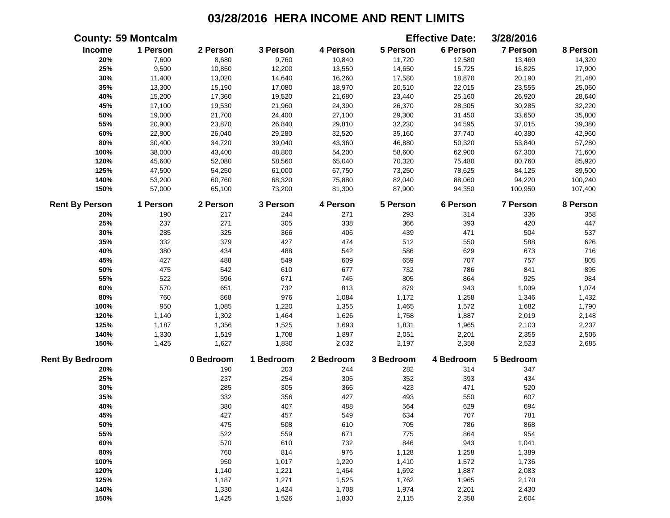|                        | <b>County: 59 Montcalm</b> |           |           |           |           | <b>Effective Date:</b> | 3/28/2016       |          |
|------------------------|----------------------------|-----------|-----------|-----------|-----------|------------------------|-----------------|----------|
| Income                 | 1 Person                   | 2 Person  | 3 Person  | 4 Person  | 5 Person  | 6 Person               | 7 Person        | 8 Person |
| 20%                    | 7,600                      | 8,680     | 9,760     | 10,840    | 11,720    | 12,580                 | 13,460          | 14,320   |
| 25%                    | 9,500                      | 10,850    | 12,200    | 13,550    | 14,650    | 15,725                 | 16,825          | 17,900   |
| 30%                    | 11,400                     | 13,020    | 14,640    | 16,260    | 17,580    | 18,870                 | 20,190          | 21,480   |
| 35%                    | 13,300                     | 15,190    | 17,080    | 18,970    | 20,510    | 22,015                 | 23,555          | 25,060   |
| 40%                    | 15,200                     | 17,360    | 19,520    | 21,680    | 23,440    | 25,160                 | 26,920          | 28,640   |
| 45%                    | 17,100                     | 19,530    | 21,960    | 24,390    | 26,370    | 28,305                 | 30,285          | 32,220   |
| 50%                    | 19,000                     | 21,700    | 24,400    | 27,100    | 29,300    | 31,450                 | 33,650          | 35,800   |
| 55%                    | 20,900                     | 23,870    | 26,840    | 29,810    | 32,230    | 34,595                 | 37,015          | 39,380   |
| 60%                    | 22,800                     | 26,040    | 29,280    | 32,520    | 35,160    | 37,740                 | 40,380          | 42,960   |
| 80%                    | 30,400                     | 34,720    | 39,040    | 43,360    | 46,880    | 50,320                 | 53,840          | 57,280   |
| 100%                   | 38,000                     | 43,400    | 48,800    | 54,200    | 58,600    | 62,900                 | 67,300          | 71,600   |
| 120%                   | 45,600                     | 52,080    | 58,560    | 65,040    | 70,320    | 75,480                 | 80,760          | 85,920   |
| 125%                   | 47,500                     | 54,250    | 61,000    | 67,750    | 73,250    | 78,625                 | 84,125          | 89,500   |
| 140%                   | 53,200                     | 60,760    | 68,320    | 75,880    | 82,040    | 88,060                 | 94,220          | 100,240  |
| 150%                   | 57,000                     | 65,100    | 73,200    | 81,300    | 87,900    | 94,350                 | 100,950         | 107,400  |
| <b>Rent By Person</b>  | 1 Person                   | 2 Person  | 3 Person  | 4 Person  | 5 Person  | 6 Person               | <b>7 Person</b> | 8 Person |
| 20%                    | 190                        | 217       | 244       | 271       | 293       | 314                    | 336             | 358      |
| 25%                    | 237                        | 271       | 305       | 338       | 366       | 393                    | 420             | 447      |
| 30%                    | 285                        | 325       | 366       | 406       | 439       | 471                    | 504             | 537      |
| 35%                    | 332                        | 379       | 427       | 474       | 512       | 550                    | 588             | 626      |
| 40%                    | 380                        | 434       | 488       | 542       | 586       | 629                    | 673             | 716      |
| 45%                    | 427                        | 488       | 549       | 609       | 659       | 707                    | 757             | 805      |
| 50%                    | 475                        | 542       | 610       | 677       | 732       | 786                    | 841             | 895      |
| 55%                    | 522                        | 596       | 671       | 745       | 805       | 864                    | 925             | 984      |
| 60%                    | 570                        | 651       | 732       | 813       | 879       | 943                    | 1,009           | 1,074    |
| $80\%$                 | 760                        | 868       | 976       | 1,084     | 1,172     | 1,258                  | 1,346           | 1,432    |
| 100%                   | 950                        | 1,085     | 1,220     | 1,355     | 1,465     | 1,572                  | 1,682           | 1,790    |
| 120%                   | 1,140                      | 1,302     | 1,464     | 1,626     | 1,758     | 1,887                  | 2,019           | 2,148    |
| 125%                   | 1,187                      | 1,356     | 1,525     | 1,693     | 1,831     | 1,965                  | 2,103           | 2,237    |
| 140%                   | 1,330                      | 1,519     | 1,708     | 1,897     | 2,051     | 2,201                  | 2,355           | 2,506    |
| 150%                   | 1,425                      | 1,627     | 1,830     | 2,032     | 2,197     | 2,358                  | 2,523           | 2,685    |
| <b>Rent By Bedroom</b> |                            | 0 Bedroom | 1 Bedroom | 2 Bedroom | 3 Bedroom | 4 Bedroom              | 5 Bedroom       |          |
| 20%                    |                            | 190       | 203       | 244       | 282       | 314                    | 347             |          |
| 25%                    |                            | 237       | 254       | 305       | 352       | 393                    | 434             |          |
| 30%                    |                            | 285       | 305       | 366       | 423       | 471                    | 520             |          |
| 35%                    |                            | 332       | 356       | 427       | 493       | 550                    | 607             |          |
| 40%                    |                            | 380       | 407       | 488       | 564       | 629                    | 694             |          |
| 45%                    |                            | 427       | 457       | 549       | 634       | 707                    | 781             |          |
| 50%                    |                            | 475       | 508       | 610       | 705       | 786                    | 868             |          |
| 55%                    |                            | 522       | 559       | 671       | 775       | 864                    | 954             |          |
| 60%                    |                            | 570       | 610       | 732       | 846       | 943                    | 1,041           |          |
| 80%                    |                            | 760       | 814       | 976       | 1,128     | 1,258                  | 1,389           |          |
| 100%                   |                            | 950       | 1,017     | 1,220     | 1,410     | 1,572                  | 1,736           |          |
| 120%                   |                            | 1,140     | 1,221     | 1,464     | 1,692     | 1,887                  | 2,083           |          |
| 125%                   |                            | 1,187     | 1,271     | 1,525     | 1,762     | 1,965                  | 2,170           |          |
| 140%                   |                            | 1,330     | 1,424     | 1,708     | 1,974     | 2,201                  | 2,430           |          |
| 150%                   |                            | 1,425     | 1,526     | 1,830     | 2,115     | 2,358                  | 2,604           |          |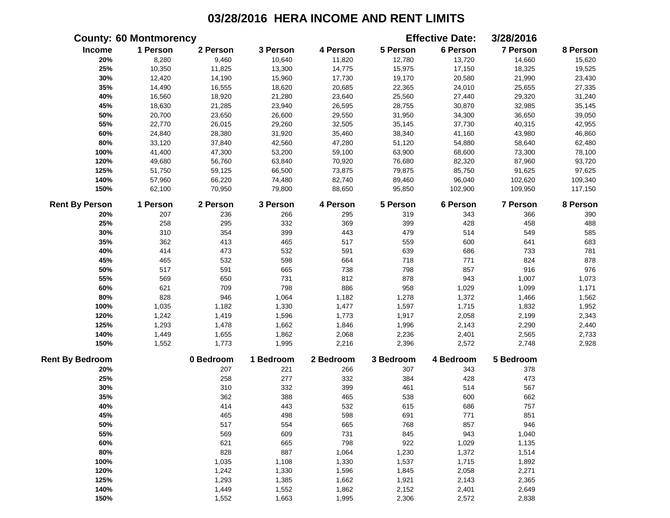|                        | <b>County: 60 Montmorency</b> |           |           |           |           | <b>Effective Date:</b> | 3/28/2016       |          |
|------------------------|-------------------------------|-----------|-----------|-----------|-----------|------------------------|-----------------|----------|
| Income                 | 1 Person                      | 2 Person  | 3 Person  | 4 Person  | 5 Person  | 6 Person               | 7 Person        | 8 Person |
| 20%                    | 8,280                         | 9,460     | 10,640    | 11,820    | 12,780    | 13,720                 | 14,660          | 15,620   |
| 25%                    | 10,350                        | 11,825    | 13,300    | 14,775    | 15,975    | 17,150                 | 18,325          | 19,525   |
| 30%                    | 12,420                        | 14,190    | 15,960    | 17,730    | 19,170    | 20,580                 | 21,990          | 23,430   |
| 35%                    | 14,490                        | 16,555    | 18,620    | 20,685    | 22,365    | 24,010                 | 25,655          | 27,335   |
| 40%                    | 16,560                        | 18,920    | 21,280    | 23,640    | 25,560    | 27,440                 | 29,320          | 31,240   |
| 45%                    | 18,630                        | 21,285    | 23,940    | 26,595    | 28,755    | 30,870                 | 32,985          | 35,145   |
| 50%                    | 20,700                        | 23,650    | 26,600    | 29,550    | 31,950    | 34,300                 | 36,650          | 39,050   |
| 55%                    | 22,770                        | 26,015    | 29,260    | 32,505    | 35,145    | 37,730                 | 40,315          | 42,955   |
| 60%                    | 24,840                        | 28,380    | 31,920    | 35,460    | 38,340    | 41,160                 | 43,980          | 46,860   |
| 80%                    | 33,120                        | 37,840    | 42,560    | 47,280    | 51,120    | 54,880                 | 58,640          | 62,480   |
| 100%                   | 41,400                        | 47,300    | 53,200    | 59,100    | 63,900    | 68,600                 | 73,300          | 78,100   |
| 120%                   | 49,680                        | 56,760    | 63,840    | 70,920    | 76,680    | 82,320                 | 87,960          | 93,720   |
| 125%                   | 51,750                        | 59,125    | 66,500    | 73,875    | 79,875    | 85,750                 | 91,625          | 97,625   |
| 140%                   | 57,960                        | 66,220    | 74,480    | 82,740    | 89,460    | 96,040                 | 102,620         | 109,340  |
| 150%                   | 62,100                        | 70,950    | 79,800    | 88,650    | 95,850    | 102,900                | 109,950         | 117,150  |
| <b>Rent By Person</b>  | 1 Person                      | 2 Person  | 3 Person  | 4 Person  | 5 Person  | 6 Person               | <b>7 Person</b> | 8 Person |
| 20%                    | 207                           | 236       | 266       | 295       | 319       | 343                    | 366             | 390      |
| 25%                    | 258                           | 295       | 332       | 369       | 399       | 428                    | 458             | 488      |
| 30%                    | 310                           | 354       | 399       | 443       | 479       | 514                    | 549             | 585      |
| 35%                    | 362                           | 413       | 465       | 517       | 559       | 600                    | 641             | 683      |
| 40%                    | 414                           | 473       | 532       | 591       | 639       | 686                    | 733             | 781      |
| 45%                    | 465                           | 532       | 598       | 664       | 718       | 771                    | 824             | 878      |
| 50%                    | 517                           | 591       | 665       | 738       | 798       | 857                    | 916             | 976      |
| 55%                    | 569                           | 650       | 731       | 812       | 878       | 943                    | 1,007           | 1,073    |
| 60%                    | 621                           | 709       | 798       | 886       | 958       | 1,029                  | 1,099           | 1,171    |
| 80%                    | 828                           | 946       | 1,064     | 1,182     | 1,278     | 1,372                  | 1,466           | 1,562    |
| 100%                   | 1,035                         | 1,182     | 1,330     | 1,477     | 1,597     | 1,715                  | 1,832           | 1,952    |
| 120%                   | 1,242                         | 1,419     | 1,596     | 1,773     | 1,917     | 2,058                  | 2,199           | 2,343    |
| 125%                   | 1,293                         | 1,478     | 1,662     | 1,846     | 1,996     | 2,143                  | 2,290           | 2,440    |
| 140%                   | 1,449                         | 1,655     | 1,862     | 2,068     | 2,236     | 2,401                  | 2,565           | 2,733    |
| 150%                   | 1,552                         | 1,773     | 1,995     | 2,216     | 2,396     | 2,572                  | 2,748           | 2,928    |
| <b>Rent By Bedroom</b> |                               | 0 Bedroom | 1 Bedroom | 2 Bedroom | 3 Bedroom | 4 Bedroom              | 5 Bedroom       |          |
| 20%                    |                               | 207       | 221       | 266       | 307       | 343                    | 378             |          |
| 25%                    |                               | 258       | 277       | 332       | 384       | 428                    | 473             |          |
| 30%                    |                               | 310       | 332       | 399       | 461       | 514                    | 567             |          |
| 35%                    |                               | 362       | 388       | 465       | 538       | 600                    | 662             |          |
| 40%                    |                               | 414       | 443       | 532       | 615       | 686                    | 757             |          |
| 45%                    |                               | 465       | 498       | 598       | 691       | 771                    | 851             |          |
| 50%                    |                               | 517       | 554       | 665       | 768       | 857                    | 946             |          |
| 55%                    |                               | 569       | 609       | 731       | 845       | 943                    | 1,040           |          |
| 60%                    |                               | 621       | 665       | 798       | 922       | 1,029                  | 1,135           |          |
| 80%                    |                               | 828       | 887       | 1,064     | 1,230     | 1,372                  | 1,514           |          |
| 100%                   |                               | 1,035     | 1,108     | 1,330     | 1,537     | 1,715                  | 1,892           |          |
| 120%                   |                               | 1,242     | 1,330     | 1,596     | 1,845     | 2,058                  | 2,271           |          |
| 125%                   |                               | 1,293     | 1,385     | 1,662     | 1,921     | 2,143                  | 2,365           |          |
| 140%                   |                               | 1,449     | 1,552     | 1,862     | 2,152     | 2,401                  | 2,649           |          |
| 150%                   |                               | 1,552     | 1,663     | 1,995     | 2,306     | 2,572                  | 2,838           |          |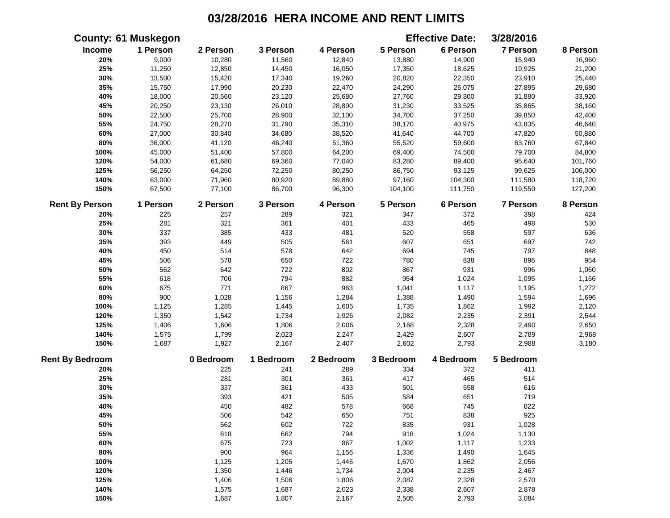|                        | <b>County: 61 Muskegon</b> |           |           |           |           | <b>Effective Date:</b> | 3/28/2016       |          |
|------------------------|----------------------------|-----------|-----------|-----------|-----------|------------------------|-----------------|----------|
| <b>Income</b>          | 1 Person                   | 2 Person  | 3 Person  | 4 Person  | 5 Person  | 6 Person               | 7 Person        | 8 Person |
| 20%                    | 9,000                      | 10,280    | 11,560    | 12,840    | 13,880    | 14,900                 | 15,940          | 16,960   |
| 25%                    | 11,250                     | 12,850    | 14,450    | 16,050    | 17,350    | 18,625                 | 19,925          | 21,200   |
| 30%                    | 13,500                     | 15,420    | 17,340    | 19,260    | 20,820    | 22,350                 | 23,910          | 25,440   |
| 35%                    | 15,750                     | 17,990    | 20,230    | 22,470    | 24,290    | 26,075                 | 27,895          | 29,680   |
| 40%                    | 18,000                     | 20,560    | 23,120    | 25,680    | 27,760    | 29,800                 | 31,880          | 33,920   |
| 45%                    | 20,250                     | 23,130    | 26,010    | 28,890    | 31,230    | 33,525                 | 35,865          | 38,160   |
| 50%                    | 22,500                     | 25,700    | 28,900    | 32,100    | 34,700    | 37,250                 | 39,850          | 42,400   |
| 55%                    | 24,750                     | 28,270    | 31,790    | 35,310    | 38,170    | 40,975                 | 43,835          | 46,640   |
| 60%                    | 27,000                     | 30,840    | 34,680    | 38,520    | 41,640    | 44,700                 | 47,820          | 50,880   |
| 80%                    | 36,000                     | 41,120    | 46,240    | 51,360    | 55,520    | 59,600                 | 63,760          | 67,840   |
| 100%                   | 45,000                     | 51,400    | 57,800    | 64,200    | 69,400    | 74,500                 | 79,700          | 84,800   |
| 120%                   | 54,000                     | 61,680    | 69,360    | 77,040    | 83,280    | 89,400                 | 95,640          | 101,760  |
| 125%                   | 56,250                     | 64,250    | 72,250    | 80,250    | 86,750    | 93,125                 | 99,625          | 106,000  |
| 140%                   | 63,000                     | 71,960    | 80,920    | 89,880    | 97,160    | 104,300                | 111,580         | 118,720  |
| 150%                   | 67,500                     | 77,100    | 86,700    | 96,300    | 104,100   | 111,750                | 119,550         | 127,200  |
| <b>Rent By Person</b>  | 1 Person                   | 2 Person  | 3 Person  | 4 Person  | 5 Person  | 6 Person               | <b>7 Person</b> | 8 Person |
| 20%                    | 225                        | 257       | 289       | 321       | 347       | 372                    | 398             | 424      |
| 25%                    | 281                        | 321       | 361       | 401       | 433       | 465                    | 498             | 530      |
| 30%                    | 337                        | 385       | 433       | 481       | 520       | 558                    | 597             | 636      |
| 35%                    | 393                        | 449       | 505       | 561       | 607       | 651                    | 697             | 742      |
| 40%                    | 450                        | 514       | 578       | 642       | 694       | 745                    | 797             | 848      |
| 45%                    | 506                        | 578       | 650       | 722       | 780       | 838                    | 896             | 954      |
| 50%                    | 562                        | 642       | 722       | 802       | 867       | 931                    | 996             | 1,060    |
| 55%                    | 618                        | 706       | 794       | 882       | 954       | 1,024                  | 1,095           | 1,166    |
| 60%                    | 675                        | 771       | 867       | 963       | 1,041     | 1,117                  | 1,195           | 1,272    |
| 80%                    | 900                        | 1,028     | 1,156     | 1,284     | 1,388     | 1,490                  | 1,594           | 1,696    |
| 100%                   | 1,125                      | 1,285     | 1,445     | 1,605     | 1,735     | 1,862                  | 1,992           | 2,120    |
| 120%                   | 1,350                      | 1,542     | 1,734     | 1,926     | 2,082     | 2,235                  | 2,391           | 2,544    |
| 125%                   | 1,406                      | 1,606     | 1,806     | 2,006     | 2,168     | 2,328                  | 2,490           | 2,650    |
| 140%                   | 1,575                      | 1,799     | 2,023     | 2,247     | 2,429     | 2,607                  | 2,789           | 2,968    |
| 150%                   | 1,687                      | 1,927     | 2,167     | 2,407     | 2,602     | 2,793                  | 2,988           | 3,180    |
| <b>Rent By Bedroom</b> |                            | 0 Bedroom | 1 Bedroom | 2 Bedroom | 3 Bedroom | 4 Bedroom              | 5 Bedroom       |          |
| 20%                    |                            | 225       | 241       | 289       | 334       | 372                    | 411             |          |
| 25%                    |                            | 281       | 301       | 361       | 417       | 465                    | 514             |          |
| 30%                    |                            | 337       | 361       | 433       | 501       | 558                    | 616             |          |
| 35%                    |                            | 393       | 421       | 505       | 584       | 651                    | 719             |          |
| 40%                    |                            | 450       | 482       | 578       | 668       | 745                    | 822             |          |
| 45%                    |                            | 506       | 542       | 650       | 751       | 838                    | 925             |          |
| 50%                    |                            | 562       | 602       | 722       | 835       | 931                    | 1,028           |          |
| 55%                    |                            | 618       | 662       | 794       | 918       | 1,024                  | 1,130           |          |
| 60%                    |                            | 675       | 723       | 867       | 1,002     | 1,117                  | 1,233           |          |
| 80%                    |                            | 900       | 964       | 1,156     | 1,336     | 1,490                  | 1,645           |          |
| 100%                   |                            | 1,125     | 1,205     | 1,445     | 1,670     | 1,862                  | 2,056           |          |
| 120%                   |                            | 1,350     | 1,446     | 1,734     | 2,004     | 2,235                  | 2,467           |          |
| 125%                   |                            | 1,406     | 1,506     | 1,806     | 2,087     | 2,328                  | 2,570           |          |
| 140%                   |                            | 1,575     | 1,687     | 2,023     | 2,338     | 2,607                  | 2,878           |          |
| 150%                   |                            | 1,687     | 1,807     | 2,167     | 2,505     | 2,793                  | 3,084           |          |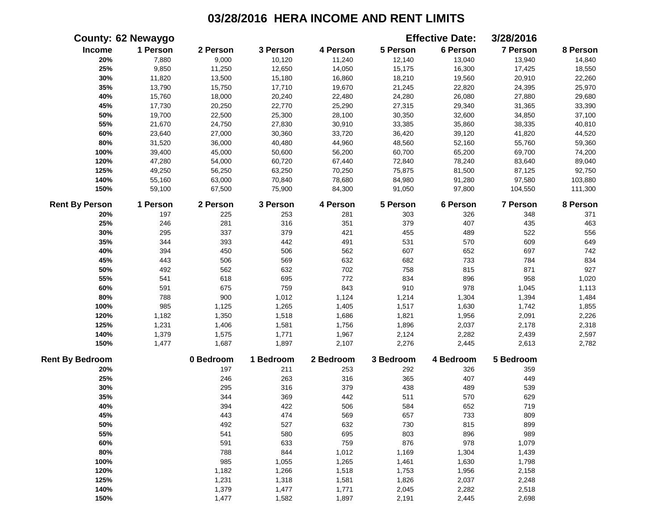|                        | <b>County: 62 Newaygo</b> |           |           |           |           | <b>Effective Date:</b> | 3/28/2016       |          |
|------------------------|---------------------------|-----------|-----------|-----------|-----------|------------------------|-----------------|----------|
| <b>Income</b>          | 1 Person                  | 2 Person  | 3 Person  | 4 Person  | 5 Person  | 6 Person               | 7 Person        | 8 Person |
| 20%                    | 7,880                     | 9,000     | 10,120    | 11,240    | 12,140    | 13,040                 | 13,940          | 14,840   |
| 25%                    | 9,850                     | 11,250    | 12,650    | 14,050    | 15,175    | 16,300                 | 17,425          | 18,550   |
| 30%                    | 11,820                    | 13,500    | 15,180    | 16,860    | 18,210    | 19,560                 | 20,910          | 22,260   |
| 35%                    | 13,790                    | 15,750    | 17,710    | 19,670    | 21,245    | 22,820                 | 24,395          | 25,970   |
| 40%                    | 15,760                    | 18,000    | 20,240    | 22,480    | 24,280    | 26,080                 | 27,880          | 29,680   |
| 45%                    | 17,730                    | 20,250    | 22,770    | 25,290    | 27,315    | 29,340                 | 31,365          | 33,390   |
| 50%                    | 19,700                    | 22,500    | 25,300    | 28,100    | 30,350    | 32,600                 | 34,850          | 37,100   |
| 55%                    | 21,670                    | 24,750    | 27,830    | 30,910    | 33,385    | 35,860                 | 38,335          | 40,810   |
| 60%                    | 23,640                    | 27,000    | 30,360    | 33,720    | 36,420    | 39,120                 | 41,820          | 44,520   |
| 80%                    | 31,520                    | 36,000    | 40,480    | 44,960    | 48,560    | 52,160                 | 55,760          | 59,360   |
| 100%                   | 39,400                    | 45,000    | 50,600    | 56,200    | 60,700    | 65,200                 | 69,700          | 74,200   |
| 120%                   | 47,280                    | 54,000    | 60,720    | 67,440    | 72,840    | 78,240                 | 83,640          | 89,040   |
| 125%                   | 49,250                    | 56,250    | 63,250    | 70,250    | 75,875    | 81,500                 | 87,125          | 92,750   |
| 140%                   | 55,160                    | 63,000    | 70,840    | 78,680    | 84,980    | 91,280                 | 97,580          | 103,880  |
| 150%                   | 59,100                    | 67,500    | 75,900    | 84,300    | 91,050    | 97,800                 | 104,550         | 111,300  |
| <b>Rent By Person</b>  | 1 Person                  | 2 Person  | 3 Person  | 4 Person  | 5 Person  | 6 Person               | <b>7 Person</b> | 8 Person |
| 20%                    | 197                       | 225       | 253       | 281       | 303       | 326                    | 348             | 371      |
| 25%                    | 246                       | 281       | 316       | 351       | 379       | 407                    | 435             | 463      |
| 30%                    | 295                       | 337       | 379       | 421       | 455       | 489                    | 522             | 556      |
| 35%                    | 344                       | 393       | 442       | 491       | 531       | 570                    | 609             | 649      |
| 40%                    | 394                       | 450       | 506       | 562       | 607       | 652                    | 697             | 742      |
| 45%                    | 443                       | 506       | 569       | 632       | 682       | 733                    | 784             | 834      |
| 50%                    | 492                       | 562       | 632       | 702       | 758       | 815                    | 871             | 927      |
| 55%                    | 541                       | 618       | 695       | 772       | 834       | 896                    | 958             | 1,020    |
| 60%                    | 591                       | 675       | 759       | 843       | 910       | 978                    | 1,045           | 1,113    |
| 80%                    | 788                       | 900       | 1,012     | 1,124     | 1,214     | 1,304                  | 1,394           | 1,484    |
| 100%                   | 985                       | 1,125     | 1,265     | 1,405     | 1,517     | 1,630                  | 1,742           | 1,855    |
| 120%                   | 1,182                     | 1,350     | 1,518     | 1,686     | 1,821     | 1,956                  | 2,091           | 2,226    |
| 125%                   | 1,231                     | 1,406     | 1,581     | 1,756     | 1,896     | 2,037                  | 2,178           | 2,318    |
| 140%                   | 1,379                     | 1,575     | 1,771     | 1,967     | 2,124     | 2,282                  | 2,439           | 2,597    |
| 150%                   | 1,477                     | 1,687     | 1,897     | 2,107     | 2,276     | 2,445                  | 2,613           | 2,782    |
| <b>Rent By Bedroom</b> |                           | 0 Bedroom | 1 Bedroom | 2 Bedroom | 3 Bedroom | 4 Bedroom              | 5 Bedroom       |          |
| 20%                    |                           | 197       | 211       | 253       | 292       | 326                    | 359             |          |
| 25%                    |                           | 246       | 263       | 316       | 365       | 407                    | 449             |          |
| 30%                    |                           | 295       | 316       | 379       | 438       | 489                    | 539             |          |
| 35%                    |                           | 344       | 369       | 442       | 511       | 570                    | 629             |          |
| 40%                    |                           | 394       | 422       | 506       | 584       | 652                    | 719             |          |
| 45%                    |                           | 443       | 474       | 569       | 657       | 733                    | 809             |          |
| 50%                    |                           | 492       | 527       | 632       | 730       | 815                    | 899             |          |
| 55%                    |                           | 541       | 580       | 695       | 803       | 896                    | 989             |          |
| 60%                    |                           | 591       | 633       | 759       | 876       | 978                    | 1,079           |          |
| 80%                    |                           | 788       | 844       | 1,012     | 1,169     | 1,304                  | 1,439           |          |
| 100%                   |                           | 985       | 1,055     | 1,265     | 1,461     | 1,630                  | 1,798           |          |
| 120%                   |                           | 1,182     | 1,266     | 1,518     | 1,753     | 1,956                  | 2,158           |          |
| 125%                   |                           | 1,231     | 1,318     | 1,581     | 1,826     | 2,037                  | 2,248           |          |
| 140%                   |                           | 1,379     | 1,477     | 1,771     | 2,045     | 2,282                  | 2,518           |          |
| 150%                   |                           | 1,477     | 1,582     | 1,897     | 2,191     | 2,445                  | 2,698           |          |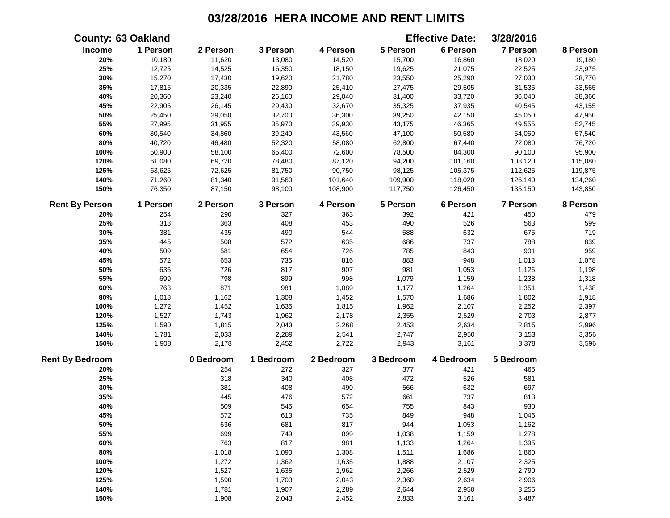|                        | <b>County: 63 Oakland</b> |           |           |           |           | <b>Effective Date:</b> | 3/28/2016 |          |
|------------------------|---------------------------|-----------|-----------|-----------|-----------|------------------------|-----------|----------|
| Income                 | 1 Person                  | 2 Person  | 3 Person  | 4 Person  | 5 Person  | 6 Person               | 7 Person  | 8 Person |
| 20%                    | 10,180                    | 11,620    | 13,080    | 14,520    | 15,700    | 16,860                 | 18,020    | 19,180   |
| 25%                    | 12,725                    | 14,525    | 16,350    | 18,150    | 19,625    | 21,075                 | 22,525    | 23,975   |
| 30%                    | 15,270                    | 17,430    | 19,620    | 21,780    | 23,550    | 25,290                 | 27,030    | 28,770   |
| 35%                    | 17,815                    | 20,335    | 22,890    | 25,410    | 27,475    | 29,505                 | 31,535    | 33,565   |
| 40%                    | 20,360                    | 23,240    | 26,160    | 29,040    | 31,400    | 33,720                 | 36,040    | 38,360   |
| 45%                    | 22,905                    | 26,145    | 29,430    | 32,670    | 35,325    | 37,935                 | 40,545    | 43,155   |
| 50%                    | 25,450                    | 29,050    | 32,700    | 36,300    | 39,250    | 42,150                 | 45,050    | 47,950   |
| 55%                    | 27,995                    | 31,955    | 35,970    | 39,930    | 43,175    | 46,365                 | 49,555    | 52,745   |
| 60%                    | 30,540                    | 34,860    | 39,240    | 43,560    | 47,100    | 50,580                 | 54,060    | 57,540   |
| 80%                    | 40,720                    | 46,480    | 52,320    | 58,080    | 62,800    | 67,440                 | 72,080    | 76,720   |
| 100%                   | 50,900                    | 58,100    | 65,400    | 72,600    | 78,500    | 84,300                 | 90,100    | 95,900   |
| 120%                   | 61,080                    | 69,720    | 78,480    | 87,120    | 94,200    | 101,160                | 108,120   | 115,080  |
| 125%                   | 63,625                    | 72,625    | 81,750    | 90,750    | 98,125    | 105,375                | 112,625   | 119,875  |
| 140%                   | 71,260                    | 81,340    | 91,560    | 101,640   | 109,900   | 118,020                | 126,140   | 134,260  |
| 150%                   | 76,350                    | 87,150    | 98,100    | 108,900   | 117,750   | 126,450                | 135,150   | 143,850  |
| <b>Rent By Person</b>  | 1 Person                  | 2 Person  | 3 Person  | 4 Person  | 5 Person  | 6 Person               | 7 Person  | 8 Person |
| 20%                    | 254                       | 290       | 327       | 363       | 392       | 421                    | 450       | 479      |
| 25%                    | 318                       | 363       | 408       | 453       | 490       | 526                    | 563       | 599      |
| 30%                    | 381                       | 435       | 490       | 544       | 588       | 632                    | 675       | 719      |
| 35%                    | 445                       | 508       | 572       | 635       | 686       | 737                    | 788       | 839      |
| 40%                    | 509                       | 581       | 654       | 726       | 785       | 843                    | 901       | 959      |
| 45%                    | 572                       | 653       | 735       | 816       | 883       | 948                    | 1,013     | 1,078    |
| 50%                    | 636                       | 726       | 817       | 907       | 981       | 1,053                  | 1,126     | 1,198    |
| 55%                    | 699                       | 798       | 899       | 998       | 1,079     | 1,159                  | 1,238     | 1,318    |
| 60%                    | 763                       | 871       | 981       | 1,089     | 1,177     | 1,264                  | 1,351     | 1,438    |
| 80%                    | 1,018                     | 1,162     | 1,308     | 1,452     | 1,570     | 1,686                  | 1,802     | 1,918    |
| 100%                   | 1,272                     | 1,452     | 1,635     | 1,815     | 1,962     | 2,107                  | 2,252     | 2,397    |
| 120%                   | 1,527                     | 1,743     | 1,962     | 2,178     | 2,355     | 2,529                  | 2,703     | 2,877    |
| 125%                   | 1,590                     | 1,815     | 2,043     | 2,268     | 2,453     | 2,634                  | 2,815     | 2,996    |
| 140%                   | 1,781                     | 2,033     | 2,289     | 2,541     | 2,747     | 2,950                  | 3,153     | 3,356    |
| 150%                   | 1,908                     | 2,178     | 2,452     | 2,722     | 2,943     | 3,161                  | 3,378     | 3,596    |
| <b>Rent By Bedroom</b> |                           | 0 Bedroom | 1 Bedroom | 2 Bedroom | 3 Bedroom | 4 Bedroom              | 5 Bedroom |          |
| 20%                    |                           | 254       | 272       | 327       | 377       | 421                    | 465       |          |
| 25%                    |                           | 318       | 340       | 408       | 472       | 526                    | 581       |          |
| 30%                    |                           | 381       | 408       | 490       | 566       | 632                    | 697       |          |
| 35%                    |                           | 445       | 476       | 572       | 661       | 737                    | 813       |          |
| 40%                    |                           | 509       | 545       | 654       | 755       | 843                    | 930       |          |
| 45%                    |                           | 572       | 613       | 735       | 849       | 948                    | 1,046     |          |
| 50%                    |                           | 636       | 681       | 817       | 944       | 1,053                  | 1,162     |          |
| 55%                    |                           | 699       | 749       | 899       | 1,038     | 1,159                  | 1,278     |          |
| 60%                    |                           | 763       | 817       | 981       | 1,133     | 1,264                  | 1,395     |          |
| 80%                    |                           | 1,018     | 1,090     | 1,308     | 1,511     | 1,686                  | 1,860     |          |
| 100%                   |                           | 1,272     | 1,362     | 1,635     | 1,888     | 2,107                  | 2,325     |          |
| 120%                   |                           | 1,527     | 1,635     | 1,962     | 2,266     | 2,529                  | 2,790     |          |
| 125%                   |                           | 1,590     | 1,703     | 2,043     | 2,360     | 2,634                  | 2,906     |          |
| 140%                   |                           | 1,781     | 1,907     | 2,289     | 2,644     | 2,950                  | 3,255     |          |
| 150%                   |                           | 1,908     | 2,043     | 2,452     | 2,833     | 3,161                  | 3,487     |          |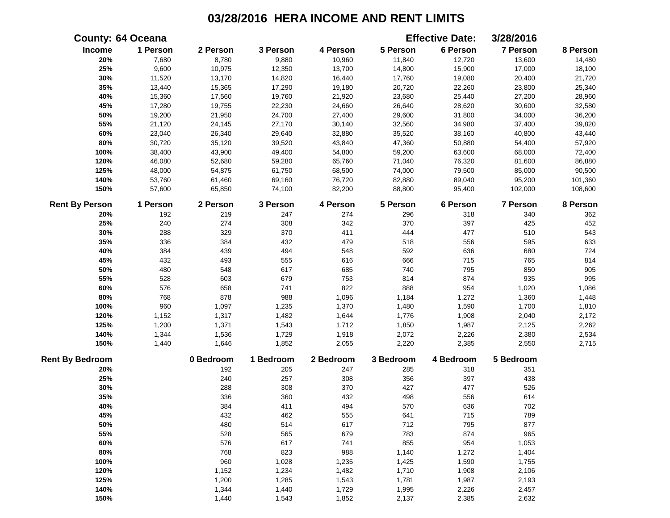|                        | <b>County: 64 Oceana</b> |           |           |           |           | <b>Effective Date:</b> | 3/28/2016 |          |
|------------------------|--------------------------|-----------|-----------|-----------|-----------|------------------------|-----------|----------|
| Income                 | 1 Person                 | 2 Person  | 3 Person  | 4 Person  | 5 Person  | 6 Person               | 7 Person  | 8 Person |
| 20%                    | 7,680                    | 8,780     | 9,880     | 10,960    | 11,840    | 12,720                 | 13,600    | 14,480   |
| 25%                    | 9,600                    | 10,975    | 12,350    | 13,700    | 14,800    | 15,900                 | 17,000    | 18,100   |
| 30%                    | 11,520                   | 13,170    | 14,820    | 16,440    | 17,760    | 19,080                 | 20,400    | 21,720   |
| 35%                    | 13,440                   | 15,365    | 17,290    | 19,180    | 20,720    | 22,260                 | 23,800    | 25,340   |
| 40%                    | 15,360                   | 17,560    | 19,760    | 21,920    | 23,680    | 25,440                 | 27,200    | 28,960   |
| 45%                    | 17,280                   | 19,755    | 22,230    | 24,660    | 26,640    | 28,620                 | 30,600    | 32,580   |
| 50%                    | 19,200                   | 21,950    | 24,700    | 27,400    | 29,600    | 31,800                 | 34,000    | 36,200   |
| 55%                    | 21,120                   | 24,145    | 27,170    | 30,140    | 32,560    | 34,980                 | 37,400    | 39,820   |
| 60%                    | 23,040                   | 26,340    | 29,640    | 32,880    | 35,520    | 38,160                 | 40,800    | 43,440   |
| $80\%$                 | 30,720                   | 35,120    | 39,520    | 43,840    | 47,360    | 50,880                 | 54,400    | 57,920   |
| 100%                   | 38,400                   | 43,900    | 49,400    | 54,800    | 59,200    | 63,600                 | 68,000    | 72,400   |
| 120%                   | 46,080                   | 52,680    | 59,280    | 65,760    | 71,040    | 76,320                 | 81,600    | 86,880   |
| 125%                   | 48,000                   | 54,875    | 61,750    | 68,500    | 74,000    | 79,500                 | 85,000    | 90,500   |
| 140%                   | 53,760                   | 61,460    | 69,160    | 76,720    | 82,880    | 89,040                 | 95,200    | 101,360  |
| 150%                   | 57,600                   | 65,850    | 74,100    | 82,200    | 88,800    | 95,400                 | 102,000   | 108,600  |
| <b>Rent By Person</b>  | 1 Person                 | 2 Person  | 3 Person  | 4 Person  | 5 Person  | 6 Person               | 7 Person  | 8 Person |
| 20%                    | 192                      | 219       | 247       | 274       | 296       | 318                    | 340       | 362      |
| 25%                    | 240                      | 274       | 308       | 342       | 370       | 397                    | 425       | 452      |
| 30%                    | 288                      | 329       | 370       | 411       | 444       | 477                    | 510       | 543      |
| 35%                    | 336                      | 384       | 432       | 479       | 518       | 556                    | 595       | 633      |
| 40%                    | 384                      | 439       | 494       | 548       | 592       | 636                    | 680       | 724      |
| 45%                    | 432                      | 493       | 555       | 616       | 666       | 715                    | 765       | 814      |
| 50%                    | 480                      | 548       | 617       | 685       | 740       | 795                    | 850       | 905      |
| 55%                    | 528                      | 603       | 679       | 753       | 814       | 874                    | 935       | 995      |
| 60%                    | 576                      | 658       | 741       | 822       | 888       | 954                    | 1,020     | 1,086    |
| 80%                    | 768                      | 878       | 988       | 1,096     | 1,184     | 1,272                  | 1,360     | 1,448    |
| 100%                   | 960                      | 1,097     | 1,235     | 1,370     | 1,480     | 1,590                  | 1,700     | 1,810    |
| 120%                   | 1,152                    | 1,317     | 1,482     | 1,644     | 1,776     | 1,908                  | 2,040     | 2,172    |
| 125%                   | 1,200                    | 1,371     | 1,543     | 1,712     | 1,850     | 1,987                  | 2,125     | 2,262    |
| 140%                   | 1,344                    | 1,536     | 1,729     | 1,918     | 2,072     | 2,226                  | 2,380     | 2,534    |
| 150%                   | 1,440                    | 1,646     | 1,852     | 2,055     | 2,220     | 2,385                  | 2,550     | 2,715    |
| <b>Rent By Bedroom</b> |                          | 0 Bedroom | 1 Bedroom | 2 Bedroom | 3 Bedroom | 4 Bedroom              | 5 Bedroom |          |
| 20%                    |                          | 192       | 205       | 247       | 285       | 318                    | 351       |          |
| 25%                    |                          | 240       | 257       | 308       | 356       | 397                    | 438       |          |
| 30%                    |                          | 288       | 308       | 370       | 427       | 477                    | 526       |          |
| 35%                    |                          | 336       | 360       | 432       | 498       | 556                    | 614       |          |
| 40%                    |                          | 384       | 411       | 494       | 570       | 636                    | 702       |          |
| 45%                    |                          | 432       | 462       | 555       | 641       | 715                    | 789       |          |
| 50%                    |                          | 480       | 514       | 617       | 712       | 795                    | 877       |          |
| 55%                    |                          | 528       | 565       | 679       | 783       | 874                    | 965       |          |
| 60%                    |                          | 576       | 617       | 741       | 855       | 954                    | 1,053     |          |
| 80%                    |                          | 768       | 823       | 988       | 1,140     | 1,272                  | 1,404     |          |
| 100%                   |                          | 960       | 1,028     | 1,235     | 1,425     | 1,590                  | 1,755     |          |
| 120%                   |                          | 1,152     | 1,234     | 1,482     | 1,710     | 1,908                  | 2,106     |          |
| 125%                   |                          | 1,200     | 1,285     | 1,543     | 1,781     | 1,987                  | 2,193     |          |
| 140%                   |                          | 1,344     | 1,440     | 1,729     | 1,995     | 2,226                  | 2,457     |          |
| 150%                   |                          | 1,440     | 1,543     | 1,852     | 2,137     | 2,385                  | 2,632     |          |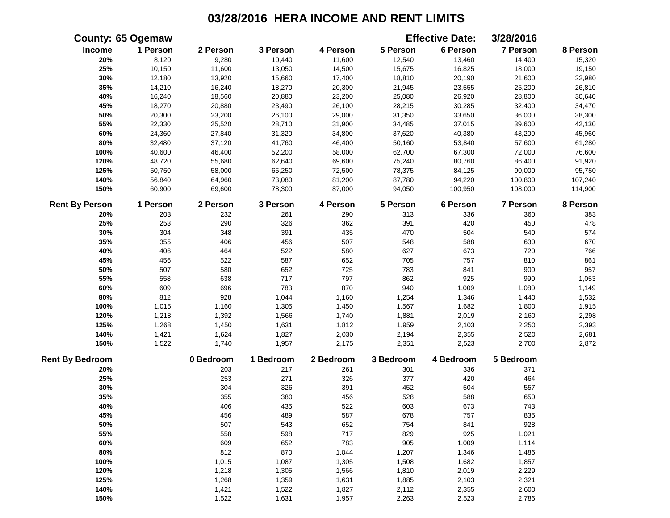|                        | <b>County: 65 Ogemaw</b> |           |           |           |           | <b>Effective Date:</b> | 3/28/2016 |          |
|------------------------|--------------------------|-----------|-----------|-----------|-----------|------------------------|-----------|----------|
| Income                 | 1 Person                 | 2 Person  | 3 Person  | 4 Person  | 5 Person  | 6 Person               | 7 Person  | 8 Person |
| 20%                    | 8,120                    | 9,280     | 10,440    | 11,600    | 12,540    | 13,460                 | 14,400    | 15,320   |
| 25%                    | 10,150                   | 11,600    | 13,050    | 14,500    | 15,675    | 16,825                 | 18,000    | 19,150   |
| 30%                    | 12,180                   | 13,920    | 15,660    | 17,400    | 18,810    | 20,190                 | 21,600    | 22,980   |
| 35%                    | 14,210                   | 16,240    | 18,270    | 20,300    | 21,945    | 23,555                 | 25,200    | 26,810   |
| 40%                    | 16,240                   | 18,560    | 20,880    | 23,200    | 25,080    | 26,920                 | 28,800    | 30,640   |
| 45%                    | 18,270                   | 20,880    | 23,490    | 26,100    | 28,215    | 30,285                 | 32,400    | 34,470   |
| 50%                    | 20,300                   | 23,200    | 26,100    | 29,000    | 31,350    | 33,650                 | 36,000    | 38,300   |
| 55%                    | 22,330                   | 25,520    | 28,710    | 31,900    | 34,485    | 37,015                 | 39,600    | 42,130   |
| 60%                    | 24,360                   | 27,840    | 31,320    | 34,800    | 37,620    | 40,380                 | 43,200    | 45,960   |
| $80\%$                 | 32,480                   | 37,120    | 41,760    | 46,400    | 50,160    | 53,840                 | 57,600    | 61,280   |
| 100%                   | 40,600                   | 46,400    | 52,200    | 58,000    | 62,700    | 67,300                 | 72,000    | 76,600   |
| 120%                   | 48,720                   | 55,680    | 62,640    | 69,600    | 75,240    | 80,760                 | 86,400    | 91,920   |
| 125%                   | 50,750                   | 58,000    | 65,250    | 72,500    | 78,375    | 84,125                 | 90,000    | 95,750   |
| 140%                   | 56,840                   | 64,960    | 73,080    | 81,200    | 87,780    | 94,220                 | 100,800   | 107,240  |
| 150%                   | 60,900                   | 69,600    | 78,300    | 87,000    | 94,050    | 100,950                | 108,000   | 114,900  |
| <b>Rent By Person</b>  | 1 Person                 | 2 Person  | 3 Person  | 4 Person  | 5 Person  | 6 Person               | 7 Person  | 8 Person |
| 20%                    | 203                      | 232       | 261       | 290       | 313       | 336                    | 360       | 383      |
| 25%                    | 253                      | 290       | 326       | 362       | 391       | 420                    | 450       | 478      |
| 30%                    | 304                      | 348       | 391       | 435       | 470       | 504                    | 540       | 574      |
| 35%                    | 355                      | 406       | 456       | 507       | 548       | 588                    | 630       | 670      |
| 40%                    | 406                      | 464       | 522       | 580       | 627       | 673                    | 720       | 766      |
| 45%                    | 456                      | 522       | 587       | 652       | 705       | 757                    | 810       | 861      |
| 50%                    | 507                      | 580       | 652       | 725       | 783       | 841                    | 900       | 957      |
| 55%                    | 558                      | 638       | 717       | 797       | 862       | 925                    | 990       | 1,053    |
| 60%                    | 609                      | 696       | 783       | 870       | 940       | 1,009                  | 1,080     | 1,149    |
| 80%                    | 812                      | 928       | 1,044     | 1,160     | 1,254     | 1,346                  | 1,440     | 1,532    |
| 100%                   | 1,015                    | 1,160     | 1,305     | 1,450     | 1,567     | 1,682                  | 1,800     | 1,915    |
| 120%                   | 1,218                    | 1,392     | 1,566     | 1,740     | 1,881     | 2,019                  | 2,160     | 2,298    |
| 125%                   | 1,268                    | 1,450     | 1,631     | 1,812     | 1,959     | 2,103                  | 2,250     | 2,393    |
| 140%                   | 1,421                    | 1,624     | 1,827     | 2,030     | 2,194     | 2,355                  | 2,520     | 2,681    |
| 150%                   | 1,522                    | 1,740     | 1,957     | 2,175     | 2,351     | 2,523                  | 2,700     | 2,872    |
| <b>Rent By Bedroom</b> |                          | 0 Bedroom | 1 Bedroom | 2 Bedroom | 3 Bedroom | 4 Bedroom              | 5 Bedroom |          |
| 20%                    |                          | 203       | 217       | 261       | 301       | 336                    | 371       |          |
| 25%                    |                          | 253       | 271       | 326       | 377       | 420                    | 464       |          |
| 30%                    |                          | 304       | 326       | 391       | 452       | 504                    | 557       |          |
| 35%                    |                          | 355       | 380       | 456       | 528       | 588                    | 650       |          |
| 40%                    |                          | 406       | 435       | 522       | 603       | 673                    | 743       |          |
| 45%                    |                          | 456       | 489       | 587       | 678       | 757                    | 835       |          |
| 50%                    |                          | 507       | 543       | 652       | 754       | 841                    | 928       |          |
| 55%                    |                          | 558       | 598       | 717       | 829       | 925                    | 1,021     |          |
| 60%                    |                          | 609       | 652       | 783       | 905       | 1,009                  | 1,114     |          |
| 80%                    |                          | 812       | 870       | 1,044     | 1,207     | 1,346                  | 1,486     |          |
| 100%                   |                          | 1,015     | 1,087     | 1,305     | 1,508     | 1,682                  | 1,857     |          |
| 120%                   |                          | 1,218     | 1,305     | 1,566     | 1,810     | 2,019                  | 2,229     |          |
| 125%                   |                          | 1,268     | 1,359     | 1,631     | 1,885     | 2,103                  | 2,321     |          |
| 140%                   |                          | 1,421     | 1,522     | 1,827     | 2,112     | 2,355                  | 2,600     |          |
| 150%                   |                          | 1,522     | 1,631     | 1,957     | 2,263     | 2,523                  | 2,786     |          |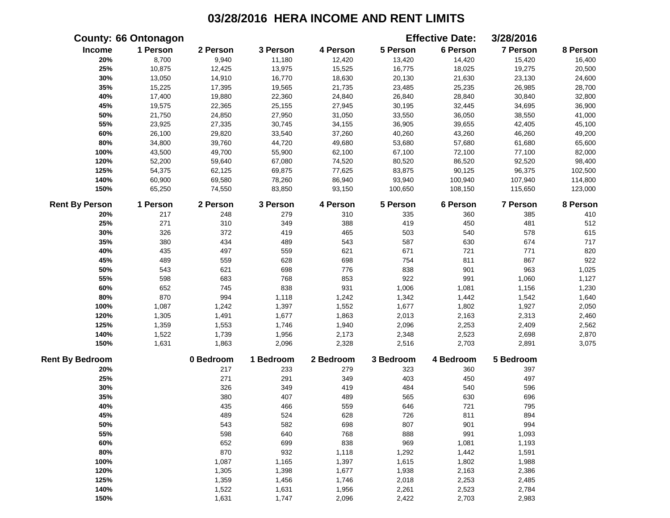|                        | <b>County: 66 Ontonagon</b> |           |           |           |           | <b>Effective Date:</b> | 3/28/2016       |          |
|------------------------|-----------------------------|-----------|-----------|-----------|-----------|------------------------|-----------------|----------|
| Income                 | 1 Person                    | 2 Person  | 3 Person  | 4 Person  | 5 Person  | 6 Person               | 7 Person        | 8 Person |
| 20%                    | 8,700                       | 9,940     | 11,180    | 12,420    | 13,420    | 14,420                 | 15,420          | 16,400   |
| 25%                    | 10,875                      | 12,425    | 13,975    | 15,525    | 16,775    | 18,025                 | 19,275          | 20,500   |
| 30%                    | 13,050                      | 14,910    | 16,770    | 18,630    | 20,130    | 21,630                 | 23,130          | 24,600   |
| 35%                    | 15,225                      | 17,395    | 19,565    | 21,735    | 23,485    | 25,235                 | 26,985          | 28,700   |
| 40%                    | 17,400                      | 19,880    | 22,360    | 24,840    | 26,840    | 28,840                 | 30,840          | 32,800   |
| 45%                    | 19,575                      | 22,365    | 25,155    | 27,945    | 30,195    | 32,445                 | 34,695          | 36,900   |
| 50%                    | 21,750                      | 24,850    | 27,950    | 31,050    | 33,550    | 36,050                 | 38,550          | 41,000   |
| 55%                    | 23,925                      | 27,335    | 30,745    | 34,155    | 36,905    | 39,655                 | 42,405          | 45,100   |
| 60%                    | 26,100                      | 29,820    | 33,540    | 37,260    | 40,260    | 43,260                 | 46,260          | 49,200   |
| 80%                    | 34,800                      | 39,760    | 44,720    | 49,680    | 53,680    | 57,680                 | 61,680          | 65,600   |
| 100%                   | 43,500                      | 49,700    | 55,900    | 62,100    | 67,100    | 72,100                 | 77,100          | 82,000   |
| 120%                   | 52,200                      | 59,640    | 67,080    | 74,520    | 80,520    | 86,520                 | 92,520          | 98,400   |
| 125%                   | 54,375                      | 62,125    | 69,875    | 77,625    | 83,875    | 90,125                 | 96,375          | 102,500  |
| 140%                   | 60,900                      | 69,580    | 78,260    | 86,940    | 93,940    | 100,940                | 107,940         | 114,800  |
| 150%                   | 65,250                      | 74,550    | 83,850    | 93,150    | 100,650   | 108,150                | 115,650         | 123,000  |
| <b>Rent By Person</b>  | 1 Person                    | 2 Person  | 3 Person  | 4 Person  | 5 Person  | 6 Person               | <b>7 Person</b> | 8 Person |
| 20%                    | 217                         | 248       | 279       | 310       | 335       | 360                    | 385             | 410      |
| 25%                    | 271                         | 310       | 349       | 388       | 419       | 450                    | 481             | 512      |
| 30%                    | 326                         | 372       | 419       | 465       | 503       | 540                    | 578             | 615      |
| 35%                    | 380                         | 434       | 489       | 543       | 587       | 630                    | 674             | 717      |
| 40%                    | 435                         | 497       | 559       | 621       | 671       | 721                    | 771             | 820      |
| 45%                    | 489                         | 559       | 628       | 698       | 754       | 811                    | 867             | 922      |
| 50%                    | 543                         | 621       | 698       | 776       | 838       | 901                    | 963             | 1,025    |
| 55%                    | 598                         | 683       | 768       | 853       | 922       | 991                    | 1,060           | 1,127    |
| 60%                    | 652                         | 745       | 838       | 931       | 1,006     | 1,081                  | 1,156           | 1,230    |
| 80%                    | 870                         | 994       | 1,118     | 1,242     | 1,342     | 1,442                  | 1,542           | 1,640    |
| 100%                   | 1,087                       | 1,242     | 1,397     | 1,552     | 1,677     | 1,802                  | 1,927           | 2,050    |
| 120%                   | 1,305                       | 1,491     | 1,677     | 1,863     | 2,013     | 2,163                  | 2,313           | 2,460    |
| 125%                   | 1,359                       | 1,553     | 1,746     | 1,940     | 2,096     | 2,253                  | 2,409           | 2,562    |
| 140%                   | 1,522                       | 1,739     | 1,956     | 2,173     | 2,348     | 2,523                  | 2,698           | 2,870    |
| 150%                   | 1,631                       | 1,863     | 2,096     | 2,328     | 2,516     | 2,703                  | 2,891           | 3,075    |
| <b>Rent By Bedroom</b> |                             | 0 Bedroom | 1 Bedroom | 2 Bedroom | 3 Bedroom | 4 Bedroom              | 5 Bedroom       |          |
| 20%                    |                             | 217       | 233       | 279       | 323       | 360                    | 397             |          |
| 25%                    |                             | 271       | 291       | 349       | 403       | 450                    | 497             |          |
| 30%                    |                             | 326       | 349       | 419       | 484       | 540                    | 596             |          |
| 35%                    |                             | 380       | 407       | 489       | 565       | 630                    | 696             |          |
| 40%                    |                             | 435       | 466       | 559       | 646       | 721                    | 795             |          |
| 45%                    |                             | 489       | 524       | 628       | 726       | 811                    | 894             |          |
| 50%                    |                             | 543       | 582       | 698       | 807       | 901                    | 994             |          |
| 55%                    |                             | 598       | 640       | 768       | 888       | 991                    | 1,093           |          |
| 60%                    |                             | 652       | 699       | 838       | 969       | 1,081                  | 1,193           |          |
| 80%                    |                             | 870       | 932       | 1,118     | 1,292     | 1,442                  | 1,591           |          |
| 100%                   |                             | 1,087     | 1,165     | 1,397     | 1,615     | 1,802                  | 1,988           |          |
| 120%                   |                             | 1,305     | 1,398     | 1,677     | 1,938     | 2,163                  | 2,386           |          |
| 125%                   |                             | 1,359     | 1,456     | 1,746     | 2,018     | 2,253                  | 2,485           |          |
| 140%                   |                             | 1,522     | 1,631     | 1,956     | 2,261     | 2,523                  | 2,784           |          |
| 150%                   |                             | 1,631     | 1,747     | 2,096     | 2,422     | 2,703                  | 2,983           |          |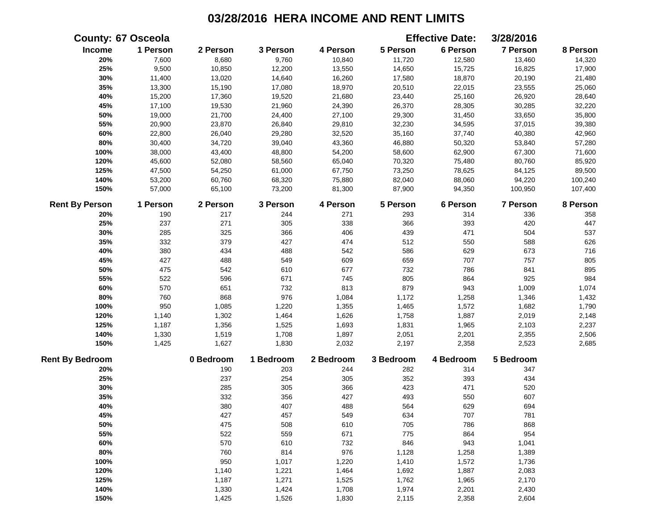|                        | <b>County: 67 Osceola</b> |           |           |           |           | <b>Effective Date:</b> | 3/28/2016 |          |
|------------------------|---------------------------|-----------|-----------|-----------|-----------|------------------------|-----------|----------|
| Income                 | 1 Person                  | 2 Person  | 3 Person  | 4 Person  | 5 Person  | 6 Person               | 7 Person  | 8 Person |
| 20%                    | 7,600                     | 8,680     | 9,760     | 10,840    | 11,720    | 12,580                 | 13,460    | 14,320   |
| 25%                    | 9,500                     | 10,850    | 12,200    | 13,550    | 14,650    | 15,725                 | 16,825    | 17,900   |
| 30%                    | 11,400                    | 13,020    | 14,640    | 16,260    | 17,580    | 18,870                 | 20,190    | 21,480   |
| 35%                    | 13,300                    | 15,190    | 17,080    | 18,970    | 20,510    | 22,015                 | 23,555    | 25,060   |
| 40%                    | 15,200                    | 17,360    | 19,520    | 21,680    | 23,440    | 25,160                 | 26,920    | 28,640   |
| 45%                    | 17,100                    | 19,530    | 21,960    | 24,390    | 26,370    | 28,305                 | 30,285    | 32,220   |
| 50%                    | 19,000                    | 21,700    | 24,400    | 27,100    | 29,300    | 31,450                 | 33,650    | 35,800   |
| 55%                    | 20,900                    | 23,870    | 26,840    | 29,810    | 32,230    | 34,595                 | 37,015    | 39,380   |
| 60%                    | 22,800                    | 26,040    | 29,280    | 32,520    | 35,160    | 37,740                 | 40,380    | 42,960   |
| 80%                    | 30,400                    | 34,720    | 39,040    | 43,360    | 46,880    | 50,320                 | 53,840    | 57,280   |
| 100%                   | 38,000                    | 43,400    | 48,800    | 54,200    | 58,600    | 62,900                 | 67,300    | 71,600   |
| 120%                   | 45,600                    | 52,080    | 58,560    | 65,040    | 70,320    | 75,480                 | 80,760    | 85,920   |
| 125%                   | 47,500                    | 54,250    | 61,000    | 67,750    | 73,250    | 78,625                 | 84,125    | 89,500   |
| 140%                   | 53,200                    | 60,760    | 68,320    | 75,880    | 82,040    | 88,060                 | 94,220    | 100,240  |
| 150%                   | 57,000                    | 65,100    | 73,200    | 81,300    | 87,900    | 94,350                 | 100,950   | 107,400  |
| <b>Rent By Person</b>  | 1 Person                  | 2 Person  | 3 Person  | 4 Person  | 5 Person  | 6 Person               | 7 Person  | 8 Person |
| 20%                    | 190                       | 217       | 244       | 271       | 293       | 314                    | 336       | 358      |
| 25%                    | 237                       | 271       | 305       | 338       | 366       | 393                    | 420       | 447      |
| 30%                    | 285                       | 325       | 366       | 406       | 439       | 471                    | 504       | 537      |
| 35%                    | 332                       | 379       | 427       | 474       | 512       | 550                    | 588       | 626      |
| 40%                    | 380                       | 434       | 488       | 542       | 586       | 629                    | 673       | 716      |
| 45%                    | 427                       | 488       | 549       | 609       | 659       | 707                    | 757       | 805      |
| 50%                    | 475                       | 542       | 610       | 677       | 732       | 786                    | 841       | 895      |
| 55%                    | 522                       | 596       | 671       | 745       | 805       | 864                    | 925       | 984      |
| 60%                    | 570                       | 651       | 732       | 813       | 879       | 943                    | 1,009     | 1,074    |
| 80%                    | 760                       | 868       | 976       | 1,084     | 1,172     | 1,258                  | 1,346     | 1,432    |
| 100%                   | 950                       | 1,085     | 1,220     | 1,355     | 1,465     | 1,572                  | 1,682     | 1,790    |
| 120%                   | 1,140                     | 1,302     | 1,464     | 1,626     | 1,758     | 1,887                  | 2,019     | 2,148    |
| 125%                   | 1,187                     | 1,356     | 1,525     | 1,693     | 1,831     | 1,965                  | 2,103     | 2,237    |
| 140%                   | 1,330                     | 1,519     | 1,708     | 1,897     | 2,051     | 2,201                  | 2,355     | 2,506    |
| 150%                   | 1,425                     | 1,627     | 1,830     | 2,032     | 2,197     | 2,358                  | 2,523     | 2,685    |
| <b>Rent By Bedroom</b> |                           | 0 Bedroom | 1 Bedroom | 2 Bedroom | 3 Bedroom | 4 Bedroom              | 5 Bedroom |          |
| 20%                    |                           | 190       | 203       | 244       | 282       | 314                    | 347       |          |
| 25%                    |                           | 237       | 254       | 305       | 352       | 393                    | 434       |          |
| 30%                    |                           | 285       | 305       | 366       | 423       | 471                    | 520       |          |
| 35%                    |                           | 332       | 356       | 427       | 493       | 550                    | 607       |          |
| 40%                    |                           | 380       | 407       | 488       | 564       | 629                    | 694       |          |
| 45%                    |                           | 427       | 457       | 549       | 634       | 707                    | 781       |          |
| 50%                    |                           | 475       | 508       | 610       | 705       | 786                    | 868       |          |
| 55%                    |                           | 522       | 559       | 671       | 775       | 864                    | 954       |          |
| 60%                    |                           | 570       | 610       | 732       | 846       | 943                    | 1,041     |          |
| 80%                    |                           | 760       | 814       | 976       | 1,128     | 1,258                  | 1,389     |          |
| 100%                   |                           | 950       | 1,017     | 1,220     | 1,410     | 1,572                  | 1,736     |          |
| 120%                   |                           | 1,140     | 1,221     | 1,464     | 1,692     | 1,887                  | 2,083     |          |
| 125%                   |                           | 1,187     | 1,271     | 1,525     | 1,762     | 1,965                  | 2,170     |          |
| 140%                   |                           | 1,330     | 1,424     | 1,708     | 1,974     | 2,201                  | 2,430     |          |
| 150%                   |                           | 1,425     | 1,526     | 1,830     | 2,115     | 2,358                  | 2,604     |          |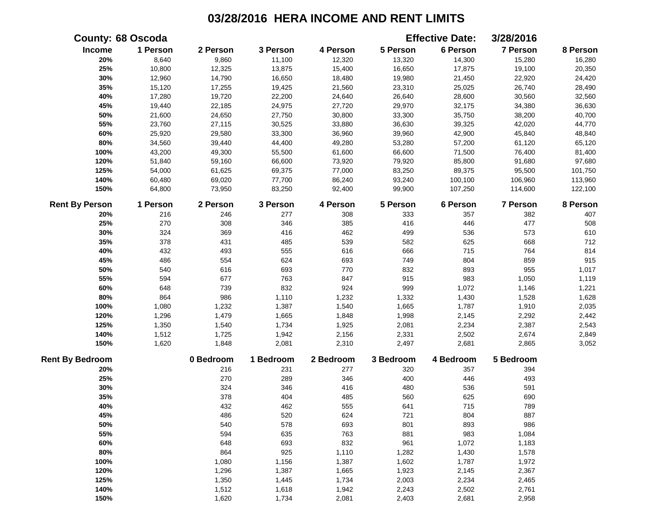|                        | <b>County: 68 Oscoda</b> |           |           |           |           | <b>Effective Date:</b> | 3/28/2016       |          |
|------------------------|--------------------------|-----------|-----------|-----------|-----------|------------------------|-----------------|----------|
| Income                 | 1 Person                 | 2 Person  | 3 Person  | 4 Person  | 5 Person  | 6 Person               | 7 Person        | 8 Person |
| 20%                    | 8,640                    | 9,860     | 11,100    | 12,320    | 13,320    | 14,300                 | 15,280          | 16,280   |
| 25%                    | 10,800                   | 12,325    | 13,875    | 15,400    | 16,650    | 17,875                 | 19,100          | 20,350   |
| 30%                    | 12,960                   | 14,790    | 16,650    | 18,480    | 19,980    | 21,450                 | 22,920          | 24,420   |
| 35%                    | 15,120                   | 17,255    | 19,425    | 21,560    | 23,310    | 25,025                 | 26,740          | 28,490   |
| 40%                    | 17,280                   | 19,720    | 22,200    | 24,640    | 26,640    | 28,600                 | 30,560          | 32,560   |
| 45%                    | 19,440                   | 22,185    | 24,975    | 27,720    | 29,970    | 32,175                 | 34,380          | 36,630   |
| 50%                    | 21,600                   | 24,650    | 27,750    | 30,800    | 33,300    | 35,750                 | 38,200          | 40,700   |
| 55%                    | 23,760                   | 27,115    | 30,525    | 33,880    | 36,630    | 39,325                 | 42,020          | 44,770   |
| 60%                    | 25,920                   | 29,580    | 33,300    | 36,960    | 39,960    | 42,900                 | 45,840          | 48,840   |
| 80%                    | 34,560                   | 39,440    | 44,400    | 49,280    | 53,280    | 57,200                 | 61,120          | 65,120   |
| 100%                   | 43,200                   | 49,300    | 55,500    | 61,600    | 66,600    | 71,500                 | 76,400          | 81,400   |
| 120%                   | 51,840                   | 59,160    | 66,600    | 73,920    | 79,920    | 85,800                 | 91,680          | 97,680   |
| 125%                   | 54,000                   | 61,625    | 69,375    | 77,000    | 83,250    | 89,375                 | 95,500          | 101,750  |
| 140%                   | 60,480                   | 69,020    | 77,700    | 86,240    | 93,240    | 100,100                | 106,960         | 113,960  |
| 150%                   | 64,800                   | 73,950    | 83,250    | 92,400    | 99,900    | 107,250                | 114,600         | 122,100  |
| <b>Rent By Person</b>  | 1 Person                 | 2 Person  | 3 Person  | 4 Person  | 5 Person  | 6 Person               | <b>7 Person</b> | 8 Person |
| 20%                    | 216                      | 246       | 277       | 308       | 333       | 357                    | 382             | 407      |
| 25%                    | 270                      | 308       | 346       | 385       | 416       | 446                    | 477             | 508      |
| 30%                    | 324                      | 369       | 416       | 462       | 499       | 536                    | 573             | 610      |
| 35%                    | 378                      | 431       | 485       | 539       | 582       | 625                    | 668             | 712      |
| 40%                    | 432                      | 493       | 555       | 616       | 666       | 715                    | 764             | 814      |
| 45%                    | 486                      | 554       | 624       | 693       | 749       | 804                    | 859             | 915      |
| 50%                    | 540                      | 616       | 693       | 770       | 832       | 893                    | 955             | 1,017    |
| 55%                    | 594                      | 677       | 763       | 847       | 915       | 983                    | 1,050           | 1,119    |
| 60%                    | 648                      | 739       | 832       | 924       | 999       | 1,072                  | 1,146           | 1,221    |
| $80\%$                 | 864                      | 986       | 1,110     | 1,232     | 1,332     | 1,430                  | 1,528           | 1,628    |
| 100%                   | 1,080                    | 1,232     | 1,387     | 1,540     | 1,665     | 1,787                  | 1,910           | 2,035    |
| 120%                   | 1,296                    | 1,479     | 1,665     | 1,848     | 1,998     | 2,145                  | 2,292           | 2,442    |
| 125%                   | 1,350                    | 1,540     | 1,734     | 1,925     | 2,081     | 2,234                  | 2,387           | 2,543    |
| 140%                   | 1,512                    | 1,725     | 1,942     | 2,156     | 2,331     | 2,502                  | 2,674           | 2,849    |
| 150%                   | 1,620                    | 1,848     | 2,081     | 2,310     | 2,497     | 2,681                  | 2,865           | 3,052    |
| <b>Rent By Bedroom</b> |                          | 0 Bedroom | 1 Bedroom | 2 Bedroom | 3 Bedroom | 4 Bedroom              | 5 Bedroom       |          |
| 20%                    |                          | 216       | 231       | 277       | 320       | 357                    | 394             |          |
| 25%                    |                          | 270       | 289       | 346       | 400       | 446                    | 493             |          |
| 30%                    |                          | 324       | 346       | 416       | 480       | 536                    | 591             |          |
| 35%                    |                          | 378       | 404       | 485       | 560       | 625                    | 690             |          |
| 40%                    |                          | 432       | 462       | 555       | 641       | 715                    | 789             |          |
| 45%                    |                          | 486       | 520       | 624       | 721       | 804                    | 887             |          |
| 50%                    |                          | 540       | 578       | 693       | 801       | 893                    | 986             |          |
| 55%                    |                          | 594       | 635       | 763       | 881       | 983                    | 1,084           |          |
| 60%                    |                          | 648       | 693       | 832       | 961       | 1,072                  | 1,183           |          |
| 80%                    |                          | 864       | 925       | 1,110     | 1,282     | 1,430                  | 1,578           |          |
| 100%                   |                          | 1,080     | 1,156     | 1,387     | 1,602     | 1,787                  | 1,972           |          |
| 120%                   |                          | 1,296     | 1,387     | 1,665     | 1,923     | 2,145                  | 2,367           |          |
| 125%                   |                          | 1,350     | 1,445     | 1,734     | 2,003     | 2,234                  | 2,465           |          |
| 140%                   |                          | 1,512     | 1,618     | 1,942     | 2,243     | 2,502                  | 2,761           |          |
| 150%                   |                          | 1,620     | 1,734     | 2,081     | 2,403     | 2,681                  | 2,958           |          |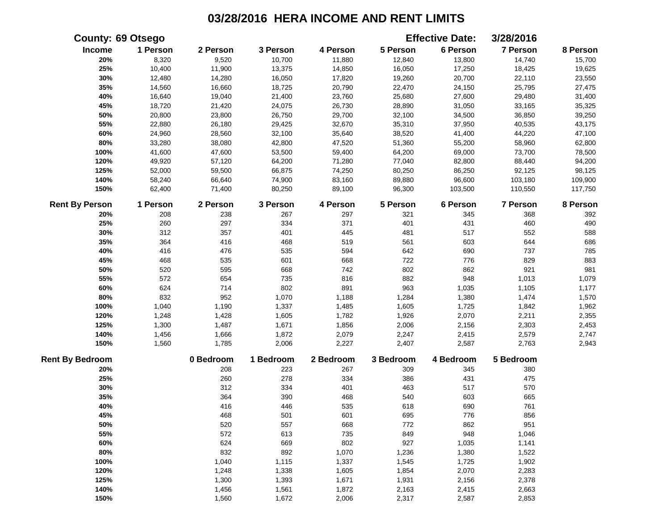|                        | <b>County: 69 Otsego</b> |           |           |           |           | <b>Effective Date:</b> | 3/28/2016       |          |
|------------------------|--------------------------|-----------|-----------|-----------|-----------|------------------------|-----------------|----------|
| Income                 | 1 Person                 | 2 Person  | 3 Person  | 4 Person  | 5 Person  | 6 Person               | 7 Person        | 8 Person |
| 20%                    | 8,320                    | 9,520     | 10,700    | 11,880    | 12,840    | 13,800                 | 14,740          | 15,700   |
| 25%                    | 10,400                   | 11,900    | 13,375    | 14,850    | 16,050    | 17,250                 | 18,425          | 19,625   |
| 30%                    | 12,480                   | 14,280    | 16,050    | 17,820    | 19,260    | 20,700                 | 22,110          | 23,550   |
| 35%                    | 14,560                   | 16,660    | 18,725    | 20,790    | 22,470    | 24,150                 | 25,795          | 27,475   |
| 40%                    | 16,640                   | 19,040    | 21,400    | 23,760    | 25,680    | 27,600                 | 29,480          | 31,400   |
| 45%                    | 18,720                   | 21,420    | 24,075    | 26,730    | 28,890    | 31,050                 | 33,165          | 35,325   |
| 50%                    | 20,800                   | 23,800    | 26,750    | 29,700    | 32,100    | 34,500                 | 36,850          | 39,250   |
| 55%                    | 22,880                   | 26,180    | 29,425    | 32,670    | 35,310    | 37,950                 | 40,535          | 43,175   |
| 60%                    | 24,960                   | 28,560    | 32,100    | 35,640    | 38,520    | 41,400                 | 44,220          | 47,100   |
| 80%                    | 33,280                   | 38,080    | 42,800    | 47,520    | 51,360    | 55,200                 | 58,960          | 62,800   |
| 100%                   | 41,600                   | 47,600    | 53,500    | 59,400    | 64,200    | 69,000                 | 73,700          | 78,500   |
| 120%                   | 49,920                   | 57,120    | 64,200    | 71,280    | 77,040    | 82,800                 | 88,440          | 94,200   |
| 125%                   | 52,000                   | 59,500    | 66,875    | 74,250    | 80,250    | 86,250                 | 92,125          | 98,125   |
| 140%                   | 58,240                   | 66,640    | 74,900    | 83,160    | 89,880    | 96,600                 | 103,180         | 109,900  |
| 150%                   | 62,400                   | 71,400    | 80,250    | 89,100    | 96,300    | 103,500                | 110,550         | 117,750  |
| <b>Rent By Person</b>  | 1 Person                 | 2 Person  | 3 Person  | 4 Person  | 5 Person  | 6 Person               | <b>7 Person</b> | 8 Person |
| 20%                    | 208                      | 238       | 267       | 297       | 321       | 345                    | 368             | 392      |
| 25%                    | 260                      | 297       | 334       | 371       | 401       | 431                    | 460             | 490      |
| 30%                    | 312                      | 357       | 401       | 445       | 481       | 517                    | 552             | 588      |
| 35%                    | 364                      | 416       | 468       | 519       | 561       | 603                    | 644             | 686      |
| 40%                    | 416                      | 476       | 535       | 594       | 642       | 690                    | 737             | 785      |
| 45%                    | 468                      | 535       | 601       | 668       | 722       | 776                    | 829             | 883      |
| 50%                    | 520                      | 595       | 668       | 742       | 802       | 862                    | 921             | 981      |
| 55%                    | 572                      | 654       | 735       | 816       | 882       | 948                    | 1,013           | 1,079    |
| 60%                    | 624                      | 714       | 802       | 891       | 963       | 1,035                  | 1,105           | 1,177    |
| 80%                    | 832                      | 952       | 1,070     | 1,188     | 1,284     | 1,380                  | 1,474           | 1,570    |
| 100%                   | 1,040                    | 1,190     | 1,337     | 1,485     | 1,605     | 1,725                  | 1,842           | 1,962    |
| 120%                   | 1,248                    | 1,428     | 1,605     | 1,782     | 1,926     | 2,070                  | 2,211           | 2,355    |
| 125%                   | 1,300                    | 1,487     | 1,671     | 1,856     | 2,006     | 2,156                  | 2,303           | 2,453    |
| 140%                   | 1,456                    | 1,666     | 1,872     | 2,079     | 2,247     | 2,415                  | 2,579           | 2,747    |
| 150%                   | 1,560                    | 1,785     | 2,006     | 2,227     | 2,407     | 2,587                  | 2,763           | 2,943    |
| <b>Rent By Bedroom</b> |                          | 0 Bedroom | 1 Bedroom | 2 Bedroom | 3 Bedroom | 4 Bedroom              | 5 Bedroom       |          |
| 20%                    |                          | 208       | 223       | 267       | 309       | 345                    | 380             |          |
| 25%                    |                          | 260       | 278       | 334       | 386       | 431                    | 475             |          |
| 30%                    |                          | 312       | 334       | 401       | 463       | 517                    | 570             |          |
| 35%                    |                          | 364       | 390       | 468       | 540       | 603                    | 665             |          |
| 40%                    |                          | 416       | 446       | 535       | 618       | 690                    | 761             |          |
| 45%                    |                          | 468       | 501       | 601       | 695       | 776                    | 856             |          |
| 50%                    |                          | 520       | 557       | 668       | 772       | 862                    | 951             |          |
| 55%                    |                          | 572       | 613       | 735       | 849       | 948                    | 1,046           |          |
| 60%                    |                          | 624       | 669       | 802       | 927       | 1,035                  | 1,141           |          |
| 80%                    |                          | 832       | 892       | 1,070     | 1,236     | 1,380                  | 1,522           |          |
| 100%                   |                          | 1,040     | 1,115     | 1,337     | 1,545     | 1,725                  | 1,902           |          |
| 120%                   |                          | 1,248     | 1,338     | 1,605     | 1,854     | 2,070                  | 2,283           |          |
| 125%                   |                          | 1,300     | 1,393     | 1,671     | 1,931     | 2,156                  | 2,378           |          |
| 140%                   |                          | 1,456     | 1,561     | 1,872     | 2,163     | 2,415                  | 2,663           |          |
| 150%                   |                          | 1,560     | 1,672     | 2,006     | 2,317     | 2,587                  | 2,853           |          |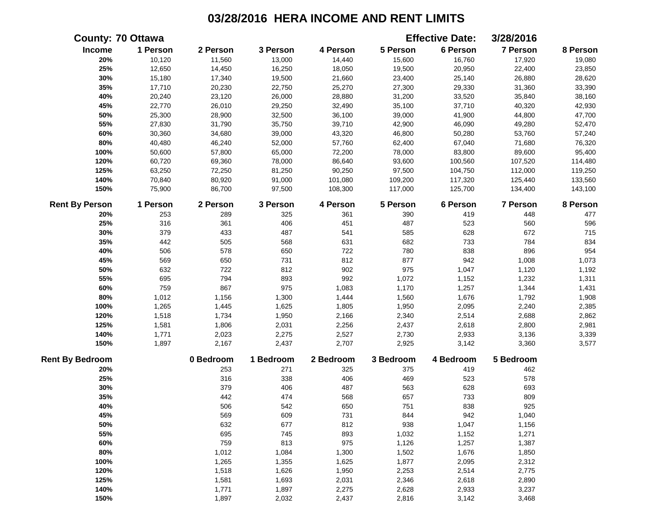|                        | <b>County: 70 Ottawa</b> |           |           |           |           | <b>Effective Date:</b> | 3/28/2016       |          |
|------------------------|--------------------------|-----------|-----------|-----------|-----------|------------------------|-----------------|----------|
| Income                 | 1 Person                 | 2 Person  | 3 Person  | 4 Person  | 5 Person  | 6 Person               | <b>7 Person</b> | 8 Person |
| 20%                    | 10,120                   | 11,560    | 13,000    | 14,440    | 15,600    | 16,760                 | 17,920          | 19,080   |
| 25%                    | 12,650                   | 14,450    | 16,250    | 18,050    | 19,500    | 20,950                 | 22,400          | 23,850   |
| 30%                    | 15,180                   | 17,340    | 19,500    | 21,660    | 23,400    | 25,140                 | 26,880          | 28,620   |
| 35%                    | 17,710                   | 20,230    | 22,750    | 25,270    | 27,300    | 29,330                 | 31,360          | 33,390   |
| 40%                    | 20,240                   | 23,120    | 26,000    | 28,880    | 31,200    | 33,520                 | 35,840          | 38,160   |
| 45%                    | 22,770                   | 26,010    | 29,250    | 32,490    | 35,100    | 37,710                 | 40,320          | 42,930   |
| 50%                    | 25,300                   | 28,900    | 32,500    | 36,100    | 39,000    | 41,900                 | 44,800          | 47,700   |
| 55%                    | 27,830                   | 31,790    | 35,750    | 39,710    | 42,900    | 46,090                 | 49,280          | 52,470   |
| 60%                    | 30,360                   | 34,680    | 39,000    | 43,320    | 46,800    | 50,280                 | 53,760          | 57,240   |
| 80%                    | 40,480                   | 46,240    | 52,000    | 57,760    | 62,400    | 67,040                 | 71,680          | 76,320   |
| 100%                   | 50,600                   | 57,800    | 65,000    | 72,200    | 78,000    | 83,800                 | 89,600          | 95,400   |
| 120%                   | 60,720                   | 69,360    | 78,000    | 86,640    | 93,600    | 100,560                | 107,520         | 114,480  |
| 125%                   | 63,250                   | 72,250    | 81,250    | 90,250    | 97,500    | 104,750                | 112,000         | 119,250  |
| 140%                   | 70,840                   | 80,920    | 91,000    | 101,080   | 109,200   | 117,320                | 125,440         | 133,560  |
| 150%                   | 75,900                   | 86,700    | 97,500    | 108,300   | 117,000   | 125,700                | 134,400         | 143,100  |
| <b>Rent By Person</b>  | 1 Person                 | 2 Person  | 3 Person  | 4 Person  | 5 Person  | 6 Person               | <b>7 Person</b> | 8 Person |
| 20%                    | 253                      | 289       | 325       | 361       | 390       | 419                    | 448             | 477      |
| 25%                    | 316                      | 361       | 406       | 451       | 487       | 523                    | 560             | 596      |
| 30%                    | 379                      | 433       | 487       | 541       | 585       | 628                    | 672             | 715      |
| 35%                    | 442                      | 505       | 568       | 631       | 682       | 733                    | 784             | 834      |
| 40%                    | 506                      | 578       | 650       | 722       | 780       | 838                    | 896             | 954      |
| 45%                    | 569                      | 650       | 731       | 812       | 877       | 942                    | 1,008           | 1,073    |
| 50%                    | 632                      | 722       | 812       | 902       | 975       | 1,047                  | 1,120           | 1,192    |
| 55%                    | 695                      | 794       | 893       | 992       | 1,072     | 1,152                  | 1,232           | 1,311    |
| 60%                    | 759                      | 867       | 975       | 1,083     | 1,170     | 1,257                  | 1,344           | 1,431    |
| 80%                    | 1,012                    | 1,156     | 1,300     | 1,444     | 1,560     | 1,676                  | 1,792           | 1,908    |
| 100%                   | 1,265                    | 1,445     | 1,625     | 1,805     | 1,950     | 2,095                  | 2,240           | 2,385    |
| 120%                   | 1,518                    | 1,734     | 1,950     | 2,166     | 2,340     | 2,514                  | 2,688           | 2,862    |
| 125%                   | 1,581                    | 1,806     | 2,031     | 2,256     | 2,437     | 2,618                  | 2,800           | 2,981    |
| 140%                   | 1,771                    | 2,023     | 2,275     | 2,527     | 2,730     | 2,933                  | 3,136           | 3,339    |
| 150%                   | 1,897                    | 2,167     | 2,437     | 2,707     | 2,925     | 3,142                  | 3,360           | 3,577    |
| <b>Rent By Bedroom</b> |                          | 0 Bedroom | 1 Bedroom | 2 Bedroom | 3 Bedroom | 4 Bedroom              | 5 Bedroom       |          |
| 20%                    |                          | 253       | 271       | 325       | 375       | 419                    | 462             |          |
| 25%                    |                          | 316       | 338       | 406       | 469       | 523                    | 578             |          |
| 30%                    |                          | 379       | 406       | 487       | 563       | 628                    | 693             |          |
| 35%                    |                          | 442       | 474       | 568       | 657       | 733                    | 809             |          |
| 40%                    |                          | 506       | 542       | 650       | 751       | 838                    | 925             |          |
| 45%                    |                          | 569       | 609       | 731       | 844       | 942                    | 1,040           |          |
| 50%                    |                          | 632       | 677       | 812       | 938       | 1,047                  | 1,156           |          |
| 55%                    |                          | 695       | 745       | 893       | 1,032     | 1,152                  | 1,271           |          |
| 60%                    |                          | 759       | 813       | 975       | 1,126     | 1,257                  | 1,387           |          |
| 80%                    |                          | 1,012     | 1,084     | 1,300     | 1,502     | 1,676                  | 1,850           |          |
| 100%                   |                          | 1,265     | 1,355     | 1,625     | 1,877     | 2,095                  | 2,312           |          |
| 120%                   |                          | 1,518     | 1,626     | 1,950     | 2,253     | 2,514                  | 2,775           |          |
| 125%                   |                          | 1,581     | 1,693     | 2,031     | 2,346     | 2,618                  | 2,890           |          |
| 140%                   |                          | 1,771     | 1,897     | 2,275     | 2,628     | 2,933                  | 3,237           |          |
| 150%                   |                          | 1,897     | 2,032     | 2,437     | 2,816     | 3,142                  | 3,468           |          |
|                        |                          |           |           |           |           |                        |                 |          |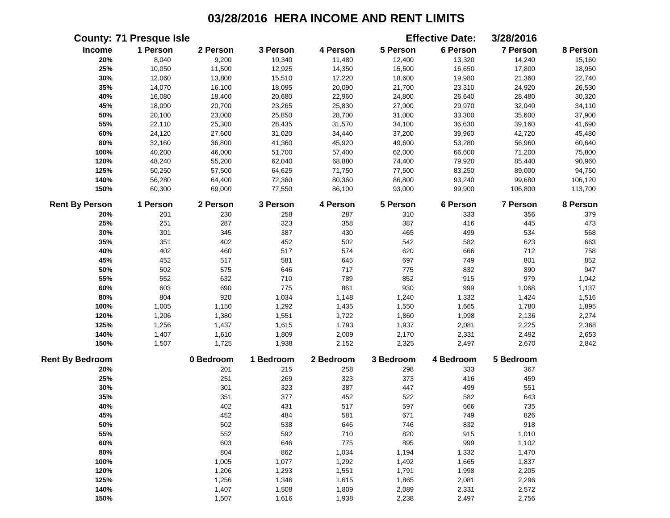|                        | <b>County: 71 Presque Isle</b> |           |           |           |           | <b>Effective Date:</b> | 3/28/2016 |          |
|------------------------|--------------------------------|-----------|-----------|-----------|-----------|------------------------|-----------|----------|
| Income                 | 1 Person                       | 2 Person  | 3 Person  | 4 Person  | 5 Person  | 6 Person               | 7 Person  | 8 Person |
| 20%                    | 8,040                          | 9,200     | 10,340    | 11,480    | 12,400    | 13,320                 | 14,240    | 15,160   |
| 25%                    | 10,050                         | 11,500    | 12,925    | 14,350    | 15,500    | 16,650                 | 17,800    | 18,950   |
| 30%                    | 12,060                         | 13,800    | 15,510    | 17,220    | 18,600    | 19,980                 | 21,360    | 22,740   |
| 35%                    | 14,070                         | 16,100    | 18,095    | 20,090    | 21,700    | 23,310                 | 24,920    | 26,530   |
| 40%                    | 16,080                         | 18,400    | 20,680    | 22,960    | 24,800    | 26,640                 | 28,480    | 30,320   |
| 45%                    | 18,090                         | 20,700    | 23,265    | 25,830    | 27,900    | 29,970                 | 32,040    | 34,110   |
| 50%                    | 20,100                         | 23,000    | 25,850    | 28,700    | 31,000    | 33,300                 | 35,600    | 37,900   |
| 55%                    | 22,110                         | 25,300    | 28,435    | 31,570    | 34,100    | 36,630                 | 39,160    | 41,690   |
| 60%                    | 24,120                         | 27,600    | 31,020    | 34,440    | 37,200    | 39,960                 | 42,720    | 45,480   |
| 80%                    | 32,160                         | 36,800    | 41,360    | 45,920    | 49,600    | 53,280                 | 56,960    | 60,640   |
| 100%                   | 40,200                         | 46,000    | 51,700    | 57,400    | 62,000    | 66,600                 | 71,200    | 75,800   |
| 120%                   | 48,240                         | 55,200    | 62,040    | 68,880    | 74,400    | 79,920                 | 85,440    | 90,960   |
| 125%                   | 50,250                         | 57,500    | 64,625    | 71,750    | 77,500    | 83,250                 | 89,000    | 94,750   |
| 140%                   | 56,280                         | 64,400    | 72,380    | 80,360    | 86,800    | 93,240                 | 99,680    | 106,120  |
| 150%                   | 60,300                         | 69,000    | 77,550    | 86,100    | 93,000    | 99,900                 | 106,800   | 113,700  |
| <b>Rent By Person</b>  | 1 Person                       | 2 Person  | 3 Person  | 4 Person  | 5 Person  | 6 Person               | 7 Person  | 8 Person |
| 20%                    | 201                            | 230       | 258       | 287       | 310       | 333                    | 356       | 379      |
| 25%                    | 251                            | 287       | 323       | 358       | 387       | 416                    | 445       | 473      |
| 30%                    | 301                            | 345       | 387       | 430       | 465       | 499                    | 534       | 568      |
| 35%                    | 351                            | 402       | 452       | 502       | 542       | 582                    | 623       | 663      |
| 40%                    | 402                            | 460       | 517       | 574       | 620       | 666                    | 712       | 758      |
| 45%                    | 452                            | 517       | 581       | 645       | 697       | 749                    | 801       | 852      |
| 50%                    | 502                            | 575       | 646       | 717       | 775       | 832                    | 890       | 947      |
| 55%                    | 552                            | 632       | 710       | 789       | 852       | 915                    | 979       | 1,042    |
| 60%                    | 603                            | 690       | 775       | 861       | 930       | 999                    | 1,068     | 1,137    |
| 80%                    | 804                            | 920       | 1,034     | 1,148     | 1,240     | 1,332                  | 1,424     | 1,516    |
| 100%                   | 1,005                          | 1,150     | 1,292     | 1,435     | 1,550     | 1,665                  | 1,780     | 1,895    |
| 120%                   | 1,206                          | 1,380     | 1,551     | 1,722     | 1,860     | 1,998                  | 2,136     | 2,274    |
| 125%                   | 1,256                          | 1,437     | 1,615     | 1,793     | 1,937     | 2,081                  | 2,225     | 2,368    |
| 140%                   | 1,407                          | 1,610     | 1,809     | 2,009     | 2,170     | 2,331                  | 2,492     | 2,653    |
| 150%                   | 1,507                          | 1,725     | 1,938     | 2,152     | 2,325     | 2,497                  | 2,670     | 2,842    |
| <b>Rent By Bedroom</b> |                                | 0 Bedroom | 1 Bedroom | 2 Bedroom | 3 Bedroom | 4 Bedroom              | 5 Bedroom |          |
| 20%                    |                                | 201       | 215       | 258       | 298       | 333                    | 367       |          |
| 25%                    |                                | 251       | 269       | 323       | 373       | 416                    | 459       |          |
| 30%                    |                                | 301       | 323       | 387       | 447       | 499                    | 551       |          |
| 35%                    |                                | 351       | 377       | 452       | 522       | 582                    | 643       |          |
| 40%                    |                                | 402       | 431       | 517       | 597       | 666                    | 735       |          |
| 45%                    |                                | 452       | 484       | 581       | 671       | 749                    | 826       |          |
| 50%                    |                                | 502       | 538       | 646       | 746       | 832                    | 918       |          |
| 55%                    |                                | 552       | 592       | 710       | 820       | 915                    | 1,010     |          |
| 60%                    |                                | 603       | 646       | 775       | 895       | 999                    | 1,102     |          |
| 80%                    |                                | 804       | 862       | 1,034     | 1,194     | 1,332                  | 1,470     |          |
| 100%                   |                                | 1,005     | 1,077     | 1,292     | 1,492     | 1,665                  | 1,837     |          |
| 120%                   |                                | 1,206     | 1,293     | 1,551     | 1,791     | 1,998                  | 2,205     |          |
| 125%                   |                                | 1,256     | 1,346     | 1,615     | 1,865     | 2,081                  | 2,296     |          |
| 140%                   |                                | 1,407     | 1,508     | 1,809     | 2,089     | 2,331                  | 2,572     |          |
| 150%                   |                                | 1,507     | 1,616     | 1,938     | 2,238     | 2,497                  | 2,756     |          |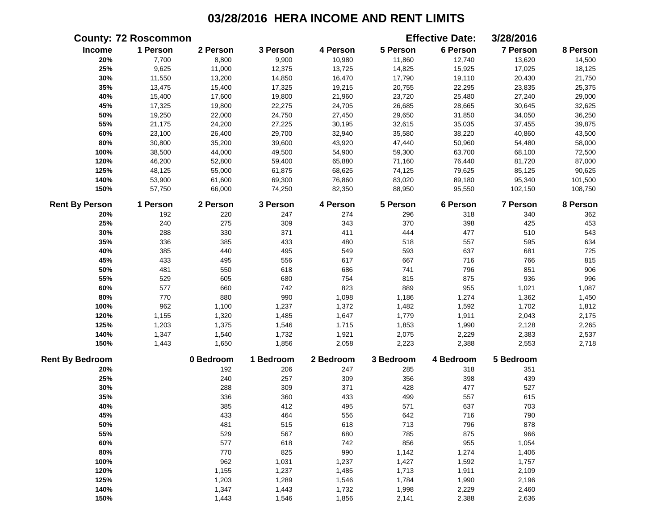|                        | <b>County: 72 Roscommon</b> |           |           |           |           | <b>Effective Date:</b> | 3/28/2016       |          |
|------------------------|-----------------------------|-----------|-----------|-----------|-----------|------------------------|-----------------|----------|
| Income                 | 1 Person                    | 2 Person  | 3 Person  | 4 Person  | 5 Person  | 6 Person               | 7 Person        | 8 Person |
| 20%                    | 7,700                       | 8,800     | 9,900     | 10,980    | 11,860    | 12,740                 | 13,620          | 14,500   |
| 25%                    | 9,625                       | 11,000    | 12,375    | 13,725    | 14,825    | 15,925                 | 17,025          | 18,125   |
| 30%                    | 11,550                      | 13,200    | 14,850    | 16,470    | 17,790    | 19,110                 | 20,430          | 21,750   |
| 35%                    | 13,475                      | 15,400    | 17,325    | 19,215    | 20,755    | 22,295                 | 23,835          | 25,375   |
| 40%                    | 15,400                      | 17,600    | 19,800    | 21,960    | 23,720    | 25,480                 | 27,240          | 29,000   |
| 45%                    | 17,325                      | 19,800    | 22,275    | 24,705    | 26,685    | 28,665                 | 30,645          | 32,625   |
| 50%                    | 19,250                      | 22,000    | 24,750    | 27,450    | 29,650    | 31,850                 | 34,050          | 36,250   |
| 55%                    | 21,175                      | 24,200    | 27,225    | 30,195    | 32,615    | 35,035                 | 37,455          | 39,875   |
| 60%                    | 23,100                      | 26,400    | 29,700    | 32,940    | 35,580    | 38,220                 | 40,860          | 43,500   |
| $80\%$                 | 30,800                      | 35,200    | 39,600    | 43,920    | 47,440    | 50,960                 | 54,480          | 58,000   |
| 100%                   | 38,500                      | 44,000    | 49,500    | 54,900    | 59,300    | 63,700                 | 68,100          | 72,500   |
| 120%                   | 46,200                      | 52,800    | 59,400    | 65,880    | 71,160    | 76,440                 | 81,720          | 87,000   |
| 125%                   | 48,125                      | 55,000    | 61,875    | 68,625    | 74,125    | 79,625                 | 85,125          | 90,625   |
| 140%                   | 53,900                      | 61,600    | 69,300    | 76,860    | 83,020    | 89,180                 | 95,340          | 101,500  |
| 150%                   | 57,750                      | 66,000    | 74,250    | 82,350    | 88,950    | 95,550                 | 102,150         | 108,750  |
| <b>Rent By Person</b>  | 1 Person                    | 2 Person  | 3 Person  | 4 Person  | 5 Person  | 6 Person               | <b>7 Person</b> | 8 Person |
| 20%                    | 192                         | 220       | 247       | 274       | 296       | 318                    | 340             | 362      |
| 25%                    | 240                         | 275       | 309       | 343       | 370       | 398                    | 425             | 453      |
| 30%                    | 288                         | 330       | 371       | 411       | 444       | 477                    | 510             | 543      |
| 35%                    | 336                         | 385       | 433       | 480       | 518       | 557                    | 595             | 634      |
| 40%                    | 385                         | 440       | 495       | 549       | 593       | 637                    | 681             | 725      |
| 45%                    | 433                         | 495       | 556       | 617       | 667       | 716                    | 766             | 815      |
| 50%                    | 481                         | 550       | 618       | 686       | 741       | 796                    | 851             | 906      |
| 55%                    | 529                         | 605       | 680       | 754       | 815       | 875                    | 936             | 996      |
| 60%                    | 577                         | 660       | 742       | 823       | 889       | 955                    | 1,021           | 1,087    |
| 80%                    | 770                         | 880       | 990       | 1,098     | 1,186     | 1,274                  | 1,362           | 1,450    |
| 100%                   | 962                         | 1,100     | 1,237     | 1,372     | 1,482     | 1,592                  | 1,702           | 1,812    |
| 120%                   | 1,155                       | 1,320     | 1,485     | 1,647     | 1,779     | 1,911                  | 2,043           | 2,175    |
| 125%                   | 1,203                       | 1,375     | 1,546     | 1,715     | 1,853     | 1,990                  | 2,128           | 2,265    |
| 140%                   | 1,347                       | 1,540     | 1,732     | 1,921     | 2,075     | 2,229                  | 2,383           | 2,537    |
| 150%                   | 1,443                       | 1,650     | 1,856     | 2,058     | 2,223     | 2,388                  | 2,553           | 2,718    |
| <b>Rent By Bedroom</b> |                             | 0 Bedroom | 1 Bedroom | 2 Bedroom | 3 Bedroom | 4 Bedroom              | 5 Bedroom       |          |
| 20%                    |                             | 192       | 206       | 247       | 285       | 318                    | 351             |          |
| 25%                    |                             | 240       | 257       | 309       | 356       | 398                    | 439             |          |
| 30%                    |                             | 288       | 309       | 371       | 428       | 477                    | 527             |          |
| 35%                    |                             | 336       | 360       | 433       | 499       | 557                    | 615             |          |
| 40%                    |                             | 385       | 412       | 495       | 571       | 637                    | 703             |          |
| 45%                    |                             | 433       | 464       | 556       | 642       | 716                    | 790             |          |
| 50%                    |                             | 481       | 515       | 618       | 713       | 796                    | 878             |          |
| 55%                    |                             | 529       | 567       | 680       | 785       | 875                    | 966             |          |
| 60%                    |                             | 577       | 618       | 742       | 856       | 955                    | 1,054           |          |
| 80%                    |                             | 770       | 825       | 990       | 1,142     | 1,274                  | 1,406           |          |
| 100%                   |                             | 962       | 1,031     | 1,237     | 1,427     | 1,592                  | 1,757           |          |
| 120%                   |                             | 1,155     | 1,237     | 1,485     | 1,713     | 1,911                  | 2,109           |          |
| 125%                   |                             | 1,203     | 1,289     | 1,546     | 1,784     | 1,990                  | 2,196           |          |
| 140%                   |                             | 1,347     | 1,443     | 1,732     | 1,998     | 2,229                  | 2,460           |          |
| 150%                   |                             | 1,443     | 1,546     | 1,856     | 2,141     | 2,388                  | 2,636           |          |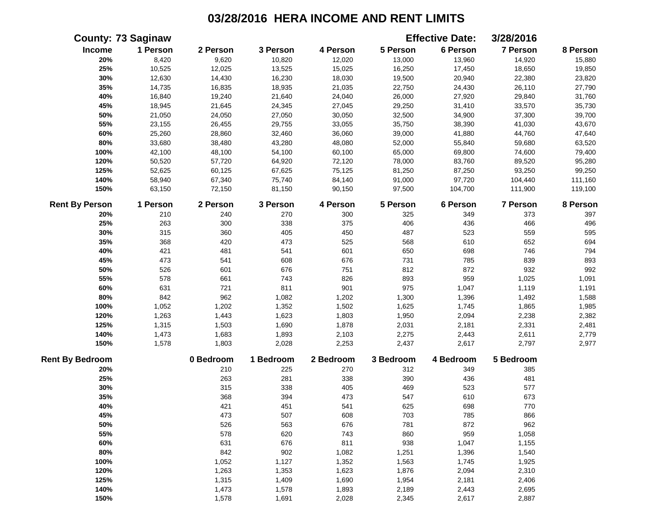|                        | <b>County: 73 Saginaw</b> |           |           |           |           | <b>Effective Date:</b> | 3/28/2016 |          |
|------------------------|---------------------------|-----------|-----------|-----------|-----------|------------------------|-----------|----------|
| Income                 | 1 Person                  | 2 Person  | 3 Person  | 4 Person  | 5 Person  | 6 Person               | 7 Person  | 8 Person |
| 20%                    | 8,420                     | 9,620     | 10,820    | 12,020    | 13,000    | 13,960                 | 14,920    | 15,880   |
| 25%                    | 10,525                    | 12,025    | 13,525    | 15,025    | 16,250    | 17,450                 | 18,650    | 19,850   |
| 30%                    | 12,630                    | 14,430    | 16,230    | 18,030    | 19,500    | 20,940                 | 22,380    | 23,820   |
| 35%                    | 14,735                    | 16,835    | 18,935    | 21,035    | 22,750    | 24,430                 | 26,110    | 27,790   |
| 40%                    | 16,840                    | 19,240    | 21,640    | 24,040    | 26,000    | 27,920                 | 29,840    | 31,760   |
| 45%                    | 18,945                    | 21,645    | 24,345    | 27,045    | 29,250    | 31,410                 | 33,570    | 35,730   |
| 50%                    | 21,050                    | 24,050    | 27,050    | 30,050    | 32,500    | 34,900                 | 37,300    | 39,700   |
| 55%                    | 23,155                    | 26,455    | 29,755    | 33,055    | 35,750    | 38,390                 | 41,030    | 43,670   |
| 60%                    | 25,260                    | 28,860    | 32,460    | 36,060    | 39,000    | 41,880                 | 44,760    | 47,640   |
| 80%                    | 33,680                    | 38,480    | 43,280    | 48,080    | 52,000    | 55,840                 | 59,680    | 63,520   |
| 100%                   | 42,100                    | 48,100    | 54,100    | 60,100    | 65,000    | 69,800                 | 74,600    | 79,400   |
| 120%                   | 50,520                    | 57,720    | 64,920    | 72,120    | 78,000    | 83,760                 | 89,520    | 95,280   |
| 125%                   | 52,625                    | 60,125    | 67,625    | 75,125    | 81,250    | 87,250                 | 93,250    | 99,250   |
| 140%                   | 58,940                    | 67,340    | 75,740    | 84,140    | 91,000    | 97,720                 | 104,440   | 111,160  |
| 150%                   | 63,150                    | 72,150    | 81,150    | 90,150    | 97,500    | 104,700                | 111,900   | 119,100  |
| <b>Rent By Person</b>  | 1 Person                  | 2 Person  | 3 Person  | 4 Person  | 5 Person  | 6 Person               | 7 Person  | 8 Person |
| 20%                    | 210                       | 240       | 270       | 300       | 325       | 349                    | 373       | 397      |
| 25%                    | 263                       | 300       | 338       | 375       | 406       | 436                    | 466       | 496      |
| 30%                    | 315                       | 360       | 405       | 450       | 487       | 523                    | 559       | 595      |
| 35%                    | 368                       | 420       | 473       | 525       | 568       | 610                    | 652       | 694      |
| 40%                    | 421                       | 481       | 541       | 601       | 650       | 698                    | 746       | 794      |
| 45%                    | 473                       | 541       | 608       | 676       | 731       | 785                    | 839       | 893      |
| 50%                    | 526                       | 601       | 676       | 751       | 812       | 872                    | 932       | 992      |
| 55%                    | 578                       | 661       | 743       | 826       | 893       | 959                    | 1,025     | 1,091    |
| 60%                    | 631                       | 721       | 811       | 901       | 975       | 1,047                  | 1,119     | 1,191    |
| $80\%$                 | 842                       | 962       | 1,082     | 1,202     | 1,300     | 1,396                  | 1,492     | 1,588    |
| 100%                   | 1,052                     | 1,202     | 1,352     | 1,502     | 1,625     | 1,745                  | 1,865     | 1,985    |
| 120%                   | 1,263                     | 1,443     | 1,623     | 1,803     | 1,950     | 2,094                  | 2,238     | 2,382    |
| 125%                   | 1,315                     | 1,503     | 1,690     | 1,878     | 2,031     | 2,181                  | 2,331     | 2,481    |
| 140%                   | 1,473                     | 1,683     | 1,893     | 2,103     | 2,275     | 2,443                  | 2,611     | 2,779    |
| 150%                   | 1,578                     | 1,803     | 2,028     | 2,253     | 2,437     | 2,617                  | 2,797     | 2,977    |
| <b>Rent By Bedroom</b> |                           | 0 Bedroom | 1 Bedroom | 2 Bedroom | 3 Bedroom | 4 Bedroom              | 5 Bedroom |          |
| 20%                    |                           | 210       | 225       | 270       | 312       | 349                    | 385       |          |
| 25%                    |                           | 263       | 281       | 338       | 390       | 436                    | 481       |          |
| 30%                    |                           | 315       | 338       | 405       | 469       | 523                    | 577       |          |
| 35%                    |                           | 368       | 394       | 473       | 547       | 610                    | 673       |          |
| 40%                    |                           | 421       | 451       | 541       | 625       | 698                    | 770       |          |
| 45%                    |                           | 473       | 507       | 608       | 703       | 785                    | 866       |          |
| 50%                    |                           | 526       | 563       | 676       | 781       | 872                    | 962       |          |
| 55%                    |                           | 578       | 620       | 743       | 860       | 959                    | 1,058     |          |
| 60%                    |                           | 631       | 676       | 811       | 938       | 1,047                  | 1,155     |          |
| 80%                    |                           | 842       | 902       | 1,082     | 1,251     | 1,396                  | 1,540     |          |
| 100%                   |                           | 1,052     | 1,127     | 1,352     | 1,563     | 1,745                  | 1,925     |          |
| 120%                   |                           | 1,263     | 1,353     | 1,623     | 1,876     | 2,094                  | 2,310     |          |
| 125%                   |                           | 1,315     | 1,409     | 1,690     | 1,954     | 2,181                  | 2,406     |          |
| 140%                   |                           | 1,473     | 1,578     | 1,893     | 2,189     | 2,443                  | 2,695     |          |
| 150%                   |                           | 1,578     | 1,691     | 2,028     | 2,345     | 2,617                  | 2,887     |          |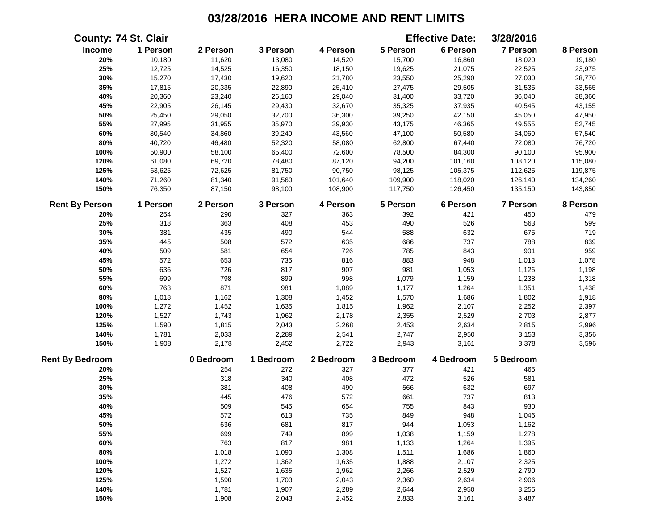|                        | <b>County: 74 St. Clair</b> |           |           |           |           | <b>Effective Date:</b> | 3/28/2016 |          |
|------------------------|-----------------------------|-----------|-----------|-----------|-----------|------------------------|-----------|----------|
| Income                 | 1 Person                    | 2 Person  | 3 Person  | 4 Person  | 5 Person  | 6 Person               | 7 Person  | 8 Person |
| 20%                    | 10,180                      | 11,620    | 13,080    | 14,520    | 15,700    | 16,860                 | 18,020    | 19,180   |
| 25%                    | 12,725                      | 14,525    | 16,350    | 18,150    | 19,625    | 21,075                 | 22,525    | 23,975   |
| 30%                    | 15,270                      | 17,430    | 19,620    | 21,780    | 23,550    | 25,290                 | 27,030    | 28,770   |
| 35%                    | 17,815                      | 20,335    | 22,890    | 25,410    | 27,475    | 29,505                 | 31,535    | 33,565   |
| 40%                    | 20,360                      | 23,240    | 26,160    | 29,040    | 31,400    | 33,720                 | 36,040    | 38,360   |
| 45%                    | 22,905                      | 26,145    | 29,430    | 32,670    | 35,325    | 37,935                 | 40,545    | 43,155   |
| 50%                    | 25,450                      | 29,050    | 32,700    | 36,300    | 39,250    | 42,150                 | 45,050    | 47,950   |
| 55%                    | 27,995                      | 31,955    | 35,970    | 39,930    | 43,175    | 46,365                 | 49,555    | 52,745   |
| 60%                    | 30,540                      | 34,860    | 39,240    | 43,560    | 47,100    | 50,580                 | 54,060    | 57,540   |
| 80%                    | 40,720                      | 46,480    | 52,320    | 58,080    | 62,800    | 67,440                 | 72,080    | 76,720   |
| 100%                   | 50,900                      | 58,100    | 65,400    | 72,600    | 78,500    | 84,300                 | 90,100    | 95,900   |
| 120%                   | 61,080                      | 69,720    | 78,480    | 87,120    | 94,200    | 101,160                | 108,120   | 115,080  |
| 125%                   | 63,625                      | 72,625    | 81,750    | 90,750    | 98,125    | 105,375                | 112,625   | 119,875  |
| 140%                   | 71,260                      | 81,340    | 91,560    | 101,640   | 109,900   | 118,020                | 126,140   | 134,260  |
| 150%                   | 76,350                      | 87,150    | 98,100    | 108,900   | 117,750   | 126,450                | 135,150   | 143,850  |
| <b>Rent By Person</b>  | 1 Person                    | 2 Person  | 3 Person  | 4 Person  | 5 Person  | 6 Person               | 7 Person  | 8 Person |
| 20%                    | 254                         | 290       | 327       | 363       | 392       | 421                    | 450       | 479      |
| 25%                    | 318                         | 363       | 408       | 453       | 490       | 526                    | 563       | 599      |
| 30%                    | 381                         | 435       | 490       | 544       | 588       | 632                    | 675       | 719      |
| 35%                    | 445                         | 508       | 572       | 635       | 686       | 737                    | 788       | 839      |
| 40%                    | 509                         | 581       | 654       | 726       | 785       | 843                    | 901       | 959      |
| 45%                    | 572                         | 653       | 735       | 816       | 883       | 948                    | 1,013     | 1,078    |
| 50%                    | 636                         | 726       | 817       | 907       | 981       | 1,053                  | 1,126     | 1,198    |
| 55%                    | 699                         | 798       | 899       | 998       | 1,079     | 1,159                  | 1,238     | 1,318    |
| 60%                    | 763                         | 871       | 981       | 1,089     | 1,177     | 1,264                  | 1,351     | 1,438    |
| 80%                    | 1,018                       | 1,162     | 1,308     | 1,452     | 1,570     | 1,686                  | 1,802     | 1,918    |
| 100%                   | 1,272                       | 1,452     | 1,635     | 1,815     | 1,962     | 2,107                  | 2,252     | 2,397    |
| 120%                   | 1,527                       | 1,743     | 1,962     | 2,178     | 2,355     | 2,529                  | 2,703     | 2,877    |
| 125%                   | 1,590                       | 1,815     | 2,043     | 2,268     | 2,453     | 2,634                  | 2,815     | 2,996    |
| 140%                   | 1,781                       | 2,033     | 2,289     | 2,541     | 2,747     | 2,950                  | 3,153     | 3,356    |
| 150%                   | 1,908                       | 2,178     | 2,452     | 2,722     | 2,943     | 3,161                  | 3,378     | 3,596    |
| <b>Rent By Bedroom</b> |                             | 0 Bedroom | 1 Bedroom | 2 Bedroom | 3 Bedroom | 4 Bedroom              | 5 Bedroom |          |
| 20%                    |                             | 254       | 272       | 327       | 377       | 421                    | 465       |          |
| 25%                    |                             | 318       | 340       | 408       | 472       | 526                    | 581       |          |
| 30%                    |                             | 381       | 408       | 490       | 566       | 632                    | 697       |          |
| 35%                    |                             | 445       | 476       | 572       | 661       | 737                    | 813       |          |
| 40%                    |                             | 509       | 545       | 654       | 755       | 843                    | 930       |          |
| 45%                    |                             | 572       | 613       | 735       | 849       | 948                    | 1,046     |          |
| 50%                    |                             | 636       | 681       | 817       | 944       | 1,053                  | 1,162     |          |
| 55%                    |                             | 699       | 749       | 899       | 1,038     | 1,159                  | 1,278     |          |
| 60%                    |                             | 763       | 817       | 981       | 1,133     | 1,264                  | 1,395     |          |
| 80%                    |                             | 1,018     | 1,090     | 1,308     | 1,511     | 1,686                  | 1,860     |          |
| 100%                   |                             | 1,272     | 1,362     | 1,635     | 1,888     | 2,107                  | 2,325     |          |
| 120%                   |                             | 1,527     | 1,635     | 1,962     | 2,266     | 2,529                  | 2,790     |          |
| 125%                   |                             | 1,590     | 1,703     | 2,043     | 2,360     | 2,634                  | 2,906     |          |
| 140%                   |                             | 1,781     | 1,907     | 2,289     | 2,644     | 2,950                  | 3,255     |          |
| 150%                   |                             | 1,908     | 2,043     | 2,452     | 2,833     | 3,161                  | 3,487     |          |
|                        |                             |           |           |           |           |                        |           |          |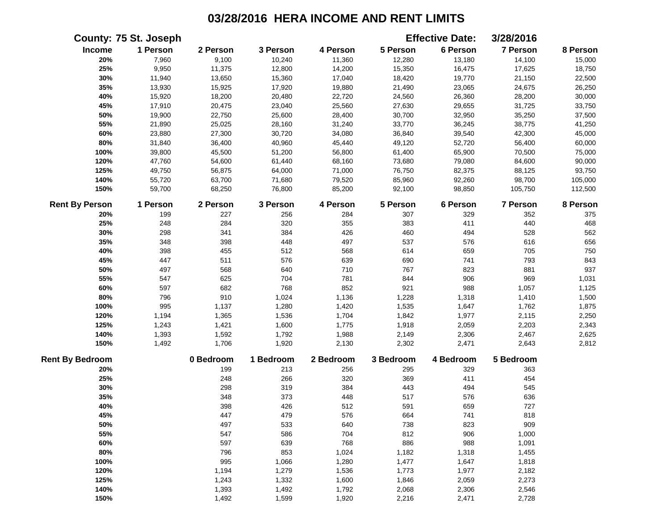|                        | County: 75 St. Joseph |           |           |           |           | <b>Effective Date:</b> | 3/28/2016 |          |
|------------------------|-----------------------|-----------|-----------|-----------|-----------|------------------------|-----------|----------|
| Income                 | 1 Person              | 2 Person  | 3 Person  | 4 Person  | 5 Person  | 6 Person               | 7 Person  | 8 Person |
| 20%                    | 7,960                 | 9,100     | 10,240    | 11,360    | 12,280    | 13,180                 | 14,100    | 15,000   |
| 25%                    | 9,950                 | 11,375    | 12,800    | 14,200    | 15,350    | 16,475                 | 17,625    | 18,750   |
| 30%                    | 11,940                | 13,650    | 15,360    | 17,040    | 18,420    | 19,770                 | 21,150    | 22,500   |
| 35%                    | 13,930                | 15,925    | 17,920    | 19,880    | 21,490    | 23,065                 | 24,675    | 26,250   |
| 40%                    | 15,920                | 18,200    | 20,480    | 22,720    | 24,560    | 26,360                 | 28,200    | 30,000   |
| 45%                    | 17,910                | 20,475    | 23,040    | 25,560    | 27,630    | 29,655                 | 31,725    | 33,750   |
| 50%                    | 19,900                | 22,750    | 25,600    | 28,400    | 30,700    | 32,950                 | 35,250    | 37,500   |
| 55%                    | 21,890                | 25,025    | 28,160    | 31,240    | 33,770    | 36,245                 | 38,775    | 41,250   |
| 60%                    | 23,880                | 27,300    | 30,720    | 34,080    | 36,840    | 39,540                 | 42,300    | 45,000   |
| $80\%$                 | 31,840                | 36,400    | 40,960    | 45,440    | 49,120    | 52,720                 | 56,400    | 60,000   |
| 100%                   | 39,800                | 45,500    | 51,200    | 56,800    | 61,400    | 65,900                 | 70,500    | 75,000   |
| 120%                   | 47,760                | 54,600    | 61,440    | 68,160    | 73,680    | 79,080                 | 84,600    | 90,000   |
| 125%                   | 49,750                | 56,875    | 64,000    | 71,000    | 76,750    | 82,375                 | 88,125    | 93,750   |
| 140%                   | 55,720                | 63,700    | 71,680    | 79,520    | 85,960    | 92,260                 | 98,700    | 105,000  |
| 150%                   | 59,700                | 68,250    | 76,800    | 85,200    | 92,100    | 98,850                 | 105,750   | 112,500  |
| <b>Rent By Person</b>  | 1 Person              | 2 Person  | 3 Person  | 4 Person  | 5 Person  | 6 Person               | 7 Person  | 8 Person |
| 20%                    | 199                   | 227       | 256       | 284       | 307       | 329                    | 352       | 375      |
| 25%                    | 248                   | 284       | 320       | 355       | 383       | 411                    | 440       | 468      |
| 30%                    | 298                   | 341       | 384       | 426       | 460       | 494                    | 528       | 562      |
| 35%                    | 348                   | 398       | 448       | 497       | 537       | 576                    | 616       | 656      |
| 40%                    | 398                   | 455       | 512       | 568       | 614       | 659                    | 705       | 750      |
| 45%                    | 447                   | 511       | 576       | 639       | 690       | 741                    | 793       | 843      |
| 50%                    | 497                   | 568       | 640       | 710       | 767       | 823                    | 881       | 937      |
| 55%                    | 547                   | 625       | 704       | 781       | 844       | 906                    | 969       | 1,031    |
| 60%                    | 597                   | 682       | 768       | 852       | 921       | 988                    | 1,057     | 1,125    |
| 80%                    | 796                   | 910       | 1,024     | 1,136     | 1,228     | 1,318                  | 1,410     | 1,500    |
| 100%                   | 995                   | 1,137     | 1,280     | 1,420     | 1,535     | 1,647                  | 1,762     | 1,875    |
| 120%                   | 1,194                 | 1,365     | 1,536     | 1,704     | 1,842     | 1,977                  | 2,115     | 2,250    |
| 125%                   | 1,243                 | 1,421     | 1,600     | 1,775     | 1,918     | 2,059                  | 2,203     | 2,343    |
| 140%                   | 1,393                 | 1,592     | 1,792     | 1,988     | 2,149     | 2,306                  | 2,467     | 2,625    |
| 150%                   | 1,492                 | 1,706     | 1,920     | 2,130     | 2,302     | 2,471                  | 2,643     | 2,812    |
| <b>Rent By Bedroom</b> |                       | 0 Bedroom | 1 Bedroom | 2 Bedroom | 3 Bedroom | 4 Bedroom              | 5 Bedroom |          |
| 20%                    |                       | 199       | 213       | 256       | 295       | 329                    | 363       |          |
| 25%                    |                       | 248       | 266       | 320       | 369       | 411                    | 454       |          |
| 30%                    |                       | 298       | 319       | 384       | 443       | 494                    | 545       |          |
| 35%                    |                       | 348       | 373       | 448       | 517       | 576                    | 636       |          |
| 40%                    |                       | 398       | 426       | 512       | 591       | 659                    | 727       |          |
| 45%                    |                       | 447       | 479       | 576       | 664       | 741                    | 818       |          |
| 50%                    |                       | 497       | 533       | 640       | 738       | 823                    | 909       |          |
| 55%                    |                       | 547       | 586       | 704       | 812       | 906                    | 1,000     |          |
| 60%                    |                       | 597       | 639       | 768       | 886       | 988                    | 1,091     |          |
| $80\%$                 |                       | 796       | 853       | 1,024     | 1,182     | 1,318                  | 1,455     |          |
| 100%                   |                       | 995       | 1,066     | 1,280     | 1,477     | 1,647                  | 1,818     |          |
| 120%                   |                       | 1,194     | 1,279     | 1,536     | 1,773     | 1,977                  | 2,182     |          |
| 125%                   |                       | 1,243     | 1,332     | 1,600     | 1,846     | 2,059                  | 2,273     |          |
| 140%                   |                       | 1,393     | 1,492     | 1,792     | 2,068     | 2,306                  | 2,546     |          |
| 150%                   |                       | 1,492     | 1,599     | 1,920     | 2,216     | 2,471                  | 2,728     |          |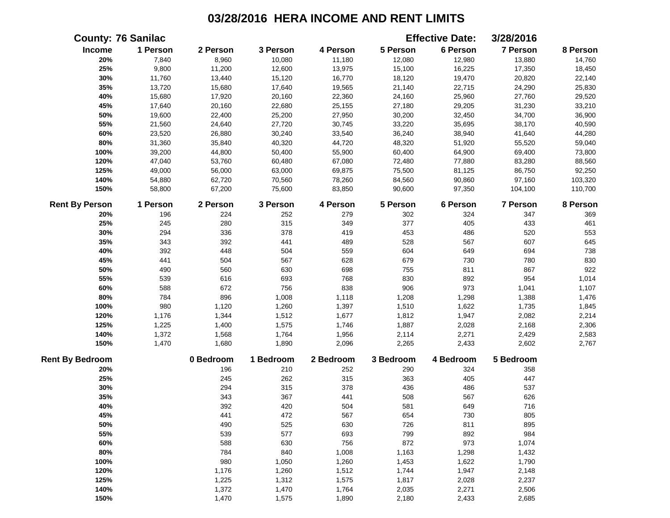|                        | <b>County: 76 Sanilac</b> |           |           |           |           | <b>Effective Date:</b> | 3/28/2016       |          |
|------------------------|---------------------------|-----------|-----------|-----------|-----------|------------------------|-----------------|----------|
| Income                 | 1 Person                  | 2 Person  | 3 Person  | 4 Person  | 5 Person  | 6 Person               | <b>7 Person</b> | 8 Person |
| 20%                    | 7,840                     | 8,960     | 10,080    | 11,180    | 12,080    | 12,980                 | 13,880          | 14,760   |
| 25%                    | 9,800                     | 11,200    | 12,600    | 13,975    | 15,100    | 16,225                 | 17,350          | 18,450   |
| 30%                    | 11,760                    | 13,440    | 15,120    | 16,770    | 18,120    | 19,470                 | 20,820          | 22,140   |
| 35%                    | 13,720                    | 15,680    | 17,640    | 19,565    | 21,140    | 22,715                 | 24,290          | 25,830   |
| 40%                    | 15,680                    | 17,920    | 20,160    | 22,360    | 24,160    | 25,960                 | 27,760          | 29,520   |
| 45%                    | 17,640                    | 20,160    | 22,680    | 25,155    | 27,180    | 29,205                 | 31,230          | 33,210   |
| 50%                    | 19,600                    | 22,400    | 25,200    | 27,950    | 30,200    | 32,450                 | 34,700          | 36,900   |
| 55%                    | 21,560                    | 24,640    | 27,720    | 30,745    | 33,220    | 35,695                 | 38,170          | 40,590   |
| 60%                    | 23,520                    | 26,880    | 30,240    | 33,540    | 36,240    | 38,940                 | 41,640          | 44,280   |
| 80%                    | 31,360                    | 35,840    | 40,320    | 44,720    | 48,320    | 51,920                 | 55,520          | 59,040   |
| 100%                   | 39,200                    | 44,800    | 50,400    | 55,900    | 60,400    | 64,900                 | 69,400          | 73,800   |
| 120%                   | 47,040                    | 53,760    | 60,480    | 67,080    | 72,480    | 77,880                 | 83,280          | 88,560   |
| 125%                   | 49,000                    | 56,000    | 63,000    | 69,875    | 75,500    | 81,125                 | 86,750          | 92,250   |
| 140%                   | 54,880                    | 62,720    | 70,560    | 78,260    | 84,560    | 90,860                 | 97,160          | 103,320  |
| 150%                   | 58,800                    | 67,200    | 75,600    | 83,850    | 90,600    | 97,350                 | 104,100         | 110,700  |
| <b>Rent By Person</b>  | 1 Person                  | 2 Person  | 3 Person  | 4 Person  | 5 Person  | 6 Person               | <b>7 Person</b> | 8 Person |
| 20%                    | 196                       | 224       | 252       | 279       | 302       | 324                    | 347             | 369      |
| 25%                    | 245                       | 280       | 315       | 349       | 377       | 405                    | 433             | 461      |
| 30%                    | 294                       | 336       | 378       | 419       | 453       | 486                    | 520             | 553      |
| 35%                    | 343                       | 392       | 441       | 489       | 528       | 567                    | 607             | 645      |
| 40%                    | 392                       | 448       | 504       | 559       | 604       | 649                    | 694             | 738      |
| 45%                    | 441                       | 504       | 567       | 628       | 679       | 730                    | 780             | 830      |
| 50%                    | 490                       | 560       | 630       | 698       | 755       | 811                    | 867             | 922      |
| 55%                    | 539                       | 616       | 693       | 768       | 830       | 892                    | 954             | 1,014    |
| 60%                    | 588                       | 672       | 756       | 838       | 906       | 973                    | 1,041           | 1,107    |
| 80%                    | 784                       | 896       | 1,008     | 1,118     | 1,208     | 1,298                  | 1,388           | 1,476    |
| 100%                   | 980                       | 1,120     | 1,260     | 1,397     | 1,510     | 1,622                  | 1,735           | 1,845    |
| 120%                   | 1,176                     | 1,344     | 1,512     | 1,677     | 1,812     | 1,947                  | 2,082           | 2,214    |
| 125%                   | 1,225                     | 1,400     | 1,575     | 1,746     | 1,887     | 2,028                  | 2,168           | 2,306    |
| 140%                   | 1,372                     | 1,568     | 1,764     | 1,956     | 2,114     | 2,271                  | 2,429           | 2,583    |
| 150%                   | 1,470                     | 1,680     | 1,890     | 2,096     | 2,265     | 2,433                  | 2,602           | 2,767    |
| <b>Rent By Bedroom</b> |                           | 0 Bedroom | 1 Bedroom | 2 Bedroom | 3 Bedroom | 4 Bedroom              | 5 Bedroom       |          |
| 20%                    |                           | 196       | 210       | 252       | 290       | 324                    | 358             |          |
| 25%                    |                           | 245       | 262       | 315       | 363       | 405                    | 447             |          |
| 30%                    |                           | 294       | 315       | 378       | 436       | 486                    | 537             |          |
| 35%                    |                           | 343       | 367       | 441       | 508       | 567                    | 626             |          |
| 40%                    |                           | 392       | 420       | 504       | 581       | 649                    | 716             |          |
| 45%                    |                           | 441       | 472       | 567       | 654       | 730                    | 805             |          |
| 50%                    |                           | 490       | 525       | 630       | 726       | 811                    | 895             |          |
| 55%                    |                           | 539       | 577       | 693       | 799       | 892                    | 984             |          |
| 60%                    |                           | 588       | 630       | 756       | 872       | 973                    | 1,074           |          |
| 80%                    |                           | 784       | 840       | 1,008     | 1,163     | 1,298                  | 1,432           |          |
| 100%                   |                           | 980       | 1,050     | 1,260     | 1,453     | 1,622                  | 1,790           |          |
| 120%                   |                           | 1,176     | 1,260     | 1,512     | 1,744     | 1,947                  | 2,148           |          |
| 125%                   |                           | 1,225     | 1,312     | 1,575     | 1,817     | 2,028                  | 2,237           |          |
| 140%                   |                           | 1,372     | 1,470     | 1,764     | 2,035     | 2,271                  | 2,506           |          |
| 150%                   |                           | 1,470     | 1,575     | 1,890     | 2,180     | 2,433                  | 2,685           |          |
|                        |                           |           |           |           |           |                        |                 |          |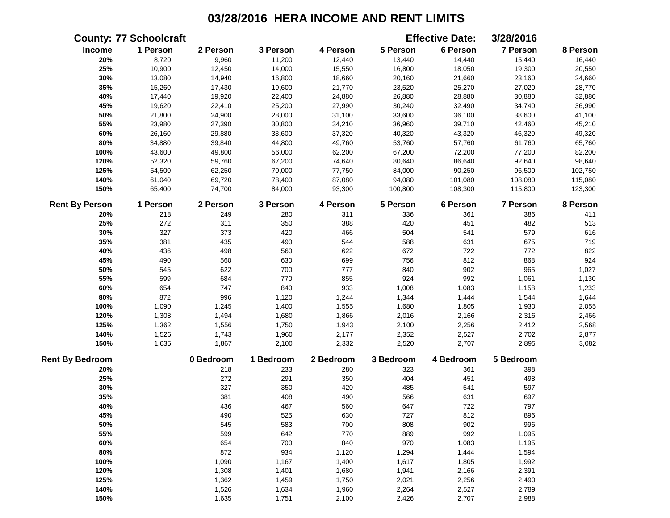|                        | <b>County: 77 Schoolcraft</b> |           |           |           |           | <b>Effective Date:</b> | 3/28/2016       |          |
|------------------------|-------------------------------|-----------|-----------|-----------|-----------|------------------------|-----------------|----------|
| Income                 | 1 Person                      | 2 Person  | 3 Person  | 4 Person  | 5 Person  | 6 Person               | <b>7 Person</b> | 8 Person |
| 20%                    | 8,720                         | 9,960     | 11,200    | 12,440    | 13,440    | 14,440                 | 15,440          | 16,440   |
| 25%                    | 10,900                        | 12,450    | 14,000    | 15,550    | 16,800    | 18,050                 | 19,300          | 20,550   |
| 30%                    | 13,080                        | 14,940    | 16,800    | 18,660    | 20,160    | 21,660                 | 23,160          | 24,660   |
| 35%                    | 15,260                        | 17,430    | 19,600    | 21,770    | 23,520    | 25,270                 | 27,020          | 28,770   |
| 40%                    | 17,440                        | 19,920    | 22,400    | 24,880    | 26,880    | 28,880                 | 30,880          | 32,880   |
| 45%                    | 19,620                        | 22,410    | 25,200    | 27,990    | 30,240    | 32,490                 | 34,740          | 36,990   |
| 50%                    | 21,800                        | 24,900    | 28,000    | 31,100    | 33,600    | 36,100                 | 38,600          | 41,100   |
| 55%                    | 23,980                        | 27,390    | 30,800    | 34,210    | 36,960    | 39,710                 | 42,460          | 45,210   |
| 60%                    | 26,160                        | 29,880    | 33,600    | 37,320    | 40,320    | 43,320                 | 46,320          | 49,320   |
| 80%                    | 34,880                        | 39,840    | 44,800    | 49,760    | 53,760    | 57,760                 | 61,760          | 65,760   |
| 100%                   | 43,600                        | 49,800    | 56,000    | 62,200    | 67,200    | 72,200                 | 77,200          | 82,200   |
| 120%                   | 52,320                        | 59,760    | 67,200    | 74,640    | 80,640    | 86,640                 | 92,640          | 98,640   |
| 125%                   | 54,500                        | 62,250    | 70,000    | 77,750    | 84,000    | 90,250                 | 96,500          | 102,750  |
| 140%                   | 61,040                        | 69,720    | 78,400    | 87,080    | 94,080    | 101,080                | 108,080         | 115,080  |
| 150%                   | 65,400                        | 74,700    | 84,000    | 93,300    | 100,800   | 108,300                | 115,800         | 123,300  |
| <b>Rent By Person</b>  | 1 Person                      | 2 Person  | 3 Person  | 4 Person  | 5 Person  | 6 Person               | <b>7 Person</b> | 8 Person |
| 20%                    | 218                           | 249       | 280       | 311       | 336       | 361                    | 386             | 411      |
| 25%                    | 272                           | 311       | 350       | 388       | 420       | 451                    | 482             | 513      |
| 30%                    | 327                           | 373       | 420       | 466       | 504       | 541                    | 579             | 616      |
| 35%                    | 381                           | 435       | 490       | 544       | 588       | 631                    | 675             | 719      |
| 40%                    | 436                           | 498       | 560       | 622       | 672       | 722                    | 772             | 822      |
| 45%                    | 490                           | 560       | 630       | 699       | 756       | 812                    | 868             | 924      |
| 50%                    | 545                           | 622       | 700       | 777       | 840       | 902                    | 965             | 1,027    |
| 55%                    | 599                           | 684       | 770       | 855       | 924       | 992                    | 1,061           | 1,130    |
| 60%                    | 654                           | 747       | 840       | 933       | 1,008     | 1,083                  | 1,158           | 1,233    |
| 80%                    | 872                           | 996       | 1,120     | 1,244     | 1,344     | 1,444                  | 1,544           | 1,644    |
| 100%                   | 1,090                         | 1,245     | 1,400     | 1,555     | 1,680     | 1,805                  | 1,930           | 2,055    |
| 120%                   | 1,308                         | 1,494     | 1,680     | 1,866     | 2,016     | 2,166                  | 2,316           | 2,466    |
| 125%                   | 1,362                         | 1,556     | 1,750     | 1,943     | 2,100     | 2,256                  | 2,412           | 2,568    |
| 140%                   | 1,526                         | 1,743     | 1,960     | 2,177     | 2,352     | 2,527                  | 2,702           | 2,877    |
| 150%                   | 1,635                         | 1,867     | 2,100     | 2,332     | 2,520     | 2,707                  | 2,895           | 3,082    |
| <b>Rent By Bedroom</b> |                               | 0 Bedroom | 1 Bedroom | 2 Bedroom | 3 Bedroom | 4 Bedroom              | 5 Bedroom       |          |
| 20%                    |                               | 218       | 233       | 280       | 323       | 361                    | 398             |          |
| 25%                    |                               | 272       | 291       | 350       | 404       | 451                    | 498             |          |
| 30%                    |                               | 327       | 350       | 420       | 485       | 541                    | 597             |          |
| 35%                    |                               | 381       | 408       | 490       | 566       | 631                    | 697             |          |
| 40%                    |                               | 436       | 467       | 560       | 647       | 722                    | 797             |          |
| 45%                    |                               | 490       | 525       | 630       | 727       | 812                    | 896             |          |
| 50%                    |                               | 545       | 583       | 700       | 808       | 902                    | 996             |          |
| 55%                    |                               | 599       | 642       | 770       | 889       | 992                    | 1,095           |          |
| 60%                    |                               | 654       | 700       | 840       | 970       | 1,083                  | 1,195           |          |
| 80%                    |                               | 872       | 934       | 1,120     | 1,294     | 1,444                  | 1,594           |          |
| 100%                   |                               | 1,090     | 1,167     | 1,400     | 1,617     | 1,805                  | 1,992           |          |
| 120%                   |                               | 1,308     | 1,401     | 1,680     | 1,941     | 2,166                  | 2,391           |          |
| 125%                   |                               | 1,362     | 1,459     | 1,750     | 2,021     | 2,256                  | 2,490           |          |
| 140%                   |                               | 1,526     | 1,634     | 1,960     | 2,264     | 2,527                  | 2,789           |          |
| 150%                   |                               | 1,635     | 1,751     | 2,100     | 2,426     | 2,707                  | 2,988           |          |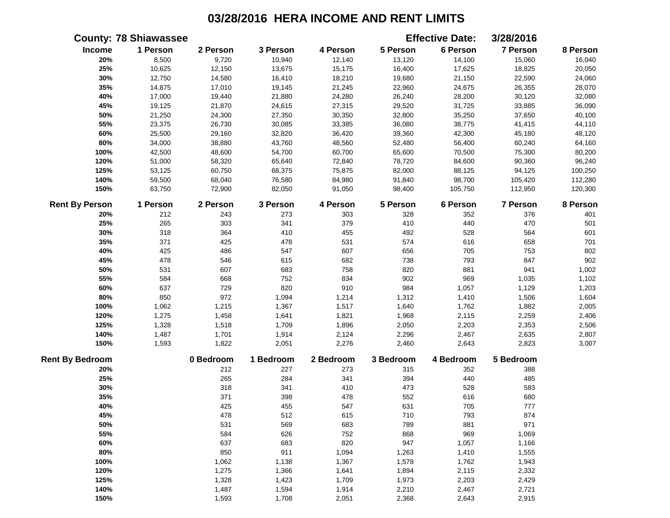|                        | <b>County: 78 Shiawassee</b> |           |           |           |           | <b>Effective Date:</b> | 3/28/2016 |          |
|------------------------|------------------------------|-----------|-----------|-----------|-----------|------------------------|-----------|----------|
| Income                 | 1 Person                     | 2 Person  | 3 Person  | 4 Person  | 5 Person  | 6 Person               | 7 Person  | 8 Person |
| 20%                    | 8,500                        | 9,720     | 10,940    | 12,140    | 13,120    | 14,100                 | 15,060    | 16,040   |
| 25%                    | 10,625                       | 12,150    | 13,675    | 15,175    | 16,400    | 17,625                 | 18,825    | 20,050   |
| 30%                    | 12,750                       | 14,580    | 16,410    | 18,210    | 19,680    | 21,150                 | 22,590    | 24,060   |
| 35%                    | 14,875                       | 17,010    | 19,145    | 21,245    | 22,960    | 24,675                 | 26,355    | 28,070   |
| 40%                    | 17,000                       | 19,440    | 21,880    | 24,280    | 26,240    | 28,200                 | 30,120    | 32,080   |
| 45%                    | 19,125                       | 21,870    | 24,615    | 27,315    | 29,520    | 31,725                 | 33,885    | 36,090   |
| 50%                    | 21,250                       | 24,300    | 27,350    | 30,350    | 32,800    | 35,250                 | 37,650    | 40,100   |
| 55%                    | 23,375                       | 26,730    | 30,085    | 33,385    | 36,080    | 38,775                 | 41,415    | 44,110   |
| 60%                    | 25,500                       | 29,160    | 32,820    | 36,420    | 39,360    | 42,300                 | 45,180    | 48,120   |
| 80%                    | 34,000                       | 38,880    | 43,760    | 48,560    | 52,480    | 56,400                 | 60,240    | 64,160   |
| 100%                   | 42,500                       | 48,600    | 54,700    | 60,700    | 65,600    | 70,500                 | 75,300    | 80,200   |
| 120%                   | 51,000                       | 58,320    | 65,640    | 72,840    | 78,720    | 84,600                 | 90,360    | 96,240   |
| 125%                   | 53,125                       | 60,750    | 68,375    | 75,875    | 82,000    | 88,125                 | 94,125    | 100,250  |
| 140%                   | 59,500                       | 68,040    | 76,580    | 84,980    | 91,840    | 98,700                 | 105,420   | 112,280  |
| 150%                   | 63,750                       | 72,900    | 82,050    | 91,050    | 98,400    | 105,750                | 112,950   | 120,300  |
| <b>Rent By Person</b>  | 1 Person                     | 2 Person  | 3 Person  | 4 Person  | 5 Person  | 6 Person               | 7 Person  | 8 Person |
| 20%                    | 212                          | 243       | 273       | 303       | 328       | 352                    | 376       | 401      |
| 25%                    | 265                          | 303       | 341       | 379       | 410       | 440                    | 470       | 501      |
| 30%                    | 318                          | 364       | 410       | 455       | 492       | 528                    | 564       | 601      |
| 35%                    | 371                          | 425       | 478       | 531       | 574       | 616                    | 658       | 701      |
| 40%                    | 425                          | 486       | 547       | 607       | 656       | 705                    | 753       | 802      |
| 45%                    | 478                          | 546       | 615       | 682       | 738       | 793                    | 847       | 902      |
| 50%                    | 531                          | 607       | 683       | 758       | 820       | 881                    | 941       | 1,002    |
| 55%                    | 584                          | 668       | 752       | 834       | 902       | 969                    | 1,035     | 1,102    |
| 60%                    | 637                          | 729       | 820       | 910       | 984       | 1,057                  | 1,129     | 1,203    |
| 80%                    | 850                          | 972       | 1,094     | 1,214     | 1,312     | 1,410                  | 1,506     | 1,604    |
| 100%                   | 1,062                        | 1,215     | 1,367     | 1,517     | 1,640     | 1,762                  | 1,882     | 2,005    |
| 120%                   | 1,275                        | 1,458     | 1,641     | 1,821     | 1,968     | 2,115                  | 2,259     | 2,406    |
| 125%                   | 1,328                        | 1,518     | 1,709     | 1,896     | 2,050     | 2,203                  | 2,353     | 2,506    |
| 140%                   | 1,487                        | 1,701     | 1,914     | 2,124     | 2,296     | 2,467                  | 2,635     | 2,807    |
| 150%                   | 1,593                        | 1,822     | 2,051     | 2,276     | 2,460     | 2,643                  | 2,823     | 3,007    |
| <b>Rent By Bedroom</b> |                              | 0 Bedroom | 1 Bedroom | 2 Bedroom | 3 Bedroom | 4 Bedroom              | 5 Bedroom |          |
| 20%                    |                              | 212       | 227       | 273       | 315       | 352                    | 388       |          |
| 25%                    |                              | 265       | 284       | 341       | 394       | 440                    | 485       |          |
| 30%                    |                              | 318       | 341       | 410       | 473       | 528                    | 583       |          |
| 35%                    |                              | 371       | 398       | 478       | 552       | 616                    | 680       |          |
| 40%                    |                              | 425       | 455       | 547       | 631       | 705                    | 777       |          |
| 45%                    |                              | 478       | 512       | 615       | 710       | 793                    | 874       |          |
| 50%                    |                              | 531       | 569       | 683       | 789       | 881                    | 971       |          |
| 55%                    |                              | 584       | 626       | 752       | 868       | 969                    | 1,069     |          |
| 60%                    |                              | 637       | 683       | 820       | 947       | 1,057                  | 1,166     |          |
| 80%                    |                              | 850       | 911       | 1,094     | 1,263     | 1,410                  | 1,555     |          |
| 100%                   |                              | 1,062     | 1,138     | 1,367     | 1,578     | 1,762                  | 1,943     |          |
| 120%                   |                              | 1,275     | 1,366     | 1,641     | 1,894     | 2,115                  | 2,332     |          |
| 125%                   |                              | 1,328     | 1,423     | 1,709     | 1,973     | 2,203                  | 2,429     |          |
| 140%                   |                              | 1,487     | 1,594     | 1,914     | 2,210     | 2,467                  | 2,721     |          |
| 150%                   |                              | 1,593     | 1,708     | 2,051     | 2,368     | 2,643                  | 2,915     |          |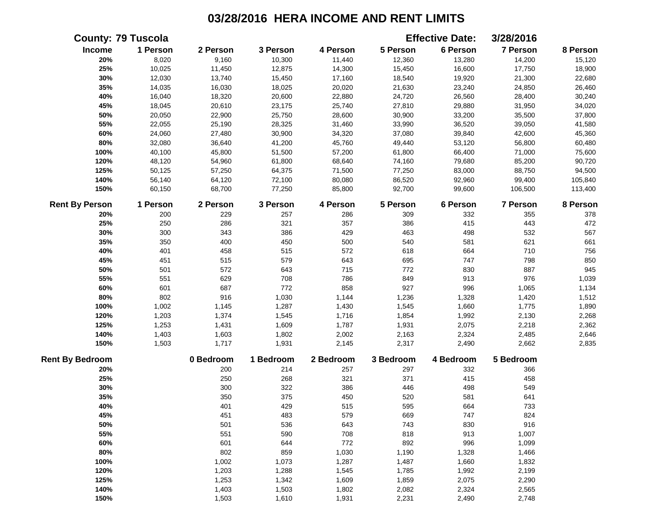|                        | <b>County: 79 Tuscola</b> |           |           |           |           | <b>Effective Date:</b> | 3/28/2016       |          |
|------------------------|---------------------------|-----------|-----------|-----------|-----------|------------------------|-----------------|----------|
| Income                 | 1 Person                  | 2 Person  | 3 Person  | 4 Person  | 5 Person  | 6 Person               | <b>7 Person</b> | 8 Person |
| 20%                    | 8,020                     | 9,160     | 10,300    | 11,440    | 12,360    | 13,280                 | 14,200          | 15,120   |
| 25%                    | 10,025                    | 11,450    | 12,875    | 14,300    | 15,450    | 16,600                 | 17,750          | 18,900   |
| 30%                    | 12,030                    | 13,740    | 15,450    | 17,160    | 18,540    | 19,920                 | 21,300          | 22,680   |
| 35%                    | 14,035                    | 16,030    | 18,025    | 20,020    | 21,630    | 23,240                 | 24,850          | 26,460   |
| 40%                    | 16,040                    | 18,320    | 20,600    | 22,880    | 24,720    | 26,560                 | 28,400          | 30,240   |
| 45%                    | 18,045                    | 20,610    | 23,175    | 25,740    | 27,810    | 29,880                 | 31,950          | 34,020   |
| 50%                    | 20,050                    | 22,900    | 25,750    | 28,600    | 30,900    | 33,200                 | 35,500          | 37,800   |
| 55%                    | 22,055                    | 25,190    | 28,325    | 31,460    | 33,990    | 36,520                 | 39,050          | 41,580   |
| 60%                    | 24,060                    | 27,480    | 30,900    | 34,320    | 37,080    | 39,840                 | 42,600          | 45,360   |
| 80%                    | 32,080                    | 36,640    | 41,200    | 45,760    | 49,440    | 53,120                 | 56,800          | 60,480   |
| 100%                   | 40,100                    | 45,800    | 51,500    | 57,200    | 61,800    | 66,400                 | 71,000          | 75,600   |
| 120%                   | 48,120                    | 54,960    | 61,800    | 68,640    | 74,160    | 79,680                 | 85,200          | 90,720   |
| 125%                   | 50,125                    | 57,250    | 64,375    | 71,500    | 77,250    | 83,000                 | 88,750          | 94,500   |
| 140%                   | 56,140                    | 64,120    | 72,100    | 80,080    | 86,520    | 92,960                 | 99,400          | 105,840  |
| 150%                   | 60,150                    | 68,700    | 77,250    | 85,800    | 92,700    | 99,600                 | 106,500         | 113,400  |
| <b>Rent By Person</b>  | 1 Person                  | 2 Person  | 3 Person  | 4 Person  | 5 Person  | 6 Person               | 7 Person        | 8 Person |
| 20%                    | 200                       | 229       | 257       | 286       | 309       | 332                    | 355             | 378      |
| 25%                    | 250                       | 286       | 321       | 357       | 386       | 415                    | 443             | 472      |
| 30%                    | 300                       | 343       | 386       | 429       | 463       | 498                    | 532             | 567      |
| 35%                    | 350                       | 400       | 450       | 500       | 540       | 581                    | 621             | 661      |
| 40%                    | 401                       | 458       | 515       | 572       | 618       | 664                    | 710             | 756      |
| 45%                    | 451                       | 515       | 579       | 643       | 695       | 747                    | 798             | 850      |
| 50%                    | 501                       | 572       | 643       | 715       | 772       | 830                    | 887             | 945      |
| 55%                    | 551                       | 629       | 708       | 786       | 849       | 913                    | 976             | 1,039    |
| 60%                    | 601                       | 687       | 772       | 858       | 927       | 996                    | 1,065           | 1,134    |
| 80%                    | 802                       | 916       | 1,030     | 1,144     | 1,236     | 1,328                  | 1,420           | 1,512    |
| 100%                   | 1,002                     | 1,145     | 1,287     | 1,430     | 1,545     | 1,660                  | 1,775           | 1,890    |
| 120%                   | 1,203                     | 1,374     | 1,545     | 1,716     | 1,854     | 1,992                  | 2,130           | 2,268    |
| 125%                   | 1,253                     | 1,431     | 1,609     | 1,787     | 1,931     | 2,075                  | 2,218           | 2,362    |
| 140%                   | 1,403                     | 1,603     | 1,802     | 2,002     | 2,163     | 2,324                  | 2,485           | 2,646    |
| 150%                   | 1,503                     | 1,717     | 1,931     | 2,145     | 2,317     | 2,490                  | 2,662           | 2,835    |
| <b>Rent By Bedroom</b> |                           | 0 Bedroom | 1 Bedroom | 2 Bedroom | 3 Bedroom | 4 Bedroom              | 5 Bedroom       |          |
| 20%                    |                           | 200       | 214       | 257       | 297       | 332                    | 366             |          |
| 25%                    |                           | 250       | 268       | 321       | 371       | 415                    | 458             |          |
| 30%                    |                           | 300       | 322       | 386       | 446       | 498                    | 549             |          |
| 35%                    |                           | 350       | 375       | 450       | 520       | 581                    | 641             |          |
| 40%                    |                           | 401       | 429       | 515       | 595       | 664                    | 733             |          |
| 45%                    |                           | 451       | 483       | 579       | 669       | 747                    | 824             |          |
| 50%                    |                           | 501       | 536       | 643       | 743       | 830                    | 916             |          |
| 55%                    |                           | 551       | 590       | 708       | 818       | 913                    | 1,007           |          |
| 60%                    |                           | 601       | 644       | 772       | 892       | 996                    | 1,099           |          |
| 80%                    |                           | 802       | 859       | 1,030     | 1,190     | 1,328                  | 1,466           |          |
| 100%                   |                           | 1,002     | 1,073     | 1,287     | 1,487     | 1,660                  | 1,832           |          |
| 120%                   |                           | 1,203     | 1,288     | 1,545     | 1,785     | 1,992                  | 2,199           |          |
| 125%                   |                           | 1,253     | 1,342     | 1,609     | 1,859     | 2,075                  | 2,290           |          |
| 140%                   |                           | 1,403     | 1,503     | 1,802     | 2,082     | 2,324                  | 2,565           |          |
| 150%                   |                           | 1,503     | 1,610     | 1,931     | 2,231     | 2,490                  | 2,748           |          |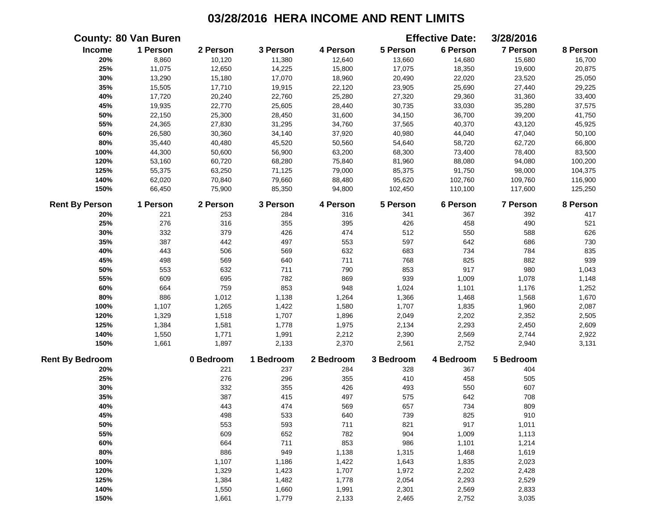|                        | <b>County: 80 Van Buren</b> |           |           |           |           | <b>Effective Date:</b> | 3/28/2016 |          |
|------------------------|-----------------------------|-----------|-----------|-----------|-----------|------------------------|-----------|----------|
| Income                 | 1 Person                    | 2 Person  | 3 Person  | 4 Person  | 5 Person  | 6 Person               | 7 Person  | 8 Person |
| 20%                    | 8,860                       | 10,120    | 11,380    | 12,640    | 13,660    | 14,680                 | 15,680    | 16,700   |
| 25%                    | 11,075                      | 12,650    | 14,225    | 15,800    | 17,075    | 18,350                 | 19,600    | 20,875   |
| 30%                    | 13,290                      | 15,180    | 17,070    | 18,960    | 20,490    | 22,020                 | 23,520    | 25,050   |
| 35%                    | 15,505                      | 17,710    | 19,915    | 22,120    | 23,905    | 25,690                 | 27,440    | 29,225   |
| 40%                    | 17,720                      | 20,240    | 22,760    | 25,280    | 27,320    | 29,360                 | 31,360    | 33,400   |
| 45%                    | 19,935                      | 22,770    | 25,605    | 28,440    | 30,735    | 33,030                 | 35,280    | 37,575   |
| 50%                    | 22,150                      | 25,300    | 28,450    | 31,600    | 34,150    | 36,700                 | 39,200    | 41,750   |
| 55%                    | 24,365                      | 27,830    | 31,295    | 34,760    | 37,565    | 40,370                 | 43,120    | 45,925   |
| 60%                    | 26,580                      | 30,360    | 34,140    | 37,920    | 40,980    | 44,040                 | 47,040    | 50,100   |
| 80%                    | 35,440                      | 40,480    | 45,520    | 50,560    | 54,640    | 58,720                 | 62,720    | 66,800   |
| 100%                   | 44,300                      | 50,600    | 56,900    | 63,200    | 68,300    | 73,400                 | 78,400    | 83,500   |
| 120%                   | 53,160                      | 60,720    | 68,280    | 75,840    | 81,960    | 88,080                 | 94,080    | 100,200  |
| 125%                   | 55,375                      | 63,250    | 71,125    | 79,000    | 85,375    | 91,750                 | 98,000    | 104,375  |
| 140%                   | 62,020                      | 70,840    | 79,660    | 88,480    | 95,620    | 102,760                | 109,760   | 116,900  |
| 150%                   | 66,450                      | 75,900    | 85,350    | 94,800    | 102,450   | 110,100                | 117,600   | 125,250  |
| <b>Rent By Person</b>  | 1 Person                    | 2 Person  | 3 Person  | 4 Person  | 5 Person  | 6 Person               | 7 Person  | 8 Person |
| 20%                    | 221                         | 253       | 284       | 316       | 341       | 367                    | 392       | 417      |
| 25%                    | 276                         | 316       | 355       | 395       | 426       | 458                    | 490       | 521      |
| 30%                    | 332                         | 379       | 426       | 474       | 512       | 550                    | 588       | 626      |
| 35%                    | 387                         | 442       | 497       | 553       | 597       | 642                    | 686       | 730      |
| 40%                    | 443                         | 506       | 569       | 632       | 683       | 734                    | 784       | 835      |
| 45%                    | 498                         | 569       | 640       | 711       | 768       | 825                    | 882       | 939      |
| 50%                    | 553                         | 632       | 711       | 790       | 853       | 917                    | 980       | 1,043    |
| 55%                    | 609                         | 695       | 782       | 869       | 939       | 1,009                  | 1,078     | 1,148    |
| 60%                    | 664                         | 759       | 853       | 948       | 1,024     | 1,101                  | 1,176     | 1,252    |
| 80%                    | 886                         | 1,012     | 1,138     | 1,264     | 1,366     | 1,468                  | 1,568     | 1,670    |
| 100%                   | 1,107                       | 1,265     | 1,422     | 1,580     | 1,707     | 1,835                  | 1,960     | 2,087    |
| 120%                   | 1,329                       | 1,518     | 1,707     | 1,896     | 2,049     | 2,202                  | 2,352     | 2,505    |
| 125%                   | 1,384                       | 1,581     | 1,778     | 1,975     | 2,134     | 2,293                  | 2,450     | 2,609    |
| 140%                   | 1,550                       | 1,771     | 1,991     | 2,212     | 2,390     | 2,569                  | 2,744     | 2,922    |
| 150%                   | 1,661                       | 1,897     | 2,133     | 2,370     | 2,561     | 2,752                  | 2,940     | 3,131    |
| <b>Rent By Bedroom</b> |                             | 0 Bedroom | 1 Bedroom | 2 Bedroom | 3 Bedroom | 4 Bedroom              | 5 Bedroom |          |
| 20%                    |                             | 221       | 237       | 284       | 328       | 367                    | 404       |          |
| 25%                    |                             | 276       | 296       | 355       | 410       | 458                    | 505       |          |
| 30%                    |                             | 332       | 355       | 426       | 493       | 550                    | 607       |          |
| 35%                    |                             | 387       | 415       | 497       | 575       | 642                    | 708       |          |
| 40%                    |                             | 443       | 474       | 569       | 657       | 734                    | 809       |          |
| 45%                    |                             | 498       | 533       | 640       | 739       | 825                    | 910       |          |
| 50%                    |                             | 553       | 593       | 711       | 821       | 917                    | 1,011     |          |
| 55%                    |                             | 609       | 652       | 782       | 904       | 1,009                  | 1,113     |          |
| 60%                    |                             | 664       | 711       | 853       | 986       | 1,101                  | 1,214     |          |
| 80%                    |                             | 886       | 949       | 1,138     | 1,315     | 1,468                  | 1,619     |          |
| 100%                   |                             | 1,107     | 1,186     | 1,422     | 1,643     | 1,835                  | 2,023     |          |
| 120%                   |                             | 1,329     | 1,423     | 1,707     | 1,972     | 2,202                  | 2,428     |          |
| 125%                   |                             | 1,384     | 1,482     | 1,778     | 2,054     | 2,293                  | 2,529     |          |
| 140%                   |                             | 1,550     | 1,660     | 1,991     | 2,301     | 2,569                  | 2,833     |          |
| 150%                   |                             | 1,661     | 1,779     | 2,133     | 2,465     | 2,752                  | 3,035     |          |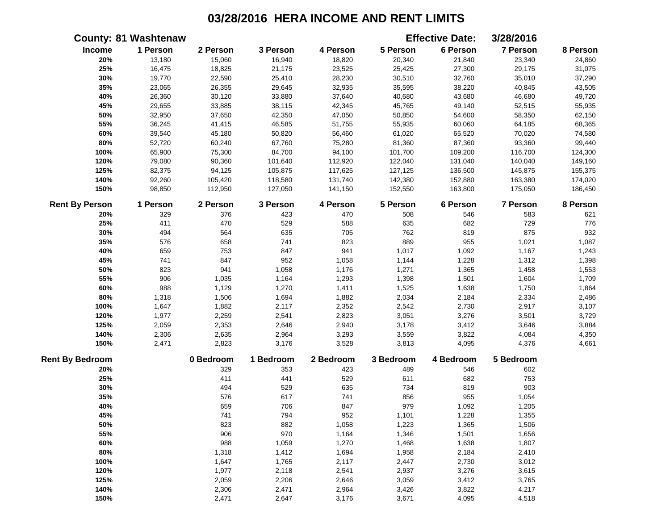|                        | <b>County: 81 Washtenaw</b> |           |           |           |           | <b>Effective Date:</b> | 3/28/2016       |          |
|------------------------|-----------------------------|-----------|-----------|-----------|-----------|------------------------|-----------------|----------|
| <b>Income</b>          | 1 Person                    | 2 Person  | 3 Person  | 4 Person  | 5 Person  | 6 Person               | 7 Person        | 8 Person |
| 20%                    | 13,180                      | 15,060    | 16,940    | 18,820    | 20,340    | 21,840                 | 23,340          | 24,860   |
| 25%                    | 16,475                      | 18,825    | 21,175    | 23,525    | 25,425    | 27,300                 | 29,175          | 31,075   |
| 30%                    | 19,770                      | 22,590    | 25,410    | 28,230    | 30,510    | 32,760                 | 35,010          | 37,290   |
| 35%                    | 23,065                      | 26,355    | 29,645    | 32,935    | 35,595    | 38,220                 | 40,845          | 43,505   |
| 40%                    | 26,360                      | 30,120    | 33,880    | 37,640    | 40,680    | 43,680                 | 46,680          | 49,720   |
| 45%                    | 29,655                      | 33,885    | 38,115    | 42,345    | 45,765    | 49,140                 | 52,515          | 55,935   |
| 50%                    | 32,950                      | 37,650    | 42,350    | 47,050    | 50,850    | 54,600                 | 58,350          | 62,150   |
| 55%                    | 36,245                      | 41,415    | 46,585    | 51,755    | 55,935    | 60,060                 | 64,185          | 68,365   |
| 60%                    | 39,540                      | 45,180    | 50,820    | 56,460    | 61,020    | 65,520                 | 70,020          | 74,580   |
| 80%                    | 52,720                      | 60,240    | 67,760    | 75,280    | 81,360    | 87,360                 | 93,360          | 99,440   |
| 100%                   | 65,900                      | 75,300    | 84,700    | 94,100    | 101,700   | 109,200                | 116,700         | 124,300  |
| 120%                   | 79,080                      | 90,360    | 101,640   | 112,920   | 122,040   | 131,040                | 140,040         | 149,160  |
| 125%                   | 82,375                      | 94,125    | 105,875   | 117,625   | 127,125   | 136,500                | 145,875         | 155,375  |
| 140%                   | 92,260                      | 105,420   | 118,580   | 131,740   | 142,380   | 152,880                | 163,380         | 174,020  |
| 150%                   | 98,850                      | 112,950   | 127,050   | 141,150   | 152,550   | 163,800                | 175,050         | 186,450  |
| <b>Rent By Person</b>  | 1 Person                    | 2 Person  | 3 Person  | 4 Person  | 5 Person  | 6 Person               | <b>7 Person</b> | 8 Person |
| 20%                    | 329                         | 376       | 423       | 470       | 508       | 546                    | 583             | 621      |
| 25%                    | 411                         | 470       | 529       | 588       | 635       | 682                    | 729             | 776      |
| 30%                    | 494                         | 564       | 635       | 705       | 762       | 819                    | 875             | 932      |
| 35%                    | 576                         | 658       | 741       | 823       | 889       | 955                    | 1,021           | 1,087    |
| 40%                    | 659                         | 753       | 847       | 941       | 1,017     | 1,092                  | 1,167           | 1,243    |
| 45%                    | 741                         | 847       | 952       | 1,058     | 1,144     | 1,228                  | 1,312           | 1,398    |
| 50%                    | 823                         | 941       | 1,058     | 1,176     | 1,271     | 1,365                  | 1,458           | 1,553    |
| 55%                    | 906                         | 1,035     | 1,164     | 1,293     | 1,398     | 1,501                  | 1,604           | 1,709    |
| 60%                    | 988                         | 1,129     | 1,270     | 1,411     | 1,525     | 1,638                  | 1,750           | 1,864    |
| 80%                    | 1,318                       | 1,506     | 1,694     | 1,882     | 2,034     | 2,184                  | 2,334           | 2,486    |
| 100%                   | 1,647                       | 1,882     | 2,117     | 2,352     | 2,542     | 2,730                  | 2,917           | 3,107    |
| 120%                   | 1,977                       | 2,259     | 2,541     | 2,823     | 3,051     | 3,276                  | 3,501           | 3,729    |
| 125%                   | 2,059                       | 2,353     | 2,646     | 2,940     | 3,178     | 3,412                  | 3,646           | 3,884    |
| 140%                   | 2,306                       | 2,635     | 2,964     | 3,293     | 3,559     | 3,822                  | 4,084           | 4,350    |
| 150%                   | 2,471                       | 2,823     | 3,176     | 3,528     | 3,813     | 4,095                  | 4,376           | 4,661    |
| <b>Rent By Bedroom</b> |                             | 0 Bedroom | 1 Bedroom | 2 Bedroom | 3 Bedroom | 4 Bedroom              | 5 Bedroom       |          |
| 20%                    |                             | 329       | 353       | 423       | 489       | 546                    | 602             |          |
| 25%                    |                             | 411       | 441       | 529       | 611       | 682                    | 753             |          |
| 30%                    |                             | 494       | 529       | 635       | 734       | 819                    | 903             |          |
| 35%                    |                             | 576       | 617       | 741       | 856       | 955                    | 1,054           |          |
| 40%                    |                             | 659       | 706       | 847       | 979       | 1,092                  | 1,205           |          |
| 45%                    |                             | 741       | 794       | 952       | 1,101     | 1,228                  | 1,355           |          |
| 50%                    |                             | 823       | 882       | 1,058     | 1,223     | 1,365                  | 1,506           |          |
| 55%                    |                             | 906       | 970       | 1,164     | 1,346     | 1,501                  | 1,656           |          |
| 60%                    |                             | 988       | 1,059     | 1,270     | 1,468     | 1,638                  | 1,807           |          |
| 80%                    |                             | 1,318     | 1,412     | 1,694     | 1,958     | 2,184                  | 2,410           |          |
| 100%                   |                             | 1,647     | 1,765     | 2,117     | 2,447     | 2,730                  | 3,012           |          |
| 120%                   |                             | 1,977     | 2,118     | 2,541     | 2,937     | 3,276                  | 3,615           |          |
| 125%                   |                             | 2,059     | 2,206     | 2,646     | 3,059     | 3,412                  | 3,765           |          |
| 140%                   |                             | 2,306     | 2,471     | 2,964     | 3,426     | 3,822                  | 4,217           |          |
| 150%                   |                             | 2,471     | 2,647     | 3,176     | 3,671     | 4,095                  | 4,518           |          |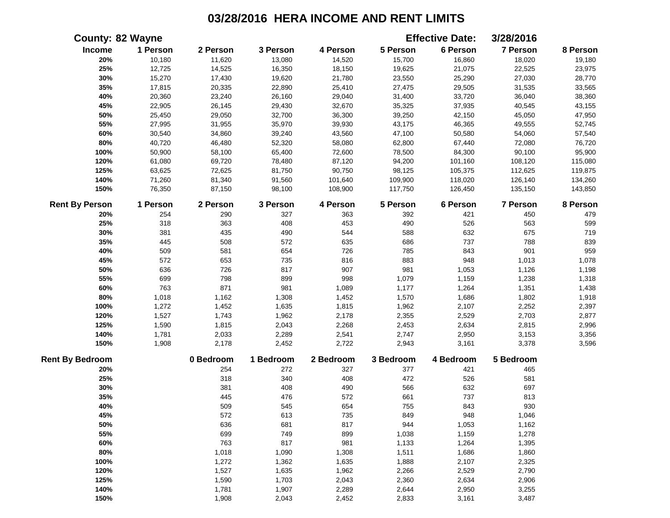|                        | <b>County: 82 Wayne</b> |           |           |           |           | <b>Effective Date:</b> | 3/28/2016       |          |
|------------------------|-------------------------|-----------|-----------|-----------|-----------|------------------------|-----------------|----------|
| Income                 | 1 Person                | 2 Person  | 3 Person  | 4 Person  | 5 Person  | 6 Person               | 7 Person        | 8 Person |
| 20%                    | 10,180                  | 11,620    | 13,080    | 14,520    | 15,700    | 16,860                 | 18,020          | 19,180   |
| 25%                    | 12,725                  | 14,525    | 16,350    | 18,150    | 19,625    | 21,075                 | 22,525          | 23,975   |
| 30%                    | 15,270                  | 17,430    | 19,620    | 21,780    | 23,550    | 25,290                 | 27,030          | 28,770   |
| 35%                    | 17,815                  | 20,335    | 22,890    | 25,410    | 27,475    | 29,505                 | 31,535          | 33,565   |
| 40%                    | 20,360                  | 23,240    | 26,160    | 29,040    | 31,400    | 33,720                 | 36,040          | 38,360   |
| 45%                    | 22,905                  | 26,145    | 29,430    | 32,670    | 35,325    | 37,935                 | 40,545          | 43,155   |
| 50%                    | 25,450                  | 29,050    | 32,700    | 36,300    | 39,250    | 42,150                 | 45,050          | 47,950   |
| 55%                    | 27,995                  | 31,955    | 35,970    | 39,930    | 43,175    | 46,365                 | 49,555          | 52,745   |
| 60%                    | 30,540                  | 34,860    | 39,240    | 43,560    | 47,100    | 50,580                 | 54,060          | 57,540   |
| $80\%$                 | 40,720                  | 46,480    | 52,320    | 58,080    | 62,800    | 67,440                 | 72,080          | 76,720   |
| 100%                   | 50,900                  | 58,100    | 65,400    | 72,600    | 78,500    | 84,300                 | 90,100          | 95,900   |
| 120%                   | 61,080                  | 69,720    | 78,480    | 87,120    | 94,200    | 101,160                | 108,120         | 115,080  |
| 125%                   | 63,625                  | 72,625    | 81,750    | 90,750    | 98,125    | 105,375                | 112,625         | 119,875  |
| 140%                   | 71,260                  | 81,340    | 91,560    | 101,640   | 109,900   | 118,020                | 126,140         | 134,260  |
| 150%                   | 76,350                  | 87,150    | 98,100    | 108,900   | 117,750   | 126,450                | 135,150         | 143,850  |
| <b>Rent By Person</b>  | 1 Person                | 2 Person  | 3 Person  | 4 Person  | 5 Person  | 6 Person               | <b>7 Person</b> | 8 Person |
| 20%                    | 254                     | 290       | 327       | 363       | 392       | 421                    | 450             | 479      |
| 25%                    | 318                     | 363       | 408       | 453       | 490       | 526                    | 563             | 599      |
| 30%                    | 381                     | 435       | 490       | 544       | 588       | 632                    | 675             | 719      |
| 35%                    | 445                     | 508       | 572       | 635       | 686       | 737                    | 788             | 839      |
| 40%                    | 509                     | 581       | 654       | 726       | 785       | 843                    | 901             | 959      |
| 45%                    | 572                     | 653       | 735       | 816       | 883       | 948                    | 1,013           | 1,078    |
| 50%                    | 636                     | 726       | 817       | 907       | 981       | 1,053                  | 1,126           | 1,198    |
| 55%                    | 699                     | 798       | 899       | 998       | 1,079     | 1,159                  | 1,238           | 1,318    |
| 60%                    | 763                     | 871       | 981       | 1,089     | 1,177     | 1,264                  | 1,351           | 1,438    |
| 80%                    | 1,018                   | 1,162     | 1,308     | 1,452     | 1,570     | 1,686                  | 1,802           | 1,918    |
| 100%                   | 1,272                   | 1,452     | 1,635     | 1,815     | 1,962     | 2,107                  | 2,252           | 2,397    |
| 120%                   | 1,527                   | 1,743     | 1,962     | 2,178     | 2,355     | 2,529                  | 2,703           | 2,877    |
| 125%                   | 1,590                   | 1,815     | 2,043     | 2,268     | 2,453     | 2,634                  | 2,815           | 2,996    |
| 140%                   | 1,781                   | 2,033     | 2,289     | 2,541     | 2,747     | 2,950                  | 3,153           | 3,356    |
| 150%                   | 1,908                   | 2,178     | 2,452     | 2,722     | 2,943     | 3,161                  | 3,378           | 3,596    |
| <b>Rent By Bedroom</b> |                         | 0 Bedroom | 1 Bedroom | 2 Bedroom | 3 Bedroom | 4 Bedroom              | 5 Bedroom       |          |
| 20%                    |                         | 254       | 272       | 327       | 377       | 421                    | 465             |          |
| 25%                    |                         | 318       | 340       | 408       | 472       | 526                    | 581             |          |
| 30%                    |                         | 381       | 408       | 490       | 566       | 632                    | 697             |          |
| 35%                    |                         | 445       | 476       | 572       | 661       | 737                    | 813             |          |
| 40%                    |                         | 509       | 545       | 654       | 755       | 843                    | 930             |          |
| 45%                    |                         | 572       | 613       | 735       | 849       | 948                    | 1,046           |          |
| 50%                    |                         | 636       | 681       | 817       | 944       | 1,053                  | 1,162           |          |
| 55%                    |                         | 699       | 749       | 899       | 1,038     | 1,159                  | 1,278           |          |
| 60%                    |                         | 763       | 817       | 981       | 1,133     | 1,264                  | 1,395           |          |
| 80%                    |                         | 1,018     | 1,090     | 1,308     | 1,511     | 1,686                  | 1,860           |          |
| 100%                   |                         | 1,272     | 1,362     | 1,635     | 1,888     | 2,107                  | 2,325           |          |
| 120%                   |                         | 1,527     | 1,635     | 1,962     | 2,266     | 2,529                  | 2,790           |          |
| 125%                   |                         | 1,590     | 1,703     | 2,043     | 2,360     | 2,634                  | 2,906           |          |
| 140%                   |                         | 1,781     | 1,907     | 2,289     | 2,644     | 2,950                  | 3,255           |          |
| 150%                   |                         | 1,908     | 2,043     | 2,452     | 2,833     | 3,161                  | 3,487           |          |
|                        |                         |           |           |           |           |                        |                 |          |